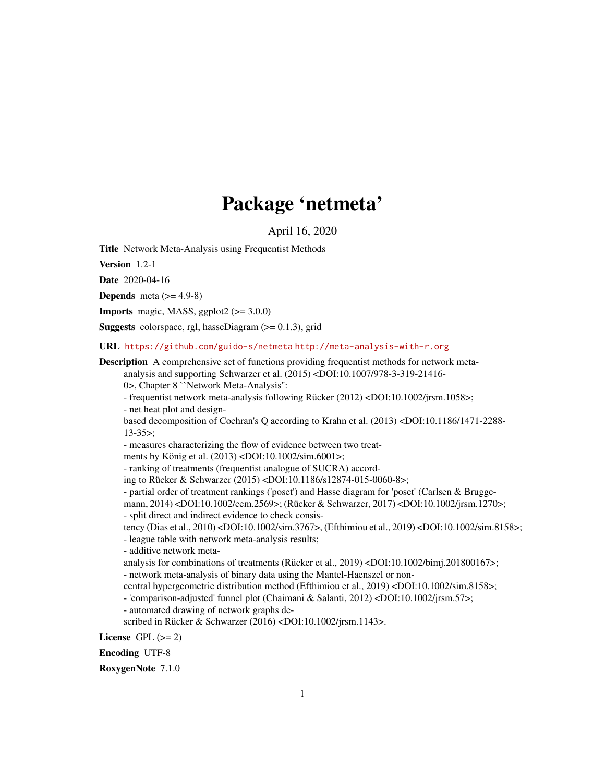# Package 'netmeta'

April 16, 2020

<span id="page-0-0"></span>Title Network Meta-Analysis using Frequentist Methods

Version 1.2-1

Date 2020-04-16

**Depends** meta  $(>= 4.9-8)$ 

**Imports** magic, MASS, ggplot2  $(>= 3.0.0)$ 

**Suggests** colorspace, rgl, hasseDiagram  $(>= 0.1.3)$ , grid

URL <https://github.com/guido-s/netmeta> <http://meta-analysis-with-r.org>

Description A comprehensive set of functions providing frequentist methods for network metaanalysis and supporting Schwarzer et al. (2015) <DOI:10.1007/978-3-319-21416-

0>, Chapter 8 ``Network Meta-Analysis'':

- frequentist network meta-analysis following Rücker (2012) <DOI:10.1002/jrsm.1058>; - net heat plot and design-

based decomposition of Cochran's Q according to Krahn et al. (2013) <DOI:10.1186/1471-2288- 13-35>;

- measures characterizing the flow of evidence between two treat-

ments by König et al. (2013) <DOI:10.1002/sim.6001>;

- ranking of treatments (frequentist analogue of SUCRA) accord-

ing to Rücker & Schwarzer (2015) <DOI:10.1186/s12874-015-0060-8>;

- partial order of treatment rankings ('poset') and Hasse diagram for 'poset' (Carlsen & Brugge-

mann, 2014) <DOI:10.1002/cem.2569>; (Rücker & Schwarzer, 2017) <DOI:10.1002/jrsm.1270>; - split direct and indirect evidence to check consis-

tency (Dias et al., 2010) <DOI:10.1002/sim.3767>, (Efthimiou et al., 2019) <DOI:10.1002/sim.8158>;

- league table with network meta-analysis results;

- additive network meta-

analysis for combinations of treatments (Rücker et al., 2019) <DOI:10.1002/bimj.201800167>; - network meta-analysis of binary data using the Mantel-Haenszel or non-

central hypergeometric distribution method (Efthimiou et al., 2019) <DOI:10.1002/sim.8158>;

- 'comparison-adjusted' funnel plot (Chaimani & Salanti, 2012) <DOI:10.1002/jrsm.57>;

- automated drawing of network graphs de-

scribed in Rücker & Schwarzer (2016) <DOI:10.1002/jrsm.1143>.

License GPL  $(>= 2)$ 

Encoding UTF-8

RoxygenNote 7.1.0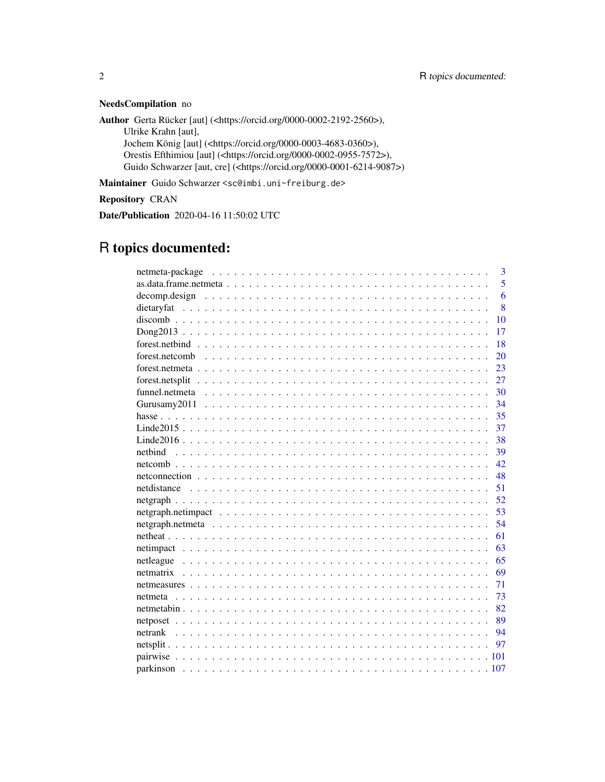### NeedsCompilation no

Author Gerta Rücker [aut] (<https://orcid.org/0000-0002-2192-2560>), Ulrike Krahn [aut], Jochem König [aut] (<https://orcid.org/0000-0003-4683-0360>), Orestis Efthimiou [aut] (<https://orcid.org/0000-0002-0955-7572>),

Guido Schwarzer [aut, cre] (<https://orcid.org/0000-0001-6214-9087>)

Maintainer Guido Schwarzer <sc@imbi.uni-freiburg.de>

Repository CRAN

Date/Publication 2020-04-16 11:50:02 UTC

# R topics documented:

|                                                                                                                  | 3  |
|------------------------------------------------------------------------------------------------------------------|----|
|                                                                                                                  | 5  |
| $decomp. design \dots \dots \dots \dots \dots \dots \dots \dots \dots \dots \dots \dots \dots \dots \dots \dots$ | 6  |
|                                                                                                                  | 8  |
|                                                                                                                  | 10 |
|                                                                                                                  | 17 |
|                                                                                                                  | 18 |
|                                                                                                                  | 20 |
|                                                                                                                  | 23 |
|                                                                                                                  | 27 |
|                                                                                                                  | 30 |
|                                                                                                                  | 34 |
|                                                                                                                  | 35 |
|                                                                                                                  | 37 |
|                                                                                                                  | 38 |
| netbind                                                                                                          | 39 |
|                                                                                                                  | 42 |
|                                                                                                                  | 48 |
|                                                                                                                  | 51 |
|                                                                                                                  | 52 |
|                                                                                                                  | 53 |
|                                                                                                                  | 54 |
|                                                                                                                  | 61 |
|                                                                                                                  | 63 |
|                                                                                                                  | 65 |
| netmatrix                                                                                                        | 69 |
|                                                                                                                  | 71 |
|                                                                                                                  | 73 |
|                                                                                                                  | 82 |
|                                                                                                                  | 89 |
|                                                                                                                  | 94 |
|                                                                                                                  | 97 |
|                                                                                                                  |    |
|                                                                                                                  |    |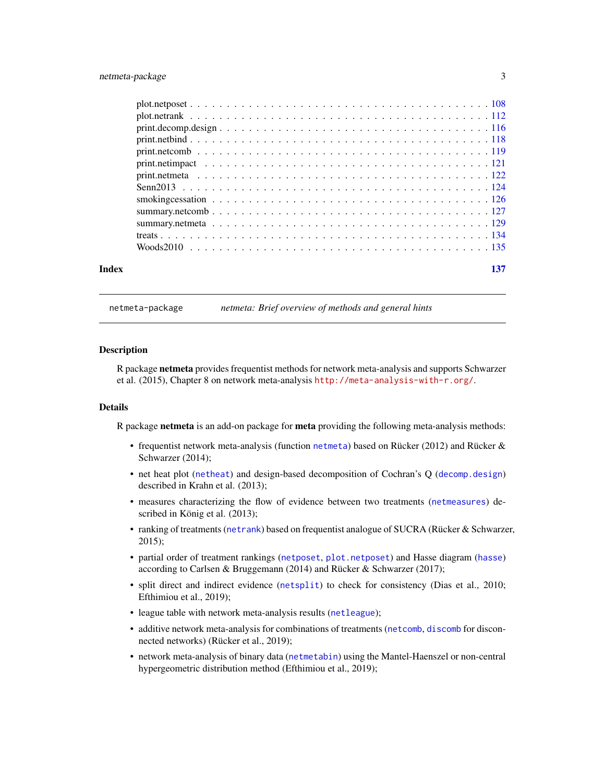<span id="page-2-0"></span>

netmeta-package *netmeta: Brief overview of methods and general hints*

#### **Description**

R package netmeta provides frequentist methods for network meta-analysis and supports Schwarzer et al. (2015), Chapter 8 on network meta-analysis <http://meta-analysis-with-r.org/>.

### Details

R package netmeta is an add-on package for meta providing the following meta-analysis methods:

- frequentist network meta-analysis (function [netmeta](#page-72-1)) based on Rücker (2012) and Rücker & Schwarzer (2014);
- net heat plot ([netheat](#page-60-1)) and design-based decomposition of Cochran's Q ([decomp.design](#page-5-1)) described in Krahn et al. (2013);
- measures characterizing the flow of evidence between two treatments ([netmeasures](#page-70-1)) described in König et al. (2013);
- ranking of treatments ([netrank](#page-93-1)) based on frequentist analogue of SUCRA (Rücker & Schwarzer, 2015);
- partial order of treatment rankings ([netposet](#page-88-1), [plot.netposet](#page-107-1)) and Hasse diagram ([hasse](#page-34-1)) according to Carlsen & Bruggemann (2014) and Rücker & Schwarzer (2017);
- split direct and indirect evidence ([netsplit](#page-96-1)) to check for consistency (Dias et al., 2010; Efthimiou et al., 2019);
- league table with network meta-analysis results ([netleague](#page-64-1));
- additive network meta-analysis for combinations of treatments ([netcomb](#page-41-1), [discomb](#page-9-1) for disconnected networks) (Rücker et al., 2019);
- network meta-analysis of binary data ([netmetabin](#page-81-1)) using the Mantel-Haenszel or non-central hypergeometric distribution method (Efthimiou et al., 2019);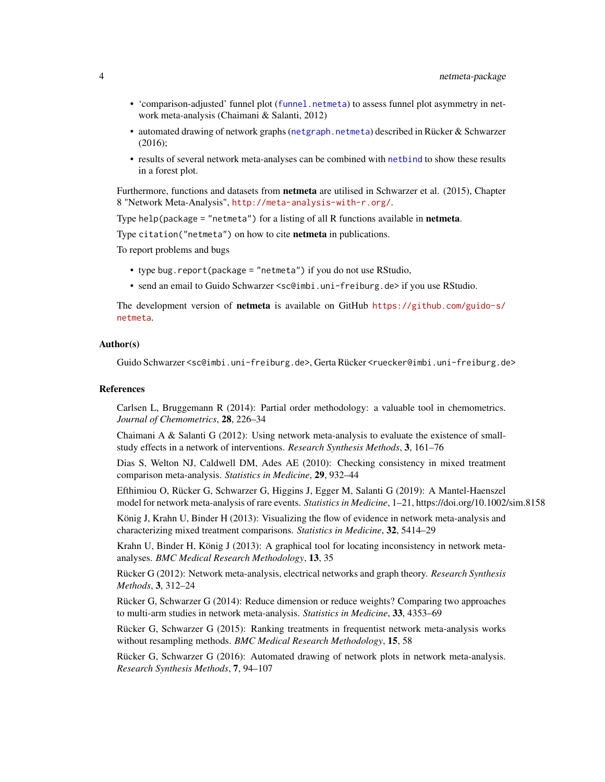- 'comparison-adjusted' funnel plot ([funnel.netmeta](#page-29-1)) to assess funnel plot asymmetry in network meta-analysis (Chaimani & Salanti, 2012)
- automated drawing of network graphs ([netgraph.netmeta](#page-53-1)) described in Rücker & Schwarzer (2016);
- results of several network meta-analyses can be combined with [netbind](#page-38-1) to show these results in a forest plot.

Furthermore, functions and datasets from netmeta are utilised in Schwarzer et al. (2015), Chapter 8 "Network Meta-Analysis", <http://meta-analysis-with-r.org/>.

Type help(package = "netmeta") for a listing of all R functions available in **netmeta**.

Type citation("netmeta") on how to cite **netmeta** in publications.

To report problems and bugs

- type bug.report(package = "netmeta") if you do not use RStudio,
- send an email to Guido Schwarzer <sc@imbi.uni-freiburg.de> if you use RStudio.

The development version of netmeta is available on GitHub [https://github.com/guido-s/](https://github.com/guido-s/netmeta) [netmeta](https://github.com/guido-s/netmeta).

### Author(s)

Guido Schwarzer <sc@imbi.uni-freiburg.de>, Gerta Rücker <ruecker@imbi.uni-freiburg.de>

### References

Carlsen L, Bruggemann R (2014): Partial order methodology: a valuable tool in chemometrics. *Journal of Chemometrics*, 28, 226–34

Chaimani A & Salanti G  $(2012)$ : Using network meta-analysis to evaluate the existence of smallstudy effects in a network of interventions. *Research Synthesis Methods*, 3, 161–76

Dias S, Welton NJ, Caldwell DM, Ades AE (2010): Checking consistency in mixed treatment comparison meta-analysis. *Statistics in Medicine*, 29, 932–44

Efthimiou O, Rücker G, Schwarzer G, Higgins J, Egger M, Salanti G (2019): A Mantel-Haenszel model for network meta-analysis of rare events. *Statistics in Medicine*, 1–21, https://doi.org/10.1002/sim.8158

König J, Krahn U, Binder H (2013): Visualizing the flow of evidence in network meta-analysis and characterizing mixed treatment comparisons. *Statistics in Medicine*, 32, 5414–29

Krahn U, Binder H, König J (2013): A graphical tool for locating inconsistency in network metaanalyses. *BMC Medical Research Methodology*, 13, 35

Rücker G (2012): Network meta-analysis, electrical networks and graph theory. *Research Synthesis Methods*, 3, 312–24

Rücker G, Schwarzer G (2014): Reduce dimension or reduce weights? Comparing two approaches to multi-arm studies in network meta-analysis. *Statistics in Medicine*, 33, 4353–69

Rücker G, Schwarzer G (2015): Ranking treatments in frequentist network meta-analysis works without resampling methods. *BMC Medical Research Methodology*, 15, 58

Rücker G, Schwarzer G (2016): Automated drawing of network plots in network meta-analysis. *Research Synthesis Methods*, 7, 94–107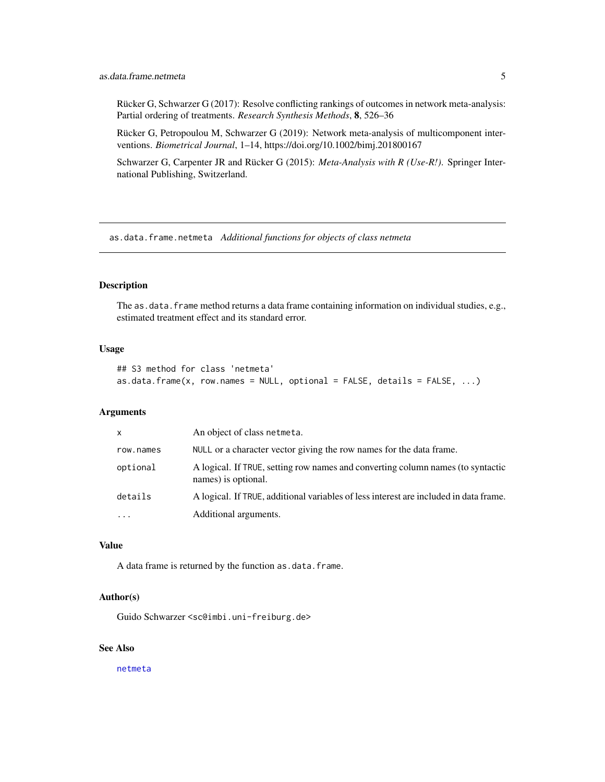<span id="page-4-0"></span>Rücker G, Schwarzer G (2017): Resolve conflicting rankings of outcomes in network meta-analysis: Partial ordering of treatments. *Research Synthesis Methods*, 8, 526–36

Rücker G, Petropoulou M, Schwarzer G (2019): Network meta-analysis of multicomponent interventions. *Biometrical Journal*, 1–14, https://doi.org/10.1002/bimj.201800167

Schwarzer G, Carpenter JR and Rücker G (2015): *Meta-Analysis with R (Use-R!)*. Springer International Publishing, Switzerland.

as.data.frame.netmeta *Additional functions for objects of class netmeta*

### Description

The as.data.frame method returns a data frame containing information on individual studies, e.g., estimated treatment effect and its standard error.

### Usage

```
## S3 method for class 'netmeta'
as.data.frame(x, row.names = NULL, optional = FALSE, details = FALSE, ...)
```
### Arguments

| $\mathsf{x}$ | An object of class netmeta.                                                                            |
|--------------|--------------------------------------------------------------------------------------------------------|
| row.names    | NULL or a character vector giving the row names for the data frame.                                    |
| optional     | A logical. If TRUE, setting row names and converting column names (to syntactic<br>names) is optional. |
| details      | A logical. If TRUE, additional variables of less interest are included in data frame.                  |
|              | Additional arguments.                                                                                  |

### Value

A data frame is returned by the function as.data.frame.

### Author(s)

Guido Schwarzer <sc@imbi.uni-freiburg.de>

### See Also

[netmeta](#page-72-1)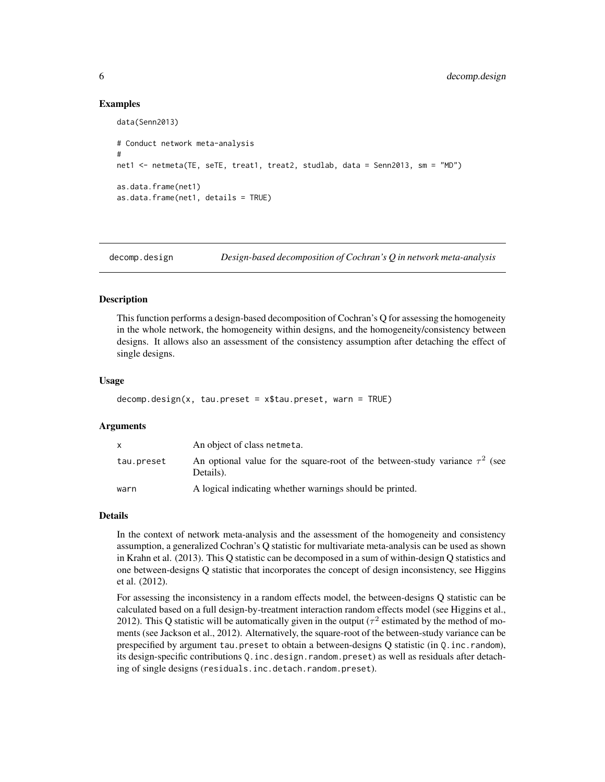#### Examples

```
data(Senn2013)
# Conduct network meta-analysis
#
net1 <- netmeta(TE, seTE, treat1, treat2, studlab, data = Senn2013, sm = "MD")
as.data.frame(net1)
as.data.frame(net1, details = TRUE)
```
<span id="page-5-1"></span>decomp.design *Design-based decomposition of Cochran's Q in network meta-analysis*

### Description

This function performs a design-based decomposition of Cochran's Q for assessing the homogeneity in the whole network, the homogeneity within designs, and the homogeneity/consistency between designs. It allows also an assessment of the consistency assumption after detaching the effect of single designs.

### Usage

```
decomp. design(x, tau.preset = x$tau.preset, warn = TRUE)
```
#### Arguments

|            | An object of class netmeta.                                                                    |
|------------|------------------------------------------------------------------------------------------------|
| tau.preset | An optional value for the square-root of the between-study variance $\tau^2$ (see<br>Details). |
| warn       | A logical indicating whether warnings should be printed.                                       |

#### Details

In the context of network meta-analysis and the assessment of the homogeneity and consistency assumption, a generalized Cochran's Q statistic for multivariate meta-analysis can be used as shown in Krahn et al. (2013). This Q statistic can be decomposed in a sum of within-design Q statistics and one between-designs Q statistic that incorporates the concept of design inconsistency, see Higgins et al. (2012).

For assessing the inconsistency in a random effects model, the between-designs Q statistic can be calculated based on a full design-by-treatment interaction random effects model (see Higgins et al., 2012). This Q statistic will be automatically given in the output ( $\tau^2$  estimated by the method of moments (see Jackson et al., 2012). Alternatively, the square-root of the between-study variance can be prespecified by argument tau.preset to obtain a between-designs Q statistic (in Q.inc.random), its design-specific contributions Q.inc.design.random.preset) as well as residuals after detaching of single designs (residuals.inc.detach.random.preset).

<span id="page-5-0"></span>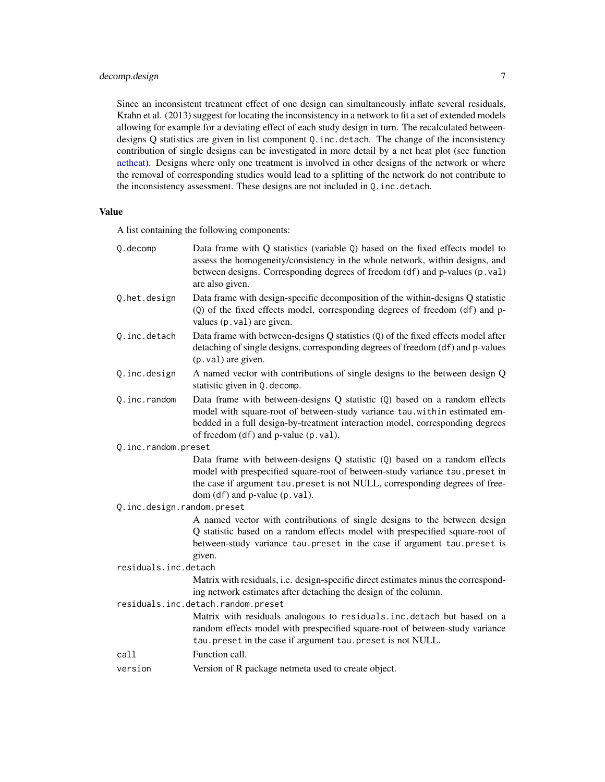### decomp.design 7

Since an inconsistent treatment effect of one design can simultaneously inflate several residuals, Krahn et al. (2013) suggest for locating the inconsistency in a network to fit a set of extended models allowing for example for a deviating effect of each study design in turn. The recalculated betweendesigns Q statistics are given in list component Q.inc.detach. The change of the inconsistency contribution of single designs can be investigated in more detail by a net heat plot (see function [netheat\)](#page-60-1). Designs where only one treatment is involved in other designs of the network or where the removal of corresponding studies would lead to a splitting of the network do not contribute to the inconsistency assessment. These designs are not included in Q.inc.detach.

### Value

A list containing the following components:

| Q.decomp                   | Data frame with Q statistics (variable Q) based on the fixed effects model to<br>assess the homogeneity/consistency in the whole network, within designs, and<br>between designs. Corresponding degrees of freedom (df) and p-values (p.val)<br>are also given.                  |
|----------------------------|----------------------------------------------------------------------------------------------------------------------------------------------------------------------------------------------------------------------------------------------------------------------------------|
| Q.het.design               | Data frame with design-specific decomposition of the within-designs Q statistic<br>(Q) of the fixed effects model, corresponding degrees of freedom (df) and p-<br>values (p. val) are given.                                                                                    |
| Q.inc.detach               | Data frame with between-designs Q statistics (Q) of the fixed effects model after<br>detaching of single designs, corresponding degrees of freedom (df) and p-values<br>(p. val) are given.                                                                                      |
| Q.inc.design               | A named vector with contributions of single designs to the between design Q<br>statistic given in Q. decomp.                                                                                                                                                                     |
| Q.inc.random               | Data frame with between-designs Q statistic (Q) based on a random effects<br>model with square-root of between-study variance tau.within estimated em-<br>bedded in a full design-by-treatment interaction model, corresponding degrees<br>of freedom (df) and p-value (p. val). |
| Q.inc.random.preset        |                                                                                                                                                                                                                                                                                  |
|                            | Data frame with between-designs Q statistic (Q) based on a random effects<br>model with prespecified square-root of between-study variance tau. preset in<br>the case if argument tau.preset is not NULL, corresponding degrees of free-<br>dom $(df)$ and p-value $(p.val).$    |
| Q.inc.design.random.preset |                                                                                                                                                                                                                                                                                  |
|                            | A named vector with contributions of single designs to the between design<br>Q statistic based on a random effects model with prespecified square-root of<br>between-study variance tau. preset in the case if argument tau. preset is<br>given.                                 |
| residuals.inc.detach       |                                                                                                                                                                                                                                                                                  |
|                            | Matrix with residuals, i.e. design-specific direct estimates minus the correspond-<br>ing network estimates after detaching the design of the column.                                                                                                                            |
|                            | residuals.inc.detach.random.preset                                                                                                                                                                                                                                               |
|                            | Matrix with residuals analogous to residuals.inc.detach but based on a<br>random effects model with prespecified square-root of between-study variance<br>tau.preset in the case if argument tau.preset is not NULL.                                                             |
| call                       | Function call.                                                                                                                                                                                                                                                                   |
| version                    | Version of R package netmeta used to create object.                                                                                                                                                                                                                              |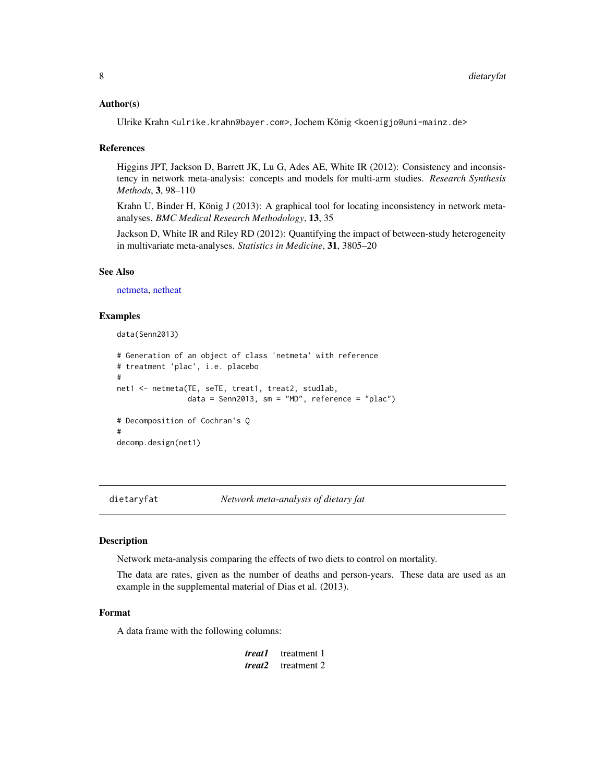### <span id="page-7-0"></span>Author(s)

Ulrike Krahn <ulrike.krahn@bayer.com>, Jochem König <koenigjo@uni-mainz.de>

### References

Higgins JPT, Jackson D, Barrett JK, Lu G, Ades AE, White IR (2012): Consistency and inconsistency in network meta-analysis: concepts and models for multi-arm studies. *Research Synthesis Methods*, 3, 98–110

Krahn U, Binder H, König J (2013): A graphical tool for locating inconsistency in network metaanalyses. *BMC Medical Research Methodology*, 13, 35

Jackson D, White IR and Riley RD (2012): Quantifying the impact of between-study heterogeneity in multivariate meta-analyses. *Statistics in Medicine*, 31, 3805–20

#### See Also

[netmeta,](#page-72-1) [netheat](#page-60-1)

### Examples

```
data(Senn2013)
# Generation of an object of class 'netmeta' with reference
# treatment 'plac', i.e. placebo
#
net1 <- netmeta(TE, seTE, treat1, treat2, studlab,
                data = Senn2013, sm = "MD", reference = "plac")
# Decomposition of Cochran's Q
#
decomp.design(net1)
```
dietaryfat *Network meta-analysis of dietary fat*

#### Description

Network meta-analysis comparing the effects of two diets to control on mortality.

The data are rates, given as the number of deaths and person-years. These data are used as an example in the supplemental material of Dias et al. (2013).

### Format

A data frame with the following columns:

| treat1 | treatment 1 |
|--------|-------------|
| treat2 | treatment 2 |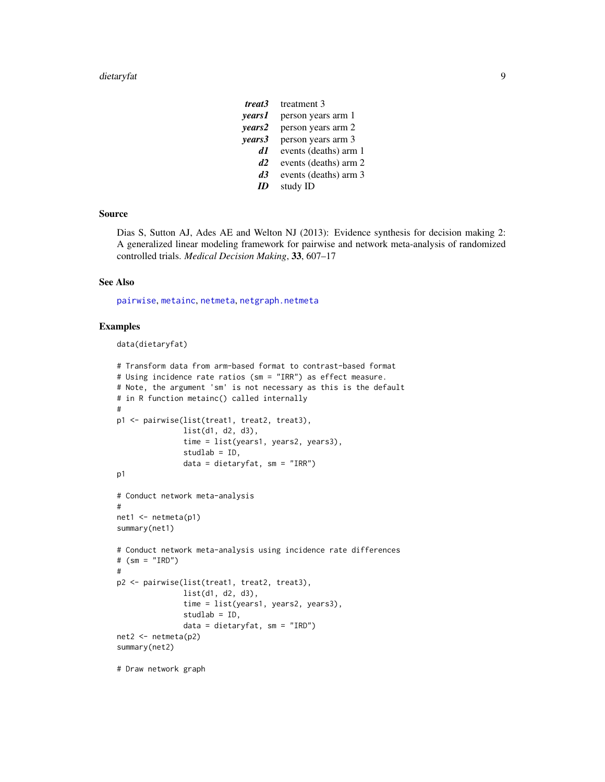| treat3        | treatment 3           |
|---------------|-----------------------|
| <i>vears1</i> | person years arm 1    |
| years2        | person years arm 2    |
| years3        | person years arm 3    |
| A1            | events (deaths) arm 1 |
| d2            | events (deaths) arm 2 |
| d3            | events (deaths) arm 3 |
|               | study ID              |

### Source

Dias S, Sutton AJ, Ades AE and Welton NJ (2013): Evidence synthesis for decision making 2: A generalized linear modeling framework for pairwise and network meta-analysis of randomized controlled trials. *Medical Decision Making*, 33, 607–17

### See Also

[pairwise](#page-100-1), [metainc](#page-0-0), [netmeta](#page-72-1), [netgraph.netmeta](#page-53-1)

### Examples

```
data(dietaryfat)
```

```
# Transform data from arm-based format to contrast-based format
# Using incidence rate ratios (sm = "IRR") as effect measure.
# Note, the argument 'sm' is not necessary as this is the default
# in R function metainc() called internally
#
p1 <- pairwise(list(treat1, treat2, treat3),
               list(d1, d2, d3),
               time = list(years1, years2, years3),
               studlab = ID,
               data = dietaryfat, sm = "IRR")
p1
# Conduct network meta-analysis
#
net1 <- netmeta(p1)
summary(net1)
# Conduct network meta-analysis using incidence rate differences
# (sm = "IRD")
#
p2 <- pairwise(list(treat1, treat2, treat3),
               list(d1, d2, d3),
               time = list(years1, years2, years3),
               studlab = ID,
               data = dietaryfat, sm = "IRD")
net2 <- netmeta(p2)
summary(net2)
```
# Draw network graph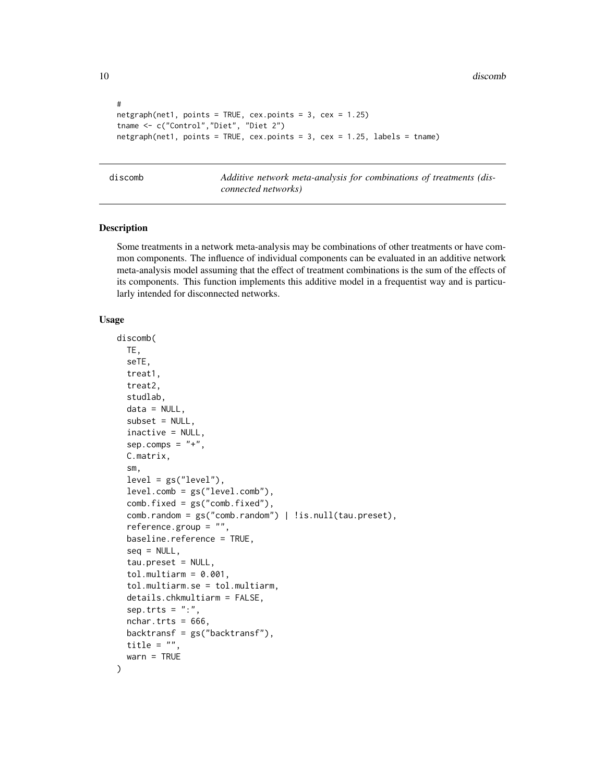10 discomb discomb discomb discomb discomb discomb discomb discomb discomb discomb discomb discomb discomb discomb discomb discomb discomb discomb discomb discomb discomb discomb discomb discomb discomb discomb discomb dis

```
#
netgraph(net1, points = TRUE, cex.points = 3, cex = 1.25)
tname <- c("Control","Diet", "Diet 2")
netgraph(net1, points = TRUE, cex.points = 3, cex = 1.25, labels = tname)
```
<span id="page-9-1"></span>discomb *Additive network meta-analysis for combinations of treatments (disconnected networks)*

### Description

Some treatments in a network meta-analysis may be combinations of other treatments or have common components. The influence of individual components can be evaluated in an additive network meta-analysis model assuming that the effect of treatment combinations is the sum of the effects of its components. This function implements this additive model in a frequentist way and is particularly intended for disconnected networks.

#### Usage

```
discomb(
  TE,
  seTE,
  treat1,
  treat2,
  studlab,
  data = NULL,subset = NULL,
  inactive = NULL,
  sep.comps = "+'',C.matrix,
  sm,
  level = gs("level"),level.comb = gs("level.comb"),
  comb.fixed = gs("comb.fixed"),
  comb.random = gs("comb.random") | !is.null(tau.preset),
  reference.group = "",
  baseline.reference = TRUE,
  seq = NULL,tau.preset = NULL,
  tol.multiarm = 0.001,tol.multiarm.se = tol.multiarm,
  details.chkmultiarm = FALSE,
  sep. trts = ":"nchar.trts = 666,
  backtransf = gs("backtransf"),title = "",
  warn = TRUE
)
```
<span id="page-9-0"></span>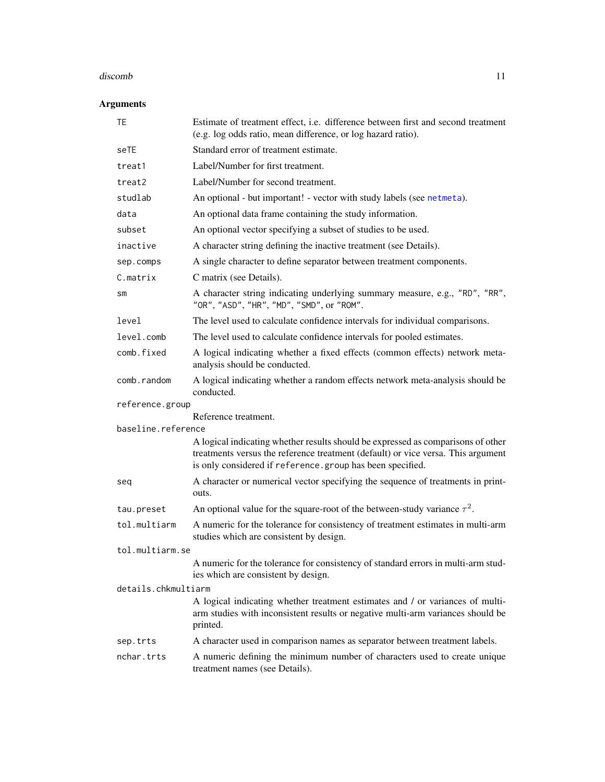#### discomb 11

### Arguments

| <b>TE</b>           | Estimate of treatment effect, i.e. difference between first and second treatment<br>(e.g. log odds ratio, mean difference, or log hazard ratio).                                                                                  |
|---------------------|-----------------------------------------------------------------------------------------------------------------------------------------------------------------------------------------------------------------------------------|
| seTE                | Standard error of treatment estimate.                                                                                                                                                                                             |
| treat1              | Label/Number for first treatment.                                                                                                                                                                                                 |
| treat2              | Label/Number for second treatment.                                                                                                                                                                                                |
| studlab             | An optional - but important! - vector with study labels (see netmeta).                                                                                                                                                            |
| data                | An optional data frame containing the study information.                                                                                                                                                                          |
| subset              | An optional vector specifying a subset of studies to be used.                                                                                                                                                                     |
| inactive            | A character string defining the inactive treatment (see Details).                                                                                                                                                                 |
| sep.comps           | A single character to define separator between treatment components.                                                                                                                                                              |
| C.matrix            | C matrix (see Details).                                                                                                                                                                                                           |
| sm                  | A character string indicating underlying summary measure, e.g., "RD", "RR",<br>"OR", "ASD", "HR", "MD", "SMD", or "ROM".                                                                                                          |
| level               | The level used to calculate confidence intervals for individual comparisons.                                                                                                                                                      |
| level.comb          | The level used to calculate confidence intervals for pooled estimates.                                                                                                                                                            |
| comb.fixed          | A logical indicating whether a fixed effects (common effects) network meta-<br>analysis should be conducted.                                                                                                                      |
| comb.random         | A logical indicating whether a random effects network meta-analysis should be<br>conducted.                                                                                                                                       |
| reference.group     |                                                                                                                                                                                                                                   |
| baseline.reference  | Reference treatment.                                                                                                                                                                                                              |
|                     | A logical indicating whether results should be expressed as comparisons of other<br>treatments versus the reference treatment (default) or vice versa. This argument<br>is only considered if reference.group has been specified. |
| seq                 | A character or numerical vector specifying the sequence of treatments in print-<br>outs.                                                                                                                                          |
| tau.preset          | An optional value for the square-root of the between-study variance $\tau^2$ .                                                                                                                                                    |
| tol.multiarm        | A numeric for the tolerance for consistency of treatment estimates in multi-arm<br>studies which are consistent by design.                                                                                                        |
| tol.multiarm.se     |                                                                                                                                                                                                                                   |
|                     | A numeric for the tolerance for consistency of standard errors in multi-arm stud-<br>ies which are consistent by design.                                                                                                          |
| details.chkmultiarm |                                                                                                                                                                                                                                   |
|                     | A logical indicating whether treatment estimates and / or variances of multi-<br>arm studies with inconsistent results or negative multi-arm variances should be<br>printed.                                                      |
| sep.trts            | A character used in comparison names as separator between treatment labels.                                                                                                                                                       |
| nchar.trts          | A numeric defining the minimum number of characters used to create unique<br>treatment names (see Details).                                                                                                                       |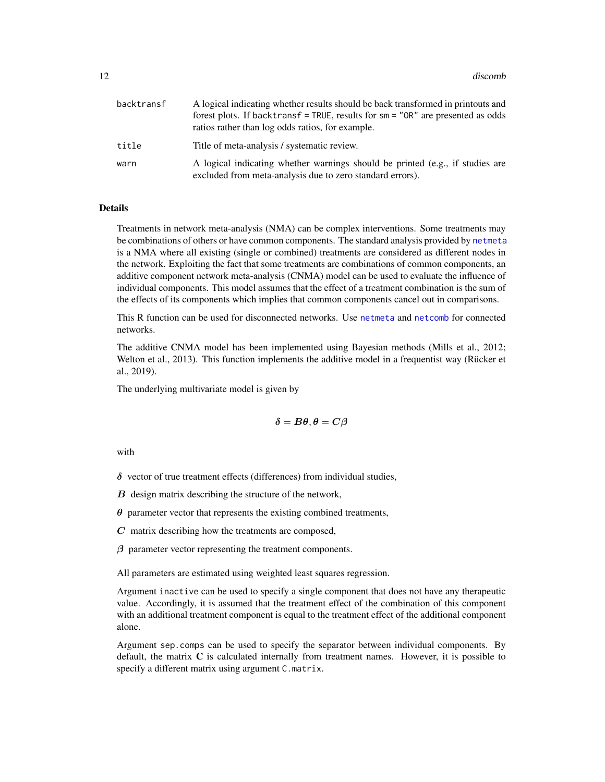| backtransf | A logical indicating whether results should be back transformed in printouts and<br>forest plots. If backtransf = TRUE, results for $sm = "OR"$ are presented as odds<br>ratios rather than log odds ratios, for example. |
|------------|---------------------------------------------------------------------------------------------------------------------------------------------------------------------------------------------------------------------------|
| title      | Title of meta-analysis / systematic review.                                                                                                                                                                               |
| warn       | A logical indicating whether warnings should be printed (e.g., if studies are<br>excluded from meta-analysis due to zero standard errors).                                                                                |

### Details

Treatments in network meta-analysis (NMA) can be complex interventions. Some treatments may be combinations of others or have common components. The standard analysis provided by [netmeta](#page-72-1) is a NMA where all existing (single or combined) treatments are considered as different nodes in the network. Exploiting the fact that some treatments are combinations of common components, an additive component network meta-analysis (CNMA) model can be used to evaluate the influence of individual components. This model assumes that the effect of a treatment combination is the sum of the effects of its components which implies that common components cancel out in comparisons.

This R function can be used for disconnected networks. Use [netmeta](#page-72-1) and [netcomb](#page-41-1) for connected networks.

The additive CNMA model has been implemented using Bayesian methods (Mills et al., 2012; Welton et al., 2013). This function implements the additive model in a frequentist way (Rücker et al., 2019).

The underlying multivariate model is given by

$$
\boldsymbol{\delta} = \boldsymbol{B\theta}, \boldsymbol{\theta} = \boldsymbol{C\beta}
$$

with

 $\delta$  vector of true treatment effects (differences) from individual studies,

 $B$  design matrix describing the structure of the network,

 $\theta$  parameter vector that represents the existing combined treatments,

 $C$  matrix describing how the treatments are composed,

 $\beta$  parameter vector representing the treatment components.

All parameters are estimated using weighted least squares regression.

Argument inactive can be used to specify a single component that does not have any therapeutic value. Accordingly, it is assumed that the treatment effect of the combination of this component with an additional treatment component is equal to the treatment effect of the additional component alone.

Argument sep.comps can be used to specify the separator between individual components. By default, the matrix  $C$  is calculated internally from treatment names. However, it is possible to specify a different matrix using argument C.matrix.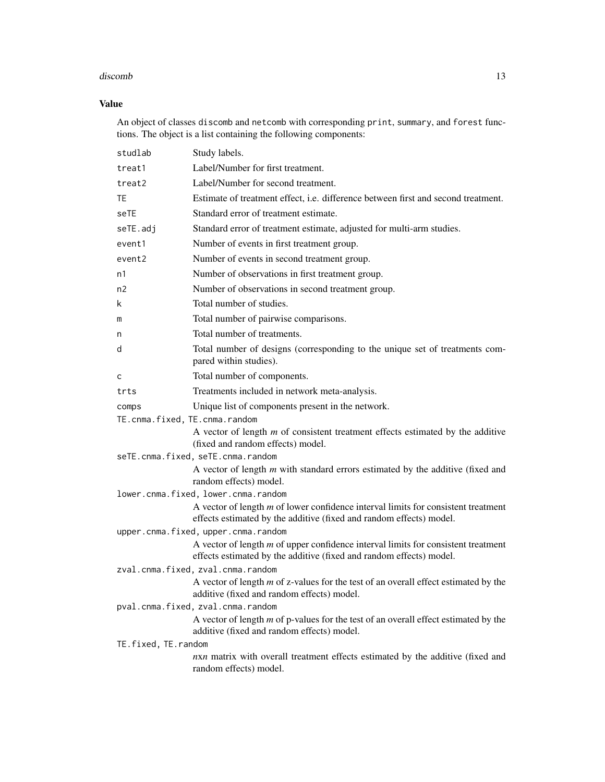### discomb 13

### Value

An object of classes discomb and netcomb with corresponding print, summary, and forest functions. The object is a list containing the following components:

| studlab                           | Study labels.                                                                                                                                              |
|-----------------------------------|------------------------------------------------------------------------------------------------------------------------------------------------------------|
| treat1                            | Label/Number for first treatment.                                                                                                                          |
| treat2                            | Label/Number for second treatment.                                                                                                                         |
| TE                                | Estimate of treatment effect, i.e. difference between first and second treatment.                                                                          |
| seTE                              | Standard error of treatment estimate.                                                                                                                      |
| seTE.adj                          | Standard error of treatment estimate, adjusted for multi-arm studies.                                                                                      |
| event1                            | Number of events in first treatment group.                                                                                                                 |
| event2                            | Number of events in second treatment group.                                                                                                                |
| n1                                | Number of observations in first treatment group.                                                                                                           |
| n2                                | Number of observations in second treatment group.                                                                                                          |
| k                                 | Total number of studies.                                                                                                                                   |
| m                                 | Total number of pairwise comparisons.                                                                                                                      |
| n                                 | Total number of treatments.                                                                                                                                |
| d                                 | Total number of designs (corresponding to the unique set of treatments com-<br>pared within studies).                                                      |
| C                                 | Total number of components.                                                                                                                                |
| trts                              | Treatments included in network meta-analysis.                                                                                                              |
| comps                             | Unique list of components present in the network.                                                                                                          |
| TE.cnma.fixed, TE.cnma.random     |                                                                                                                                                            |
|                                   | A vector of length $m$ of consistent treatment effects estimated by the additive<br>(fixed and random effects) model.                                      |
|                                   | seTE.cnma.fixed, seTE.cnma.random                                                                                                                          |
|                                   | A vector of length $m$ with standard errors estimated by the additive (fixed and<br>random effects) model.                                                 |
|                                   | lower.cnma.fixed, lower.cnma.random                                                                                                                        |
|                                   | A vector of length $m$ of lower confidence interval limits for consistent treatment<br>effects estimated by the additive (fixed and random effects) model. |
|                                   | upper.cnma.fixed, upper.cnma.random                                                                                                                        |
|                                   | A vector of length $m$ of upper confidence interval limits for consistent treatment<br>effects estimated by the additive (fixed and random effects) model. |
|                                   | zval.cnma.fixed, zval.cnma.random                                                                                                                          |
|                                   | A vector of length $m$ of z-values for the test of an overall effect estimated by the<br>additive (fixed and random effects) model.                        |
| pval.cnma.fixed, zval.cnma.random |                                                                                                                                                            |
|                                   | A vector of length $m$ of p-values for the test of an overall effect estimated by the<br>additive (fixed and random effects) model.                        |
| TE.fixed, TE.random               |                                                                                                                                                            |
|                                   | nxn matrix with overall treatment effects estimated by the additive (fixed and<br>random effects) model.                                                   |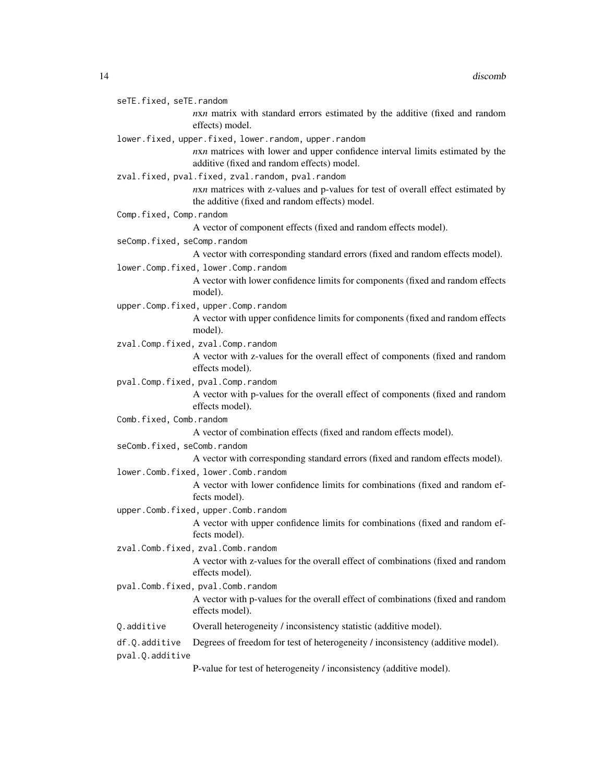| seTE.fixed, seTE.random          |                                                                                                                                   |
|----------------------------------|-----------------------------------------------------------------------------------------------------------------------------------|
|                                  | nxn matrix with standard errors estimated by the additive (fixed and random<br>effects) model.                                    |
|                                  | lower.fixed, upper.fixed, lower.random, upper.random                                                                              |
|                                  | nxn matrices with lower and upper confidence interval limits estimated by the<br>additive (fixed and random effects) model.       |
|                                  | zval.fixed, pval.fixed, zval.random, pval.random                                                                                  |
|                                  | nxn matrices with z-values and p-values for test of overall effect estimated by<br>the additive (fixed and random effects) model. |
| Comp.fixed, Comp.random          |                                                                                                                                   |
|                                  | A vector of component effects (fixed and random effects model).                                                                   |
| seComp.fixed, seComp.random      |                                                                                                                                   |
|                                  | A vector with corresponding standard errors (fixed and random effects model).                                                     |
|                                  | lower.Comp.fixed, lower.Comp.random                                                                                               |
|                                  | A vector with lower confidence limits for components (fixed and random effects<br>model).                                         |
|                                  | upper.Comp.fixed, upper.Comp.random                                                                                               |
|                                  | A vector with upper confidence limits for components (fixed and random effects<br>model).                                         |
|                                  | zval.Comp.fixed, zval.Comp.random                                                                                                 |
|                                  | A vector with z-values for the overall effect of components (fixed and random<br>effects model).                                  |
|                                  | pval.Comp.fixed, pval.Comp.random                                                                                                 |
|                                  | A vector with p-values for the overall effect of components (fixed and random<br>effects model).                                  |
| Comb.fixed, Comb.random          |                                                                                                                                   |
|                                  | A vector of combination effects (fixed and random effects model).                                                                 |
| seComb.fixed, seComb.random      |                                                                                                                                   |
|                                  | A vector with corresponding standard errors (fixed and random effects model).                                                     |
|                                  | lower.Comb.fixed, lower.Comb.random                                                                                               |
|                                  | A vector with lower confidence limits for combinations (fixed and random ef-<br>fects model).                                     |
|                                  | upper.Comb.fixed, upper.Comb.random                                                                                               |
|                                  | A vector with upper confidence limits for combinations (fixed and random ef-<br>fects model).                                     |
|                                  | zval.Comb.fixed, zval.Comb.random                                                                                                 |
|                                  | A vector with z-values for the overall effect of combinations (fixed and random<br>effects model).                                |
|                                  | pval.Comb.fixed, pval.Comb.random                                                                                                 |
|                                  | A vector with p-values for the overall effect of combinations (fixed and random<br>effects model).                                |
| Q.additive                       | Overall heterogeneity / inconsistency statistic (additive model).                                                                 |
| df.Q.additive<br>pval.Q.additive | Degrees of freedom for test of heterogeneity / inconsistency (additive model).                                                    |

P-value for test of heterogeneity / inconsistency (additive model).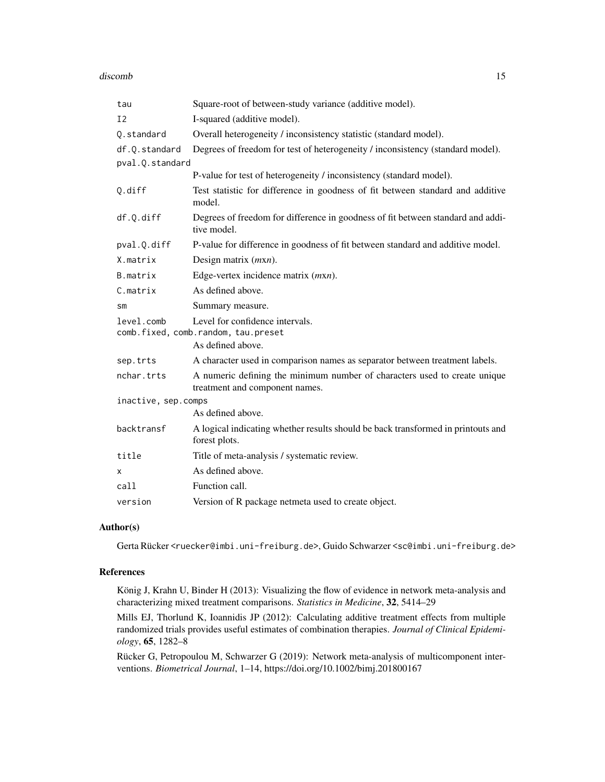#### discomb 15

| tau                              | Square-root of between-study variance (additive model).                                                     |
|----------------------------------|-------------------------------------------------------------------------------------------------------------|
| I <sub>2</sub>                   | I-squared (additive model).                                                                                 |
| Q.standard                       | Overall heterogeneity / inconsistency statistic (standard model).                                           |
| df.Q.standard<br>pval.Q.standard | Degrees of freedom for test of heterogeneity / inconsistency (standard model).                              |
|                                  | P-value for test of heterogeneity / inconsistency (standard model).                                         |
| Q.diff                           | Test statistic for difference in goodness of fit between standard and additive<br>model.                    |
| df.Q.diff                        | Degrees of freedom for difference in goodness of fit between standard and addi-<br>tive model.              |
| pval.Q.diff                      | P-value for difference in goodness of fit between standard and additive model.                              |
| X.matrix                         | Design matrix $(mxn)$ .                                                                                     |
| B.matrix                         | Edge-vertex incidence matrix $(mxn)$ .                                                                      |
| C.matrix                         | As defined above.                                                                                           |
| SM                               | Summary measure.                                                                                            |
| level.comb                       | Level for confidence intervals.<br>comb.fixed, comb.random, tau.preset<br>As defined above.                 |
| sep.trts                         | A character used in comparison names as separator between treatment labels.                                 |
| nchar.trts                       | A numeric defining the minimum number of characters used to create unique<br>treatment and component names. |
| inactive, sep.comps              | As defined above.                                                                                           |
| backtransf                       | A logical indicating whether results should be back transformed in printouts and<br>forest plots.           |
| title                            | Title of meta-analysis / systematic review.                                                                 |
| х                                | As defined above.                                                                                           |
| call                             | Function call.                                                                                              |
| version                          | Version of R package netmeta used to create object.                                                         |

### Author(s)

Gerta Rücker <ruecker@imbi.uni-freiburg.de>, Guido Schwarzer <sc@imbi.uni-freiburg.de>

### References

König J, Krahn U, Binder H (2013): Visualizing the flow of evidence in network meta-analysis and characterizing mixed treatment comparisons. *Statistics in Medicine*, 32, 5414–29

Mills EJ, Thorlund K, Ioannidis JP (2012): Calculating additive treatment effects from multiple randomized trials provides useful estimates of combination therapies. *Journal of Clinical Epidemiology*, 65, 1282–8

Rücker G, Petropoulou M, Schwarzer G (2019): Network meta-analysis of multicomponent interventions. *Biometrical Journal*, 1–14, https://doi.org/10.1002/bimj.201800167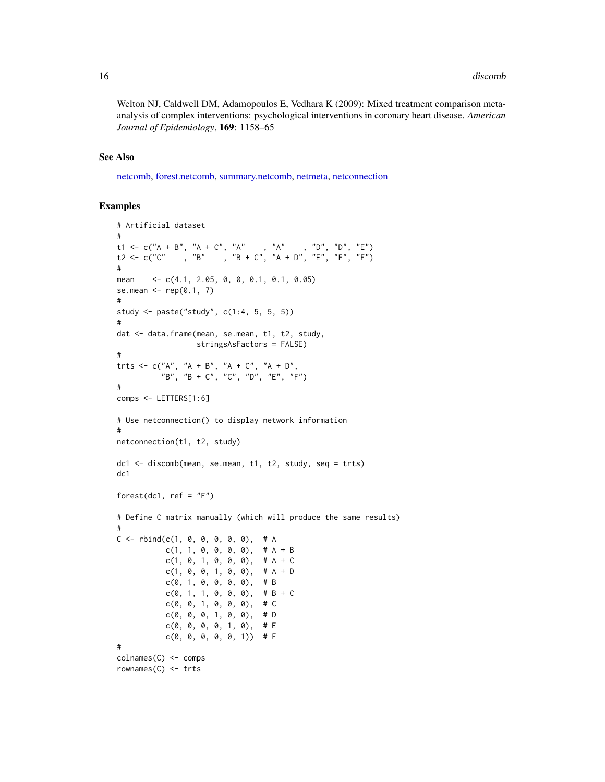Welton NJ, Caldwell DM, Adamopoulos E, Vedhara K (2009): Mixed treatment comparison metaanalysis of complex interventions: psychological interventions in coronary heart disease. *American Journal of Epidemiology*, 169: 1158–65

### See Also

[netcomb,](#page-41-1) [forest.netcomb,](#page-19-1) [summary.netcomb,](#page-126-1) [netmeta,](#page-72-1) [netconnection](#page-47-1)

### Examples

```
# Artificial dataset
#
t1 <- c("A + B", "A + C", "A" , "A" , "D", "D", "E")
t2 <- c("C" , "B" , "B + C", "A + D", "E", "F", "F")
#
mean <- c(4.1, 2.05, 0, 0, 0.1, 0.1, 0.05)
se.mean \leq rep(0.1, 7)
#
study <- paste("study", c(1:4, 5, 5, 5))
#
dat <- data.frame(mean, se.mean, t1, t2, study,
                 stringsAsFactors = FALSE)
#
trts <- c("A", "A + B", "A + C", "A + D",
          "B", "B + C", "C", "D", "E", "F")
#
comps <- LETTERS[1:6]
# Use netconnection() to display network information
#
netconnection(t1, t2, study)
dc1 <- discomb(mean, se.mean, t1, t2, study, seq = trts)
dc1
forest(dc1, ref = "F")
# Define C matrix manually (which will produce the same results)
#
C \leq - rbind(c(1, 0, 0, 0, 0, 0), # A
          c(1, 1, 0, 0, 0, 0), # A + Bc(1, 0, 1, 0, 0, 0), \# A + Cc(1, 0, 0, 1, 0, 0), \# A + Dc(0, 1, 0, 0, 0, 0), # B
           c(0, 1, 1, 0, 0, 0), # B + C
           c(0, 0, 1, 0, 0, 0), \# Cc(0, 0, 0, 1, 0, 0), \# Dc(0, 0, 0, 0, 1, 0), \# Ec(0, 0, 0, 0, 0, 1) # F
#
colnames(C) <- comps
rownames(C) <- trts
```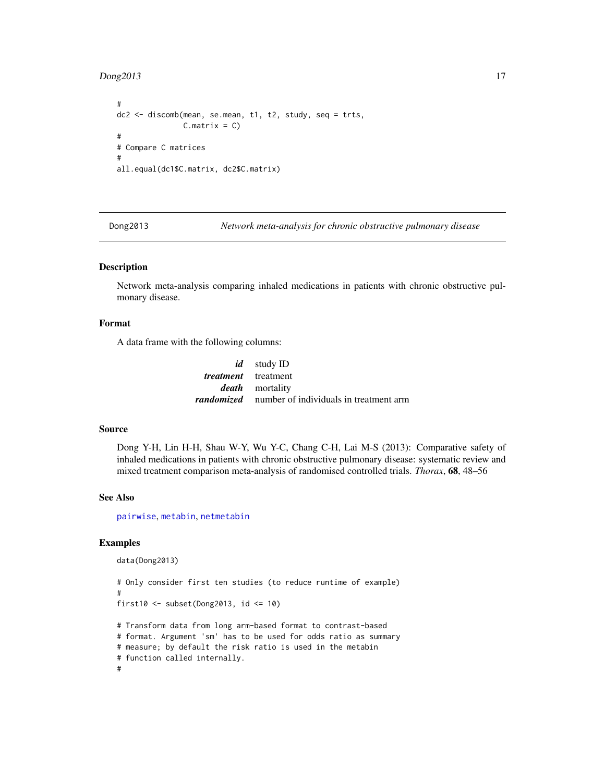### <span id="page-16-0"></span>Dong2013 17

```
#
dc2 <- discomb(mean, se.mean, t1, t2, study, seq = trts,
               C.matrix = C)#
# Compare C matrices
#
all.equal(dc1$C.matrix, dc2$C.matrix)
```
Dong2013 *Network meta-analysis for chronic obstructive pulmonary disease*

### Description

Network meta-analysis comparing inhaled medications in patients with chronic obstructive pulmonary disease.

### Format

A data frame with the following columns:

|                            | <i>id</i> study ID                                       |
|----------------------------|----------------------------------------------------------|
| <i>treatment</i> treatment |                                                          |
|                            | <i>death</i> mortality                                   |
|                            | <i>randomized</i> number of individuals in treatment arm |

### Source

Dong Y-H, Lin H-H, Shau W-Y, Wu Y-C, Chang C-H, Lai M-S (2013): Comparative safety of inhaled medications in patients with chronic obstructive pulmonary disease: systematic review and mixed treatment comparison meta-analysis of randomised controlled trials. *Thorax*, 68, 48–56

### See Also

[pairwise](#page-100-1), [metabin](#page-0-0), [netmetabin](#page-81-1)

### Examples

```
data(Dong2013)
```

```
# Only consider first ten studies (to reduce runtime of example)
#
first10 <- subset(Dong2013, id <= 10)
# Transform data from long arm-based format to contrast-based
# format. Argument 'sm' has to be used for odds ratio as summary
# measure; by default the risk ratio is used in the metabin
# function called internally.
```
#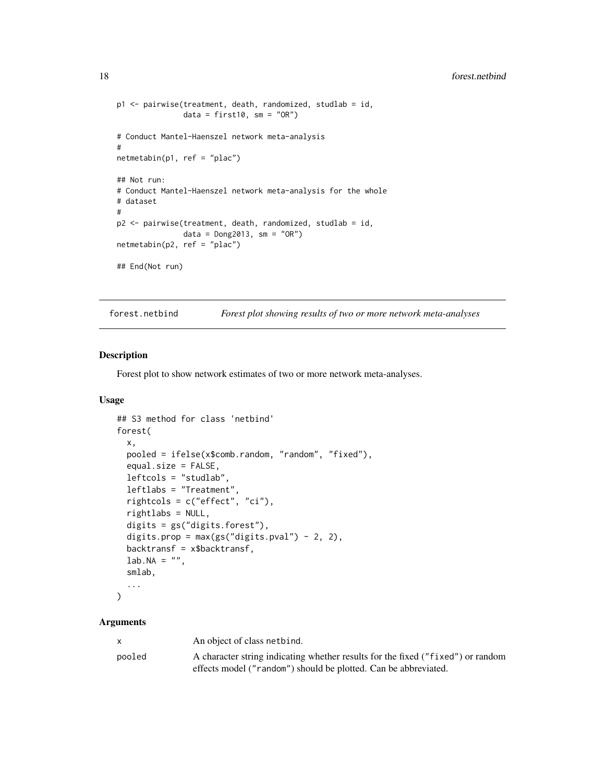```
p1 <- pairwise(treatment, death, randomized, studlab = id,
               data = first10, sm = "OR")# Conduct Mantel-Haenszel network meta-analysis
#
netmetabin(p1, ref = "plac")
## Not run:
# Conduct Mantel-Haenszel network meta-analysis for the whole
# dataset
#
p2 <- pairwise(treatment, death, randomized, studlab = id,
               data = Dong2013, sm = "OR")
netmetabin(p2, ref = "plac")
## End(Not run)
```
forest.netbind *Forest plot showing results of two or more network meta-analyses*

### Description

Forest plot to show network estimates of two or more network meta-analyses.

#### Usage

```
## S3 method for class 'netbind'
forest(
  x,
 pooled = ifelse(x$comb.random, "random", "fixed"),
 equal.size = FALSE,
  leftcols = "studlab",
 leftlabs = "Treatment",
  rightcols = c("effect", "ci"),
  rightlabs = NULL,
 digits = gs("digits.forest"),
  digits.prop = max(gs("digits.pval") - 2, 2),
 backtransf = x$backtransf,
 lab.NA = "",smlab,
  ...
)
```
### Arguments

| $\mathsf{x}$ | An object of class netbind.                                                     |
|--------------|---------------------------------------------------------------------------------|
| pooled       | A character string indicating whether results for the fixed ("fixed") or random |
|              | effects model ("random") should be plotted. Can be abbreviated.                 |

<span id="page-17-0"></span>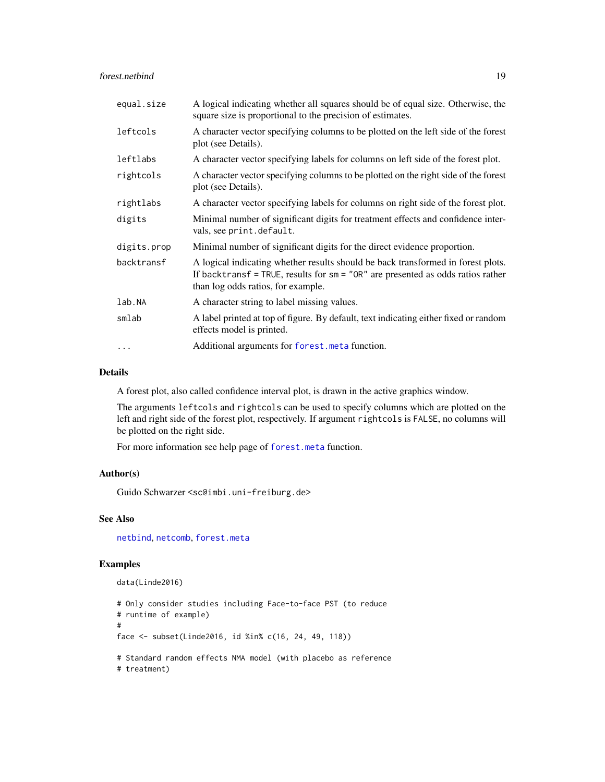forest.netbind 19

| equal.size  | A logical indicating whether all squares should be of equal size. Otherwise, the<br>square size is proportional to the precision of estimates.                                                              |
|-------------|-------------------------------------------------------------------------------------------------------------------------------------------------------------------------------------------------------------|
| leftcols    | A character vector specifying columns to be plotted on the left side of the forest<br>plot (see Details).                                                                                                   |
| leftlabs    | A character vector specifying labels for columns on left side of the forest plot.                                                                                                                           |
| rightcols   | A character vector specifying columns to be plotted on the right side of the forest<br>plot (see Details).                                                                                                  |
| rightlabs   | A character vector specifying labels for columns on right side of the forest plot.                                                                                                                          |
| digits      | Minimal number of significant digits for treatment effects and confidence inter-<br>vals, see print.default.                                                                                                |
| digits.prop | Minimal number of significant digits for the direct evidence proportion.                                                                                                                                    |
| backtransf  | A logical indicating whether results should be back transformed in forest plots.<br>If backtransf = TRUE, results for $sm = "OR"$ are presented as odds ratios rather<br>than log odds ratios, for example. |
| lab.NA      | A character string to label missing values.                                                                                                                                                                 |
| smlab       | A label printed at top of figure. By default, text indicating either fixed or random<br>effects model is printed.                                                                                           |
| $\cdots$    | Additional arguments for forest. meta function.                                                                                                                                                             |

### Details

A forest plot, also called confidence interval plot, is drawn in the active graphics window.

The arguments leftcols and rightcols can be used to specify columns which are plotted on the left and right side of the forest plot, respectively. If argument rightcols is FALSE, no columns will be plotted on the right side.

For more information see help page of [forest.meta](#page-0-0) function.

#### Author(s)

Guido Schwarzer <sc@imbi.uni-freiburg.de>

### See Also

[netbind](#page-38-1), [netcomb](#page-41-1), [forest.meta](#page-0-0)

### Examples

```
data(Linde2016)
```

```
# Only consider studies including Face-to-face PST (to reduce
# runtime of example)
#
face <- subset(Linde2016, id %in% c(16, 24, 49, 118))
# Standard random effects NMA model (with placebo as reference
# treatment)
```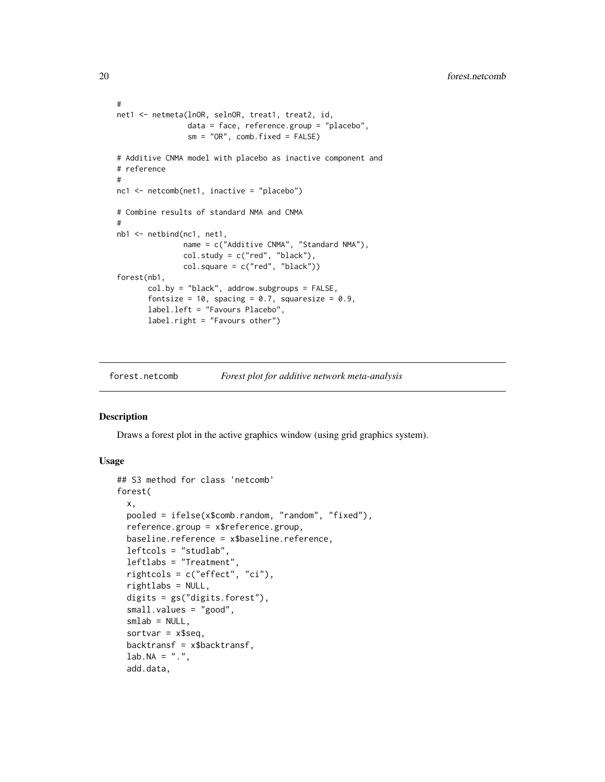```
#
net1 <- netmeta(lnOR, selnOR, treat1, treat2, id,
                data = face, reference.group = "placebo",
                sm = "OR", comb.fixed = FALSE)# Additive CNMA model with placebo as inactive component and
# reference
#
nc1 <- netcomb(net1, inactive = "placebo")
# Combine results of standard NMA and CNMA
#
nb1 <- netbind(nc1, net1,
               name = c("Additive CNMA", "Standard NMA"),
               col.study = c("red", "black"),
               col.square = c("red", "black"))
forest(nb1,
       col.by = "black", addrow.subgroups = FALSE,
       fontsize = 10, spacing = 0.7, squaresize = 0.9,
       label.left = "Favours Placebo",
       label.right = "Favours other")
```
<span id="page-19-1"></span>forest.netcomb *Forest plot for additive network meta-analysis*

### Description

Draws a forest plot in the active graphics window (using grid graphics system).

### Usage

```
## S3 method for class 'netcomb'
forest(
  x,
 pooled = ifelse(x$comb.random, "random", "fixed"),
  reference.group = x$reference.group,
 baseline.reference = x$baseline.reference,
  leftcols = "studlab",
  leftlabs = "Treatment",
  rightcols = c("effect", "ci"),
  rightlabs = NULL,
  digits = gs("digits.forest"),
  small.values = "good",
  smlab = NULL,sortvar = x$seq,
  backtransf = x$backtransf,
  lab.NA = "."add.data,
```
<span id="page-19-0"></span>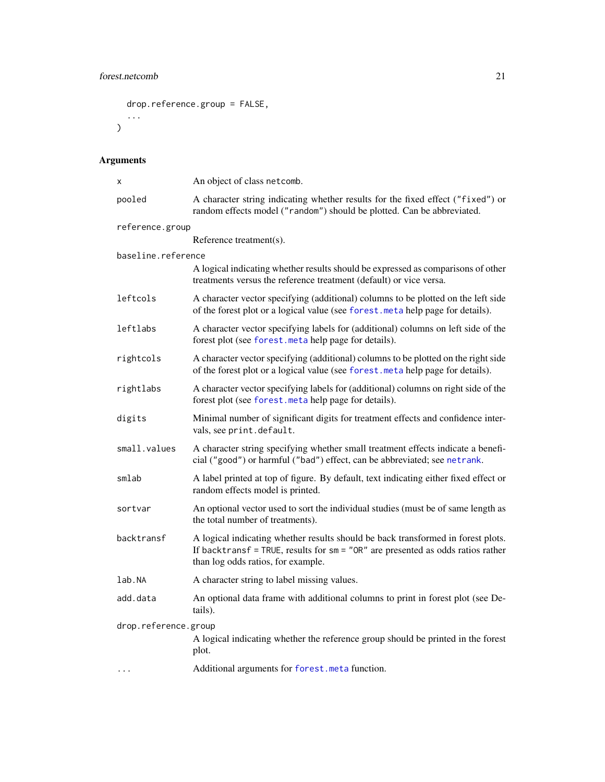## forest.netcomb 21

```
drop.reference.group = FALSE,
  ...
)
```
## Arguments

| х                                                                                                                 | An object of class netcomb.                                                                                                                                                                                 |
|-------------------------------------------------------------------------------------------------------------------|-------------------------------------------------------------------------------------------------------------------------------------------------------------------------------------------------------------|
| pooled                                                                                                            | A character string indicating whether results for the fixed effect ("fixed") or<br>random effects model ("random") should be plotted. Can be abbreviated.                                                   |
| reference.group                                                                                                   |                                                                                                                                                                                                             |
|                                                                                                                   | Reference treatment(s).                                                                                                                                                                                     |
| baseline.reference                                                                                                |                                                                                                                                                                                                             |
|                                                                                                                   | A logical indicating whether results should be expressed as comparisons of other<br>treatments versus the reference treatment (default) or vice versa.                                                      |
| leftcols                                                                                                          | A character vector specifying (additional) columns to be plotted on the left side<br>of the forest plot or a logical value (see forest. meta help page for details).                                        |
| leftlabs                                                                                                          | A character vector specifying labels for (additional) columns on left side of the<br>forest plot (see forest. meta help page for details).                                                                  |
| rightcols                                                                                                         | A character vector specifying (additional) columns to be plotted on the right side<br>of the forest plot or a logical value (see forest. meta help page for details).                                       |
| rightlabs                                                                                                         | A character vector specifying labels for (additional) columns on right side of the<br>forest plot (see forest. meta help page for details).                                                                 |
| digits                                                                                                            | Minimal number of significant digits for treatment effects and confidence inter-<br>vals, see print.default.                                                                                                |
| small.values                                                                                                      | A character string specifying whether small treatment effects indicate a benefi-<br>cial ("good") or harmful ("bad") effect, can be abbreviated; see netrank.                                               |
| smlab                                                                                                             | A label printed at top of figure. By default, text indicating either fixed effect or<br>random effects model is printed.                                                                                    |
| sortvar                                                                                                           | An optional vector used to sort the individual studies (must be of same length as<br>the total number of treatments).                                                                                       |
| backtransf                                                                                                        | A logical indicating whether results should be back transformed in forest plots.<br>If backtransf = TRUE, results for $sm = "OR"$ are presented as odds ratios rather<br>than log odds ratios, for example. |
| lab.NA                                                                                                            | A character string to label missing values.                                                                                                                                                                 |
| add.data                                                                                                          | An optional data frame with additional columns to print in forest plot (see De-<br>tails).                                                                                                                  |
| drop.reference.group<br>A logical indicating whether the reference group should be printed in the forest<br>plot. |                                                                                                                                                                                                             |
| $\ddotsc$                                                                                                         | Additional arguments for forest.meta function.                                                                                                                                                              |
|                                                                                                                   |                                                                                                                                                                                                             |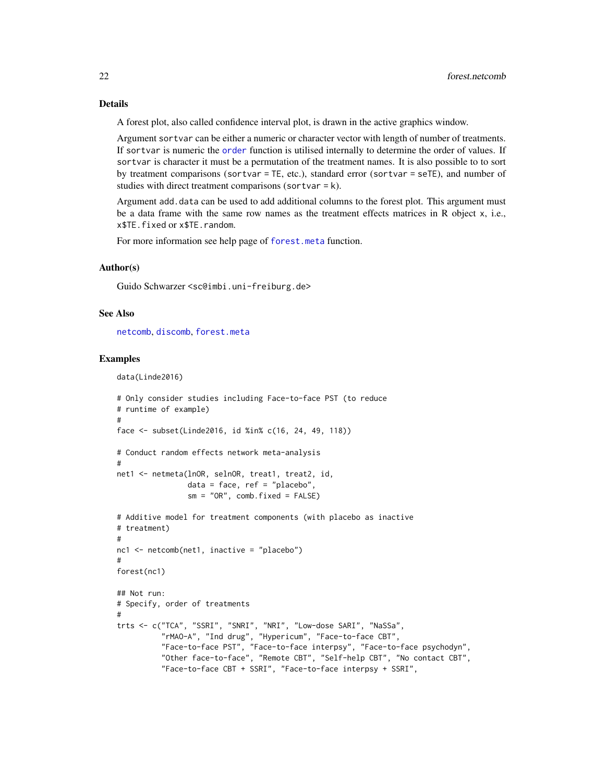A forest plot, also called confidence interval plot, is drawn in the active graphics window.

Argument sortvar can be either a numeric or character vector with length of number of treatments. If sortvar is numeric the [order](#page-0-0) function is utilised internally to determine the order of values. If sortvar is character it must be a permutation of the treatment names. It is also possible to to sort by treatment comparisons (sortvar = TE, etc.), standard error (sortvar = seTE), and number of studies with direct treatment comparisons (sortvar  $= k$ ).

Argument add.data can be used to add additional columns to the forest plot. This argument must be a data frame with the same row names as the treatment effects matrices in R object x, i.e., x\$TE.fixed or x\$TE.random.

For more information see help page of [forest.meta](#page-0-0) function.

#### Author(s)

Guido Schwarzer <sc@imbi.uni-freiburg.de>

#### See Also

[netcomb](#page-41-1), [discomb](#page-9-1), [forest.meta](#page-0-0)

#### Examples

```
data(Linde2016)
```

```
# Only consider studies including Face-to-face PST (to reduce
# runtime of example)
#
face <- subset(Linde2016, id %in% c(16, 24, 49, 118))
# Conduct random effects network meta-analysis
#
net1 <- netmeta(lnOR, selnOR, treat1, treat2, id,
                data = face, ref = "place",
                sm = "OR", comb.fixed = FALSE)# Additive model for treatment components (with placebo as inactive
# treatment)
#
nc1 <- netcomb(net1, inactive = "placebo")
#
forest(nc1)
## Not run:
# Specify, order of treatments
#
trts <- c("TCA", "SSRI", "SNRI", "NRI", "Low-dose SARI", "NaSSa",
          "rMAO-A", "Ind drug", "Hypericum", "Face-to-face CBT",
          "Face-to-face PST", "Face-to-face interpsy", "Face-to-face psychodyn",
          "Other face-to-face", "Remote CBT", "Self-help CBT", "No contact CBT",
          "Face-to-face CBT + SSRI", "Face-to-face interpsy + SSRI",
```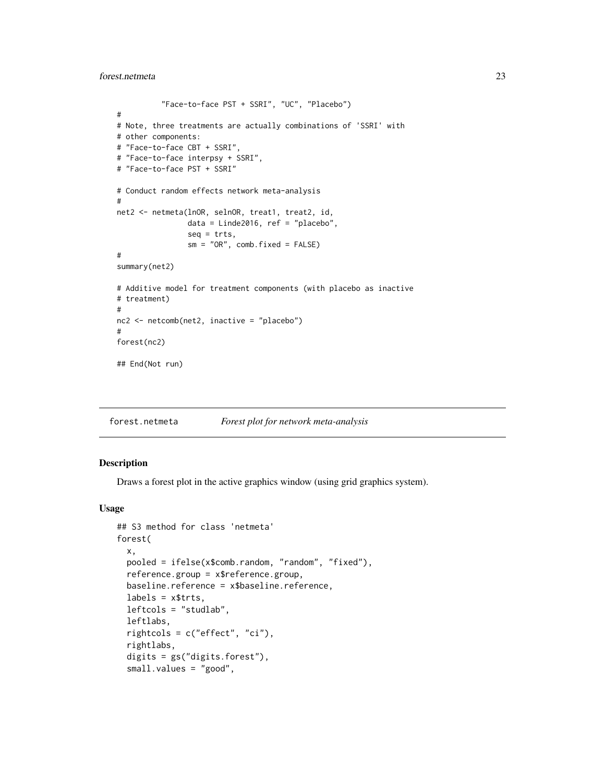### <span id="page-22-0"></span>forest.netmeta 23

```
"Face-to-face PST + SSRI", "UC", "Placebo")
#
# Note, three treatments are actually combinations of 'SSRI' with
# other components:
# "Face-to-face CBT + SSRI",
# "Face-to-face interpsy + SSRI",
# "Face-to-face PST + SSRI"
# Conduct random effects network meta-analysis
#
net2 <- netmeta(lnOR, selnOR, treat1, treat2, id,
                data = Linde2016, ref = "placebo",
                seq = trts,sm = "OR", comb.fixed = FALSE)#
summary(net2)
# Additive model for treatment components (with placebo as inactive
# treatment)
#
nc2 <- netcomb(net2, inactive = "placebo")
#
forest(nc2)
## End(Not run)
```
forest.netmeta *Forest plot for network meta-analysis*

### Description

Draws a forest plot in the active graphics window (using grid graphics system).

### Usage

```
## S3 method for class 'netmeta'
forest(
 x,
 pooled = ifelse(x$comb.random, "random", "fixed"),
  reference.group = x$reference.group,
 baseline.reference = x$baseline.reference,
 labels = x$trts,leftcols = "studlab",
  leftlabs,
  rightcols = c("effect", "ci"),
  rightlabs,
  digits = gs("digits.forest"),
  small.values = "good",
```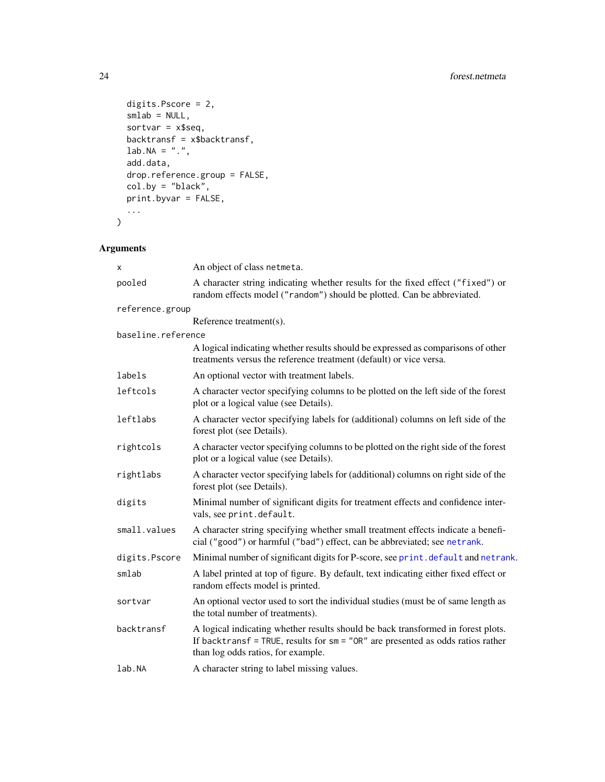```
digits.Pscore = 2,
 smlab = NULL,sortvar = x$seq,
 backtransf = x$backtransf,
 lab.NA = "."add.data,
 drop.reference.group = FALSE,
 col.by = "black",
 print.byvar = FALSE,
  ...
)
```
## Arguments

| x                  | An object of class netmeta.                                                                                                                                                                                 |
|--------------------|-------------------------------------------------------------------------------------------------------------------------------------------------------------------------------------------------------------|
| pooled             | A character string indicating whether results for the fixed effect ("fixed") or<br>random effects model ("random") should be plotted. Can be abbreviated.                                                   |
| reference.group    |                                                                                                                                                                                                             |
|                    | Reference treatment(s).                                                                                                                                                                                     |
| baseline.reference |                                                                                                                                                                                                             |
|                    | A logical indicating whether results should be expressed as comparisons of other<br>treatments versus the reference treatment (default) or vice versa.                                                      |
| labels             | An optional vector with treatment labels.                                                                                                                                                                   |
| leftcols           | A character vector specifying columns to be plotted on the left side of the forest<br>plot or a logical value (see Details).                                                                                |
| leftlabs           | A character vector specifying labels for (additional) columns on left side of the<br>forest plot (see Details).                                                                                             |
| rightcols          | A character vector specifying columns to be plotted on the right side of the forest<br>plot or a logical value (see Details).                                                                               |
| rightlabs          | A character vector specifying labels for (additional) columns on right side of the<br>forest plot (see Details).                                                                                            |
| digits             | Minimal number of significant digits for treatment effects and confidence inter-<br>vals, see print.default.                                                                                                |
| small.values       | A character string specifying whether small treatment effects indicate a benefi-<br>cial ("good") or harmful ("bad") effect, can be abbreviated; see netrank.                                               |
| digits.Pscore      | Minimal number of significant digits for P-score, see print. default and netrank.                                                                                                                           |
| smlab              | A label printed at top of figure. By default, text indicating either fixed effect or<br>random effects model is printed.                                                                                    |
| sortvar            | An optional vector used to sort the individual studies (must be of same length as<br>the total number of treatments).                                                                                       |
| backtransf         | A logical indicating whether results should be back transformed in forest plots.<br>If backtransf = TRUE, results for $sm = "OR"$ are presented as odds ratios rather<br>than log odds ratios, for example. |
| lab.NA             | A character string to label missing values.                                                                                                                                                                 |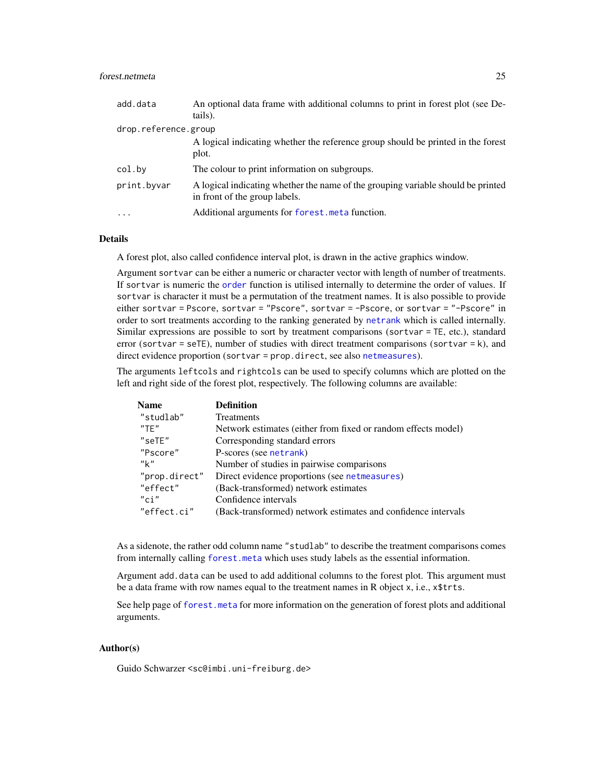### forest.netmeta 25

| add.data             | An optional data frame with additional columns to print in forest plot (see De-<br>tails).                        |
|----------------------|-------------------------------------------------------------------------------------------------------------------|
| drop.reference.group |                                                                                                                   |
|                      | A logical indicating whether the reference group should be printed in the forest<br>plot.                         |
| col.by               | The colour to print information on subgroups.                                                                     |
| print.byvar          | A logical indicating whether the name of the grouping variable should be printed<br>in front of the group labels. |
| $\ddotsc$            | Additional arguments for forest. meta function.                                                                   |

### Details

A forest plot, also called confidence interval plot, is drawn in the active graphics window.

Argument sortvar can be either a numeric or character vector with length of number of treatments. If sortvar is numeric the [order](#page-0-0) function is utilised internally to determine the order of values. If sortvar is character it must be a permutation of the treatment names. It is also possible to provide either sortvar = Pscore, sortvar = "Pscore", sortvar = -Pscore, or sortvar = "-Pscore" in order to sort treatments according to the ranking generated by [netrank](#page-93-1) which is called internally. Similar expressions are possible to sort by treatment comparisons (sortvar = TE, etc.), standard error (sortvar = seTE), number of studies with direct treatment comparisons (sortvar = k), and direct evidence proportion (sortvar = prop.direct, see also [netmeasures](#page-70-1)).

The arguments leftcols and rightcols can be used to specify columns which are plotted on the left and right side of the forest plot, respectively. The following columns are available:

| <b>Name</b>   | <b>Definition</b>                                             |
|---------------|---------------------------------------------------------------|
| "studlab"     | <b>Treatments</b>                                             |
| "TF"          | Network estimates (either from fixed or random effects model) |
| "set"         | Corresponding standard errors                                 |
| "Pscore"      | P-scores (see netrank)                                        |
| "k"           | Number of studies in pairwise comparisons                     |
| "prop.direct" | Direct evidence proportions (see netmeasures)                 |
| "effect"      | (Back-transformed) network estimates                          |
| $"$ ci"       | Confidence intervals                                          |
| "effect.ci"   | (Back-transformed) network estimates and confidence intervals |

As a sidenote, the rather odd column name "studlab" to describe the treatment comparisons comes from internally calling [forest.meta](#page-0-0) which uses study labels as the essential information.

Argument add.data can be used to add additional columns to the forest plot. This argument must be a data frame with row names equal to the treatment names in R object  $x$ , i.e.,  $x$ \$trts.

See help page of [forest.meta](#page-0-0) for more information on the generation of forest plots and additional arguments.

### Author(s)

Guido Schwarzer <sc@imbi.uni-freiburg.de>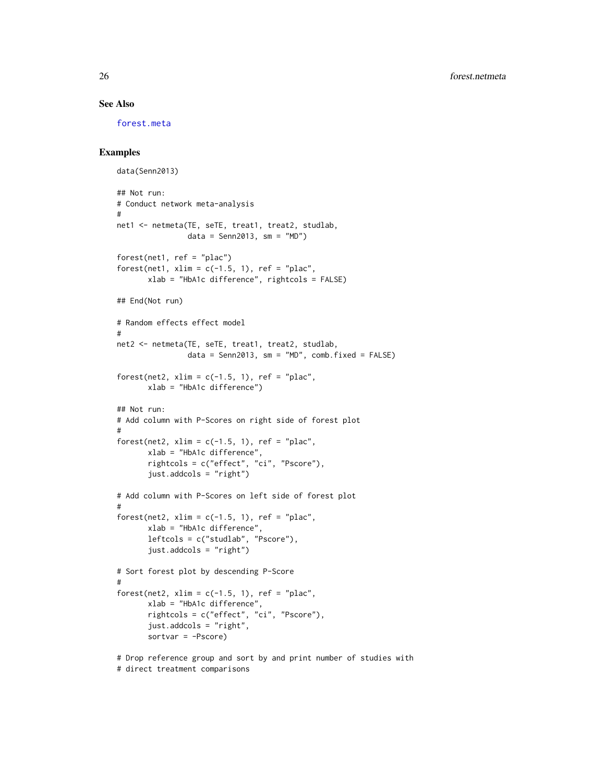#### See Also

[forest.meta](#page-0-0)

### Examples

```
data(Senn2013)
## Not run:
# Conduct network meta-analysis
#
net1 <- netmeta(TE, seTE, treat1, treat2, studlab,
                data = Senn2013, sm = "MD")forest(net1, ref = "plac")forest(net1, xlim = c(-1.5, 1), ref = "plac",
       xlab = "HbA1c difference", rightcols = FALSE)
## End(Not run)
# Random effects effect model
#
net2 <- netmeta(TE, seTE, treat1, treat2, studlab,
                data = Senn2013, sm = "MD", comb.fixed = FALSE)forest(net2, xlim = c(-1.5, 1), ref = "plac",
       xlab = "HbA1c difference")
## Not run:
# Add column with P-Scores on right side of forest plot
#
forest(net2, xlim = c(-1.5, 1), ref = "plac",
       xlab = "HbA1c difference",
       rightcols = c("effect", "ci", "Pscore"),
       just.addcols = "right")
# Add column with P-Scores on left side of forest plot
#
forest(net2, xlim = c(-1.5, 1), ref = "plac",
       xlab = "HbA1c difference",
       leftcols = c("studlab", "Pscore"),
       just.addcols = "right")
# Sort forest plot by descending P-Score
#
forest(net2, xlim = c(-1.5, 1), ref = "plac",
       xlab = "HbA1c difference",
       rightcols = c("effect", "ci", "Pscore"),
       just.addcols = "right",
       sortvar = -Pscore)
# Drop reference group and sort by and print number of studies with
# direct treatment comparisons
```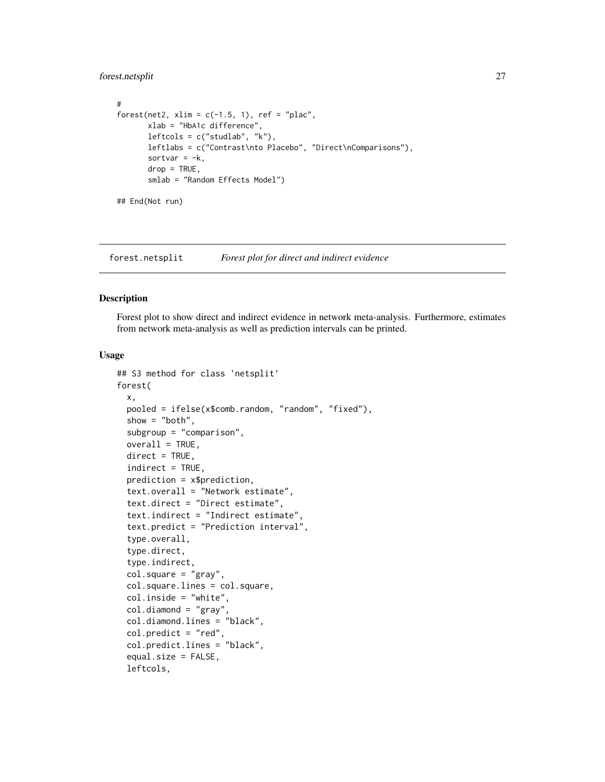### <span id="page-26-0"></span>forest.netsplit 27

```
#
forest(net2, xlim = c(-1.5, 1), ref = "plac",
       xlab = "HbA1c difference",
       leftcols = c("studlab", "k"),
       leftlabs = c("Contrast\nto Placebo", "Direct\nComparisons"),
       sortvar = -k,
       drop = TRUE,smlab = "Random Effects Model")
## End(Not run)
```
forest.netsplit *Forest plot for direct and indirect evidence*

### Description

Forest plot to show direct and indirect evidence in network meta-analysis. Furthermore, estimates from network meta-analysis as well as prediction intervals can be printed.

#### Usage

```
## S3 method for class 'netsplit'
forest(
  x,
 pooled = ifelse(x$comb.random, "random", "fixed"),
  show = "both",
  subgroup = "comparison",
  overall = TRUE,direct = TRUE,indirect = TRUE,prediction = x$prediction,
  text.overall = "Network estimate",
  text.direct = "Direct estimate",
  text.indirect = "Indirect estimate",
  text.predict = "Prediction interval",
  type.overall,
  type.direct,
  type.indirect,
  col.square = "gray",
  col.square.lines = col.square,
  col.inside = "white",
  col.diamond = "gray",col.diamond.lines = "black",
  col.predict = "red",
  col.predict.lines = "black",
  equal.size = FALSE,
  leftcols,
```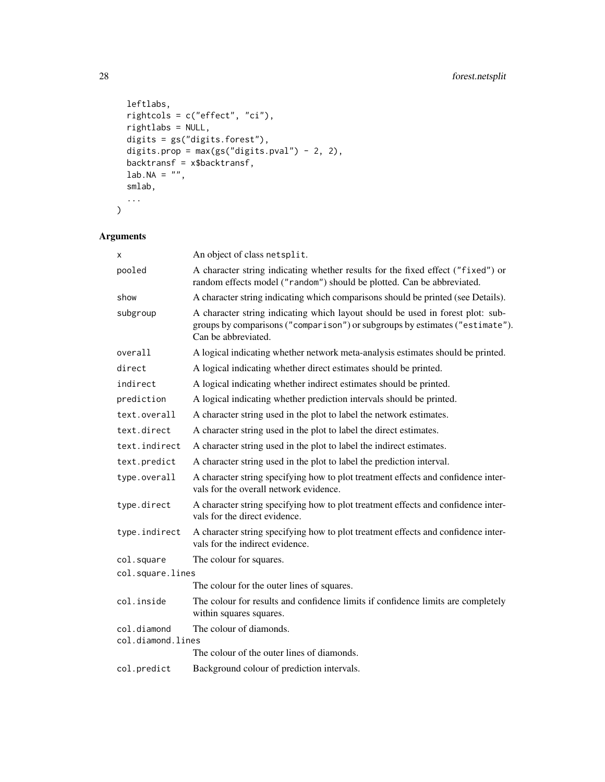```
leftlabs,
  rightcols = c("effect", "ci"),
 rightlabs = NULL,
  digits = gs("digits.forest"),
  digits.prop = max(gs("digits.pval") - 2, 2),
  backtransf = x$backtransf,
 lab.NA = "",smlab,
  ...
\overline{)}
```
## Arguments

| X                                | An object of class netsplit.                                                                                                                                                          |
|----------------------------------|---------------------------------------------------------------------------------------------------------------------------------------------------------------------------------------|
| pooled                           | A character string indicating whether results for the fixed effect ("fixed") or<br>random effects model ("random") should be plotted. Can be abbreviated.                             |
| show                             | A character string indicating which comparisons should be printed (see Details).                                                                                                      |
| subgroup                         | A character string indicating which layout should be used in forest plot: sub-<br>groups by comparisons ("comparison") or subgroups by estimates ("estimate").<br>Can be abbreviated. |
| overall                          | A logical indicating whether network meta-analysis estimates should be printed.                                                                                                       |
| direct                           | A logical indicating whether direct estimates should be printed.                                                                                                                      |
| indirect                         | A logical indicating whether indirect estimates should be printed.                                                                                                                    |
| prediction                       | A logical indicating whether prediction intervals should be printed.                                                                                                                  |
| text.overall                     | A character string used in the plot to label the network estimates.                                                                                                                   |
| text.direct                      | A character string used in the plot to label the direct estimates.                                                                                                                    |
| text.indirect                    | A character string used in the plot to label the indirect estimates.                                                                                                                  |
| text.predict                     | A character string used in the plot to label the prediction interval.                                                                                                                 |
| type.overall                     | A character string specifying how to plot treatment effects and confidence inter-<br>vals for the overall network evidence.                                                           |
| type.direct                      | A character string specifying how to plot treatment effects and confidence inter-<br>vals for the direct evidence.                                                                    |
| type.indirect                    | A character string specifying how to plot treatment effects and confidence inter-<br>vals for the indirect evidence.                                                                  |
| col.square                       | The colour for squares.                                                                                                                                                               |
| col.square.lines                 |                                                                                                                                                                                       |
|                                  | The colour for the outer lines of squares.                                                                                                                                            |
| col.inside                       | The colour for results and confidence limits if confidence limits are completely<br>within squares squares.                                                                           |
| col.diamond<br>col.diamond.lines | The colour of diamonds.                                                                                                                                                               |
|                                  | The colour of the outer lines of diamonds.                                                                                                                                            |
| col.predict                      | Background colour of prediction intervals.                                                                                                                                            |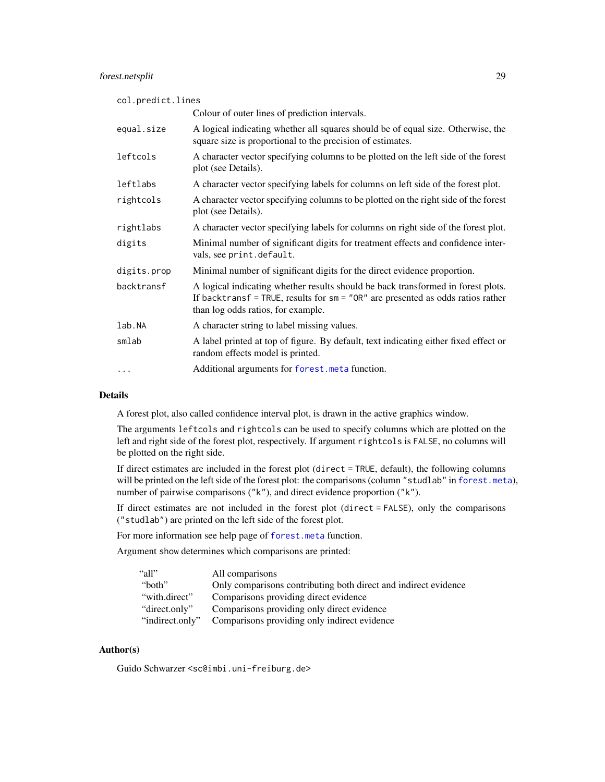### forest.netsplit 29

| col.predict.lines |                                                                                                                                                                                                             |  |
|-------------------|-------------------------------------------------------------------------------------------------------------------------------------------------------------------------------------------------------------|--|
|                   | Colour of outer lines of prediction intervals.                                                                                                                                                              |  |
| equal.size        | A logical indicating whether all squares should be of equal size. Otherwise, the<br>square size is proportional to the precision of estimates.                                                              |  |
| leftcols          | A character vector specifying columns to be plotted on the left side of the forest<br>plot (see Details).                                                                                                   |  |
| leftlabs          | A character vector specifying labels for columns on left side of the forest plot.                                                                                                                           |  |
| rightcols         | A character vector specifying columns to be plotted on the right side of the forest<br>plot (see Details).                                                                                                  |  |
| rightlabs         | A character vector specifying labels for columns on right side of the forest plot.                                                                                                                          |  |
| digits            | Minimal number of significant digits for treatment effects and confidence inter-<br>vals, see print.default.                                                                                                |  |
| digits.prop       | Minimal number of significant digits for the direct evidence proportion.                                                                                                                                    |  |
| backtransf        | A logical indicating whether results should be back transformed in forest plots.<br>If backtransf = TRUE, results for $sm = "OR"$ are presented as odds ratios rather<br>than log odds ratios, for example. |  |
| lab.NA            | A character string to label missing values.                                                                                                                                                                 |  |
| smlab             | A label printed at top of figure. By default, text indicating either fixed effect or<br>random effects model is printed.                                                                                    |  |
| .                 | Additional arguments for forest. meta function.                                                                                                                                                             |  |

### Details

A forest plot, also called confidence interval plot, is drawn in the active graphics window.

The arguments leftcols and rightcols can be used to specify columns which are plotted on the left and right side of the forest plot, respectively. If argument rightcols is FALSE, no columns will be plotted on the right side.

If direct estimates are included in the forest plot (direct = TRUE, default), the following columns will be printed on the left side of the forest plot: the comparisons (column "studlab" in [forest.meta](#page-0-0)), number of pairwise comparisons ("k"), and direct evidence proportion ("k").

If direct estimates are not included in the forest plot (direct = FALSE), only the comparisons ("studlab") are printed on the left side of the forest plot.

For more information see help page of [forest.meta](#page-0-0) function.

Argument show determines which comparisons are printed:

| "all"           | All comparisons                                                 |
|-----------------|-----------------------------------------------------------------|
| "both"          | Only comparisons contributing both direct and indirect evidence |
| "with.direct"   | Comparisons providing direct evidence                           |
| "direct.only"   | Comparisons providing only direct evidence                      |
| "indirect.only" | Comparisons providing only indirect evidence                    |

### Author(s)

Guido Schwarzer <sc@imbi.uni-freiburg.de>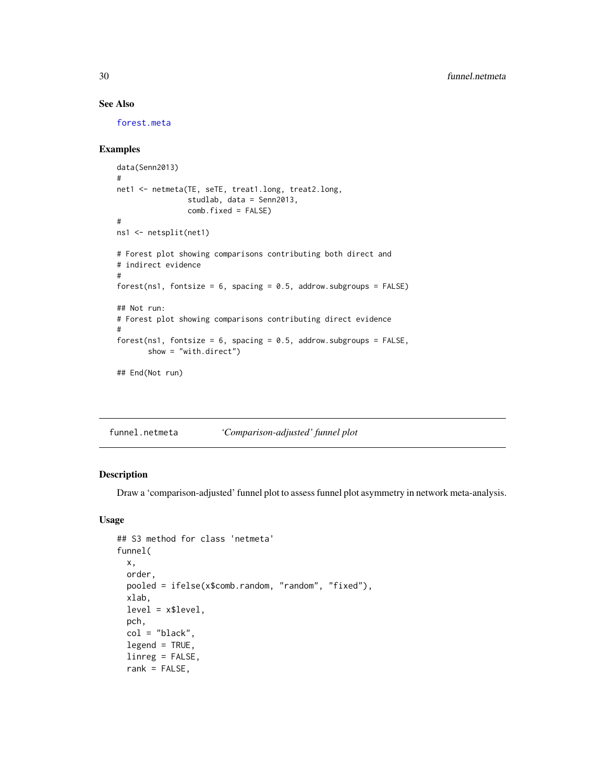### See Also

[forest.meta](#page-0-0)

### Examples

```
data(Senn2013)
#
net1 <- netmeta(TE, seTE, treat1.long, treat2.long,
                studlab, data = Senn2013,
                comb.fixed = FALSE)
#
ns1 <- netsplit(net1)
# Forest plot showing comparisons contributing both direct and
# indirect evidence
#
forest(ns1, fontsize = 6, spacing = 0.5, addrow.subgroups = FALSE)
## Not run:
# Forest plot showing comparisons contributing direct evidence
#
forest(ns1, fontsize = 6, spacing = 0.5, addrow.subgroups = FALSE,
       show = "with.direct")
## End(Not run)
```
<span id="page-29-1"></span>funnel.netmeta *'Comparison-adjusted' funnel plot*

### Description

Draw a 'comparison-adjusted' funnel plot to assess funnel plot asymmetry in network meta-analysis.

### Usage

```
## S3 method for class 'netmeta'
funnel(
 x,
 order,
 pooled = ifelse(x$comb.random, "random", "fixed"),
 xlab,
 level = x$level,pch,
 col = "black",legend = TRUE,linreg = FALSE,
 rank = FALSE,
```
<span id="page-29-0"></span>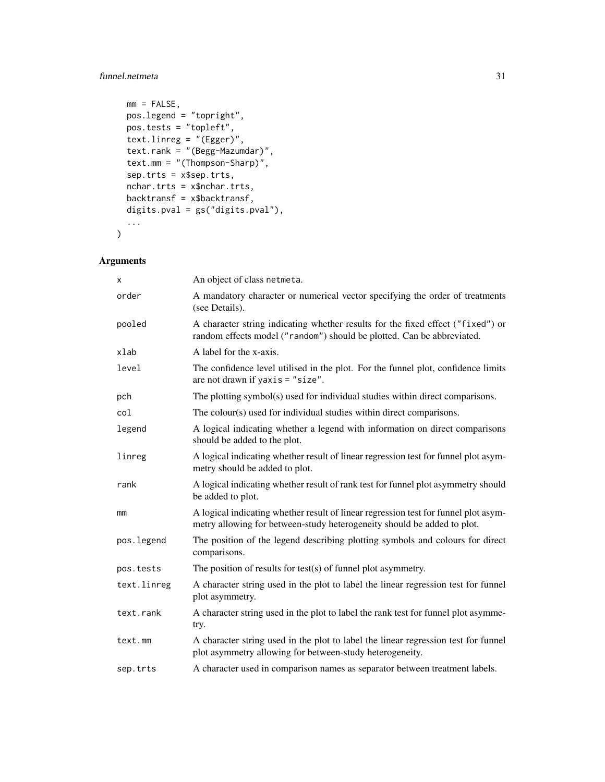### funnel.netmeta 31

```
mm = FALSE,pos.legend = "topright",
 pos.tests = "topleft",
 text.linreg = "(Egger)",
  text.rank = "(Begg-Mazumdar)",
  text.mm = "(Thompson-Sharp)",
 sep.trts = x$sep.trts,
 nchar.trts = x$nchar.trts,
 backtransf = x$backtransf,
 digits.pval = gs("digits.pval"),
  ...
\mathcal{L}
```
## Arguments

| x           | An object of class netmeta.                                                                                                                                    |
|-------------|----------------------------------------------------------------------------------------------------------------------------------------------------------------|
| order       | A mandatory character or numerical vector specifying the order of treatments<br>(see Details).                                                                 |
| pooled      | A character string indicating whether results for the fixed effect ("fixed") or<br>random effects model ("random") should be plotted. Can be abbreviated.      |
| xlab        | A label for the x-axis.                                                                                                                                        |
| level       | The confidence level utilised in the plot. For the funnel plot, confidence limits<br>are not drawn if $yaxis = "size".$                                        |
| pch         | The plotting symbol(s) used for individual studies within direct comparisons.                                                                                  |
| col         | The colour(s) used for individual studies within direct comparisons.                                                                                           |
| legend      | A logical indicating whether a legend with information on direct comparisons<br>should be added to the plot.                                                   |
| linreg      | A logical indicating whether result of linear regression test for funnel plot asym-<br>metry should be added to plot.                                          |
| rank        | A logical indicating whether result of rank test for funnel plot asymmetry should<br>be added to plot.                                                         |
| mm          | A logical indicating whether result of linear regression test for funnel plot asym-<br>metry allowing for between-study heterogeneity should be added to plot. |
| pos.legend  | The position of the legend describing plotting symbols and colours for direct<br>comparisons.                                                                  |
| pos.tests   | The position of results for test(s) of funnel plot asymmetry.                                                                                                  |
| text.linreg | A character string used in the plot to label the linear regression test for funnel<br>plot asymmetry.                                                          |
| text.rank   | A character string used in the plot to label the rank test for funnel plot asymme-<br>try.                                                                     |
| text.mm     | A character string used in the plot to label the linear regression test for funnel<br>plot asymmetry allowing for between-study heterogeneity.                 |
| sep.trts    | A character used in comparison names as separator between treatment labels.                                                                                    |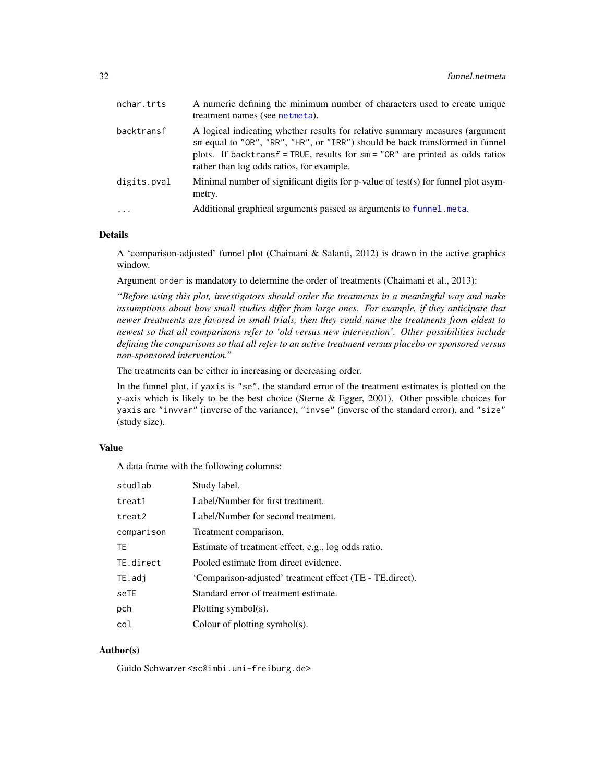| nchar.trts  | A numeric defining the minimum number of characters used to create unique<br>treatment names (see netmeta).                                                                                                                                                                                  |
|-------------|----------------------------------------------------------------------------------------------------------------------------------------------------------------------------------------------------------------------------------------------------------------------------------------------|
| backtransf  | A logical indicating whether results for relative summary measures (argument<br>sm equal to "OR", "RR", "HR", or "IRR") should be back transformed in funnel<br>plots. If backtransf = TRUE, results for $sm = "OR"$ are printed as odds ratios<br>rather than log odds ratios, for example. |
| digits.pval | Minimal number of significant digits for p-value of test(s) for funnel plot asym-<br>metry.                                                                                                                                                                                                  |
| $\cdot$     | Additional graphical arguments passed as arguments to funnel.meta.                                                                                                                                                                                                                           |

### Details

A 'comparison-adjusted' funnel plot (Chaimani & Salanti, 2012) is drawn in the active graphics window.

Argument order is mandatory to determine the order of treatments (Chaimani et al., 2013):

*"Before using this plot, investigators should order the treatments in a meaningful way and make assumptions about how small studies differ from large ones. For example, if they anticipate that newer treatments are favored in small trials, then they could name the treatments from oldest to newest so that all comparisons refer to 'old versus new intervention'. Other possibilities include defining the comparisons so that all refer to an active treatment versus placebo or sponsored versus non-sponsored intervention."*

The treatments can be either in increasing or decreasing order.

In the funnel plot, if yaxis is "se", the standard error of the treatment estimates is plotted on the y-axis which is likely to be the best choice (Sterne & Egger, 2001). Other possible choices for yaxis are "invvar" (inverse of the variance), "invse" (inverse of the standard error), and "size" (study size).

#### Value

A data frame with the following columns:

| studlab    | Study label.                                             |
|------------|----------------------------------------------------------|
| treat1     | Label/Number for first treatment.                        |
| treat2     | Label/Number for second treatment.                       |
| comparison | Treatment comparison.                                    |
| <b>TE</b>  | Estimate of treatment effect, e.g., log odds ratio.      |
| TE.direct  | Pooled estimate from direct evidence.                    |
| TE.addj    | 'Comparison-adjusted' treatment effect (TE - TE.direct). |
| seTE       | Standard error of treatment estimate.                    |
| pch        | Plotting symbol(s).                                      |
| col        | Colour of plotting symbol(s).                            |

### Author(s)

Guido Schwarzer <sc@imbi.uni-freiburg.de>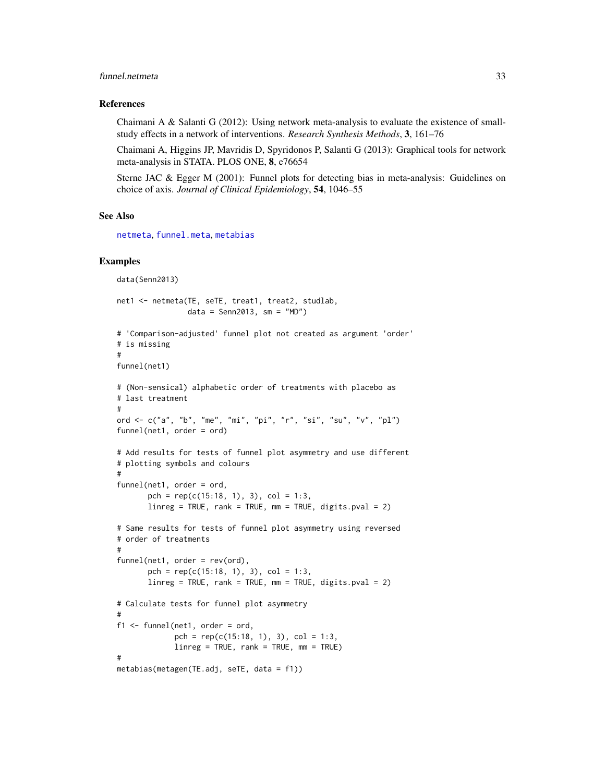### funnel.netmeta 33

#### References

Chaimani A & Salanti G  $(2012)$ : Using network meta-analysis to evaluate the existence of smallstudy effects in a network of interventions. *Research Synthesis Methods*, 3, 161–76

Chaimani A, Higgins JP, Mavridis D, Spyridonos P, Salanti G (2013): Graphical tools for network meta-analysis in STATA. PLOS ONE, 8, e76654

Sterne JAC & Egger M (2001): Funnel plots for detecting bias in meta-analysis: Guidelines on choice of axis. *Journal of Clinical Epidemiology*, 54, 1046–55

#### See Also

[netmeta](#page-72-1), [funnel.meta](#page-0-0), [metabias](#page-0-0)

#### Examples

```
data(Senn2013)
net1 <- netmeta(TE, seTE, treat1, treat2, studlab,
                data = Senn2013, sm = "MD")# 'Comparison-adjusted' funnel plot not created as argument 'order'
# is missing
#
funnel(net1)
# (Non-sensical) alphabetic order of treatments with placebo as
# last treatment
#
ord <- c("a", "b", "me", "mi", "pi", "r", "si", "su", "v", "pl")
funnel(net1, order = ord)
# Add results for tests of funnel plot asymmetry and use different
# plotting symbols and colours
#
funnel(net1, order = ord,
       pch = rep(c(15:18, 1), 3), col = 1:3,
       linner = TRUE, rank = TRUE, mm = TRUE, digits.pval = 2)
# Same results for tests of funnel plot asymmetry using reversed
# order of treatments
#
funnel(net1, order = rev(ord),
       pch = rep(c(15:18, 1), 3), col = 1:3,
       linreg = TRUE, rank = TRUE, mm = TRUE, digits.pval = 2)
# Calculate tests for funnel plot asymmetry
#
f1 \leftarrow funnel(net1, order = ord,pch = rep(c(15:18, 1), 3), col = 1:3,
             linreg = TRUE, rank = TRUE, mm = TRUE)
#
metabias(metagen(TE.adj, seTE, data = f1))
```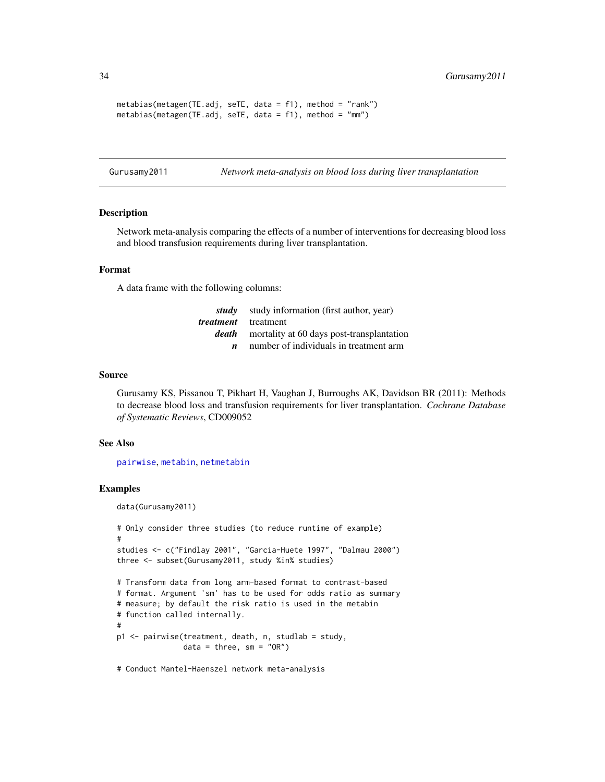```
metabias(metagen(TE.adj, seTE, data = f1), method = "rank")
metabias(metagen(TE.adj, seTE, data = f1), method = "mm")
```
Gurusamy2011 *Network meta-analysis on blood loss during liver transplantation*

#### Description

Network meta-analysis comparing the effects of a number of interventions for decreasing blood loss and blood transfusion requirements during liver transplantation.

#### Format

A data frame with the following columns:

| study | study information (first author, year)    |
|-------|-------------------------------------------|
|       | <i>treatment</i> treatment                |
| death | mortality at 60 days post-transplantation |
|       | number of individuals in treatment arm    |

#### Source

Gurusamy KS, Pissanou T, Pikhart H, Vaughan J, Burroughs AK, Davidson BR (2011): Methods to decrease blood loss and transfusion requirements for liver transplantation. *Cochrane Database of Systematic Reviews*, CD009052

### See Also

[pairwise](#page-100-1), [metabin](#page-0-0), [netmetabin](#page-81-1)

#### Examples

```
data(Gurusamy2011)
```

```
# Only consider three studies (to reduce runtime of example)
#
studies <- c("Findlay 2001", "Garcia-Huete 1997", "Dalmau 2000")
three <- subset(Gurusamy2011, study %in% studies)
# Transform data from long arm-based format to contrast-based
# format. Argument 'sm' has to be used for odds ratio as summary
# measure; by default the risk ratio is used in the metabin
# function called internally.
#
p1 <- pairwise(treatment, death, n, studlab = study,
               data = three, sm = "OR")# Conduct Mantel-Haenszel network meta-analysis
```
<span id="page-33-0"></span>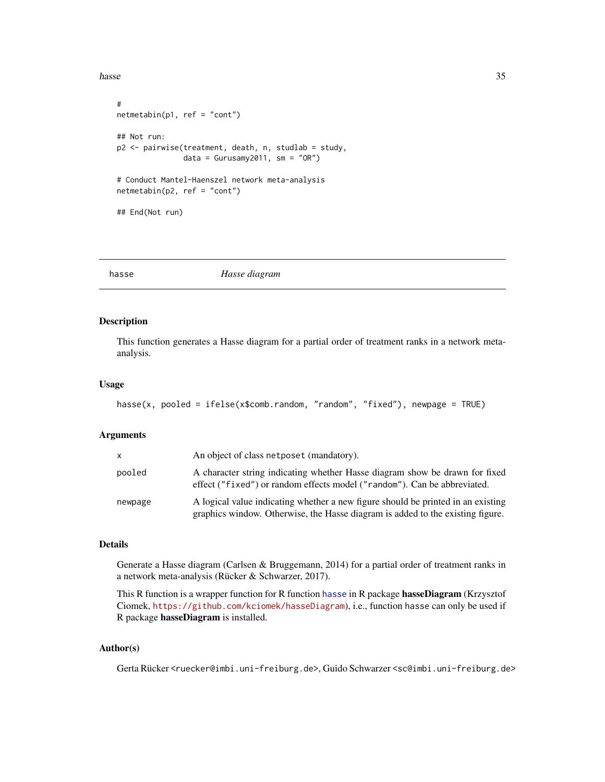#### <span id="page-34-0"></span>hasse 35

```
#
netmetabin(p1, ref = "cont")## Not run:
p2 <- pairwise(treatment, death, n, studlab = study,
               data = Gurusamy2011, sm = "OR")# Conduct Mantel-Haenszel network meta-analysis
netmetabin(p2, ref = "cont")## End(Not run)
```
<span id="page-34-1"></span>

hasse *Hasse diagram*

### Description

This function generates a Hasse diagram for a partial order of treatment ranks in a network metaanalysis.

### Usage

```
hasse(x, pooled = ifelse(x$comb.random, "random", "fixed"), newpage = TRUE)
```
### Arguments

| X.      | An object of class net poset (mandatory).                                                                                                                          |
|---------|--------------------------------------------------------------------------------------------------------------------------------------------------------------------|
| pooled  | A character string indicating whether Hasse diagram show be drawn for fixed<br>effect ("fixed") or random effects model ("random"). Can be abbreviated.            |
| newpage | A logical value indicating whether a new figure should be printed in an existing<br>graphics window. Otherwise, the Hasse diagram is added to the existing figure. |

#### Details

Generate a Hasse diagram (Carlsen & Bruggemann, 2014) for a partial order of treatment ranks in a network meta-analysis (Rücker & Schwarzer, 2017).

This R function is a wrapper function for R function [hasse](#page-34-1) in R package hasseDiagram (Krzysztof Ciomek, <https://github.com/kciomek/hasseDiagram>), i.e., function hasse can only be used if R package hasseDiagram is installed.

### Author(s)

Gerta Rücker <ruecker@imbi.uni-freiburg.de>, Guido Schwarzer <sc@imbi.uni-freiburg.de>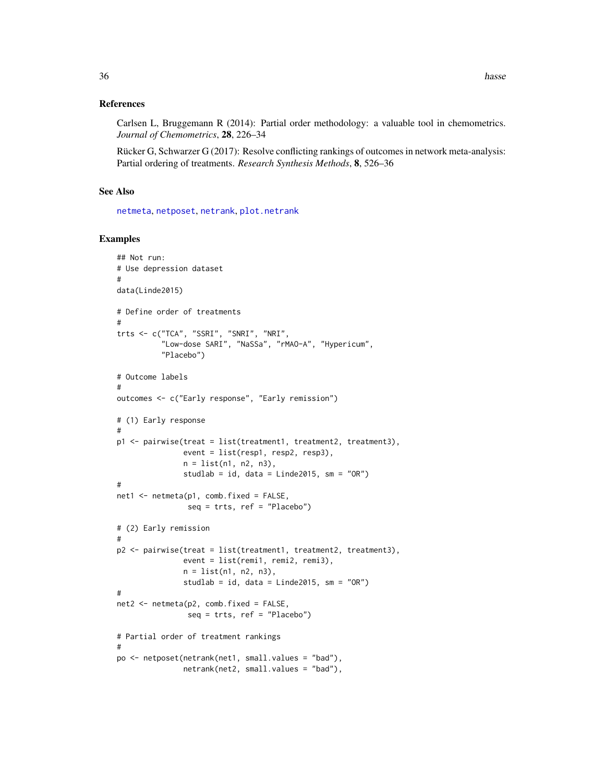### References

Carlsen L, Bruggemann R (2014): Partial order methodology: a valuable tool in chemometrics. *Journal of Chemometrics*, 28, 226–34

Rücker G, Schwarzer G (2017): Resolve conflicting rankings of outcomes in network meta-analysis: Partial ordering of treatments. *Research Synthesis Methods*, 8, 526–36

### See Also

[netmeta](#page-72-1), [netposet](#page-88-1), [netrank](#page-93-1), [plot.netrank](#page-111-1)

### Examples

```
## Not run:
# Use depression dataset
#
data(Linde2015)
# Define order of treatments
#
trts <- c("TCA", "SSRI", "SNRI", "NRI",
          "Low-dose SARI", "NaSSa", "rMAO-A", "Hypericum",
          "Placebo")
# Outcome labels
#
outcomes <- c("Early response", "Early remission")
# (1) Early response
#
p1 <- pairwise(treat = list(treatment1, treatment2, treatment3),
               event = list(resp1, resp2, resp3),
               n = list(n1, n2, n3),
               studlab = id, data = Linde2015, sm = "OR")
#
net1 <- netmeta(p1, comb.fixed = FALSE,
                seq = trts, ref = "Placebo")
# (2) Early remission
#
p2 <- pairwise(treat = list(treatment1, treatment2, treatment3),
               event = list(remi1, remi2, remi3),
               n = list(n1, n2, n3),
               studlab = id, data = Linde2015, sm = "OR")
#
net2 <- netmeta(p2, comb.fixed = FALSE,
                seq = trts, ref = "Placebo")
# Partial order of treatment rankings
#
po <- netposet(netrank(net1, small.values = "bad"),
               netrank(net2, small.values = "bad"),
```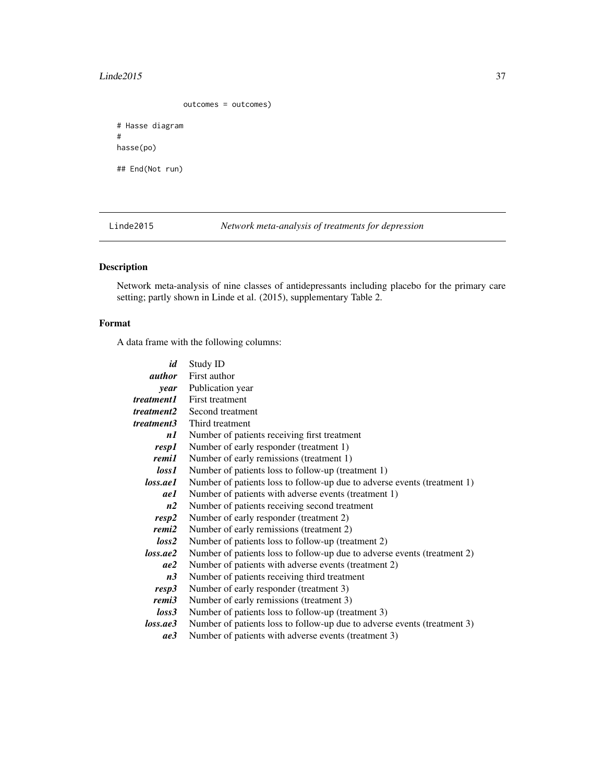#### $Line 2015$  37

outcomes = outcomes)

```
# Hasse diagram
#
hasse(po)
## End(Not run)
```
Linde2015 *Network meta-analysis of treatments for depression*

# Description

Network meta-analysis of nine classes of antidepressants including placebo for the primary care setting; partly shown in Linde et al. (2015), supplementary Table 2.

# Format

A data frame with the following columns:

| id             | Study ID                                                                 |
|----------------|--------------------------------------------------------------------------|
| <i>author</i>  | First author                                                             |
| year           | Publication year                                                         |
| treatment 1    | First treatment                                                          |
| treatment2     | Second treatment                                                         |
| treatment3     | Third treatment                                                          |
| n1             | Number of patients receiving first treatment                             |
| resp1          | Number of early responder (treatment 1)                                  |
| remi1          | Number of early remissions (treatment 1)                                 |
| loss1          | Number of patients loss to follow-up (treatment 1)                       |
| loss.ae1       | Number of patients loss to follow-up due to adverse events (treatment 1) |
| ae1            | Number of patients with adverse events (treatment 1)                     |
| n2             | Number of patients receiving second treatment                            |
| resp2          | Number of early responder (treatment 2)                                  |
| remi2          | Number of early remissions (treatment 2)                                 |
| loss2          | Number of patients loss to follow-up (treatment 2)                       |
| loss.ae2       | Number of patients loss to follow-up due to adverse events (treatment 2) |
| ae2            | Number of patients with adverse events (treatment 2)                     |
| n <sub>3</sub> | Number of patients receiving third treatment                             |
| resp3          | Number of early responder (treatment 3)                                  |
| remi3          | Number of early remissions (treatment 3)                                 |
| loss3          | Number of patients loss to follow-up (treatment 3)                       |
| loss.ae3       | Number of patients loss to follow-up due to adverse events (treatment 3) |
| ae3            | Number of patients with adverse events (treatment 3)                     |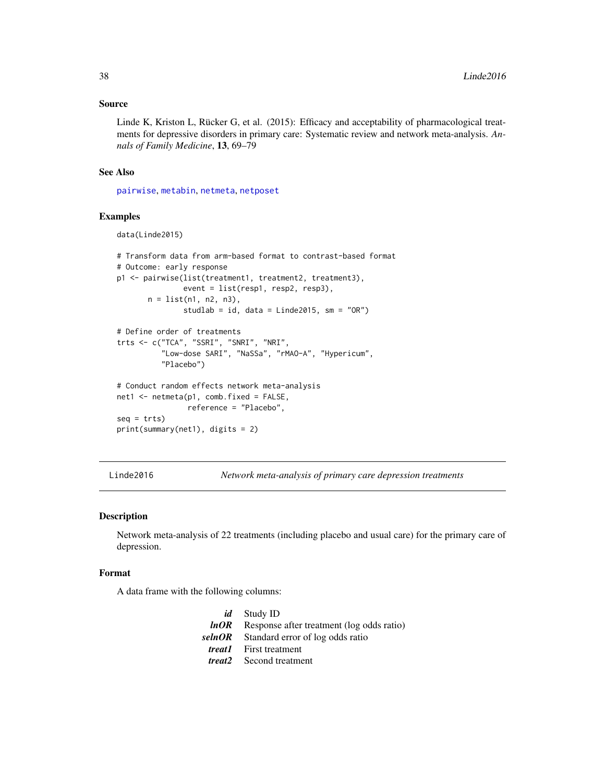## Source

Linde K, Kriston L, Rücker G, et al. (2015): Efficacy and acceptability of pharmacological treatments for depressive disorders in primary care: Systematic review and network meta-analysis. *Annals of Family Medicine*, 13, 69–79

## See Also

[pairwise](#page-100-0), [metabin](#page-0-0), [netmeta](#page-72-0), [netposet](#page-88-0)

# Examples

```
data(Linde2015)
```

```
# Transform data from arm-based format to contrast-based format
# Outcome: early response
p1 <- pairwise(list(treatment1, treatment2, treatment3),
               event = list(resp1, resp2, resp3),
       n = list(n1, n2, n3),studlab = id, data = Linde2015, sm = "OR")
# Define order of treatments
trts <- c("TCA", "SSRI", "SNRI", "NRI",
          "Low-dose SARI", "NaSSa", "rMAO-A", "Hypericum",
          "Placebo")
# Conduct random effects network meta-analysis
net1 <- netmeta(p1, comb.fixed = FALSE,
               reference = "Placebo",
seq = trts)print(summary(net1), digits = 2)
```
Linde2016 *Network meta-analysis of primary care depression treatments*

## Description

Network meta-analysis of 22 treatments (including placebo and usual care) for the primary care of depression.

## Format

A data frame with the following columns:

| <i>id</i> Study ID                               |
|--------------------------------------------------|
| $lnOR$ Response after treatment (log odds ratio) |
| selnOR Standard error of log odds ratio          |
| <i>treat1</i> First treatment                    |
| <i>treat2</i> Second treatment                   |
|                                                  |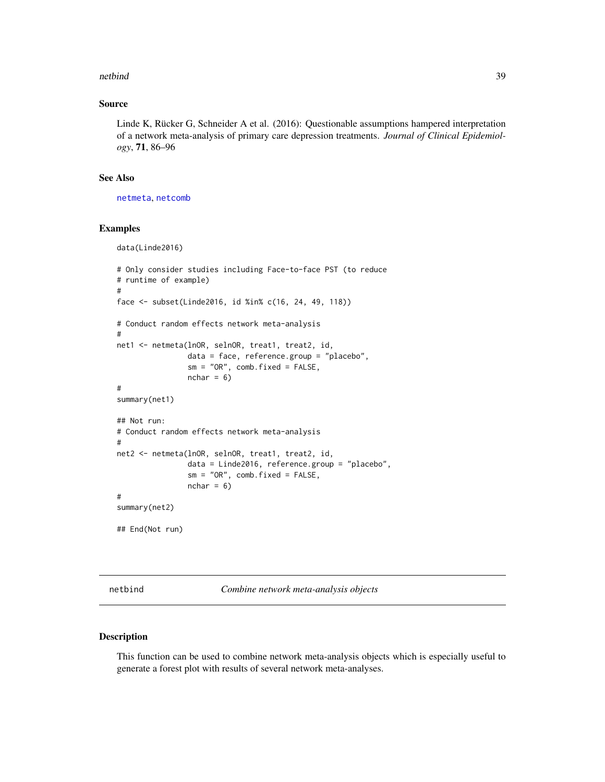## netbind 39

## Source

Linde K, Rücker G, Schneider A et al. (2016): Questionable assumptions hampered interpretation of a network meta-analysis of primary care depression treatments. *Journal of Clinical Epidemiology*, 71, 86–96

# See Also

[netmeta](#page-72-0), [netcomb](#page-41-0)

data(Linde2016)

#### Examples

```
# Only consider studies including Face-to-face PST (to reduce
# runtime of example)
#
face <- subset(Linde2016, id %in% c(16, 24, 49, 118))
# Conduct random effects network meta-analysis
#
net1 <- netmeta(lnOR, selnOR, treat1, treat2, id,
                data = face, reference.group = "placebo",
                sm = "OR", comb.fixed = FALSE,nchar = 6)
#
summary(net1)
## Not run:
# Conduct random effects network meta-analysis
#
net2 <- netmeta(lnOR, selnOR, treat1, treat2, id,
                data = Linde2016, reference.group = "placebo",
                sm = "OR", comb.fixed = FALSE,
                nchar = 6)
#
summary(net2)
## End(Not run)
```
netbind *Combine network meta-analysis objects*

# Description

This function can be used to combine network meta-analysis objects which is especially useful to generate a forest plot with results of several network meta-analyses.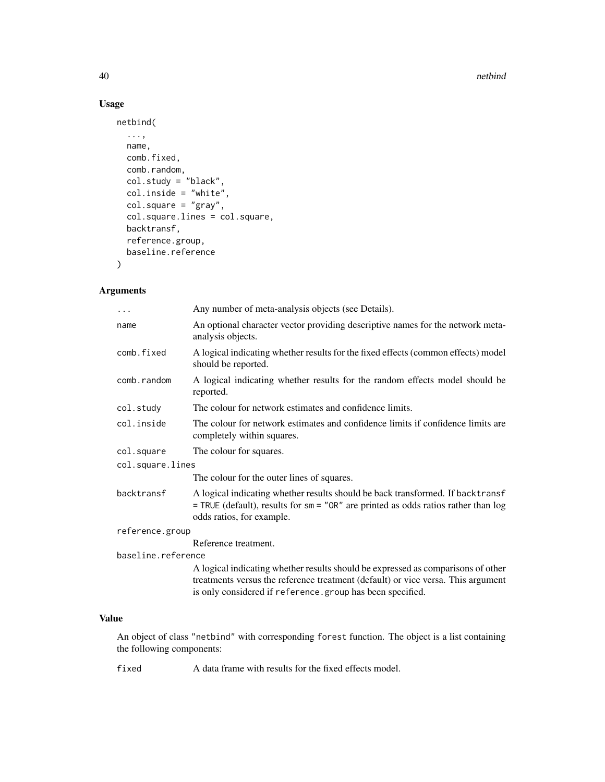#### 40 https://www.facebook.com/intervalue.com/intervalue.com/intervalue.com/intervalue.com/intervalue.com/intervalue.com/intervalue.com/intervalue.com/intervalue.com/intervalue.com/intervalue.com/intervalue.com/intervalue.com

# Usage

```
netbind(
  ...,
  name,
  comb.fixed,
  comb.random,
  col.study = "black",
  col.inside = "white",
  col.\squaresquare = "gray",
  col.square.lines = col.square,
  backtransf,
  reference.group,
  baseline.reference
\mathcal{L}
```
# Arguments

| $\cdots$           | Any number of meta-analysis objects (see Details).                                                                                                                                                                                |
|--------------------|-----------------------------------------------------------------------------------------------------------------------------------------------------------------------------------------------------------------------------------|
| name               | An optional character vector providing descriptive names for the network meta-<br>analysis objects.                                                                                                                               |
| comb.fixed         | A logical indicating whether results for the fixed effects (common effects) model<br>should be reported.                                                                                                                          |
| comb.random        | A logical indicating whether results for the random effects model should be<br>reported.                                                                                                                                          |
| col.study          | The colour for network estimates and confidence limits.                                                                                                                                                                           |
| col.inside         | The colour for network estimates and confidence limits if confidence limits are<br>completely within squares.                                                                                                                     |
| col.square         | The colour for squares.                                                                                                                                                                                                           |
| col.square.lines   |                                                                                                                                                                                                                                   |
|                    | The colour for the outer lines of squares.                                                                                                                                                                                        |
| backtransf         | A logical indicating whether results should be back transformed. If backtransf<br>$=$ TRUE (default), results for sm = "OR" are printed as odds ratios rather than log<br>odds ratios, for example.                               |
| reference.group    |                                                                                                                                                                                                                                   |
|                    | Reference treatment.                                                                                                                                                                                                              |
| baseline.reference |                                                                                                                                                                                                                                   |
|                    | A logical indicating whether results should be expressed as comparisons of other<br>treatments versus the reference treatment (default) or vice versa. This argument<br>is only considered if reference.group has been specified. |
|                    |                                                                                                                                                                                                                                   |

# Value

An object of class "netbind" with corresponding forest function. The object is a list containing the following components:

fixed A data frame with results for the fixed effects model.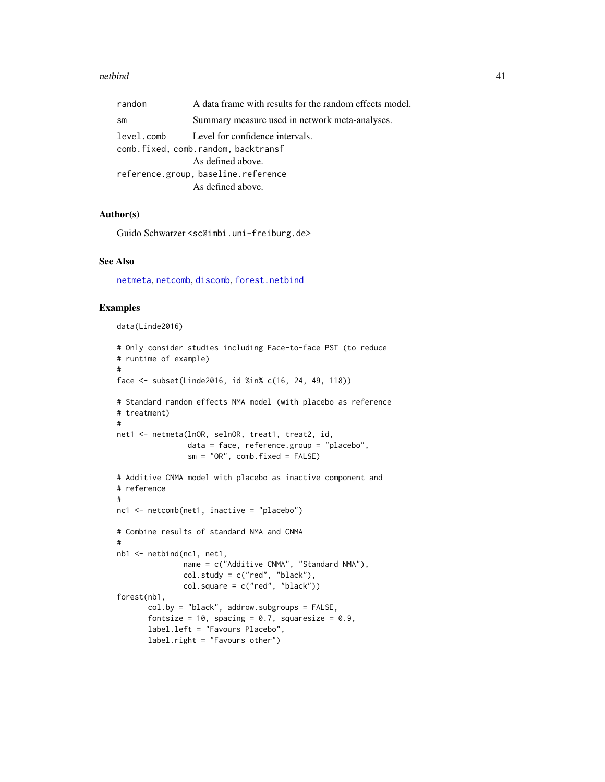#### netbind 41

| random                              | A data frame with results for the random effects model. |  |
|-------------------------------------|---------------------------------------------------------|--|
| sm                                  | Summary measure used in network meta-analyses.          |  |
| level.comb                          | Level for confidence intervals.                         |  |
| comb.fixed, comb.random, backtransf |                                                         |  |
|                                     | As defined above.                                       |  |
| reference.group, baseline.reference |                                                         |  |
|                                     | As defined above.                                       |  |

# Author(s)

Guido Schwarzer <sc@imbi.uni-freiburg.de>

## See Also

[netmeta](#page-72-0), [netcomb](#page-41-0), [discomb](#page-9-0), [forest.netbind](#page-17-0)

```
data(Linde2016)
```

```
# Only consider studies including Face-to-face PST (to reduce
# runtime of example)
#
face <- subset(Linde2016, id %in% c(16, 24, 49, 118))
# Standard random effects NMA model (with placebo as reference
# treatment)
#
net1 <- netmeta(lnOR, selnOR, treat1, treat2, id,
                data = face, reference.group = "placebo",
                sm = "OR", comb.fixed = FALSE)# Additive CNMA model with placebo as inactive component and
# reference
#
nc1 <- netcomb(net1, inactive = "placebo")
# Combine results of standard NMA and CNMA
#
nb1 <- netbind(nc1, net1,
               name = c("Additive CNMA", "Standard NMA"),
               col.study = c("red", "black"),
               col.\squaresquare = c("red", "black")forest(nb1,
       col.by = "black", addrow.subgroups = FALSE,
       fontsize = 10, spacing = 0.7, squaresize = 0.9,
       label.left = "Favours Placebo",
       label.right = "Favours other")
```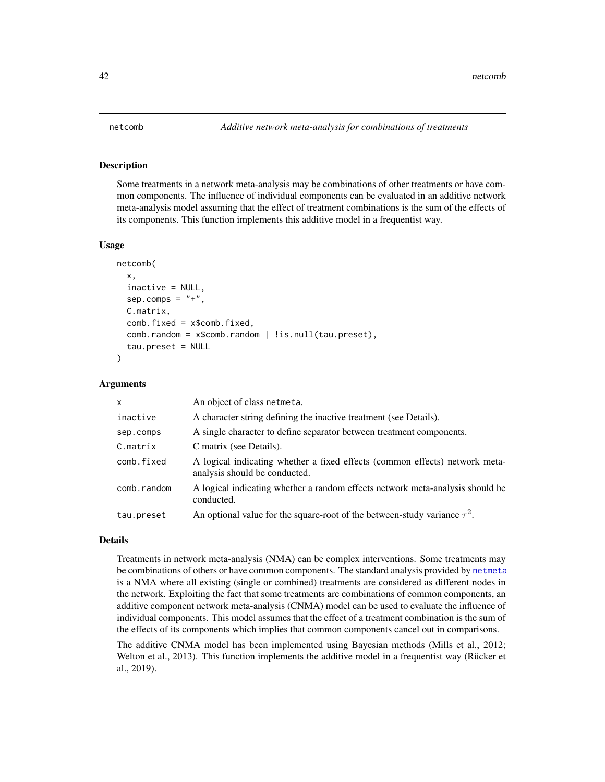#### <span id="page-41-0"></span>Description

Some treatments in a network meta-analysis may be combinations of other treatments or have common components. The influence of individual components can be evaluated in an additive network meta-analysis model assuming that the effect of treatment combinations is the sum of the effects of its components. This function implements this additive model in a frequentist way.

#### Usage

```
netcomb(
  x,
  inactive = NULL,
  sep.comps = "+'',C.matrix,
  comb.fixed = x$comb.fixed,
  comb.random = x$comb.random | !is.null(tau.preset),
  tau.preset = NULL
\mathcal{E}
```
## Arguments

| $\mathsf{x}$ | An object of class netmeta.                                                                                  |
|--------------|--------------------------------------------------------------------------------------------------------------|
| inactive     | A character string defining the inactive treatment (see Details).                                            |
| sep.comps    | A single character to define separator between treatment components.                                         |
| C.matrix     | C matrix (see Details).                                                                                      |
| comb.fixed   | A logical indicating whether a fixed effects (common effects) network meta-<br>analysis should be conducted. |
| comb.random  | A logical indicating whether a random effects network meta-analysis should be<br>conducted.                  |
| tau.preset   | An optional value for the square-root of the between-study variance $\tau^2$ .                               |

## Details

Treatments in network meta-analysis (NMA) can be complex interventions. Some treatments may be combinations of others or have common components. The standard analysis provided by [netmeta](#page-72-0) is a NMA where all existing (single or combined) treatments are considered as different nodes in the network. Exploiting the fact that some treatments are combinations of common components, an additive component network meta-analysis (CNMA) model can be used to evaluate the influence of individual components. This model assumes that the effect of a treatment combination is the sum of the effects of its components which implies that common components cancel out in comparisons.

The additive CNMA model has been implemented using Bayesian methods (Mills et al., 2012; Welton et al., 2013). This function implements the additive model in a frequentist way (Rücker et al., 2019).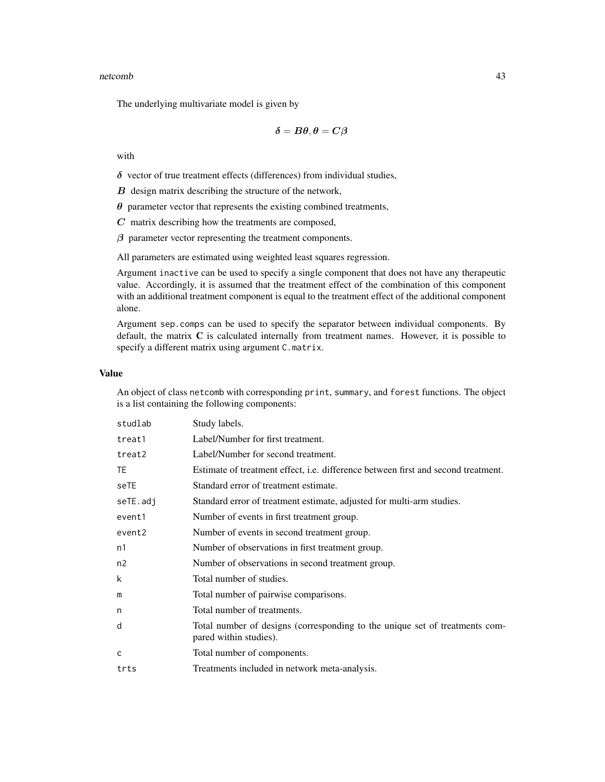#### netcomb and the set of the set of the set of the set of the set of the set of the set of the set of the set of the set of the set of the set of the set of the set of the set of the set of the set of the set of the set of t

The underlying multivariate model is given by

$$
\boldsymbol{\delta} = \boldsymbol{B\theta}, \boldsymbol{\theta} = \boldsymbol{C\beta}
$$

with

 $\delta$  vector of true treatment effects (differences) from individual studies,

 $B$  design matrix describing the structure of the network,

 $\theta$  parameter vector that represents the existing combined treatments,

 $C$  matrix describing how the treatments are composed,

 $\beta$  parameter vector representing the treatment components.

All parameters are estimated using weighted least squares regression.

Argument inactive can be used to specify a single component that does not have any therapeutic value. Accordingly, it is assumed that the treatment effect of the combination of this component with an additional treatment component is equal to the treatment effect of the additional component alone.

Argument sep.comps can be used to specify the separator between individual components. By default, the matrix  $C$  is calculated internally from treatment names. However, it is possible to specify a different matrix using argument C.matrix.

## Value

An object of class netcomb with corresponding print, summary, and forest functions. The object is a list containing the following components:

| studlab   | Study labels.                                                                                         |
|-----------|-------------------------------------------------------------------------------------------------------|
| treat1    | Label/Number for first treatment.                                                                     |
| treat2    | Label/Number for second treatment.                                                                    |
| <b>TE</b> | Estimate of treatment effect, i.e. difference between first and second treatment.                     |
| seTE      | Standard error of treatment estimate.                                                                 |
| seTE.adj  | Standard error of treatment estimate, adjusted for multi-arm studies.                                 |
| event1    | Number of events in first treatment group.                                                            |
| event2    | Number of events in second treatment group.                                                           |
| n1        | Number of observations in first treatment group.                                                      |
| n2        | Number of observations in second treatment group.                                                     |
| k         | Total number of studies.                                                                              |
| m         | Total number of pairwise comparisons.                                                                 |
| n         | Total number of treatments.                                                                           |
| d         | Total number of designs (corresponding to the unique set of treatments com-<br>pared within studies). |
| C         | Total number of components.                                                                           |
| trts      | Treatments included in network meta-analysis.                                                         |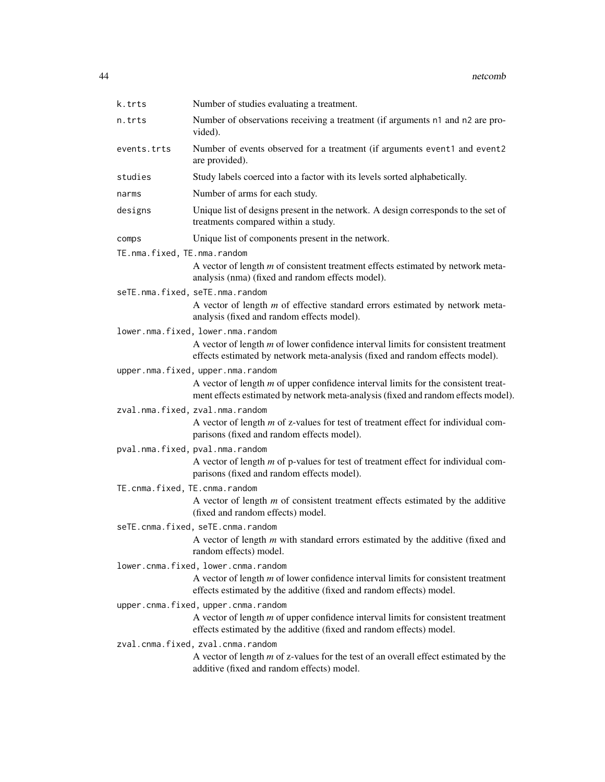| k.trts                        | Number of studies evaluating a treatment.                                                                                                                                                                |
|-------------------------------|----------------------------------------------------------------------------------------------------------------------------------------------------------------------------------------------------------|
| n.trts                        | Number of observations receiving a treatment (if arguments n1 and n2 are pro-<br>vided).                                                                                                                 |
| events.trts                   | Number of events observed for a treatment (if arguments event1 and event2<br>are provided).                                                                                                              |
| studies                       | Study labels coerced into a factor with its levels sorted alphabetically.                                                                                                                                |
| narms                         | Number of arms for each study.                                                                                                                                                                           |
| designs                       | Unique list of designs present in the network. A design corresponds to the set of<br>treatments compared within a study.                                                                                 |
| comps                         | Unique list of components present in the network.                                                                                                                                                        |
| TE.nma.fixed, TE.nma.random   |                                                                                                                                                                                                          |
|                               | A vector of length $m$ of consistent treatment effects estimated by network meta-<br>analysis (nma) (fixed and random effects model).                                                                    |
|                               | seTE.nma.fixed, seTE.nma.random<br>A vector of length $m$ of effective standard errors estimated by network meta-<br>analysis (fixed and random effects model).                                          |
|                               | lower.nma.fixed, lower.nma.random<br>A vector of length $m$ of lower confidence interval limits for consistent treatment<br>effects estimated by network meta-analysis (fixed and random effects model). |
|                               | upper.nma.fixed, upper.nma.random                                                                                                                                                                        |
|                               | A vector of length $m$ of upper confidence interval limits for the consistent treat-<br>ment effects estimated by network meta-analysis (fixed and random effects model).                                |
|                               | zval.nma.fixed, zval.nma.random                                                                                                                                                                          |
|                               | A vector of length $m$ of z-values for test of treatment effect for individual com-<br>parisons (fixed and random effects model).                                                                        |
|                               | pval.nma.fixed, pval.nma.random<br>A vector of length $m$ of p-values for test of treatment effect for individual com-<br>parisons (fixed and random effects model).                                     |
| TE.cnma.fixed, TE.cnma.random |                                                                                                                                                                                                          |
|                               | A vector of length $m$ of consistent treatment effects estimated by the additive<br>(fixed and random effects) model.                                                                                    |
|                               | seTE.cnma.fixed, seTE.cnma.random                                                                                                                                                                        |
|                               | A vector of length $m$ with standard errors estimated by the additive (fixed and<br>random effects) model.                                                                                               |
|                               | lower.cnma.fixed, lower.cnma.random                                                                                                                                                                      |
|                               | A vector of length $m$ of lower confidence interval limits for consistent treatment<br>effects estimated by the additive (fixed and random effects) model.                                               |
|                               | upper.cnma.fixed, upper.cnma.random                                                                                                                                                                      |
|                               | A vector of length $m$ of upper confidence interval limits for consistent treatment<br>effects estimated by the additive (fixed and random effects) model.                                               |
|                               | zval.cnma.fixed, zval.cnma.random                                                                                                                                                                        |
|                               | A vector of length $m$ of z-values for the test of an overall effect estimated by the<br>additive (fixed and random effects) model.                                                                      |
|                               |                                                                                                                                                                                                          |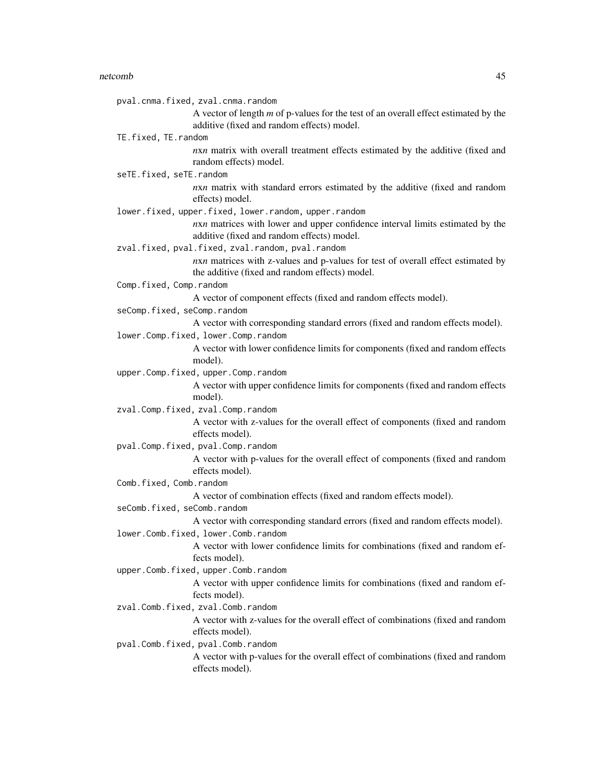#### netcomb and the set of the set of the set of the set of the set of the set of the set of the set of the set of the set of the set of the set of the set of the set of the set of the set of the set of the set of the set of t

pval.cnma.fixed, zval.cnma.random A vector of length *m* of p-values for the test of an overall effect estimated by the additive (fixed and random effects) model. TE.fixed, TE.random *n*x*n* matrix with overall treatment effects estimated by the additive (fixed and random effects) model. seTE.fixed, seTE.random *n*x*n* matrix with standard errors estimated by the additive (fixed and random effects) model. lower.fixed, upper.fixed, lower.random, upper.random *n*x*n* matrices with lower and upper confidence interval limits estimated by the additive (fixed and random effects) model. zval.fixed, pval.fixed, zval.random, pval.random *nxn* matrices with z-values and p-values for test of overall effect estimated by the additive (fixed and random effects) model. Comp.fixed, Comp.random A vector of component effects (fixed and random effects model). seComp.fixed, seComp.random A vector with corresponding standard errors (fixed and random effects model). lower.Comp.fixed, lower.Comp.random A vector with lower confidence limits for components (fixed and random effects model). upper.Comp.fixed, upper.Comp.random A vector with upper confidence limits for components (fixed and random effects model). zval.Comp.fixed, zval.Comp.random A vector with z-values for the overall effect of components (fixed and random effects model). pval.Comp.fixed, pval.Comp.random A vector with p-values for the overall effect of components (fixed and random effects model). Comb.fixed, Comb.random A vector of combination effects (fixed and random effects model). seComb.fixed, seComb.random A vector with corresponding standard errors (fixed and random effects model). lower.Comb.fixed, lower.Comb.random A vector with lower confidence limits for combinations (fixed and random effects model). upper.Comb.fixed, upper.Comb.random A vector with upper confidence limits for combinations (fixed and random effects model). zval.Comb.fixed, zval.Comb.random A vector with z-values for the overall effect of combinations (fixed and random effects model). pval.Comb.fixed, pval.Comb.random

A vector with p-values for the overall effect of combinations (fixed and random effects model).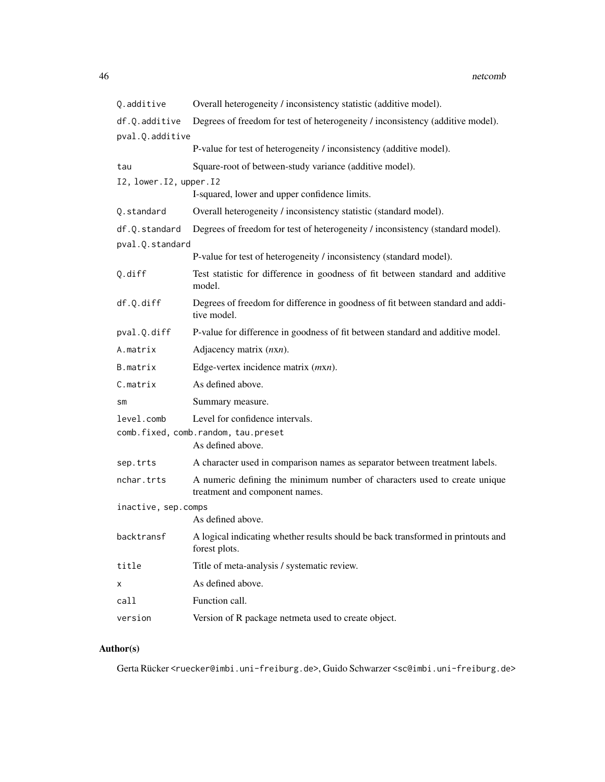| Q.additive               | Overall heterogeneity / inconsistency statistic (additive model).                                           |
|--------------------------|-------------------------------------------------------------------------------------------------------------|
| df.Q.additive            | Degrees of freedom for test of heterogeneity / inconsistency (additive model).                              |
| pval.Q.additive          |                                                                                                             |
|                          | P-value for test of heterogeneity / inconsistency (additive model).                                         |
| tau                      | Square-root of between-study variance (additive model).                                                     |
| I2, lower. I2, upper. I2 |                                                                                                             |
|                          | I-squared, lower and upper confidence limits.                                                               |
| Q.standard               | Overall heterogeneity / inconsistency statistic (standard model).                                           |
| df.Q.standard            | Degrees of freedom for test of heterogeneity / inconsistency (standard model).                              |
| pval.Q.standard          | P-value for test of heterogeneity / inconsistency (standard model).                                         |
| Q.diff                   | Test statistic for difference in goodness of fit between standard and additive                              |
|                          | model.                                                                                                      |
| df.Q.diff                | Degrees of freedom for difference in goodness of fit between standard and addi-<br>tive model.              |
| pval.Q.diff              | P-value for difference in goodness of fit between standard and additive model.                              |
| A.matrix                 | Adjacency matrix $(nxn)$ .                                                                                  |
| B.matrix                 | Edge-vertex incidence matrix ( <i>mxn</i> ).                                                                |
| C.matrix                 | As defined above.                                                                                           |
| sm                       | Summary measure.                                                                                            |
| level.comb               | Level for confidence intervals.                                                                             |
|                          | comb.fixed, comb.random, tau.preset<br>As defined above.                                                    |
| sep.trts                 | A character used in comparison names as separator between treatment labels.                                 |
| nchar.trts               | A numeric defining the minimum number of characters used to create unique<br>treatment and component names. |
| inactive, sep.comps      |                                                                                                             |
|                          | As defined above.                                                                                           |
| backtransf               | A logical indicating whether results should be back transformed in printouts and<br>forest plots.           |
| title                    | Title of meta-analysis / systematic review.                                                                 |
| Χ                        | As defined above.                                                                                           |
| call                     | Function call.                                                                                              |
| version                  | Version of R package netmeta used to create object.                                                         |

# Author(s)

Gerta Rücker <ruecker@imbi.uni-freiburg.de>, Guido Schwarzer <sc@imbi.uni-freiburg.de>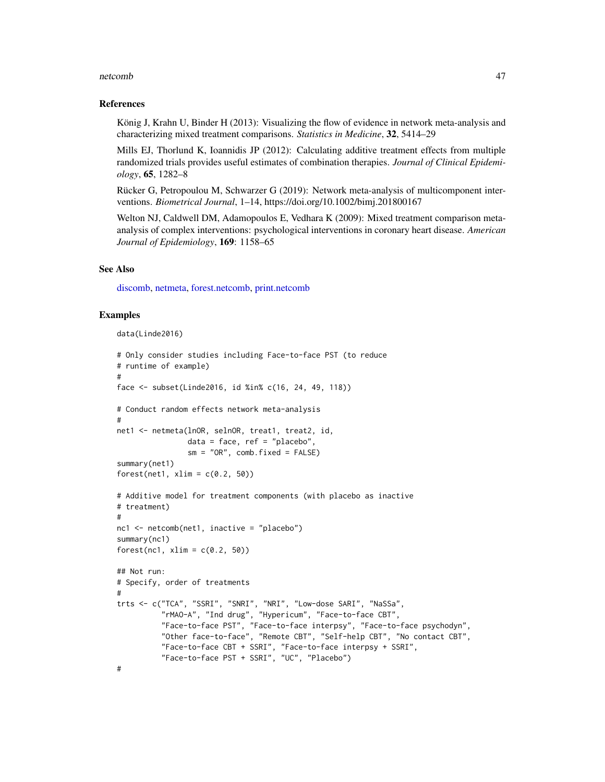#### netcomb and the contract of the contract of the contract of the contract of the contract of the contract of the contract of the contract of the contract of the contract of the contract of the contract of the contract of th

#### References

König J, Krahn U, Binder H (2013): Visualizing the flow of evidence in network meta-analysis and characterizing mixed treatment comparisons. *Statistics in Medicine*, 32, 5414–29

Mills EJ, Thorlund K, Ioannidis JP (2012): Calculating additive treatment effects from multiple randomized trials provides useful estimates of combination therapies. *Journal of Clinical Epidemiology*, 65, 1282–8

Rücker G, Petropoulou M, Schwarzer G (2019): Network meta-analysis of multicomponent interventions. *Biometrical Journal*, 1–14, https://doi.org/10.1002/bimj.201800167

Welton NJ, Caldwell DM, Adamopoulos E, Vedhara K (2009): Mixed treatment comparison metaanalysis of complex interventions: psychological interventions in coronary heart disease. *American Journal of Epidemiology*, 169: 1158–65

## See Also

[discomb,](#page-9-0) [netmeta,](#page-72-0) [forest.netcomb,](#page-19-0) [print.netcomb](#page-118-0)

```
data(Linde2016)
```

```
# Only consider studies including Face-to-face PST (to reduce
# runtime of example)
#
face <- subset(Linde2016, id %in% c(16, 24, 49, 118))
# Conduct random effects network meta-analysis
#
net1 <- netmeta(lnOR, selnOR, treat1, treat2, id,
                data = face, ref = "placebo",sm = "OR", comb.fixed = FALSE)summary(net1)
forest(net1, xlim = c(0.2, 50))
# Additive model for treatment components (with placebo as inactive
# treatment)
#
nc1 \leq netcomb(net1, inactive = "placebo")
summary(nc1)
forest(nc1, xlim = c(0.2, 50))
## Not run:
# Specify, order of treatments
#
trts <- c("TCA", "SSRI", "SNRI", "NRI", "Low-dose SARI", "NaSSa",
          "rMAO-A", "Ind drug", "Hypericum", "Face-to-face CBT",
          "Face-to-face PST", "Face-to-face interpsy", "Face-to-face psychodyn",
          "Other face-to-face", "Remote CBT", "Self-help CBT", "No contact CBT",
          "Face-to-face CBT + SSRI", "Face-to-face interpsy + SSRI",
          "Face-to-face PST + SSRI", "UC", "Placebo")
#
```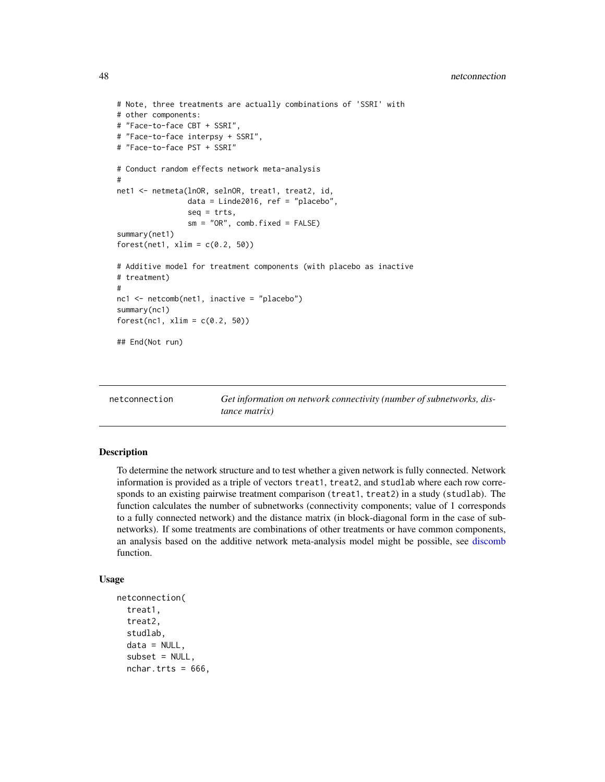```
# Note, three treatments are actually combinations of 'SSRI' with
# other components:
# "Face-to-face CBT + SSRI",
# "Face-to-face interpsy + SSRI",
# "Face-to-face PST + SSRI"
# Conduct random effects network meta-analysis
#
net1 <- netmeta(lnOR, selnOR, treat1, treat2, id,
                data = Linde2016, ref = "placebo",
                seq = trts,sm = "OR", comb.fixed = FALSE)summary(net1)
forest(net1, xlim = c(0.2, 50))
# Additive model for treatment components (with placebo as inactive
# treatment)
#
nc1 <- netcomb(net1, inactive = "placebo")
summary(nc1)
forest(nc1, xlim = c(0.2, 50))
## End(Not run)
```
<span id="page-47-0"></span>

| netconnection |  |
|---------------|--|
|               |  |

Get information on network connectivity (number of subnetworks, dis*tance matrix)*

#### Description

To determine the network structure and to test whether a given network is fully connected. Network information is provided as a triple of vectors treat1, treat2, and studlab where each row corresponds to an existing pairwise treatment comparison (treat1, treat2) in a study (studlab). The function calculates the number of subnetworks (connectivity components; value of 1 corresponds to a fully connected network) and the distance matrix (in block-diagonal form in the case of subnetworks). If some treatments are combinations of other treatments or have common components, an analysis based on the additive network meta-analysis model might be possible, see [discomb](#page-9-0) function.

#### Usage

```
netconnection(
  treat1,
  treat2,
  studlab,
  data = NULL,subset = NULL,nchar.trts = 666,
```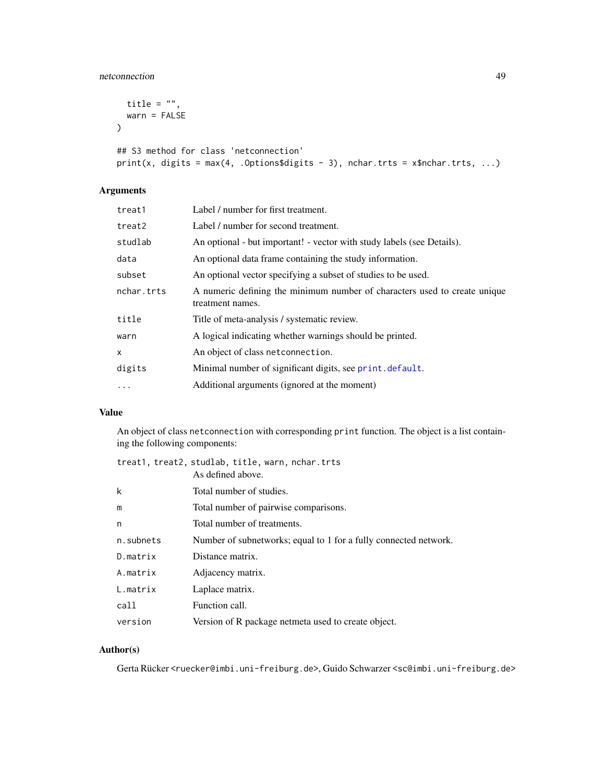# netconnection and the set of the set of the set of the set of the set of the set of the set of the set of the set of the set of the set of the set of the set of the set of the set of the set of the set of the set of the se

```
title = ",
 warn = FALSE
)
```

```
## S3 method for class 'netconnection'
print(x, \text{ digits} = \text{max}(4, \text{ .Options} \text{5 digits} - 3), \text{ nchar.} \text{ trts} = x \text{5nchar.} \text{ trts}, \dots)
```
# Arguments

| treat1     | Label / number for first treatment.                                                           |
|------------|-----------------------------------------------------------------------------------------------|
| treat2     | Label / number for second treatment.                                                          |
| studlab    | An optional - but important! - vector with study labels (see Details).                        |
| data       | An optional data frame containing the study information.                                      |
| subset     | An optional vector specifying a subset of studies to be used.                                 |
| nchar.trts | A numeric defining the minimum number of characters used to create unique<br>treatment names. |
| title      | Title of meta-analysis / systematic review.                                                   |
| warn       | A logical indicating whether warnings should be printed.                                      |
| x          | An object of class netconnection.                                                             |
| digits     | Minimal number of significant digits, see print.default.                                      |
| $\cdots$   | Additional arguments (ignored at the moment)                                                  |
|            |                                                                                               |

# Value

An object of class netconnection with corresponding print function. The object is a list containing the following components:

|           | treat1, treat2, studlab, title, warn, nchar.trts<br>As defined above. |
|-----------|-----------------------------------------------------------------------|
|           |                                                                       |
| k         | Total number of studies.                                              |
| m         | Total number of pairwise comparisons.                                 |
| n         | Total number of treatments.                                           |
| n.subnets | Number of subnetworks; equal to 1 for a fully connected network.      |
| D.matrix  | Distance matrix.                                                      |
| A.matrix  | Adjacency matrix.                                                     |
| L.matrix  | Laplace matrix.                                                       |
| call      | Function call.                                                        |
| version   | Version of R package netmeta used to create object.                   |

# Author(s)

Gerta Rücker <ruecker@imbi.uni-freiburg.de>, Guido Schwarzer <sc@imbi.uni-freiburg.de>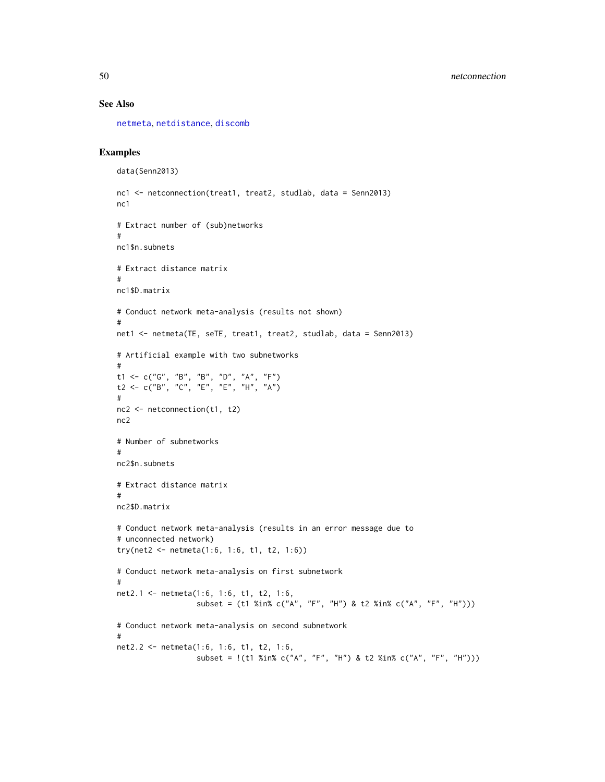#### See Also

[netmeta](#page-72-0), [netdistance](#page-50-0), [discomb](#page-9-0)

```
data(Senn2013)
nc1 <- netconnection(treat1, treat2, studlab, data = Senn2013)
nc1
# Extract number of (sub)networks
#
nc1$n.subnets
# Extract distance matrix
#
nc1$D.matrix
# Conduct network meta-analysis (results not shown)
#
net1 <- netmeta(TE, seTE, treat1, treat2, studlab, data = Senn2013)
# Artificial example with two subnetworks
#
t1 <- c("G", "B", "B", "D", "A", "F")
t2 <- c("B", "C", "E", "E", "H", "A")
#
nc2 <- netconnection(t1, t2)
nc2
# Number of subnetworks
#
nc2$n.subnets
# Extract distance matrix
#
nc2$D.matrix
# Conduct network meta-analysis (results in an error message due to
# unconnected network)
try(net2 <- netmeta(1:6, 1:6, t1, t2, 1:6))
# Conduct network meta-analysis on first subnetwork
#
net2.1 <- netmeta(1:6, 1:6, t1, t2, 1:6,
                  subset = (t1 %in% c("A", "F", "H") & t2 %in% c("A", "F", "H")))
# Conduct network meta-analysis on second subnetwork
#
net2.2 <- netmeta(1:6, 1:6, t1, t2, 1:6,
                  subset = !(t1 %in% c("A", "F", "H") & t2 %in% c("A", "F", "H")))
```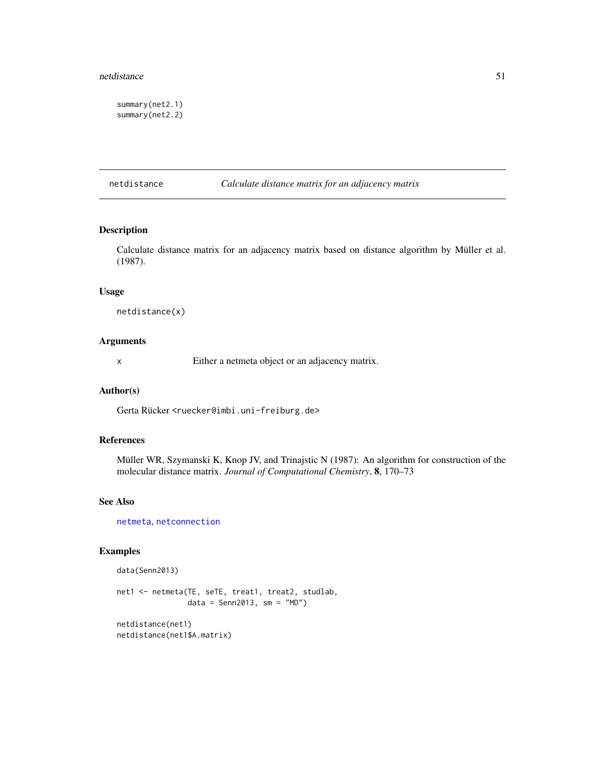#### netdistance 51

summary(net2.1) summary(net2.2)

## <span id="page-50-0"></span>netdistance *Calculate distance matrix for an adjacency matrix*

## Description

Calculate distance matrix for an adjacency matrix based on distance algorithm by Müller et al. (1987).

#### Usage

netdistance(x)

## Arguments

x Either a netmeta object or an adjacency matrix.

## Author(s)

Gerta Rücker <ruecker@imbi.uni-freiburg.de>

## References

Müller WR, Szymanski K, Knop JV, and Trinajstic N (1987): An algorithm for construction of the molecular distance matrix. *Journal of Computational Chemistry*, 8, 170–73

# See Also

[netmeta](#page-72-0), [netconnection](#page-47-0)

data(Senn2013)

```
net1 <- netmeta(TE, seTE, treat1, treat2, studlab,
                data = Senn2013, sm = "MD")
netdistance(net1)
netdistance(net1$A.matrix)
```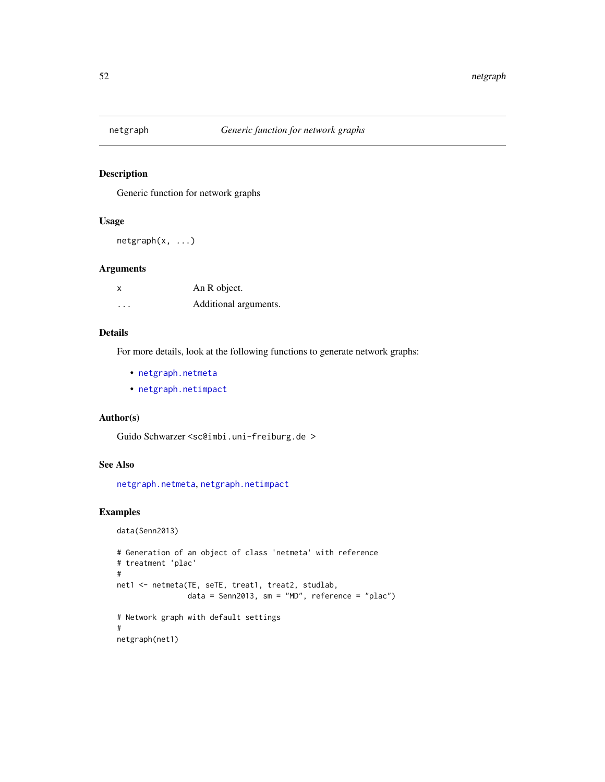# Description

Generic function for network graphs

#### Usage

netgraph(x, ...)

## Arguments

| x        | An R object.          |
|----------|-----------------------|
| $\cdots$ | Additional arguments. |

# Details

For more details, look at the following functions to generate network graphs:

- [netgraph.netmeta](#page-53-0)
- [netgraph.netimpact](#page-52-0)

# Author(s)

Guido Schwarzer <sc@imbi.uni-freiburg.de >

# See Also

[netgraph.netmeta](#page-53-0), [netgraph.netimpact](#page-52-0)

# Examples

data(Senn2013)

```
# Generation of an object of class 'netmeta' with reference
# treatment 'plac'
#
net1 <- netmeta(TE, seTE, treat1, treat2, studlab,
                data = Senn2013, sm = "MD", reference = "plac")
# Network graph with default settings
#
netgraph(net1)
```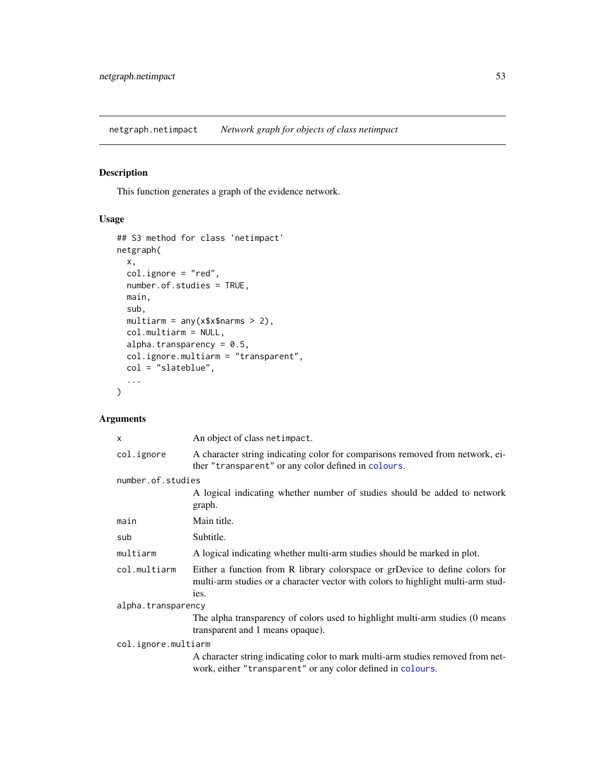<span id="page-52-0"></span>netgraph.netimpact *Network graph for objects of class netimpact*

# Description

This function generates a graph of the evidence network.

# Usage

```
## S3 method for class 'netimpact'
netgraph(
 x,
  col.ignore = "red",
 number.of.studies = TRUE,
 main,
  sub,
 multiarm = any(x$x$narms > 2),
 col.multiarm = NULL,
  alpha.transparency = 0.5,
 col.ignore.multiarm = "transparent",
 col = "slateblue",
  ...
\mathcal{L}
```
# Arguments

| An object of class netimpact.                                                                                                                                            |  |  |  |
|--------------------------------------------------------------------------------------------------------------------------------------------------------------------------|--|--|--|
| A character string indicating color for comparisons removed from network, ei-<br>ther "transparent" or any color defined in colours.                                     |  |  |  |
| number.of.studies                                                                                                                                                        |  |  |  |
| A logical indicating whether number of studies should be added to network<br>graph.                                                                                      |  |  |  |
| Main title.                                                                                                                                                              |  |  |  |
| Subtitle.                                                                                                                                                                |  |  |  |
| A logical indicating whether multi-arm studies should be marked in plot.                                                                                                 |  |  |  |
| Either a function from R library colorspace or grDevice to define colors for<br>multi-arm studies or a character vector with colors to highlight multi-arm stud-<br>ies. |  |  |  |
| alpha.transparency                                                                                                                                                       |  |  |  |
| The alpha transparency of colors used to highlight multi-arm studies (0 means<br>transparent and 1 means opaque).                                                        |  |  |  |
| col.ignore.multiarm                                                                                                                                                      |  |  |  |
| A character string indicating color to mark multi-arm studies removed from net-<br>work, either "transparent" or any color defined in colours.                           |  |  |  |
|                                                                                                                                                                          |  |  |  |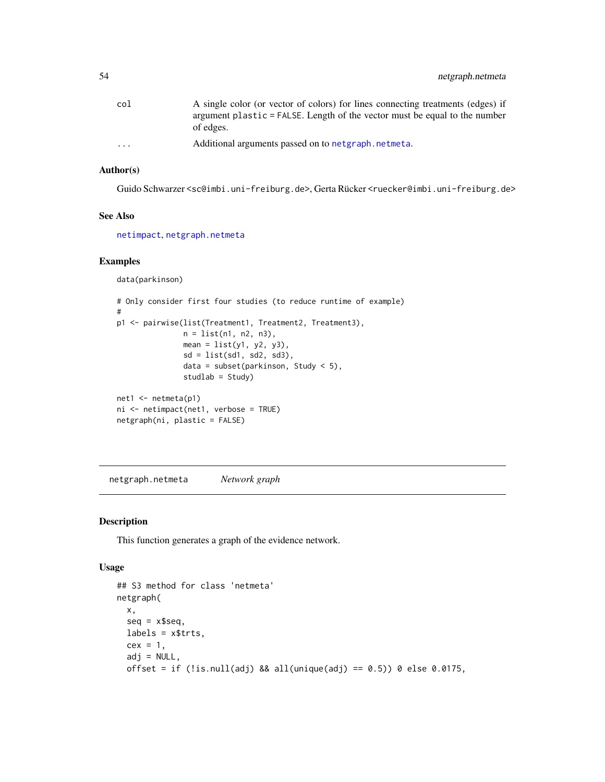| col      | A single color (or vector of colors) for lines connecting treatments (edges) if |
|----------|---------------------------------------------------------------------------------|
|          | argument plastic = FALSE. Length of the vector must be equal to the number      |
|          | of edges.                                                                       |
| $\cdots$ | Additional arguments passed on to netgraph, netmeta.                            |

# Author(s)

Guido Schwarzer <sc@imbi.uni-freiburg.de>, Gerta Rücker <ruecker@imbi.uni-freiburg.de>

## See Also

[netimpact](#page-62-0), [netgraph.netmeta](#page-53-0)

# Examples

```
data(parkinson)
```

```
# Only consider first four studies (to reduce runtime of example)
#
p1 <- pairwise(list(Treatment1, Treatment2, Treatment3),
               n = list(n1, n2, n3),mean = list(y1, y2, y3),
               sd = list(sd1, sd2, sd3),
               data = subset(parkinson, Study < 5),
               studlab = Study)
net1 <- netmeta(p1)
ni <- netimpact(net1, verbose = TRUE)
netgraph(ni, plastic = FALSE)
```
<span id="page-53-0"></span>netgraph.netmeta *Network graph*

# Description

This function generates a graph of the evidence network.

# Usage

```
## S3 method for class 'netmeta'
netgraph(
 x,
 seq = x$seq,
 labels = x$trts,cex = 1,
 adj = NULL,offset = if (!is.null(adj) && all(unique(adj) == 0.5)) 0 else 0.0175,
```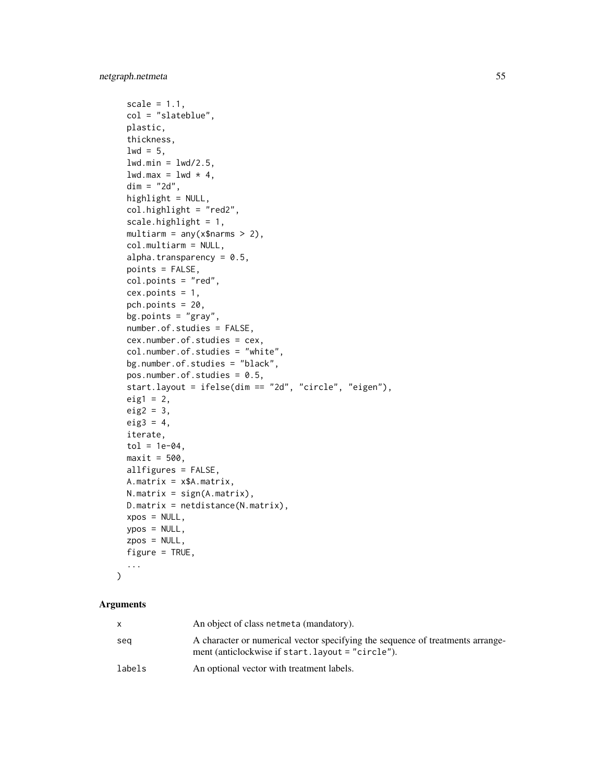```
scale = 1.1,
 col = "slateblue",
 plastic,
  thickness,
  1wd = 5,
  lwd.min = lwd/2.5,lwd.max = lwd * 4,dim = "2d",highlight = NULL,
  col.highlight = "red2",
  scale.highlight = 1,
 multiarm = any(x$narms > 2),
  col.multiarm = NULL,
  alpha.transparency = 0.5,
 points = FALSE,
  col.points = "red",
  cex.points = 1,
  pch.points = 20,
 bg.points = "gray",number.of.studies = FALSE,
  cex.number.of.studies = cex,
  col.number.of.studies = "white",
  bg.number.of.studies = "black",
  pos.number.of.studies = 0.5,
  start.layout = ifelse(dim == "2d", "circle", "eigen"),
 eig1 = 2,
 eig2 = 3,
 eig3 = 4,
  iterate,
  tol = 1e-04,maxit = 500,
 allfigures = FALSE,
 A.matrix = x$A.matrix,
 N.matrix = sign(A.matrix),
 D.matrix = netdistance(N.matrix),
 xpos = NULL,ypos = NULL,
 zpos = NULL,
  figure = TRUE,...
\mathcal{L}
```
## Arguments

|        | An object of class netmeta (mandatory).                                                                                             |
|--------|-------------------------------------------------------------------------------------------------------------------------------------|
| sea    | A character or numerical vector specifying the sequence of treatments arrange-<br>ment (anticlockwise if start. layout = "circle"). |
| labels | An optional vector with treatment labels.                                                                                           |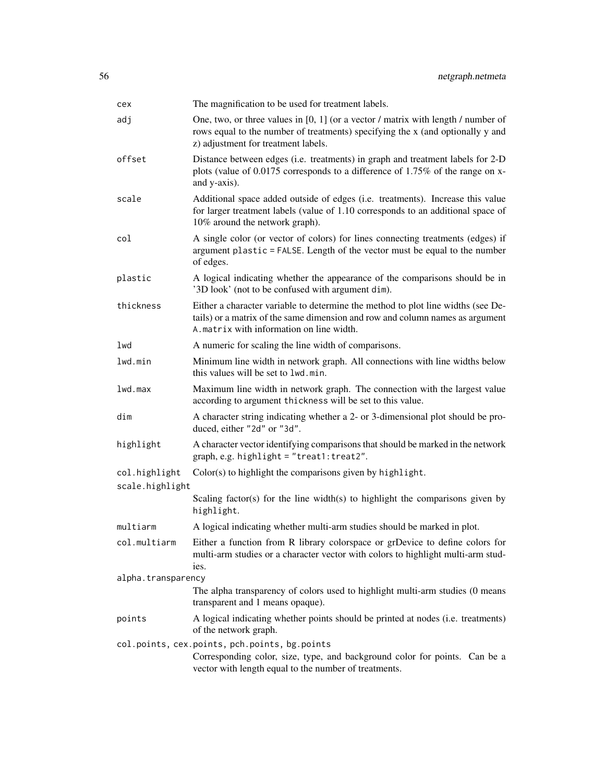| cex                | The magnification to be used for treatment labels.                                                                                                                                                             |  |  |  |  |  |
|--------------------|----------------------------------------------------------------------------------------------------------------------------------------------------------------------------------------------------------------|--|--|--|--|--|
| adj                | One, two, or three values in $[0, 1]$ (or a vector / matrix with length / number of<br>rows equal to the number of treatments) specifying the x (and optionally y and<br>z) adjustment for treatment labels.   |  |  |  |  |  |
| offset             | Distance between edges (i.e. treatments) in graph and treatment labels for 2-D<br>plots (value of 0.0175 corresponds to a difference of 1.75% of the range on x-<br>and y-axis).                               |  |  |  |  |  |
| scale              | Additional space added outside of edges (i.e. treatments). Increase this value<br>for larger treatment labels (value of 1.10 corresponds to an additional space of<br>10% around the network graph).           |  |  |  |  |  |
| col                | A single color (or vector of colors) for lines connecting treatments (edges) if<br>argument plastic = FALSE. Length of the vector must be equal to the number<br>of edges.                                     |  |  |  |  |  |
| plastic            | A logical indicating whether the appearance of the comparisons should be in<br>'3D look' (not to be confused with argument dim).                                                                               |  |  |  |  |  |
| thickness          | Either a character variable to determine the method to plot line widths (see De-<br>tails) or a matrix of the same dimension and row and column names as argument<br>A. matrix with information on line width. |  |  |  |  |  |
| lwd                | A numeric for scaling the line width of comparisons.                                                                                                                                                           |  |  |  |  |  |
| lwd.min            | Minimum line width in network graph. All connections with line widths below<br>this values will be set to lwd.min.                                                                                             |  |  |  |  |  |
| 1wd.max            | Maximum line width in network graph. The connection with the largest value<br>according to argument thickness will be set to this value.                                                                       |  |  |  |  |  |
| dim                | A character string indicating whether a 2- or 3-dimensional plot should be pro-<br>duced, either "2d" or "3d".                                                                                                 |  |  |  |  |  |
| highlight          | A character vector identifying comparisons that should be marked in the network<br>graph, e.g. highlight = "treat1: treat2".                                                                                   |  |  |  |  |  |
| col.highlight      | Color(s) to highlight the comparisons given by highlight.                                                                                                                                                      |  |  |  |  |  |
| scale.highlight    |                                                                                                                                                                                                                |  |  |  |  |  |
|                    | Scaling factor(s) for the line width(s) to highlight the comparisons given by<br>highlight.                                                                                                                    |  |  |  |  |  |
| multiarm           | A logical indicating whether multi-arm studies should be marked in plot.                                                                                                                                       |  |  |  |  |  |
| col.multiarm       | Either a function from R library colorspace or grDevice to define colors for<br>multi-arm studies or a character vector with colors to highlight multi-arm stud-<br>ies.                                       |  |  |  |  |  |
| alpha.transparency |                                                                                                                                                                                                                |  |  |  |  |  |
|                    | The alpha transparency of colors used to highlight multi-arm studies (0 means<br>transparent and 1 means opaque).                                                                                              |  |  |  |  |  |
| points             | A logical indicating whether points should be printed at nodes (i.e. treatments)<br>of the network graph.                                                                                                      |  |  |  |  |  |
|                    | col.points, cex.points, pch.points, bg.points<br>Corresponding color, size, type, and background color for points. Can be a<br>vector with length equal to the number of treatments.                           |  |  |  |  |  |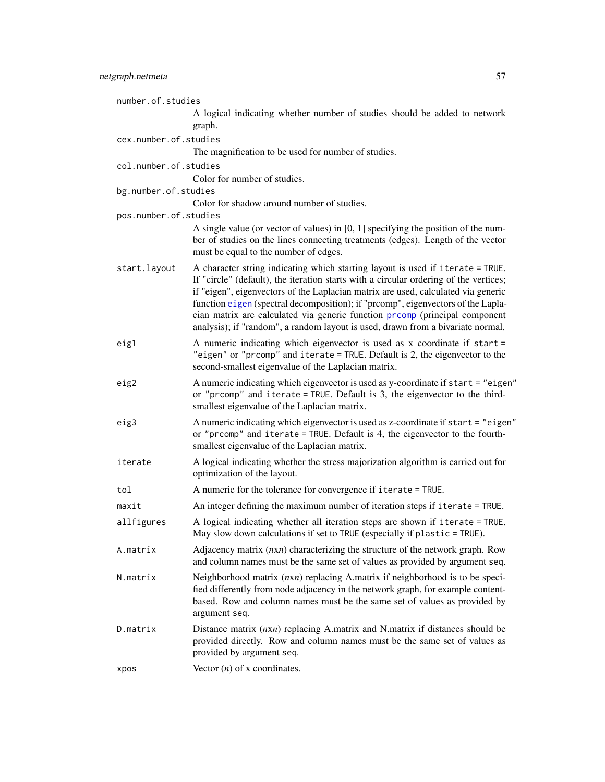| number.of.studies     |                                                                                                                                                                                                                                                                                                                                                                                                                                                                                                                    |
|-----------------------|--------------------------------------------------------------------------------------------------------------------------------------------------------------------------------------------------------------------------------------------------------------------------------------------------------------------------------------------------------------------------------------------------------------------------------------------------------------------------------------------------------------------|
|                       | A logical indicating whether number of studies should be added to network<br>graph.                                                                                                                                                                                                                                                                                                                                                                                                                                |
| cex.number.of.studies |                                                                                                                                                                                                                                                                                                                                                                                                                                                                                                                    |
|                       | The magnification to be used for number of studies.                                                                                                                                                                                                                                                                                                                                                                                                                                                                |
| col.number.of.studies |                                                                                                                                                                                                                                                                                                                                                                                                                                                                                                                    |
|                       | Color for number of studies.                                                                                                                                                                                                                                                                                                                                                                                                                                                                                       |
| bg.number.of.studies  |                                                                                                                                                                                                                                                                                                                                                                                                                                                                                                                    |
| pos.number.of.studies | Color for shadow around number of studies.                                                                                                                                                                                                                                                                                                                                                                                                                                                                         |
|                       | A single value (or vector of values) in [0, 1] specifying the position of the num-<br>ber of studies on the lines connecting treatments (edges). Length of the vector<br>must be equal to the number of edges.                                                                                                                                                                                                                                                                                                     |
| start.layout          | A character string indicating which starting layout is used if iterate = TRUE.<br>If "circle" (default), the iteration starts with a circular ordering of the vertices;<br>if "eigen", eigenvectors of the Laplacian matrix are used, calculated via generic<br>function eigen (spectral decomposition); if "prcomp", eigenvectors of the Lapla-<br>cian matrix are calculated via generic function prcomp (principal component<br>analysis); if "random", a random layout is used, drawn from a bivariate normal. |
| eig1                  | A numeric indicating which eigenvector is used as x coordinate if start =<br>"eigen" or "prcomp" and iterate = TRUE. Default is 2, the eigenvector to the<br>second-smallest eigenvalue of the Laplacian matrix.                                                                                                                                                                                                                                                                                                   |
| eig2                  | A numeric indicating which eigenvector is used as y-coordinate if start = "eigen"<br>or "prcomp" and iterate = TRUE. Default is 3, the eigenvector to the third-<br>smallest eigenvalue of the Laplacian matrix.                                                                                                                                                                                                                                                                                                   |
| eig3                  | A numeric indicating which eigenvector is used as z-coordinate if start = "eigen"<br>or "prcomp" and iterate = TRUE. Default is 4, the eigenvector to the fourth-<br>smallest eigenvalue of the Laplacian matrix.                                                                                                                                                                                                                                                                                                  |
| iterate               | A logical indicating whether the stress majorization algorithm is carried out for<br>optimization of the layout.                                                                                                                                                                                                                                                                                                                                                                                                   |
| tol                   | A numeric for the tolerance for convergence if iterate = TRUE.                                                                                                                                                                                                                                                                                                                                                                                                                                                     |
| maxit                 | An integer defining the maximum number of iteration steps if iterate = TRUE.                                                                                                                                                                                                                                                                                                                                                                                                                                       |
| allfigures            | A logical indicating whether all iteration steps are shown if iterate = TRUE.<br>May slow down calculations if set to TRUE (especially if plastic = TRUE).                                                                                                                                                                                                                                                                                                                                                         |
| A.matrix              | Adjacency matrix $(nxn)$ characterizing the structure of the network graph. Row<br>and column names must be the same set of values as provided by argument seq.                                                                                                                                                                                                                                                                                                                                                    |
| N.matrix              | Neighborhood matrix $(nxn)$ replacing A.matrix if neighborhood is to be speci-<br>fied differently from node adjacency in the network graph, for example content-<br>based. Row and column names must be the same set of values as provided by<br>argument seq.                                                                                                                                                                                                                                                    |
| D.matrix              | Distance matrix $(nxn)$ replacing A.matrix and N.matrix if distances should be<br>provided directly. Row and column names must be the same set of values as<br>provided by argument seq.                                                                                                                                                                                                                                                                                                                           |
| xpos                  | Vector $(n)$ of x coordinates.                                                                                                                                                                                                                                                                                                                                                                                                                                                                                     |
|                       |                                                                                                                                                                                                                                                                                                                                                                                                                                                                                                                    |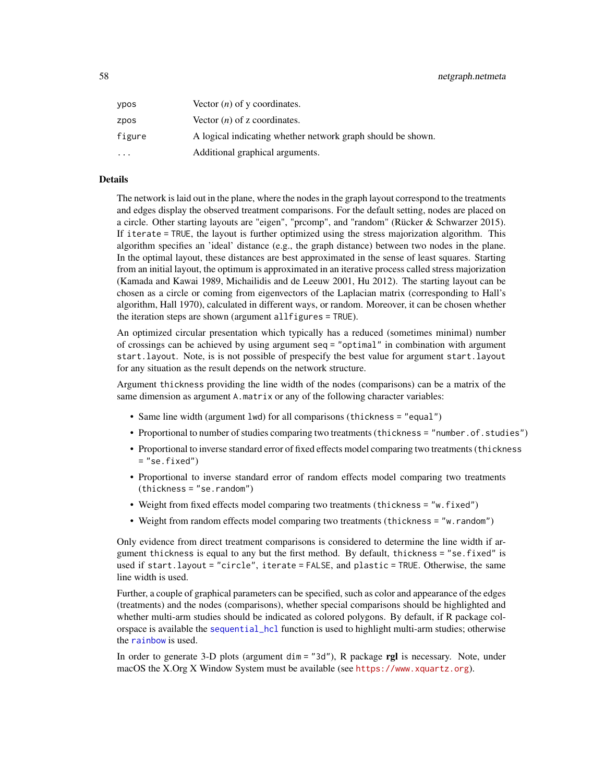| ypos      | Vector $(n)$ of y coordinates.                              |
|-----------|-------------------------------------------------------------|
| zpos      | Vector $(n)$ of z coordinates.                              |
| figure    | A logical indicating whether network graph should be shown. |
| $\ddotsc$ | Additional graphical arguments.                             |

## Details

The network is laid out in the plane, where the nodes in the graph layout correspond to the treatments and edges display the observed treatment comparisons. For the default setting, nodes are placed on a circle. Other starting layouts are "eigen", "prcomp", and "random" (Rücker & Schwarzer 2015). If iterate = TRUE, the layout is further optimized using the stress majorization algorithm. This algorithm specifies an 'ideal' distance (e.g., the graph distance) between two nodes in the plane. In the optimal layout, these distances are best approximated in the sense of least squares. Starting from an initial layout, the optimum is approximated in an iterative process called stress majorization (Kamada and Kawai 1989, Michailidis and de Leeuw 2001, Hu 2012). The starting layout can be chosen as a circle or coming from eigenvectors of the Laplacian matrix (corresponding to Hall's algorithm, Hall 1970), calculated in different ways, or random. Moreover, it can be chosen whether the iteration steps are shown (argument allfigures = TRUE).

An optimized circular presentation which typically has a reduced (sometimes minimal) number of crossings can be achieved by using argument seq = "optimal" in combination with argument start.layout. Note, is is not possible of prespecify the best value for argument start.layout for any situation as the result depends on the network structure.

Argument thickness providing the line width of the nodes (comparisons) can be a matrix of the same dimension as argument A.matrix or any of the following character variables:

- Same line width (argument lwd) for all comparisons (thickness = "equal")
- Proportional to number of studies comparing two treatments (thickness = "number.of.studies")
- Proportional to inverse standard error of fixed effects model comparing two treatments (thickness  $=$  "se.fixed")
- Proportional to inverse standard error of random effects model comparing two treatments (thickness = "se.random")
- Weight from fixed effects model comparing two treatments (thickness = "w.fixed")
- Weight from random effects model comparing two treatments (thickness = "w.random")

Only evidence from direct treatment comparisons is considered to determine the line width if argument thickness is equal to any but the first method. By default, thickness = "se.fixed" is used if start.layout = "circle", iterate = FALSE, and plastic = TRUE. Otherwise, the same line width is used.

Further, a couple of graphical parameters can be specified, such as color and appearance of the edges (treatments) and the nodes (comparisons), whether special comparisons should be highlighted and whether multi-arm studies should be indicated as colored polygons. By default, if R package colorspace is available the [sequential\\_hcl](#page-0-0) function is used to highlight multi-arm studies; otherwise the [rainbow](#page-0-0) is used.

In order to generate 3-D plots (argument dim = "3d"), R package rgl is necessary. Note, under macOS the X.Org X Window System must be available (see <https://www.xquartz.org>).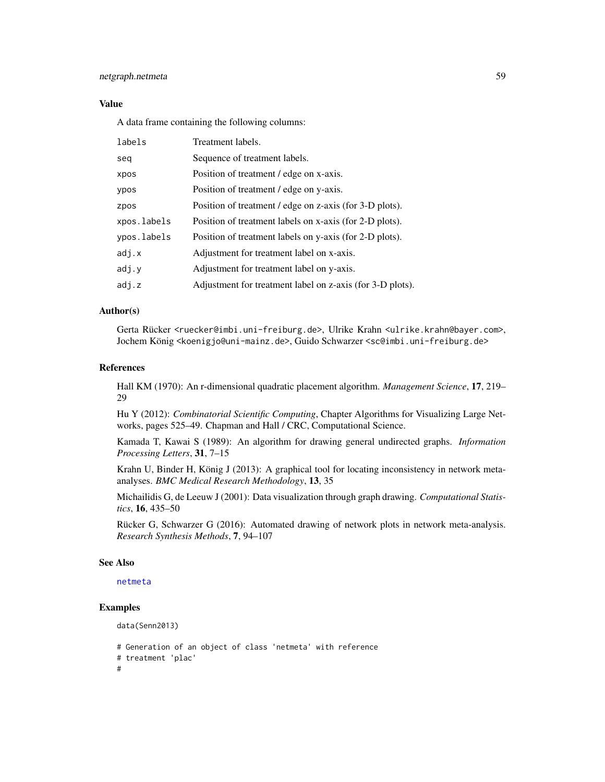# netgraph.netmeta 59

## Value

A data frame containing the following columns:

| labels      | Treatment labels.                                         |
|-------------|-----------------------------------------------------------|
| seg         | Sequence of treatment labels.                             |
| xpos        | Position of treatment / edge on x-axis.                   |
| ypos        | Position of treatment / edge on y-axis.                   |
| zpos        | Position of treatment / edge on z-axis (for 3-D plots).   |
| xpos.labels | Position of treatment labels on x-axis (for 2-D plots).   |
| ypos.labels | Position of treatment labels on y-axis (for 2-D plots).   |
| adj.x       | Adjustment for treatment label on x-axis.                 |
| adj.y       | Adjustment for treatment label on y-axis.                 |
| adj.z       | Adjustment for treatment label on z-axis (for 3-D plots). |

# Author(s)

Gerta Rücker <ruecker@imbi.uni-freiburg.de>, Ulrike Krahn <ulrike.krahn@bayer.com>, Jochem König <koenigjo@uni-mainz.de>, Guido Schwarzer <sc@imbi.uni-freiburg.de>

#### References

Hall KM (1970): An r-dimensional quadratic placement algorithm. *Management Science*, 17, 219– 29

Hu Y (2012): *Combinatorial Scientific Computing*, Chapter Algorithms for Visualizing Large Networks, pages 525–49. Chapman and Hall / CRC, Computational Science.

Kamada T, Kawai S (1989): An algorithm for drawing general undirected graphs. *Information Processing Letters*, 31, 7–15

Krahn U, Binder H, König J (2013): A graphical tool for locating inconsistency in network metaanalyses. *BMC Medical Research Methodology*, 13, 35

Michailidis G, de Leeuw J (2001): Data visualization through graph drawing. *Computational Statistics*, 16, 435–50

Rücker G, Schwarzer G (2016): Automated drawing of network plots in network meta-analysis. *Research Synthesis Methods*, 7, 94–107

#### See Also

[netmeta](#page-72-0)

```
data(Senn2013)
```

```
# Generation of an object of class 'netmeta' with reference
# treatment 'plac'
```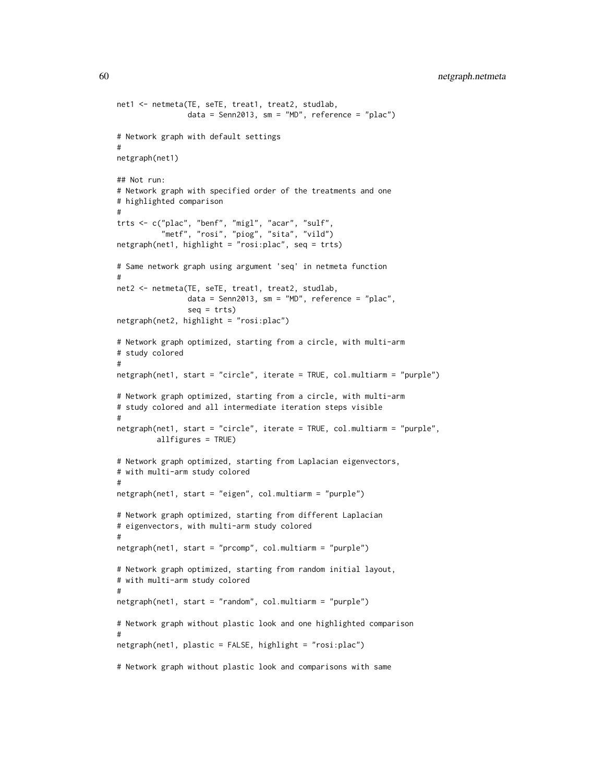60 netgraph.netmeta

```
net1 <- netmeta(TE, seTE, treat1, treat2, studlab,
                data = Senn2013, sm = "MD", reference = "plac")
# Network graph with default settings
#
netgraph(net1)
## Not run:
# Network graph with specified order of the treatments and one
# highlighted comparison
#
trts <- c("plac", "benf", "migl", "acar", "sulf",
          "metf", "rosi", "piog", "sita", "vild")
netgraph(net1, highlight = "rosi: plac", seq = trts)# Same network graph using argument 'seq' in netmeta function
#
net2 <- netmeta(TE, seTE, treat1, treat2, studlab,
                data = Senn2013, sm = "MD", reference = "plac",seq = trts)netgraph(net2, highlight = "rosi:plac")
# Network graph optimized, starting from a circle, with multi-arm
# study colored
#
netgraph(net1, start = "circle", iterate = TRUE, col.multiarm = "purple")
# Network graph optimized, starting from a circle, with multi-arm
# study colored and all intermediate iteration steps visible
#
netgraph(net1, start = "circle", iterate = TRUE, col.multiarm = "purple",
         allfigures = TRUE)
# Network graph optimized, starting from Laplacian eigenvectors,
# with multi-arm study colored
#
netgraph(net1, start = "eigen", col.multiarm = "purple")
# Network graph optimized, starting from different Laplacian
# eigenvectors, with multi-arm study colored
#
netgraph(net1, start = "prcomp", col.multiarm = "purple")
# Network graph optimized, starting from random initial layout,
# with multi-arm study colored
#
netgraph(net1, start = "random", col.multiarm = "purple")
# Network graph without plastic look and one highlighted comparison
#
netgraph(net1, plastic = FALSE, highlight = "rosi:plac")
# Network graph without plastic look and comparisons with same
```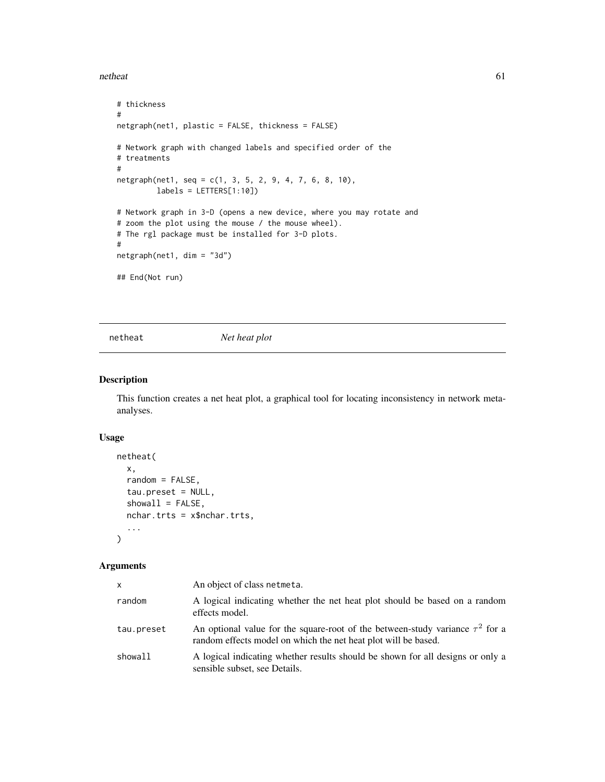#### netheat 61

```
# thickness
#
netgraph(net1, plastic = FALSE, thickness = FALSE)
# Network graph with changed labels and specified order of the
# treatments
#
netgraph(net1, seq = c(1, 3, 5, 2, 9, 4, 7, 6, 8, 10),
        labels = LETTERS[1:10])# Network graph in 3-D (opens a new device, where you may rotate and
# zoom the plot using the mouse / the mouse wheel).
# The rgl package must be installed for 3-D plots.
#
netgraph(net1, dim = "3d")
## End(Not run)
```
netheat *Net heat plot*

# Description

This function creates a net heat plot, a graphical tool for locating inconsistency in network metaanalyses.

## Usage

```
netheat(
  x,
  random = FALSE,
  tau.preset = NULL,
  showall = FALSE,nchar.trts = x$nchar.trts,
  ...
\mathcal{L}
```
## Arguments

| x          | An object of class netmeta.                                                                                                                          |
|------------|------------------------------------------------------------------------------------------------------------------------------------------------------|
| random     | A logical indicating whether the net heat plot should be based on a random<br>effects model.                                                         |
| tau.preset | An optional value for the square-root of the between-study variance $\tau^2$ for a<br>random effects model on which the net heat plot will be based. |
| showall    | A logical indicating whether results should be shown for all designs or only a<br>sensible subset, see Details.                                      |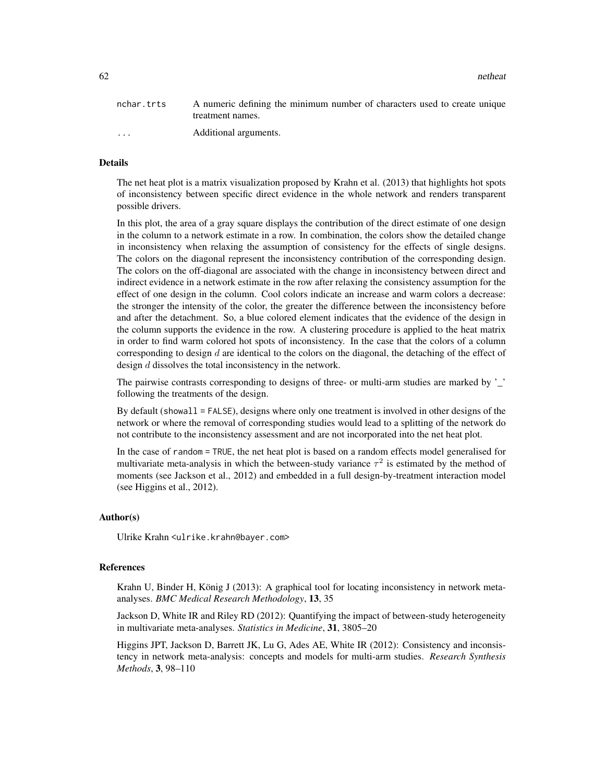62 netheat **62** netheat **62** netheat **62** netheat **62** netheat **63** netheat **63** netheat

| nchar.trts | A numeric defining the minimum number of characters used to create unique |
|------------|---------------------------------------------------------------------------|
|            | treatment names.                                                          |
| $\cdot$    | Additional arguments.                                                     |

# Details

The net heat plot is a matrix visualization proposed by Krahn et al. (2013) that highlights hot spots of inconsistency between specific direct evidence in the whole network and renders transparent possible drivers.

In this plot, the area of a gray square displays the contribution of the direct estimate of one design in the column to a network estimate in a row. In combination, the colors show the detailed change in inconsistency when relaxing the assumption of consistency for the effects of single designs. The colors on the diagonal represent the inconsistency contribution of the corresponding design. The colors on the off-diagonal are associated with the change in inconsistency between direct and indirect evidence in a network estimate in the row after relaxing the consistency assumption for the effect of one design in the column. Cool colors indicate an increase and warm colors a decrease: the stronger the intensity of the color, the greater the difference between the inconsistency before and after the detachment. So, a blue colored element indicates that the evidence of the design in the column supports the evidence in the row. A clustering procedure is applied to the heat matrix in order to find warm colored hot spots of inconsistency. In the case that the colors of a column corresponding to design  $d$  are identical to the colors on the diagonal, the detaching of the effect of design d dissolves the total inconsistency in the network.

The pairwise contrasts corresponding to designs of three- or multi-arm studies are marked by '\_' following the treatments of the design.

By default (showall = FALSE), designs where only one treatment is involved in other designs of the network or where the removal of corresponding studies would lead to a splitting of the network do not contribute to the inconsistency assessment and are not incorporated into the net heat plot.

In the case of random = TRUE, the net heat plot is based on a random effects model generalised for multivariate meta-analysis in which the between-study variance  $\tau^2$  is estimated by the method of moments (see Jackson et al., 2012) and embedded in a full design-by-treatment interaction model (see Higgins et al., 2012).

#### Author(s)

Ulrike Krahn <ulrike.krahn@bayer.com>

#### References

Krahn U, Binder H, König J (2013): A graphical tool for locating inconsistency in network metaanalyses. *BMC Medical Research Methodology*, 13, 35

Jackson D, White IR and Riley RD (2012): Quantifying the impact of between-study heterogeneity in multivariate meta-analyses. *Statistics in Medicine*, 31, 3805–20

Higgins JPT, Jackson D, Barrett JK, Lu G, Ades AE, White IR (2012): Consistency and inconsistency in network meta-analysis: concepts and models for multi-arm studies. *Research Synthesis Methods*, 3, 98–110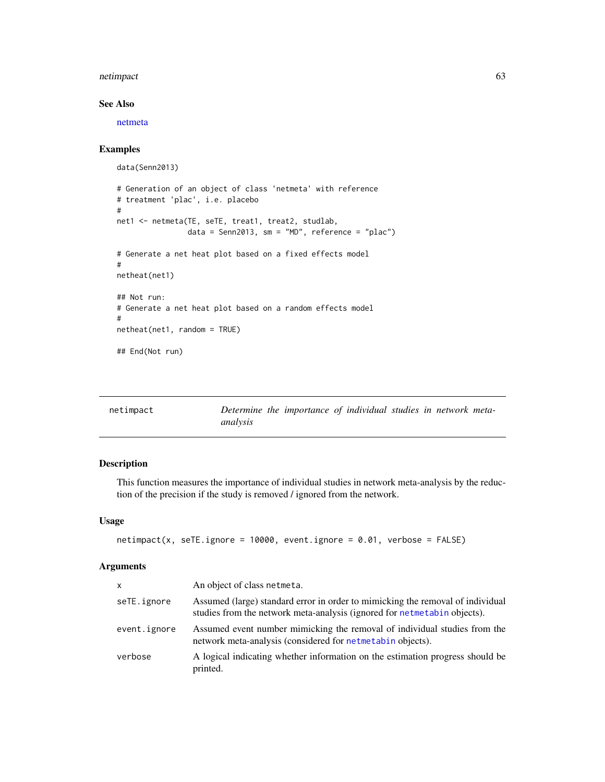#### netimpact 63

# See Also

[netmeta](#page-72-0)

# Examples

```
data(Senn2013)
# Generation of an object of class 'netmeta' with reference
# treatment 'plac', i.e. placebo
#
net1 <- netmeta(TE, seTE, treat1, treat2, studlab,
                data = Senn2013, sm = "MD", reference = "plac")
# Generate a net heat plot based on a fixed effects model
#
netheat(net1)
## Not run:
# Generate a net heat plot based on a random effects model
#
netheat(net1, random = TRUE)
## End(Not run)
```
<span id="page-62-0"></span>

| netimpact |          | Determine the importance of individual studies in network meta- |  |  |  |
|-----------|----------|-----------------------------------------------------------------|--|--|--|
|           | analysis |                                                                 |  |  |  |

# Description

This function measures the importance of individual studies in network meta-analysis by the reduction of the precision if the study is removed / ignored from the network.

# Usage

```
netimpact(x, seTE.jpg = 10000, event.ignore = 0.01, verbose = FALSE)
```
## Arguments

| $\mathsf{x}$ | An object of class netmeta.                                                                                                                                |
|--------------|------------------------------------------------------------------------------------------------------------------------------------------------------------|
| seTE.ignore  | Assumed (large) standard error in order to mimicking the removal of individual<br>studies from the network meta-analysis (ignored for netmetabin objects). |
| event.ignore | Assumed event number mimicking the removal of individual studies from the<br>network meta-analysis (considered for net metabin objects).                   |
| verbose      | A logical indicating whether information on the estimation progress should be<br>printed.                                                                  |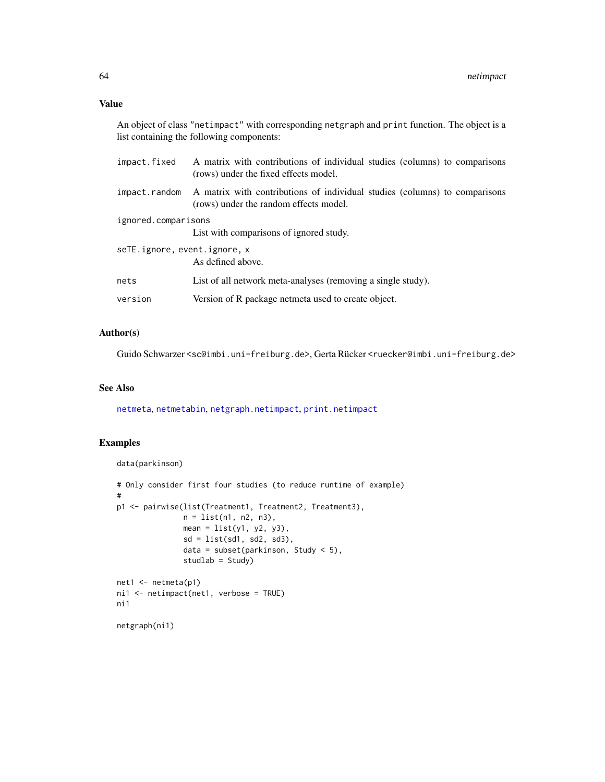An object of class "netimpact" with corresponding netgraph and print function. The object is a list containing the following components:

| impact.fixed                 | A matrix with contributions of individual studies (columns) to comparisons<br>(rows) under the fixed effects model.  |  |  |  |  |  |  |
|------------------------------|----------------------------------------------------------------------------------------------------------------------|--|--|--|--|--|--|
| impact.random                | A matrix with contributions of individual studies (columns) to comparisons<br>(rows) under the random effects model. |  |  |  |  |  |  |
| ignored.comparisons          |                                                                                                                      |  |  |  |  |  |  |
|                              | List with comparisons of ignored study.                                                                              |  |  |  |  |  |  |
| seTE.ignore, event.ignore, x |                                                                                                                      |  |  |  |  |  |  |
|                              | As defined above.                                                                                                    |  |  |  |  |  |  |
| nets                         | List of all network meta-analyses (removing a single study).                                                         |  |  |  |  |  |  |
| version                      | Version of R package netmeta used to create object.                                                                  |  |  |  |  |  |  |

## Author(s)

Guido Schwarzer <sc@imbi.uni-freiburg.de>, Gerta Rücker <ruecker@imbi.uni-freiburg.de>

# See Also

[netmeta](#page-72-0), [netmetabin](#page-81-0), [netgraph.netimpact](#page-52-0), [print.netimpact](#page-120-0)

```
data(parkinson)
# Only consider first four studies (to reduce runtime of example)
#
p1 <- pairwise(list(Treatment1, Treatment2, Treatment3),
               n = list(n1, n2, n3),
              mean = list(y1, y2, y3),
               sd = list(sd1, sd2, sd3),data = subset(parkinson, Study < 5),
               studlab = Study)
net1 <- netmeta(p1)
ni1 <- netimpact(net1, verbose = TRUE)
ni1
netgraph(ni1)
```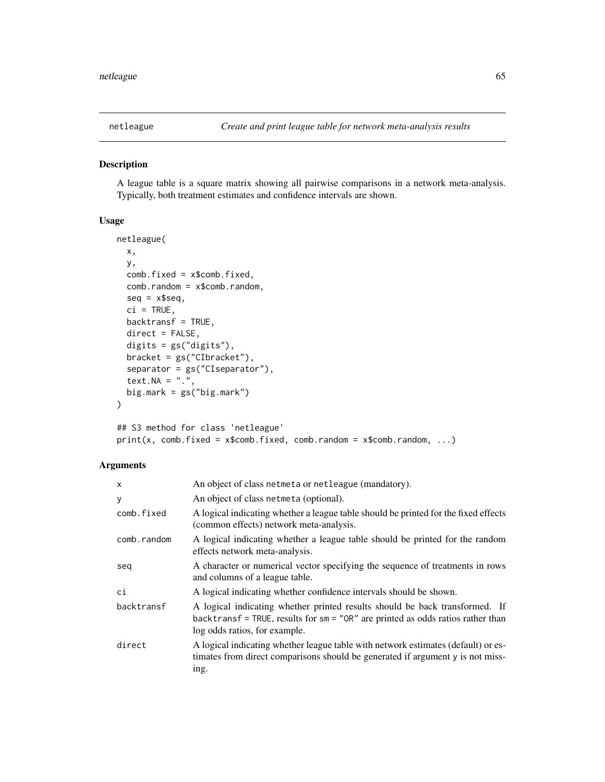## Description

A league table is a square matrix showing all pairwise comparisons in a network meta-analysis. Typically, both treatment estimates and confidence intervals are shown.

## Usage

```
netleague(
 x,
 y,
 comb.fixed = x$comb.fixed,
  comb.random = x$comb.random,seq = x$seq,
 ci = TRUE,backtransf = TRUE,
 direct = FALSE,digits = gs("digits"),
 bracket = gs("CIbracket"),
  separator = gs("CIseparator"),
  text. NA = "."big.mark = gs("big.max"))
```

```
## S3 method for class 'netleague'
print(x, comb.fixed = x$comb.fixed, comb.random = x$comb.random, ...)
```
# Arguments

| X           | An object of class netmeta or netleague (mandatory).                                                                                                                                              |
|-------------|---------------------------------------------------------------------------------------------------------------------------------------------------------------------------------------------------|
| у           | An object of class netmeta (optional).                                                                                                                                                            |
| comb.fixed  | A logical indicating whether a league table should be printed for the fixed effects<br>(common effects) network meta-analysis.                                                                    |
| comb.random | A logical indicating whether a league table should be printed for the random<br>effects network meta-analysis.                                                                                    |
| seq         | A character or numerical vector specifying the sequence of treatments in rows<br>and columns of a league table.                                                                                   |
| сi          | A logical indicating whether confidence intervals should be shown.                                                                                                                                |
| backtransf  | A logical indicating whether printed results should be back transformed. If<br>backtransf = TRUE, results for $sm = "OR"$ are printed as odds ratios rather than<br>log odds ratios, for example. |
| direct      | A logical indicating whether league table with network estimates (default) or es-<br>timates from direct comparisons should be generated if argument y is not miss-<br>ing.                       |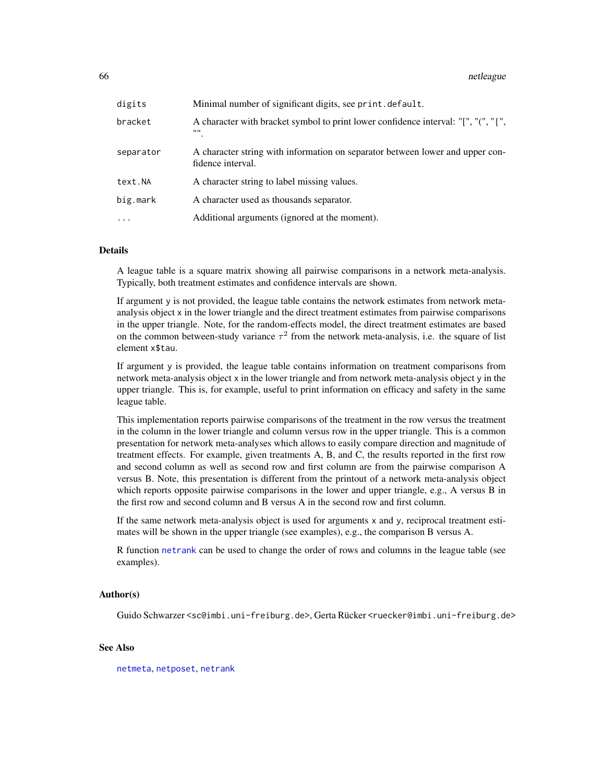#### 66 netleague

| digits    | Minimal number of significant digits, see print.default.                                           |
|-----------|----------------------------------------------------------------------------------------------------|
| bracket   | A character with bracket symbol to print lower confidence interval: "[", "(", "{",<br>,,,,         |
| separator | A character string with information on separator between lower and upper con-<br>fidence interval. |
| text.NA   | A character string to label missing values.                                                        |
| big.mark  | A character used as thousands separator.                                                           |
| $\cdot$   | Additional arguments (ignored at the moment).                                                      |

## Details

A league table is a square matrix showing all pairwise comparisons in a network meta-analysis. Typically, both treatment estimates and confidence intervals are shown.

If argument y is not provided, the league table contains the network estimates from network metaanalysis object x in the lower triangle and the direct treatment estimates from pairwise comparisons in the upper triangle. Note, for the random-effects model, the direct treatment estimates are based on the common between-study variance  $\tau^2$  from the network meta-analysis, i.e. the square of list element x\$tau.

If argument y is provided, the league table contains information on treatment comparisons from network meta-analysis object x in the lower triangle and from network meta-analysis object y in the upper triangle. This is, for example, useful to print information on efficacy and safety in the same league table.

This implementation reports pairwise comparisons of the treatment in the row versus the treatment in the column in the lower triangle and column versus row in the upper triangle. This is a common presentation for network meta-analyses which allows to easily compare direction and magnitude of treatment effects. For example, given treatments A, B, and C, the results reported in the first row and second column as well as second row and first column are from the pairwise comparison A versus B. Note, this presentation is different from the printout of a network meta-analysis object which reports opposite pairwise comparisons in the lower and upper triangle, e.g., A versus B in the first row and second column and B versus A in the second row and first column.

If the same network meta-analysis object is used for arguments x and y, reciprocal treatment estimates will be shown in the upper triangle (see examples), e.g., the comparison B versus A.

R function [netrank](#page-93-0) can be used to change the order of rows and columns in the league table (see examples).

#### Author(s)

Guido Schwarzer <sc@imbi.uni-freiburg.de>, Gerta Rücker <ruecker@imbi.uni-freiburg.de>

# See Also

[netmeta](#page-72-0), [netposet](#page-88-0), [netrank](#page-93-0)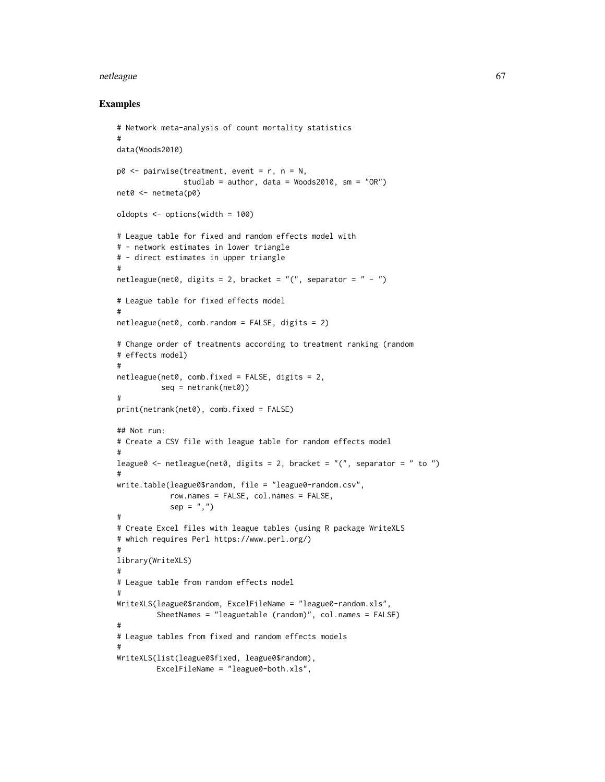#### netleague 67 ann an Company and the company of the company of the company of the company of the company of the company of the company of the company of the company of the company of the company of the company of the compan

```
# Network meta-analysis of count mortality statistics
#
data(Woods2010)
p0 \leq - pairwise(treatment, event = r, n = N,
               studlab = author, data = Woods2010, sm = "OR")
net0 <- netmeta(p0)
oldopts <- options(width = 100)
# League table for fixed and random effects model with
# - network estimates in lower triangle
# - direct estimates in upper triangle
#
netleague(net0, digits = 2, bracket = "(", separator = " - "")# League table for fixed effects model
#
netleague(net0, comb.random = FALSE, digits = 2)# Change order of treatments according to treatment ranking (random
# effects model)
#
netleague(net0, comb.fixed = FALSE, digits = 2,
          seq = netrank(net0)#
print(netrank(net0), comb.fixed = FALSE)
## Not run:
# Create a CSV file with league table for random effects model
#
league0 <- netleague(net0, digits = 2, bracket = "(", separator = " to ")
#
write.table(league0$random, file = "league0-random.csv",
            row.names = FALSE, col.names = FALSE,
            sep = ","')#
# Create Excel files with league tables (using R package WriteXLS
# which requires Perl https://www.perl.org/)
#
library(WriteXLS)
#
# League table from random effects model
#
WriteXLS(league0$random, ExcelFileName = "league0-random.xls",
         SheetNames = "leaguetable (random)", col.names = FALSE)
#
# League tables from fixed and random effects models
#
WriteXLS(list(league0$fixed, league0$random),
         ExcelFileName = "league0-both.xls",
```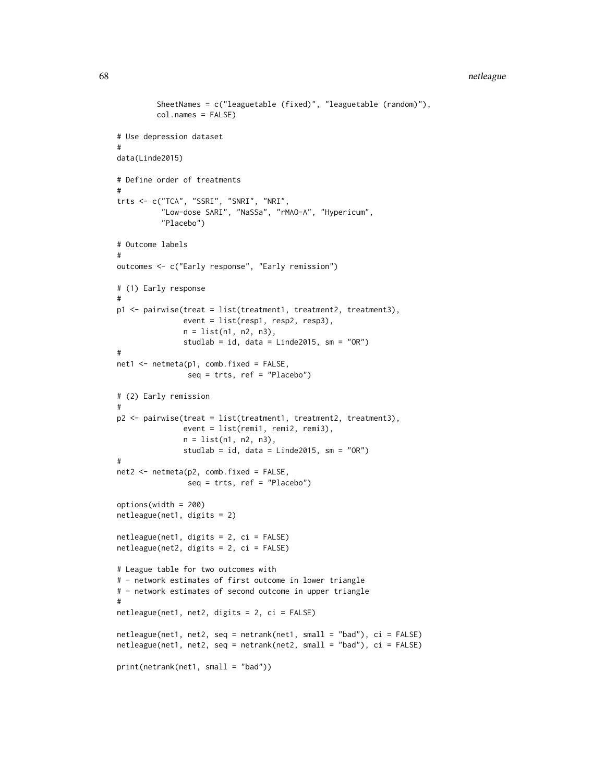```
SheetNames = c("leaguetable (fixed)", "leaguetable (random)"),
         col.names = FALSE)
# Use depression dataset
#
data(Linde2015)
# Define order of treatments
#
trts <- c("TCA", "SSRI", "SNRI", "NRI",
          "Low-dose SARI", "NaSSa", "rMAO-A", "Hypericum",
          "Placebo")
# Outcome labels
#
outcomes <- c("Early response", "Early remission")
# (1) Early response
#
p1 <- pairwise(treat = list(treatment1, treatment2, treatment3),
               event = list(resp1, resp2, resp3),
               n = list(n1, n2, n3),
               studlab = id, data = Linde2015, sm = "OR")
#
net1 <- netmeta(p1, comb.fixed = FALSE,
                seq = trts, ref = "Placebo")
# (2) Early remission
#
p2 <- pairwise(treat = list(treatment1, treatment2, treatment3),
               event = list(remi1, remi2, remi3),
               n = list(n1, n2, n3),
               studlab = id, data = Linde2015, sm = "OR")#
net2 <- netmeta(p2, comb.fixed = FALSE,
                seq = trts, ref = "Placebo")
options(width = 200)
netleague(net1, digits = 2)
netleague(net1, digits = 2, ci = FALSE)
netleague(net2, digits = 2, ci = FALSE)
# League table for two outcomes with
# - network estimates of first outcome in lower triangle
# - network estimates of second outcome in upper triangle
#
netleague(net1, net2, digits = 2, ci = FALSE)
netleague(net1, net2, seq = netrank(net1, small = "bad"), ci = FALSE)
netleague(net1, net2, seq = netrank(net2, small = "bad"), ci = FALSE)
print(netrank(net1, small = "bad"))
```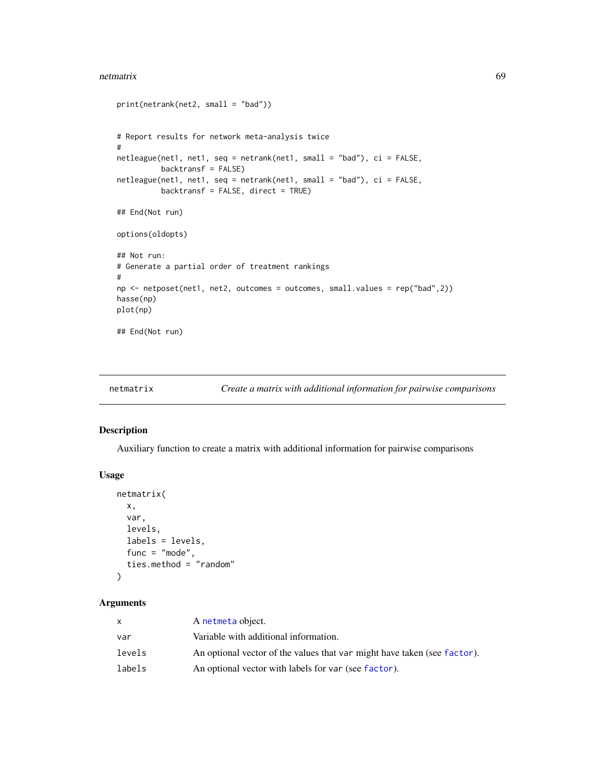#### netmatrix 69

```
print(netrank(net2, small = "bad"))
# Report results for network meta-analysis twice
#
netleague(net1, net1, seq = netrank(net1, small = "bad"), ci = FALSE,
          backtransf = FALSE)
netleague(net1, net1, seq = netrank(net1, small = "bad"), ci = FALSE,
          backtransf = FALSE, direct = TRUE)
## End(Not run)
options(oldopts)
## Not run:
# Generate a partial order of treatment rankings
#
np <- netposet(net1, net2, outcomes = outcomes, small.values = rep("bad",2))
hasse(np)
plot(np)
## End(Not run)
```

```
netmatrix Create a matrix with additional information for pairwise comparisons
```
# Description

Auxiliary function to create a matrix with additional information for pairwise comparisons

## Usage

```
netmatrix(
  x,
  var,
  levels,
  labels = levels,
  func = "mode",
  ties.method = "random"
\mathcal{L}
```
# Arguments

|        | A netmeta object.                                                        |
|--------|--------------------------------------------------------------------------|
| var    | Variable with additional information.                                    |
| levels | An optional vector of the values that var might have taken (see factor). |
| labels | An optional vector with labels for var (see factor).                     |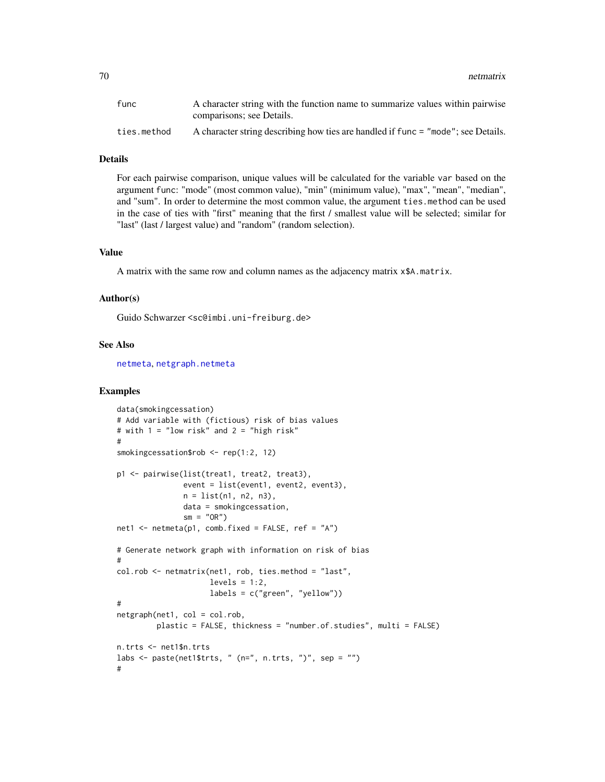| func        | A character string with the function name to summarize values within pairwise     |
|-------------|-----------------------------------------------------------------------------------|
|             | comparisons; see Details.                                                         |
| ties.method | A character string describing how ties are handled if func = "mode"; see Details. |

#### Details

For each pairwise comparison, unique values will be calculated for the variable var based on the argument func: "mode" (most common value), "min" (minimum value), "max", "mean", "median", and "sum". In order to determine the most common value, the argument ties.method can be used in the case of ties with "first" meaning that the first / smallest value will be selected; similar for "last" (last / largest value) and "random" (random selection).

#### Value

A matrix with the same row and column names as the adjacency matrix x\$A.matrix.

## Author(s)

Guido Schwarzer <sc@imbi.uni-freiburg.de>

## See Also

[netmeta](#page-72-0), [netgraph.netmeta](#page-53-0)

```
data(smokingcessation)
# Add variable with (fictious) risk of bias values
# with 1 = "low risk" and 2 = "high risk"
#
smokingcessation$rob <- rep(1:2, 12)
p1 <- pairwise(list(treat1, treat2, treat3),
               event = list(event1, event2, event3),
               n = list(n1, n2, n3),
               data = smokingcessation,
               sm = "OR")net1 < - netmeta(p1, comb.fixed = FALSE, ref = "A")
# Generate network graph with information on risk of bias
#
col.rob <- netmatrix(net1, rob, ties.method = "last",
                     levels = 1:2,
                     labels = c("green", "yellow"))
#
netgraph(net1, col = col.rob,
         plastic = FALSE, thickness = "number.of.studies", multi = FALSE)
n.trts <- net1$n.trts
labs \leq paste(net1$trts, " (n=", n.trts, ")", sep = "")
#
```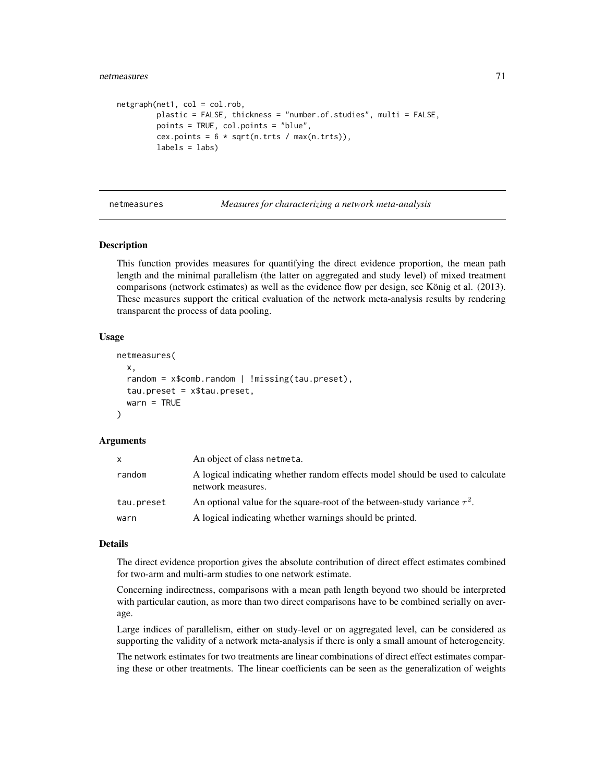```
netgraph(net1, col = col.rob,
        plastic = FALSE, thickness = "number.of.studies", multi = FALSE,
        points = TRUE, col.points = "blue",
        cex.points = 6 * sqrt(n.trts / max(n.trts)),labels = labs)
```
netmeasures *Measures for characterizing a network meta-analysis*

## Description

This function provides measures for quantifying the direct evidence proportion, the mean path length and the minimal parallelism (the latter on aggregated and study level) of mixed treatment comparisons (network estimates) as well as the evidence flow per design, see König et al. (2013). These measures support the critical evaluation of the network meta-analysis results by rendering transparent the process of data pooling.

#### Usage

```
netmeasures(
  x,
  random = x$comb.random | !missing(tau.preset),
  tau.preset = x$tau.preset,
  warn = TRUE
)
```
## Arguments

| x          | An object of class netmeta.                                                                        |
|------------|----------------------------------------------------------------------------------------------------|
| random     | A logical indicating whether random effects model should be used to calculate<br>network measures. |
| tau.preset | An optional value for the square-root of the between-study variance $\tau^2$ .                     |
| warn       | A logical indicating whether warnings should be printed.                                           |

#### Details

The direct evidence proportion gives the absolute contribution of direct effect estimates combined for two-arm and multi-arm studies to one network estimate.

Concerning indirectness, comparisons with a mean path length beyond two should be interpreted with particular caution, as more than two direct comparisons have to be combined serially on average.

Large indices of parallelism, either on study-level or on aggregated level, can be considered as supporting the validity of a network meta-analysis if there is only a small amount of heterogeneity.

The network estimates for two treatments are linear combinations of direct effect estimates comparing these or other treatments. The linear coefficients can be seen as the generalization of weights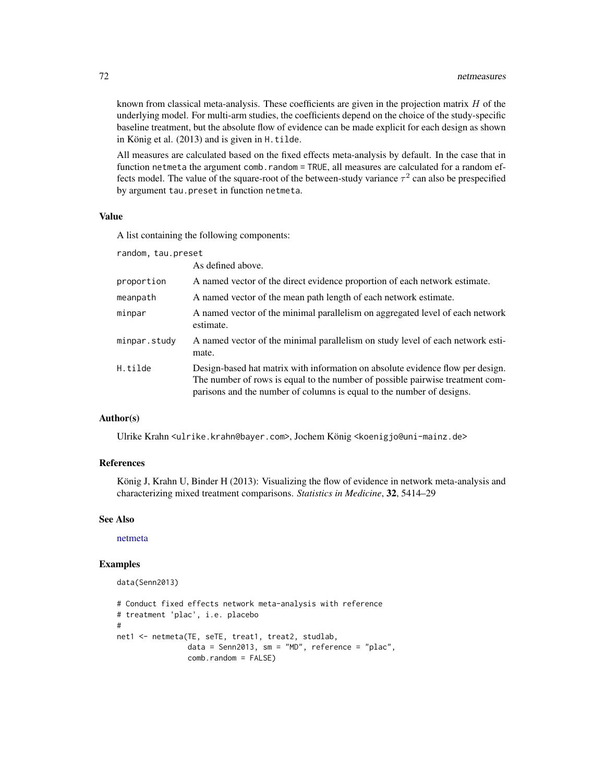known from classical meta-analysis. These coefficients are given in the projection matrix  $H$  of the underlying model. For multi-arm studies, the coefficients depend on the choice of the study-specific baseline treatment, but the absolute flow of evidence can be made explicit for each design as shown in König et al. (2013) and is given in H.tilde.

All measures are calculated based on the fixed effects meta-analysis by default. In the case that in function netmeta the argument comb.random = TRUE, all measures are calculated for a random effects model. The value of the square-root of the between-study variance  $\tau^2$  can also be prespecified by argument tau.preset in function netmeta.

## Value

A list containing the following components:

random, tau.preset

|              | As defined above.                                                                                                                                                                                                                        |
|--------------|------------------------------------------------------------------------------------------------------------------------------------------------------------------------------------------------------------------------------------------|
| proportion   | A named vector of the direct evidence proportion of each network estimate.                                                                                                                                                               |
| meanpath     | A named vector of the mean path length of each network estimate.                                                                                                                                                                         |
| minpar       | A named vector of the minimal parallelism on aggregated level of each network<br>estimate.                                                                                                                                               |
| minpar.study | A named vector of the minimal parallelism on study level of each network esti-<br>mate.                                                                                                                                                  |
| H.tilde      | Design-based hat matrix with information on absolute evidence flow per design.<br>The number of rows is equal to the number of possible pairwise treatment com-<br>parisons and the number of columns is equal to the number of designs. |

# Author(s)

Ulrike Krahn <ulrike.krahn@bayer.com>, Jochem König <koenigjo@uni-mainz.de>

# References

König J, Krahn U, Binder H (2013): Visualizing the flow of evidence in network meta-analysis and characterizing mixed treatment comparisons. *Statistics in Medicine*, 32, 5414–29

## See Also

[netmeta](#page-72-0)

```
data(Senn2013)
```

```
# Conduct fixed effects network meta-analysis with reference
# treatment 'plac', i.e. placebo
#
net1 <- netmeta(TE, seTE, treat1, treat2, studlab,
                data = Senn2013, sm = "MD", reference = "plac",
                comb.random = FALSE)
```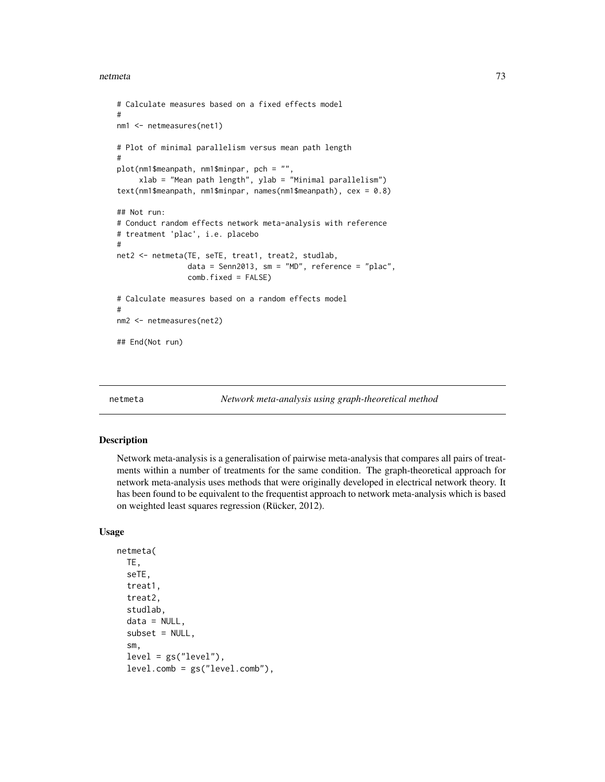```
# Calculate measures based on a fixed effects model
#
nm1 <- netmeasures(net1)
# Plot of minimal parallelism versus mean path length
#
plot(nm1$meanpath, nm1$minpar, pch = "",
     xlab = "Mean path length", ylab = "Minimal parallelism")
text(nm1$meanpath, nm1$minpar, names(nm1$meanpath), cex = 0.8)
## Not run:
# Conduct random effects network meta-analysis with reference
# treatment 'plac', i.e. placebo
#
net2 <- netmeta(TE, seTE, treat1, treat2, studlab,
                data = Senn2013, sm = "MD", reference = "plac",
                comb.fixed = FALSE)
# Calculate measures based on a random effects model
#
nm2 <- netmeasures(net2)
## End(Not run)
```
<span id="page-72-0"></span>

netmeta *Network meta-analysis using graph-theoretical method*

## Description

Network meta-analysis is a generalisation of pairwise meta-analysis that compares all pairs of treatments within a number of treatments for the same condition. The graph-theoretical approach for network meta-analysis uses methods that were originally developed in electrical network theory. It has been found to be equivalent to the frequentist approach to network meta-analysis which is based on weighted least squares regression (Rücker, 2012).

## Usage

```
netmeta(
  TE,
  seTE,
  treat1,
  treat2,
  studlab,
  data = NULL,subset = NULL,
  sm,
  level = gs("level"),level.comb = gs("level.comb"),
```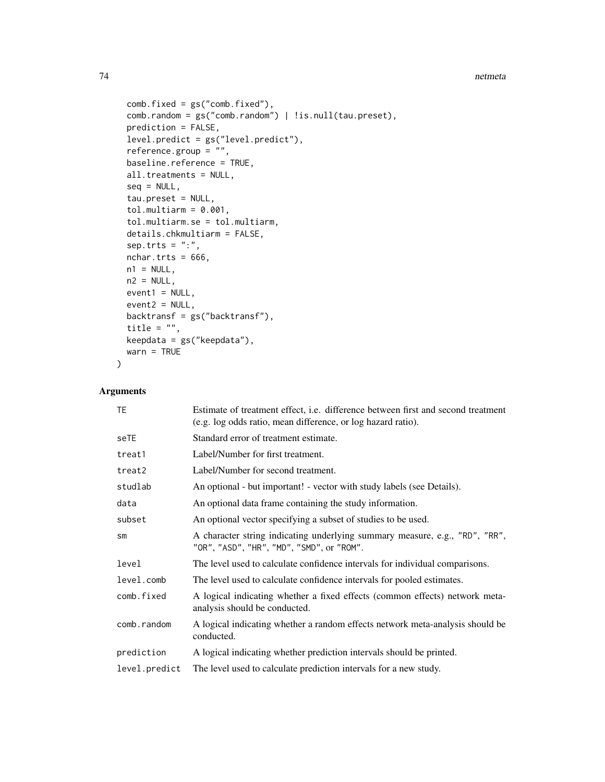```
comb.fixed = gs("comb.fixed"),
 comb.random = gs("comb.random") | !is.null(tau.preset),
 prediction = FALSE,
  level.predict = gs("level.predict"),
  reference.group = "",
 baseline.reference = TRUE,
 all.treatments = NULL,
  seq = NULL,tau.preset = NULL,
  tol.multiarm = 0.001,tol.multiarm.se = tol.multiarm,
  details.chkmultiarm = FALSE,
 sep. trts = ":"nchar.trts = 666,
 n1 = NULL,n2 = NULL,event1 = NULL,event2 = NULL,backtransf = gs("backtransf"),
 title = ",
 keepdata = gs("keepdata"),
 warn = TRUE
\mathcal{L}
```
# Arguments

| TE.           | Estimate of treatment effect, <i>i.e.</i> difference between first and second treatment<br>(e.g. log odds ratio, mean difference, or log hazard ratio). |
|---------------|---------------------------------------------------------------------------------------------------------------------------------------------------------|
| seTE          | Standard error of treatment estimate.                                                                                                                   |
| treat1        | Label/Number for first treatment.                                                                                                                       |
| treat2        | Label/Number for second treatment.                                                                                                                      |
| studlab       | An optional - but important! - vector with study labels (see Details).                                                                                  |
| data          | An optional data frame containing the study information.                                                                                                |
| subset        | An optional vector specifying a subset of studies to be used.                                                                                           |
| $\mathsf{sm}$ | A character string indicating underlying summary measure, e.g., "RD", "RR",<br>"OR", "ASD", "HR", "MD", "SMD", or "ROM".                                |
| level         | The level used to calculate confidence intervals for individual comparisons.                                                                            |
| level.comb    | The level used to calculate confidence intervals for pooled estimates.                                                                                  |
| comb.fixed    | A logical indicating whether a fixed effects (common effects) network meta-<br>analysis should be conducted.                                            |
| comb.random   | A logical indicating whether a random effects network meta-analysis should be<br>conducted.                                                             |
| prediction    | A logical indicating whether prediction intervals should be printed.                                                                                    |
| level.predict | The level used to calculate prediction intervals for a new study.                                                                                       |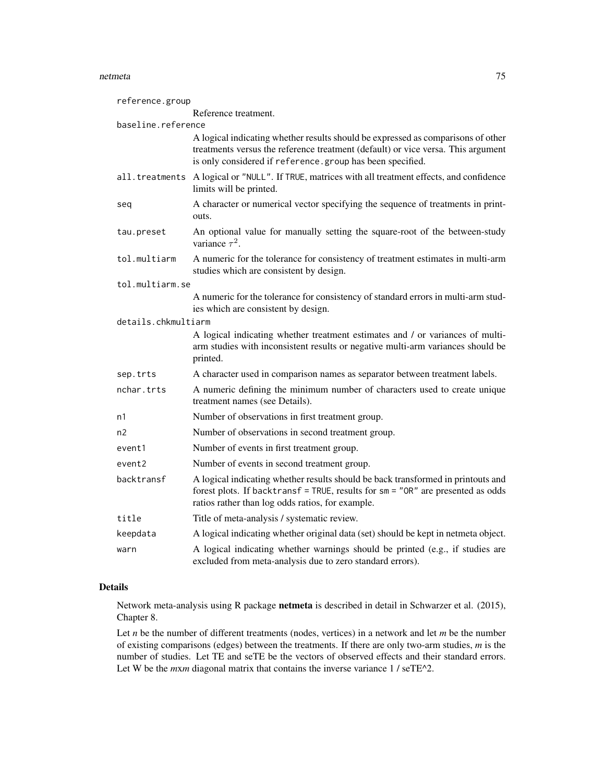| reference.group     |                                                                                                                                                                                                                                   |  |
|---------------------|-----------------------------------------------------------------------------------------------------------------------------------------------------------------------------------------------------------------------------------|--|
|                     | Reference treatment.                                                                                                                                                                                                              |  |
| baseline.reference  |                                                                                                                                                                                                                                   |  |
|                     | A logical indicating whether results should be expressed as comparisons of other<br>treatments versus the reference treatment (default) or vice versa. This argument<br>is only considered if reference.group has been specified. |  |
|                     | all.treatments A logical or "NULL". If TRUE, matrices with all treatment effects, and confidence<br>limits will be printed.                                                                                                       |  |
| seq                 | A character or numerical vector specifying the sequence of treatments in print-<br>outs.                                                                                                                                          |  |
| tau.preset          | An optional value for manually setting the square-root of the between-study<br>variance $\tau^2$ .                                                                                                                                |  |
| tol.multiarm        | A numeric for the tolerance for consistency of treatment estimates in multi-arm<br>studies which are consistent by design.                                                                                                        |  |
| tol.multiarm.se     |                                                                                                                                                                                                                                   |  |
|                     | A numeric for the tolerance for consistency of standard errors in multi-arm stud-<br>ies which are consistent by design.                                                                                                          |  |
| details.chkmultiarm |                                                                                                                                                                                                                                   |  |
|                     | A logical indicating whether treatment estimates and / or variances of multi-<br>arm studies with inconsistent results or negative multi-arm variances should be<br>printed.                                                      |  |
| sep.trts            | A character used in comparison names as separator between treatment labels.                                                                                                                                                       |  |
| nchar.trts          | A numeric defining the minimum number of characters used to create unique<br>treatment names (see Details).                                                                                                                       |  |
| n1                  | Number of observations in first treatment group.                                                                                                                                                                                  |  |
| n <sub>2</sub>      | Number of observations in second treatment group.                                                                                                                                                                                 |  |
| event1              | Number of events in first treatment group.                                                                                                                                                                                        |  |
| event2              | Number of events in second treatment group.                                                                                                                                                                                       |  |
| backtransf          | A logical indicating whether results should be back transformed in printouts and<br>forest plots. If backtransf = TRUE, results for sm = "OR" are presented as odds<br>ratios rather than log odds ratios, for example.           |  |
| title               | Title of meta-analysis / systematic review.                                                                                                                                                                                       |  |
| keepdata            | A logical indicating whether original data (set) should be kept in netmeta object.                                                                                                                                                |  |
| warn                | A logical indicating whether warnings should be printed (e.g., if studies are<br>excluded from meta-analysis due to zero standard errors).                                                                                        |  |

# Details

Network meta-analysis using R package netmeta is described in detail in Schwarzer et al. (2015), Chapter 8.

Let *n* be the number of different treatments (nodes, vertices) in a network and let *m* be the number of existing comparisons (edges) between the treatments. If there are only two-arm studies, *m* is the number of studies. Let TE and seTE be the vectors of observed effects and their standard errors. Let W be the *mxm* diagonal matrix that contains the inverse variance 1 / seTE^2.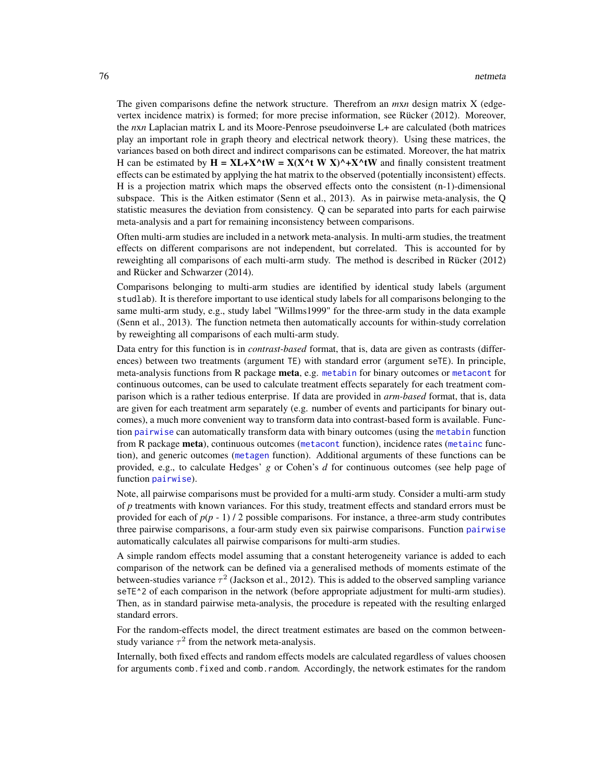The given comparisons define the network structure. Therefrom an *m*x*n* design matrix X (edgevertex incidence matrix) is formed; for more precise information, see Rücker (2012). Moreover, the *n*x*n* Laplacian matrix L and its Moore-Penrose pseudoinverse L+ are calculated (both matrices play an important role in graph theory and electrical network theory). Using these matrices, the variances based on both direct and indirect comparisons can be estimated. Moreover, the hat matrix H can be estimated by  $H = XL+X^tW = X(X^tW X)^+X^tW$  and finally consistent treatment effects can be estimated by applying the hat matrix to the observed (potentially inconsistent) effects. H is a projection matrix which maps the observed effects onto the consistent (n-1)-dimensional subspace. This is the Aitken estimator (Senn et al., 2013). As in pairwise meta-analysis, the Q statistic measures the deviation from consistency. Q can be separated into parts for each pairwise meta-analysis and a part for remaining inconsistency between comparisons.

Often multi-arm studies are included in a network meta-analysis. In multi-arm studies, the treatment effects on different comparisons are not independent, but correlated. This is accounted for by reweighting all comparisons of each multi-arm study. The method is described in Rücker (2012) and Rücker and Schwarzer (2014).

Comparisons belonging to multi-arm studies are identified by identical study labels (argument studlab). It is therefore important to use identical study labels for all comparisons belonging to the same multi-arm study, e.g., study label "Willms1999" for the three-arm study in the data example (Senn et al., 2013). The function netmeta then automatically accounts for within-study correlation by reweighting all comparisons of each multi-arm study.

Data entry for this function is in *contrast-based* format, that is, data are given as contrasts (differences) between two treatments (argument TE) with standard error (argument seTE). In principle, meta-analysis functions from R package meta, e.g. [metabin](#page-0-0) for binary outcomes or [metacont](#page-0-0) for continuous outcomes, can be used to calculate treatment effects separately for each treatment comparison which is a rather tedious enterprise. If data are provided in *arm-based* format, that is, data are given for each treatment arm separately (e.g. number of events and participants for binary outcomes), a much more convenient way to transform data into contrast-based form is available. Function [pairwise](#page-100-0) can automatically transform data with binary outcomes (using the [metabin](#page-0-0) function from R package meta), continuous outcomes ([metacont](#page-0-0) function), incidence rates ([metainc](#page-0-0) function), and generic outcomes ([metagen](#page-0-0) function). Additional arguments of these functions can be provided, e.g., to calculate Hedges' *g* or Cohen's *d* for continuous outcomes (see help page of function [pairwise](#page-100-0)).

Note, all pairwise comparisons must be provided for a multi-arm study. Consider a multi-arm study of *p* treatments with known variances. For this study, treatment effects and standard errors must be provided for each of  $p(p - 1) / 2$  possible comparisons. For instance, a three-arm study contributes three pairwise comparisons, a four-arm study even six pairwise comparisons. Function [pairwise](#page-100-0) automatically calculates all pairwise comparisons for multi-arm studies.

A simple random effects model assuming that a constant heterogeneity variance is added to each comparison of the network can be defined via a generalised methods of moments estimate of the between-studies variance  $\tau^2$  (Jackson et al., 2012). This is added to the observed sampling variance seTE^2 of each comparison in the network (before appropriate adjustment for multi-arm studies). Then, as in standard pairwise meta-analysis, the procedure is repeated with the resulting enlarged standard errors.

For the random-effects model, the direct treatment estimates are based on the common betweenstudy variance  $\tau^2$  from the network meta-analysis.

Internally, both fixed effects and random effects models are calculated regardless of values choosen for arguments comb. fixed and comb.random. Accordingly, the network estimates for the random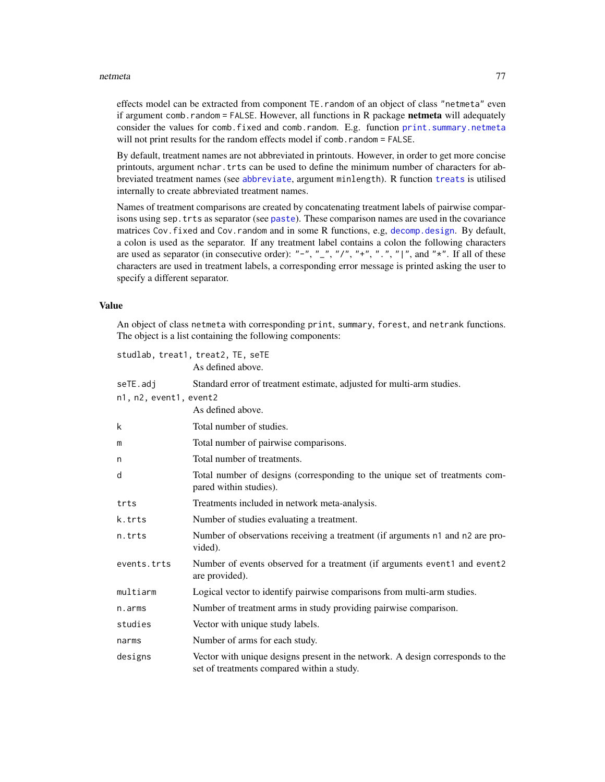effects model can be extracted from component TE.random of an object of class "netmeta" even if argument comb.random = FALSE. However, all functions in R package netmeta will adequately consider the values for comb.fixed and comb.random. E.g. function [print.summary.netmeta](#page-128-0) will not print results for the random effects model if comb.random = FALSE.

By default, treatment names are not abbreviated in printouts. However, in order to get more concise printouts, argument nchar.trts can be used to define the minimum number of characters for abbreviated treatment names (see [abbreviate](#page-0-0), argument minlength). R function [treats](#page-133-0) is utilised internally to create abbreviated treatment names.

Names of treatment comparisons are created by concatenating treatment labels of pairwise comparisons using sep.trts as separator (see [paste](#page-0-0)). These comparison names are used in the covariance matrices Cov.fixed and Cov.random and in some R functions, e.g, [decomp.design](#page-5-0). By default, a colon is used as the separator. If any treatment label contains a colon the following characters are used as separator (in consecutive order): "-", "\_", "/", "+", ".", "|", and " $*$ ". If all of these characters are used in treatment labels, a corresponding error message is printed asking the user to specify a different separator.

## Value

An object of class netmeta with corresponding print, summary, forest, and netrank functions. The object is a list containing the following components:

| studlab, treat1, treat2, TE, seTE |                                                                                                                              |  |
|-----------------------------------|------------------------------------------------------------------------------------------------------------------------------|--|
|                                   | As defined above.                                                                                                            |  |
| seTE.adj                          | Standard error of treatment estimate, adjusted for multi-arm studies.                                                        |  |
| n1, n2, event1, event2            |                                                                                                                              |  |
|                                   | As defined above.                                                                                                            |  |
| k                                 | Total number of studies.                                                                                                     |  |
| m                                 | Total number of pairwise comparisons.                                                                                        |  |
| n                                 | Total number of treatments.                                                                                                  |  |
| d                                 | Total number of designs (corresponding to the unique set of treatments com-<br>pared within studies).                        |  |
| trts                              | Treatments included in network meta-analysis.                                                                                |  |
| k.trts                            | Number of studies evaluating a treatment.                                                                                    |  |
| n.trts                            | Number of observations receiving a treatment (if arguments n1 and n2 are pro-<br>vided).                                     |  |
| events.trts                       | Number of events observed for a treatment (if arguments event1 and event2<br>are provided).                                  |  |
| multiarm                          | Logical vector to identify pairwise comparisons from multi-arm studies.                                                      |  |
| n.arms                            | Number of treatment arms in study providing pairwise comparison.                                                             |  |
| studies                           | Vector with unique study labels.                                                                                             |  |
| narms                             | Number of arms for each study.                                                                                               |  |
| designs                           | Vector with unique designs present in the network. A design corresponds to the<br>set of treatments compared within a study. |  |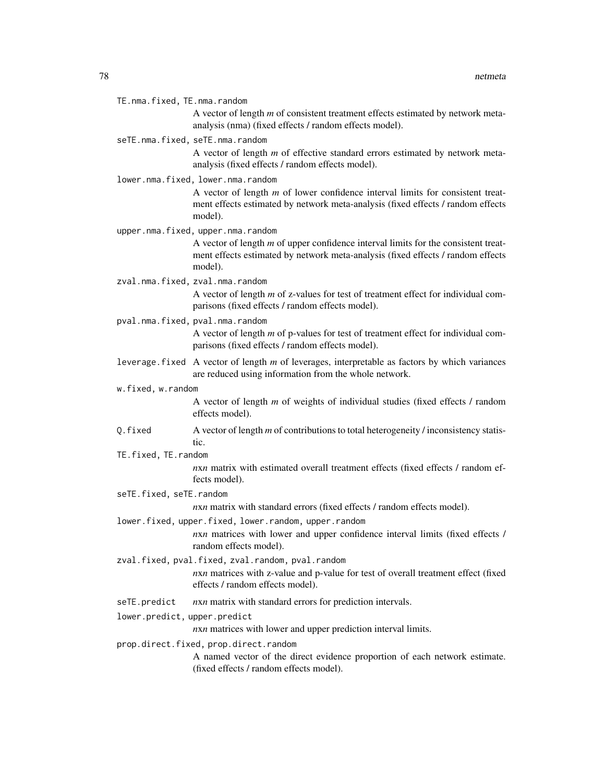| TE.nma.fixed, TE.nma.random           |                                                                                                                                                                                    |  |
|---------------------------------------|------------------------------------------------------------------------------------------------------------------------------------------------------------------------------------|--|
|                                       | A vector of length $m$ of consistent treatment effects estimated by network meta-<br>analysis (nma) (fixed effects / random effects model).                                        |  |
|                                       | seTE.nma.fixed, seTE.nma.random                                                                                                                                                    |  |
|                                       | A vector of length $m$ of effective standard errors estimated by network meta-<br>analysis (fixed effects / random effects model).                                                 |  |
|                                       | lower.nma.fixed, lower.nma.random                                                                                                                                                  |  |
|                                       | A vector of length $m$ of lower confidence interval limits for consistent treat-<br>ment effects estimated by network meta-analysis (fixed effects / random effects<br>model).     |  |
|                                       | upper.nma.fixed, upper.nma.random                                                                                                                                                  |  |
|                                       | A vector of length $m$ of upper confidence interval limits for the consistent treat-<br>ment effects estimated by network meta-analysis (fixed effects / random effects<br>model). |  |
|                                       | zval.nma.fixed, zval.nma.random                                                                                                                                                    |  |
|                                       | A vector of length m of z-values for test of treatment effect for individual com-<br>parisons (fixed effects / random effects model).                                              |  |
|                                       | pval.nma.fixed, pval.nma.random                                                                                                                                                    |  |
|                                       | A vector of length $m$ of p-values for test of treatment effect for individual com-<br>parisons (fixed effects / random effects model).                                            |  |
|                                       | leverage. fixed A vector of length m of leverages, interpretable as factors by which variances<br>are reduced using information from the whole network.                            |  |
| w.fixed, w.random                     |                                                                                                                                                                                    |  |
|                                       | A vector of length $m$ of weights of individual studies (fixed effects $/$ random<br>effects model).                                                                               |  |
| Q.fixed                               | A vector of length $m$ of contributions to total heterogeneity / inconsistency statis-<br>tic.                                                                                     |  |
| TE.fixed, TE.random                   |                                                                                                                                                                                    |  |
|                                       | nxn matrix with estimated overall treatment effects (fixed effects / random ef-<br>fects model).                                                                                   |  |
| seTE.fixed, seTE.random               |                                                                                                                                                                                    |  |
|                                       | nxn matrix with standard errors (fixed effects / random effects model).                                                                                                            |  |
|                                       | lower.fixed, upper.fixed, lower.random, upper.random<br>nxn matrices with lower and upper confidence interval limits (fixed effects /<br>random effects model).                    |  |
|                                       | zval.fixed, pval.fixed, zval.random, pval.random<br>nxn matrices with z-value and p-value for test of overall treatment effect (fixed<br>effects / random effects model).          |  |
| seTE.predict                          | nxn matrix with standard errors for prediction intervals.                                                                                                                          |  |
| lower.predict, upper.predict          |                                                                                                                                                                                    |  |
|                                       | nxn matrices with lower and upper prediction interval limits.                                                                                                                      |  |
| prop.direct.fixed, prop.direct.random |                                                                                                                                                                                    |  |
|                                       | A named vector of the direct evidence proportion of each network estimate.<br>(fixed effects / random effects model).                                                              |  |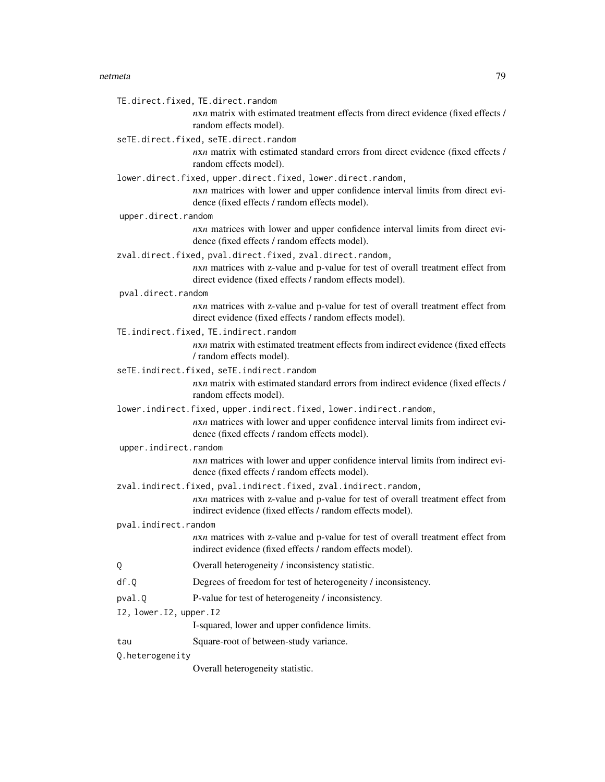TE.direct.fixed, TE.direct.random

*n*x*n* matrix with estimated treatment effects from direct evidence (fixed effects / random effects model).

seTE.direct.fixed, seTE.direct.random

*n*x*n* matrix with estimated standard errors from direct evidence (fixed effects / random effects model).

lower.direct.fixed, upper.direct.fixed, lower.direct.random,

*n*x*n* matrices with lower and upper confidence interval limits from direct evidence (fixed effects / random effects model).

upper.direct.random

*n*x*n* matrices with lower and upper confidence interval limits from direct evidence (fixed effects / random effects model).

zval.direct.fixed, pval.direct.fixed, zval.direct.random,

*nxn* matrices with z-value and p-value for test of overall treatment effect from direct evidence (fixed effects / random effects model).

pval.direct.random

*nxn* matrices with z-value and p-value for test of overall treatment effect from direct evidence (fixed effects / random effects model).

TE.indirect.fixed, TE.indirect.random

*n*x*n* matrix with estimated treatment effects from indirect evidence (fixed effects / random effects model).

- seTE.indirect.fixed, seTE.indirect.random *n*x*n* matrix with estimated standard errors from indirect evidence (fixed effects / random effects model).
- lower.indirect.fixed, upper.indirect.fixed, lower.indirect.random, *n*x*n* matrices with lower and upper confidence interval limits from indirect evidence (fixed effects / random effects model).

upper.indirect.random

*n*x*n* matrices with lower and upper confidence interval limits from indirect evidence (fixed effects / random effects model).

- zval.indirect.fixed, pval.indirect.fixed, zval.indirect.random, *n*x*n* matrices with z-value and p-value for test of overall treatment effect from indirect evidence (fixed effects / random effects model).
- pval.indirect.random

*n*x*n* matrices with z-value and p-value for test of overall treatment effect from indirect evidence (fixed effects / random effects model).

- Q Overall heterogeneity / inconsistency statistic.
- df.Q Degrees of freedom for test of heterogeneity / inconsistency.
- pval.Q P-value for test of heterogeneity / inconsistency.
- I2, lower.I2, upper.I2

I-squared, lower and upper confidence limits.

tau Square-root of between-study variance.

Q.heterogeneity

Overall heterogeneity statistic.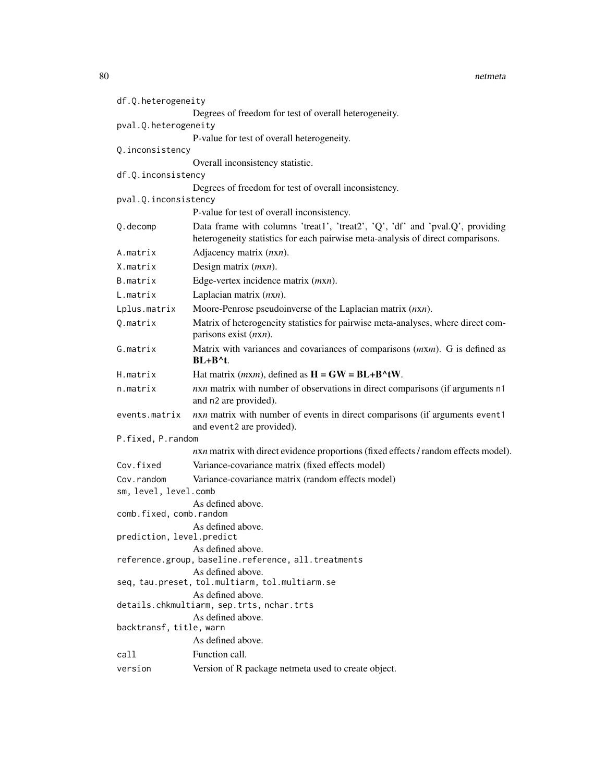| df.Q.heterogeneity        |                                                                                                                                                                  |
|---------------------------|------------------------------------------------------------------------------------------------------------------------------------------------------------------|
|                           | Degrees of freedom for test of overall heterogeneity.                                                                                                            |
| pval.Q.heterogeneity      |                                                                                                                                                                  |
|                           | P-value for test of overall heterogeneity.                                                                                                                       |
| Q.inconsistency           |                                                                                                                                                                  |
|                           | Overall inconsistency statistic.                                                                                                                                 |
| df.Q.inconsistency        |                                                                                                                                                                  |
|                           | Degrees of freedom for test of overall inconsistency.                                                                                                            |
| pval.Q.inconsistency      | P-value for test of overall inconsistency.                                                                                                                       |
|                           |                                                                                                                                                                  |
| Q.decomp                  | Data frame with columns 'treat1', 'treat2', 'Q', 'df' and 'pval.Q', providing<br>heterogeneity statistics for each pairwise meta-analysis of direct comparisons. |
| A.matrix                  | Adjacency matrix (nxn).                                                                                                                                          |
| X.matrix                  | Design matrix $(mxn)$ .                                                                                                                                          |
| B.matrix                  | Edge-vertex incidence matrix (mxn).                                                                                                                              |
| L.matrix                  | Laplacian matrix $(nxn)$ .                                                                                                                                       |
| Lplus.matrix              | Moore-Penrose pseudoinverse of the Laplacian matrix $(nxn)$ .                                                                                                    |
| Q.matrix                  | Matrix of heterogeneity statistics for pairwise meta-analyses, where direct com-<br>parisons exist $(nxn)$ .                                                     |
| G.matrix                  | Matrix with variances and covariances of comparisons $(mxm)$ . G is defined as<br>$BL + B^t$ .                                                                   |
| H.matrix                  | Hat matrix ( <i>mxm</i> ), defined as $H = GW = BL + B^{\wedge} tW$ .                                                                                            |
| n.matrix                  | nxn matrix with number of observations in direct comparisons (if arguments n1<br>and n2 are provided).                                                           |
| events.matrix             | $n x n$ matrix with number of events in direct comparisons (if arguments event1<br>and event2 are provided).                                                     |
| P.fixed, P.random         |                                                                                                                                                                  |
|                           | nxn matrix with direct evidence proportions (fixed effects / random effects model).                                                                              |
| Cov.fixed                 | Variance-covariance matrix (fixed effects model)                                                                                                                 |
| Cov.random                | Variance-covariance matrix (random effects model)                                                                                                                |
| sm, level, level.comb     |                                                                                                                                                                  |
| comb.fixed, comb.random   | As defined above.                                                                                                                                                |
|                           | As defined above.                                                                                                                                                |
| prediction, level.predict |                                                                                                                                                                  |
|                           | As defined above.<br>reference.group, baseline.reference, all.treatments                                                                                         |
|                           | As defined above.<br>seq, tau.preset, tol.multiarm, tol.multiarm.se<br>As defined above.                                                                         |
|                           | details.chkmultiarm, sep.trts, nchar.trts                                                                                                                        |
|                           | As defined above.                                                                                                                                                |
| backtransf, title, warn   |                                                                                                                                                                  |
|                           | As defined above.                                                                                                                                                |
| call                      | Function call.                                                                                                                                                   |
| version                   | Version of R package netmeta used to create object.                                                                                                              |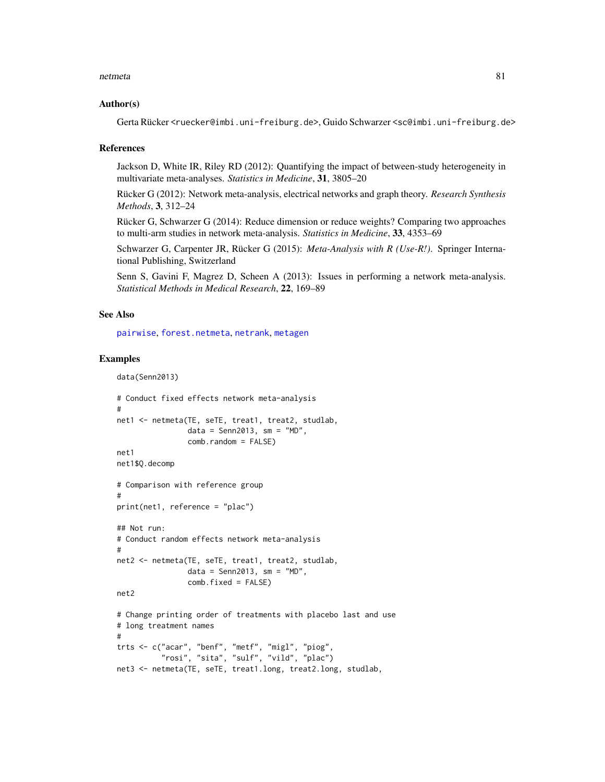#### Author(s)

Gerta Rücker <ruecker@imbi.uni-freiburg.de>, Guido Schwarzer <sc@imbi.uni-freiburg.de>

#### References

Jackson D, White IR, Riley RD (2012): Quantifying the impact of between-study heterogeneity in multivariate meta-analyses. *Statistics in Medicine*, 31, 3805–20

Rücker G (2012): Network meta-analysis, electrical networks and graph theory. *Research Synthesis Methods*, 3, 312–24

Rücker G, Schwarzer G (2014): Reduce dimension or reduce weights? Comparing two approaches to multi-arm studies in network meta-analysis. *Statistics in Medicine*, 33, 4353–69

Schwarzer G, Carpenter JR, Rücker G (2015): *Meta-Analysis with R (Use-R!)*. Springer International Publishing, Switzerland

Senn S, Gavini F, Magrez D, Scheen A (2013): Issues in performing a network meta-analysis. *Statistical Methods in Medical Research*, 22, 169–89

## See Also

[pairwise](#page-100-0), [forest.netmeta](#page-22-0), [netrank](#page-93-0), [metagen](#page-0-0)

```
data(Senn2013)
```

```
# Conduct fixed effects network meta-analysis
#
net1 <- netmeta(TE, seTE, treat1, treat2, studlab,
                data = Senn2013, sm = "MD",comb.random = FALSE)
net1
net1$Q.decomp
# Comparison with reference group
#
print(net1, reference = "plac")
## Not run:
# Conduct random effects network meta-analysis
#
net2 <- netmeta(TE, seTE, treat1, treat2, studlab,
                data = Senn2013, sm = "MD",comb.fixed = FALSE)
net2
# Change printing order of treatments with placebo last and use
# long treatment names
#
trts <- c("acar", "benf", "metf", "migl", "piog",
          "rosi", "sita", "sulf", "vild", "plac")
net3 <- netmeta(TE, seTE, treat1.long, treat2.long, studlab,
```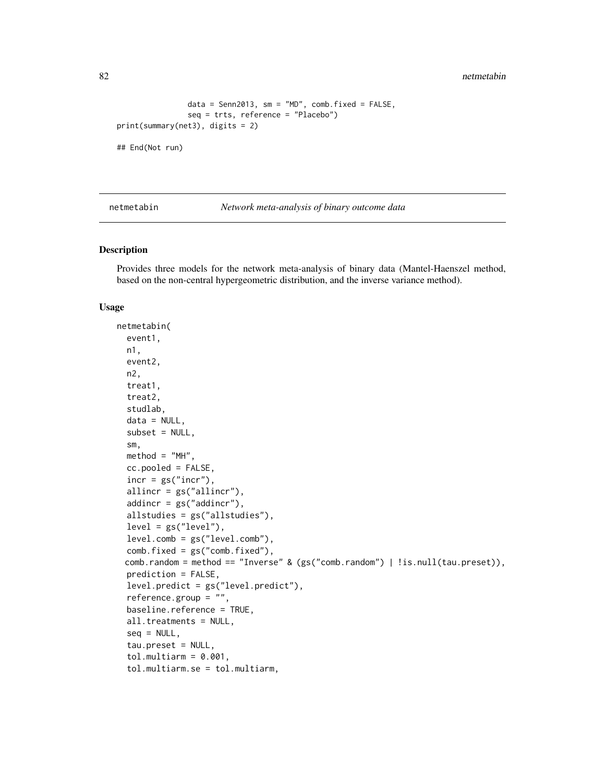82 netmetabin and the set of the set of the set of the set of the set of the set of the set of the set of the set of the set of the set of the set of the set of the set of the set of the set of the set of the set of the se

```
data = Senn2013, sm = "MD", comb.fixed = FALSE,
                seq = trts, reference = "Placebo")
print(summary(net3), digits = 2)
```
## End(Not run)

<span id="page-81-0"></span>netmetabin *Network meta-analysis of binary outcome data*

## Description

Provides three models for the network meta-analysis of binary data (Mantel-Haenszel method, based on the non-central hypergeometric distribution, and the inverse variance method).

#### Usage

```
netmetabin(
  event1,
  n1,
  event2,
  n2,
  treat1,
  treat2,
  studlab,
  data = NULL,
  subset = NULL,
  sm,
  method = "MH",cc.pooled = FALSE,
  incr = gs("incr"),allincr = gs("allincr"),
  addincr = gs("addincr"),
  allstudies = gs("allstudies"),
  level = gs("level"),
  level.comb = gs("level.comb"),
  comb.fixed = gs("comb.fixed"),
 comb.random = method == "Inverse" & (gs("comb.random") | !is.null(tau.preset)),
  prediction = FALSE,
  level.predict = gs("level.predict"),
  reference.group = "",
  baseline.reference = TRUE,
  all.treatments = NULL,
  sea = NULL,tau.preset = NULL,
  tol.multiarm = 0.001,tol.multiarm.se = tol.multiarm,
```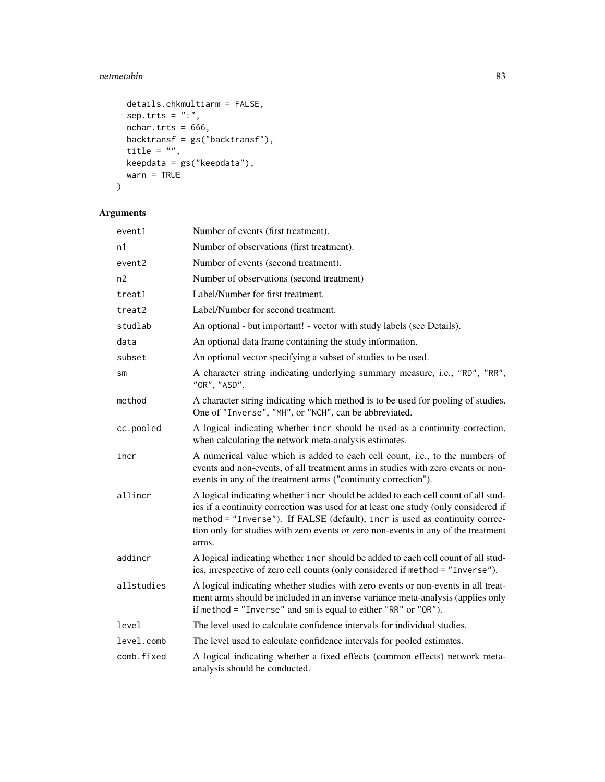# netmetabin 83

```
details.chkmultiarm = FALSE,
  sep.trts = ":",
  nchar.trts = 666,
 backtransf = gs("backtransf"),
  title = ",
 keepdata = gs("keepdata"),
  warn = TRUE\mathcal{L}
```
# Arguments

| event1     | Number of events (first treatment).                                                                                                                                                                                                                                                                                                                  |
|------------|------------------------------------------------------------------------------------------------------------------------------------------------------------------------------------------------------------------------------------------------------------------------------------------------------------------------------------------------------|
| n1         | Number of observations (first treatment).                                                                                                                                                                                                                                                                                                            |
| event2     | Number of events (second treatment).                                                                                                                                                                                                                                                                                                                 |
| n2         | Number of observations (second treatment)                                                                                                                                                                                                                                                                                                            |
| treat1     | Label/Number for first treatment.                                                                                                                                                                                                                                                                                                                    |
| treat2     | Label/Number for second treatment.                                                                                                                                                                                                                                                                                                                   |
| studlab    | An optional - but important! - vector with study labels (see Details).                                                                                                                                                                                                                                                                               |
| data       | An optional data frame containing the study information.                                                                                                                                                                                                                                                                                             |
| subset     | An optional vector specifying a subset of studies to be used.                                                                                                                                                                                                                                                                                        |
| SM         | A character string indicating underlying summary measure, i.e., "RD", "RR",<br>"OR", "ASD".                                                                                                                                                                                                                                                          |
| method     | A character string indicating which method is to be used for pooling of studies.<br>One of "Inverse", "MH", or "NCH", can be abbreviated.                                                                                                                                                                                                            |
| cc.pooled  | A logical indicating whether incr should be used as a continuity correction,<br>when calculating the network meta-analysis estimates.                                                                                                                                                                                                                |
| incr       | A numerical value which is added to each cell count, i.e., to the numbers of<br>events and non-events, of all treatment arms in studies with zero events or non-<br>events in any of the treatment arms ("continuity correction").                                                                                                                   |
| allincr    | A logical indicating whether incr should be added to each cell count of all stud-<br>ies if a continuity correction was used for at least one study (only considered if<br>method = "Inverse"). If FALSE (default), incr is used as continuity correc-<br>tion only for studies with zero events or zero non-events in any of the treatment<br>arms. |
| addincr    | A logical indicating whether incr should be added to each cell count of all stud-<br>ies, irrespective of zero cell counts (only considered if method = "Inverse").                                                                                                                                                                                  |
| allstudies | A logical indicating whether studies with zero events or non-events in all treat-<br>ment arms should be included in an inverse variance meta-analysis (applies only<br>if method = "Inverse" and sm is equal to either "RR" or "OR").                                                                                                               |
| level      | The level used to calculate confidence intervals for individual studies.                                                                                                                                                                                                                                                                             |
| level.comb | The level used to calculate confidence intervals for pooled estimates.                                                                                                                                                                                                                                                                               |
| comb.fixed | A logical indicating whether a fixed effects (common effects) network meta-<br>analysis should be conducted.                                                                                                                                                                                                                                         |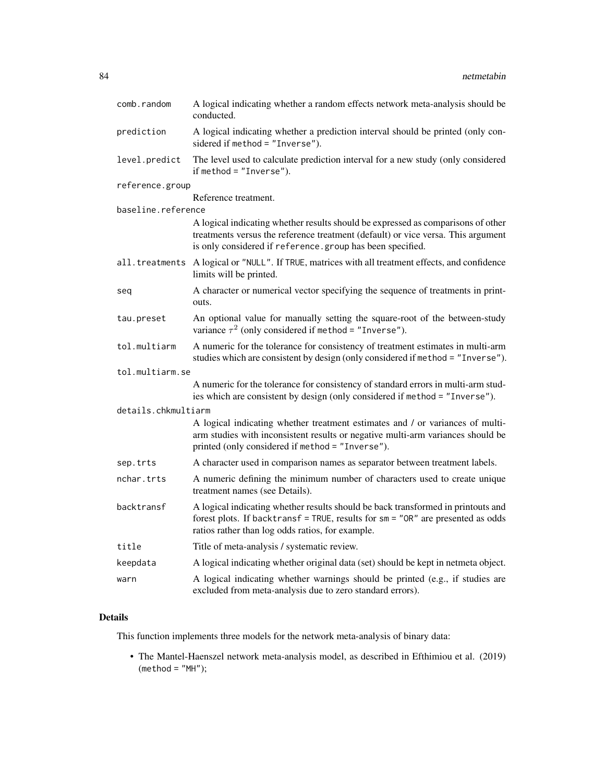| comb.random         | A logical indicating whether a random effects network meta-analysis should be<br>conducted.                                                                                                                                       |
|---------------------|-----------------------------------------------------------------------------------------------------------------------------------------------------------------------------------------------------------------------------------|
| prediction          | A logical indicating whether a prediction interval should be printed (only con-<br>sidered if method = "Inverse").                                                                                                                |
| level.predict       | The level used to calculate prediction interval for a new study (only considered<br>if method $=$ "Inverse").                                                                                                                     |
| reference.group     |                                                                                                                                                                                                                                   |
|                     | Reference treatment.                                                                                                                                                                                                              |
| baseline.reference  |                                                                                                                                                                                                                                   |
|                     | A logical indicating whether results should be expressed as comparisons of other<br>treatments versus the reference treatment (default) or vice versa. This argument<br>is only considered if reference.group has been specified. |
|                     | all.treatments A logical or "NULL". If TRUE, matrices with all treatment effects, and confidence<br>limits will be printed.                                                                                                       |
| seq                 | A character or numerical vector specifying the sequence of treatments in print-<br>outs.                                                                                                                                          |
| tau.preset          | An optional value for manually setting the square-root of the between-study<br>variance $\tau^2$ (only considered if method = "Inverse").                                                                                         |
| tol.multiarm        | A numeric for the tolerance for consistency of treatment estimates in multi-arm<br>studies which are consistent by design (only considered if method = "Inverse").                                                                |
| tol.multiarm.se     |                                                                                                                                                                                                                                   |
|                     | A numeric for the tolerance for consistency of standard errors in multi-arm stud-<br>ies which are consistent by design (only considered if method = "Inverse").                                                                  |
| details.chkmultiarm |                                                                                                                                                                                                                                   |
|                     | A logical indicating whether treatment estimates and / or variances of multi-<br>arm studies with inconsistent results or negative multi-arm variances should be<br>printed (only considered if method = "Inverse").              |
| sep.trts            | A character used in comparison names as separator between treatment labels.                                                                                                                                                       |
| nchar.trts          | A numeric defining the minimum number of characters used to create unique<br>treatment names (see Details).                                                                                                                       |
| backtransf          | A logical indicating whether results should be back transformed in printouts and<br>forest plots. If backtransf = TRUE, results for sm = "OR" are presented as odds<br>ratios rather than log odds ratios, for example.           |
| title               | Title of meta-analysis / systematic review.                                                                                                                                                                                       |
| keepdata            | A logical indicating whether original data (set) should be kept in netmeta object.                                                                                                                                                |
| warn                | A logical indicating whether warnings should be printed (e.g., if studies are<br>excluded from meta-analysis due to zero standard errors).                                                                                        |

# Details

This function implements three models for the network meta-analysis of binary data:

• The Mantel-Haenszel network meta-analysis model, as described in Efthimiou et al. (2019)  $(method = "MH");$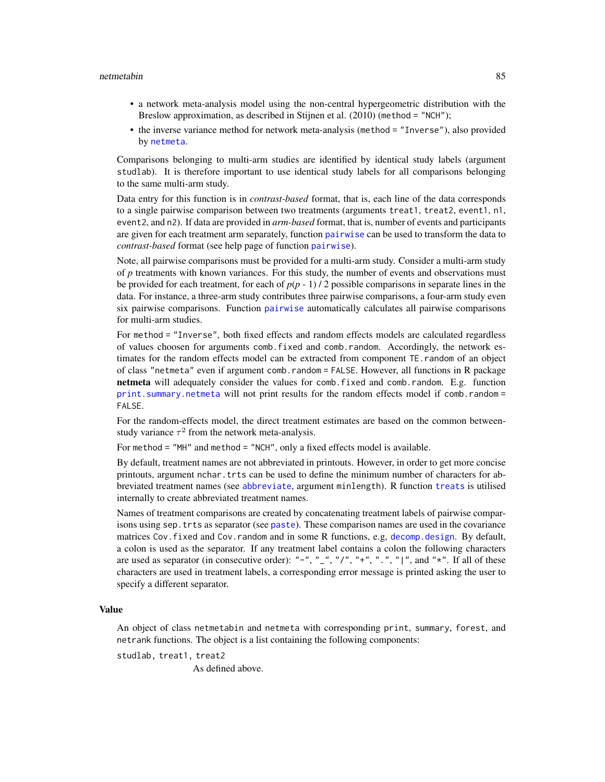#### netmetabin 85

- a network meta-analysis model using the non-central hypergeometric distribution with the Breslow approximation, as described in Stijnen et al. (2010) (method = "NCH");
- the inverse variance method for network meta-analysis (method = "Inverse"), also provided by [netmeta](#page-72-0).

Comparisons belonging to multi-arm studies are identified by identical study labels (argument studlab). It is therefore important to use identical study labels for all comparisons belonging to the same multi-arm study.

Data entry for this function is in *contrast-based* format, that is, each line of the data corresponds to a single pairwise comparison between two treatments (arguments treat1, treat2, event1, n1, event2, and n2). If data are provided in *arm-based* format, that is, number of events and participants are given for each treatment arm separately, function [pairwise](#page-100-0) can be used to transform the data to *contrast-based* format (see help page of function [pairwise](#page-100-0)).

Note, all pairwise comparisons must be provided for a multi-arm study. Consider a multi-arm study of *p* treatments with known variances. For this study, the number of events and observations must be provided for each treatment, for each of  $p(p - 1) / 2$  possible comparisons in separate lines in the data. For instance, a three-arm study contributes three pairwise comparisons, a four-arm study even six pairwise comparisons. Function [pairwise](#page-100-0) automatically calculates all pairwise comparisons for multi-arm studies.

For method = "Inverse", both fixed effects and random effects models are calculated regardless of values choosen for arguments comb.fixed and comb.random. Accordingly, the network estimates for the random effects model can be extracted from component TE.random of an object of class "netmeta" even if argument comb.random = FALSE. However, all functions in R package netmeta will adequately consider the values for comb.fixed and comb.random. E.g. function [print.summary.netmeta](#page-128-0) will not print results for the random effects model if comb.random = FALSE.

For the random-effects model, the direct treatment estimates are based on the common betweenstudy variance  $\tau^2$  from the network meta-analysis.

For method = "MH" and method = "NCH", only a fixed effects model is available.

By default, treatment names are not abbreviated in printouts. However, in order to get more concise printouts, argument nchar.trts can be used to define the minimum number of characters for abbreviated treatment names (see [abbreviate](#page-0-0), argument minlength). R function [treats](#page-133-0) is utilised internally to create abbreviated treatment names.

Names of treatment comparisons are created by concatenating treatment labels of pairwise comparisons using sep.trts as separator (see [paste](#page-0-0)). These comparison names are used in the covariance matrices Cov.fixed and Cov.random and in some R functions, e.g, [decomp.design](#page-5-0). By default, a colon is used as the separator. If any treatment label contains a colon the following characters are used as separator (in consecutive order): "-", "\_", "/", "+", ".", "|", and " $\star$ ". If all of these characters are used in treatment labels, a corresponding error message is printed asking the user to specify a different separator.

#### Value

An object of class netmetabin and netmeta with corresponding print, summary, forest, and netrank functions. The object is a list containing the following components:

studlab, treat1, treat2

As defined above.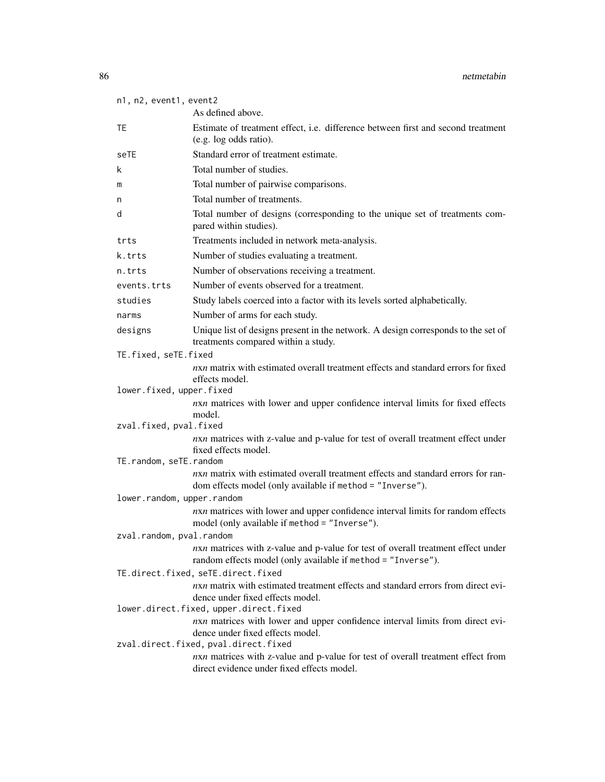| n1, n2, event1, event2               |                                                                                                                                                                |  |
|--------------------------------------|----------------------------------------------------------------------------------------------------------------------------------------------------------------|--|
|                                      | As defined above.                                                                                                                                              |  |
| TE.                                  | Estimate of treatment effect, i.e. difference between first and second treatment<br>(e.g. log odds ratio).                                                     |  |
| seTE                                 | Standard error of treatment estimate.                                                                                                                          |  |
| k                                    | Total number of studies.                                                                                                                                       |  |
| m                                    | Total number of pairwise comparisons.                                                                                                                          |  |
| n                                    | Total number of treatments.                                                                                                                                    |  |
| d                                    | Total number of designs (corresponding to the unique set of treatments com-<br>pared within studies).                                                          |  |
| trts                                 | Treatments included in network meta-analysis.                                                                                                                  |  |
| k.trts                               | Number of studies evaluating a treatment.                                                                                                                      |  |
| n.trts                               | Number of observations receiving a treatment.                                                                                                                  |  |
| events.trts                          | Number of events observed for a treatment.                                                                                                                     |  |
| studies                              | Study labels coerced into a factor with its levels sorted alphabetically.                                                                                      |  |
| narms                                | Number of arms for each study.                                                                                                                                 |  |
| designs                              | Unique list of designs present in the network. A design corresponds to the set of<br>treatments compared within a study.                                       |  |
| TE.fixed, seTE.fixed                 |                                                                                                                                                                |  |
|                                      | nxn matrix with estimated overall treatment effects and standard errors for fixed<br>effects model.                                                            |  |
| lower.fixed, upper.fixed             |                                                                                                                                                                |  |
|                                      | nxn matrices with lower and upper confidence interval limits for fixed effects<br>model.                                                                       |  |
| zval.fixed, pval.fixed               |                                                                                                                                                                |  |
|                                      | nxn matrices with z-value and p-value for test of overall treatment effect under<br>fixed effects model.                                                       |  |
| TE.random, seTE.random               |                                                                                                                                                                |  |
|                                      | nxn matrix with estimated overall treatment effects and standard errors for ran-<br>dom effects model (only available if method = "Inverse").                  |  |
| lower.random, upper.random           |                                                                                                                                                                |  |
|                                      | nxn matrices with lower and upper confidence interval limits for random effects<br>model (only available if method = "Inverse").                               |  |
| zval.random, pval.random             |                                                                                                                                                                |  |
|                                      | nxn matrices with z-value and p-value for test of overall treatment effect under<br>random effects model (only available if method = "Inverse").               |  |
|                                      | TE.direct.fixed, seTE.direct.fixed                                                                                                                             |  |
|                                      | nxn matrix with estimated treatment effects and standard errors from direct evi-<br>dence under fixed effects model.<br>lower.direct.fixed, upper.direct.fixed |  |
|                                      | nxn matrices with lower and upper confidence interval limits from direct evi-                                                                                  |  |
|                                      | dence under fixed effects model.                                                                                                                               |  |
| zval.direct.fixed, pval.direct.fixed |                                                                                                                                                                |  |
|                                      | nxn matrices with z-value and p-value for test of overall treatment effect from<br>direct evidence under fixed effects model.                                  |  |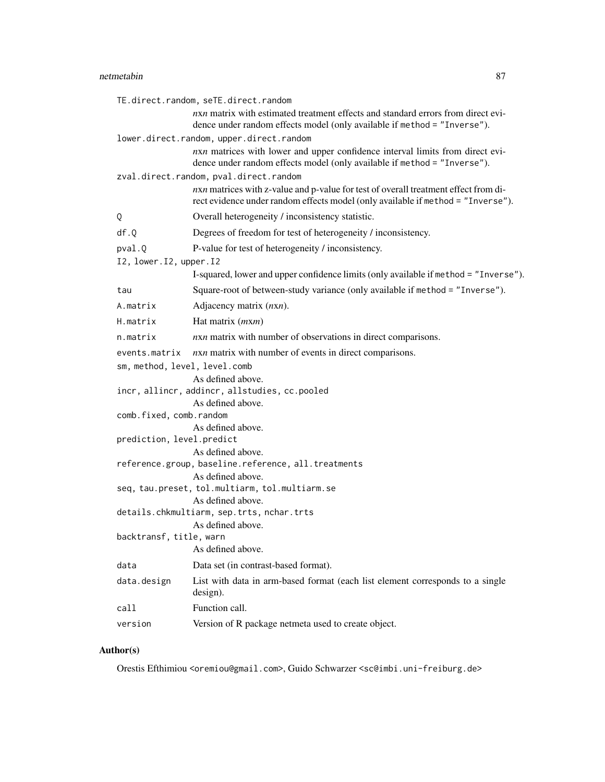# netmetabin 87

|                               | TE.direct.random, seTE.direct.random                                                                                                                                    |
|-------------------------------|-------------------------------------------------------------------------------------------------------------------------------------------------------------------------|
|                               | nxn matrix with estimated treatment effects and standard errors from direct evi-<br>dence under random effects model (only available if method = "Inverse").            |
|                               | lower.direct.random, upper.direct.random                                                                                                                                |
|                               | nxn matrices with lower and upper confidence interval limits from direct evi-<br>dence under random effects model (only available if method = "Inverse").               |
|                               | zval.direct.random, pval.direct.random                                                                                                                                  |
|                               | nxn matrices with z-value and p-value for test of overall treatment effect from di-<br>rect evidence under random effects model (only available if method = "Inverse"). |
| Q                             | Overall heterogeneity / inconsistency statistic.                                                                                                                        |
| df.Q                          | Degrees of freedom for test of heterogeneity / inconsistency.                                                                                                           |
| pval.Q                        | P-value for test of heterogeneity / inconsistency.                                                                                                                      |
| I2, lower. I2, upper. I2      |                                                                                                                                                                         |
|                               | I-squared, lower and upper confidence limits (only available if method = "Inverse").                                                                                    |
| tau                           | Square-root of between-study variance (only available if method = "Inverse").                                                                                           |
| A.matrix                      | Adjacency matrix $(nxn)$ .                                                                                                                                              |
| H.matrix                      | Hat matrix ( <i>mxm</i> )                                                                                                                                               |
| n.matrix                      | nxn matrix with number of observations in direct comparisons.                                                                                                           |
| events.matrix                 | nxn matrix with number of events in direct comparisons.                                                                                                                 |
| sm, method, level, level.comb |                                                                                                                                                                         |
|                               | As defined above.                                                                                                                                                       |
|                               | incr, allincr, addincr, allstudies, cc.pooled                                                                                                                           |
| comb.fixed, comb.random       | As defined above.                                                                                                                                                       |
|                               | As defined above.                                                                                                                                                       |
| prediction, level.predict     |                                                                                                                                                                         |
|                               | As defined above.                                                                                                                                                       |
|                               | reference.group, baseline.reference, all.treatments                                                                                                                     |
|                               | As defined above.                                                                                                                                                       |
|                               | seq, tau.preset, tol.multiarm, tol.multiarm.se<br>As defined above.                                                                                                     |
|                               | details.chkmultiarm, sep.trts, nchar.trts                                                                                                                               |
|                               | As defined above.                                                                                                                                                       |
| backtransf, title, warn       |                                                                                                                                                                         |
|                               | As defined above.                                                                                                                                                       |
| data                          | Data set (in contrast-based format).                                                                                                                                    |
| data.design                   | List with data in arm-based format (each list element corresponds to a single<br>design).                                                                               |
| call                          | Function call.                                                                                                                                                          |
| version                       | Version of R package netmeta used to create object.                                                                                                                     |

# Author(s)

Orestis Efthimiou <oremiou@gmail.com>, Guido Schwarzer <sc@imbi.uni-freiburg.de>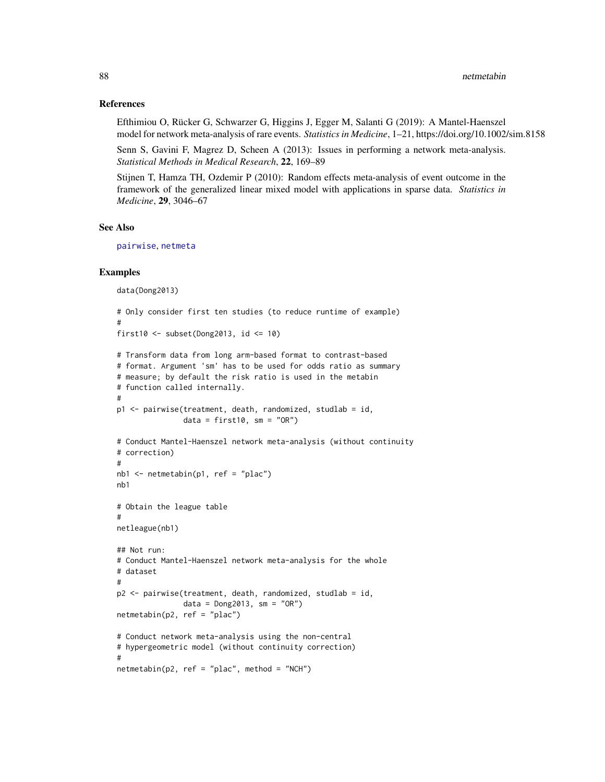## References

Efthimiou O, Rücker G, Schwarzer G, Higgins J, Egger M, Salanti G (2019): A Mantel-Haenszel model for network meta-analysis of rare events. *Statistics in Medicine*, 1–21, https://doi.org/10.1002/sim.8158

Senn S, Gavini F, Magrez D, Scheen A (2013): Issues in performing a network meta-analysis. *Statistical Methods in Medical Research*, 22, 169–89

Stijnen T, Hamza TH, Ozdemir P (2010): Random effects meta-analysis of event outcome in the framework of the generalized linear mixed model with applications in sparse data. *Statistics in Medicine*, 29, 3046–67

## See Also

[pairwise](#page-100-0), [netmeta](#page-72-0)

```
data(Dong2013)
# Only consider first ten studies (to reduce runtime of example)
#
first10 \le subset(Dong2013, id \le 10)
# Transform data from long arm-based format to contrast-based
# format. Argument 'sm' has to be used for odds ratio as summary
# measure; by default the risk ratio is used in the metabin
# function called internally.
#
p1 <- pairwise(treatment, death, randomized, studlab = id,
               data = first10, sm = "OR")# Conduct Mantel-Haenszel network meta-analysis (without continuity
# correction)
#
nb1 < - netmetabin(p1, ref = "p1ac")
nb1
# Obtain the league table
#
netleague(nb1)
## Not run:
# Conduct Mantel-Haenszel network meta-analysis for the whole
# dataset
#
p2 <- pairwise(treatment, death, randomized, studlab = id,
               data = Dong2013, sm = "OR")
netmetabin(p2, ref = "plac")
# Conduct network meta-analysis using the non-central
# hypergeometric model (without continuity correction)
#
netmetabin(p2, ref = "plac", method = "NCH")
```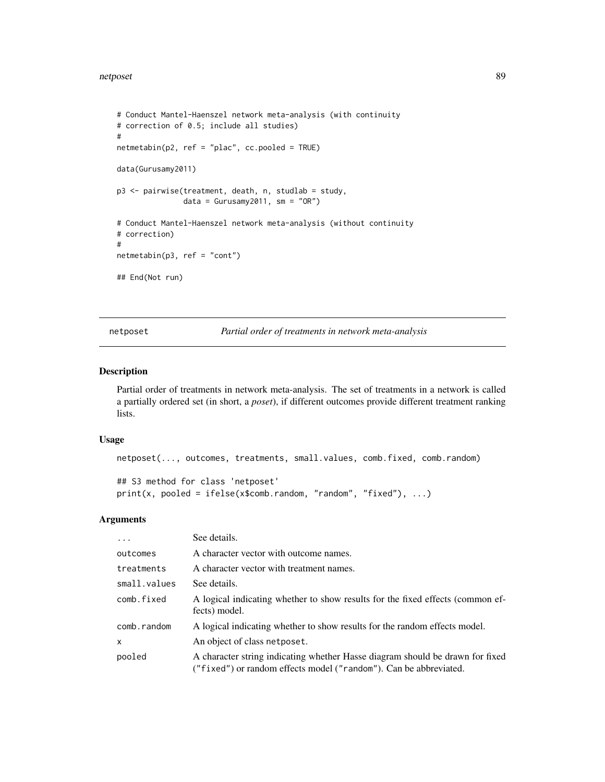```
# Conduct Mantel-Haenszel network meta-analysis (with continuity
# correction of 0.5; include all studies)
#
netmetabin(p2, ref = "plac", cc.pooled = TRUE)
data(Gurusamy2011)
p3 <- pairwise(treatment, death, n, studlab = study,
               data = Gurusamy2011, sm = "OR")# Conduct Mantel-Haenszel network meta-analysis (without continuity
# correction)
#
netmetabin(p3, ref = "cont")## End(Not run)
```
netposet *Partial order of treatments in network meta-analysis*

## Description

Partial order of treatments in network meta-analysis. The set of treatments in a network is called a partially ordered set (in short, a *poset*), if different outcomes provide different treatment ranking lists.

## Usage

```
netposet(..., outcomes, treatments, small.values, comb.fixed, comb.random)
## S3 method for class 'netposet'
print(x, pooled = ifelse(x$comb.random, "random", "fixed"), ...)
```
#### Arguments

| $\cdot$      | See details.                                                                                                                                       |
|--------------|----------------------------------------------------------------------------------------------------------------------------------------------------|
| outcomes     | A character vector with outcome names.                                                                                                             |
| treatments   | A character vector with treatment names.                                                                                                           |
| small.values | See details.                                                                                                                                       |
| comb.fixed   | A logical indicating whether to show results for the fixed effects (common ef-<br>fects) model.                                                    |
| comb.random  | A logical indicating whether to show results for the random effects model.                                                                         |
| X            | An object of class netposet.                                                                                                                       |
| pooled       | A character string indicating whether Hasse diagram should be drawn for fixed<br>("fixed") or random effects model ("random"). Can be abbreviated. |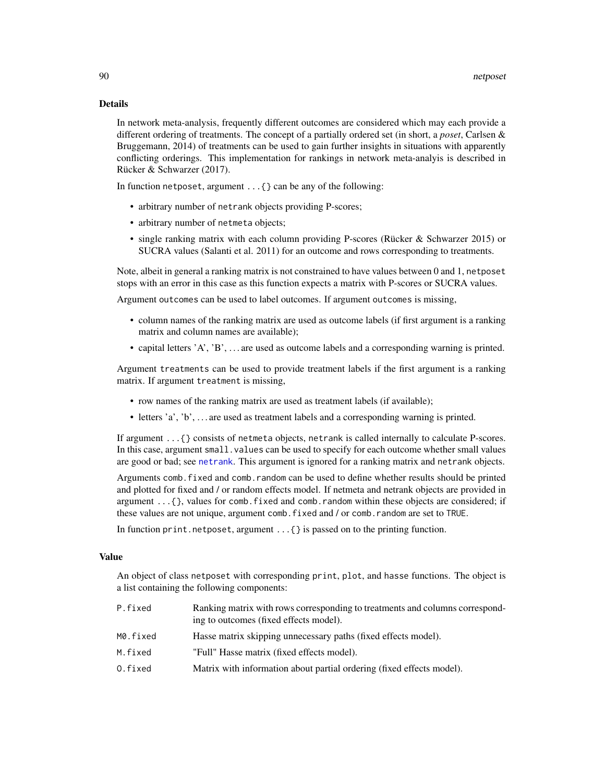#### Details

In network meta-analysis, frequently different outcomes are considered which may each provide a different ordering of treatments. The concept of a partially ordered set (in short, a *poset*, Carlsen & Bruggemann, 2014) of treatments can be used to gain further insights in situations with apparently conflicting orderings. This implementation for rankings in network meta-analyis is described in Rücker & Schwarzer (2017).

In function netposet, argument ...{} can be any of the following:

- arbitrary number of netrank objects providing P-scores;
- arbitrary number of netmeta objects;
- single ranking matrix with each column providing P-scores (Rücker & Schwarzer 2015) or SUCRA values (Salanti et al. 2011) for an outcome and rows corresponding to treatments.

Note, albeit in general a ranking matrix is not constrained to have values between 0 and 1, netposet stops with an error in this case as this function expects a matrix with P-scores or SUCRA values.

Argument outcomes can be used to label outcomes. If argument outcomes is missing,

- column names of the ranking matrix are used as outcome labels (if first argument is a ranking matrix and column names are available);
- capital letters 'A', 'B', . . . are used as outcome labels and a corresponding warning is printed.

Argument treatments can be used to provide treatment labels if the first argument is a ranking matrix. If argument treatment is missing,

- row names of the ranking matrix are used as treatment labels (if available);
- letters 'a', 'b', . . . are used as treatment labels and a corresponding warning is printed.

If argument ...{} consists of netmeta objects, netrank is called internally to calculate P-scores. In this case, argument small.values can be used to specify for each outcome whether small values are good or bad; see [netrank](#page-93-0). This argument is ignored for a ranking matrix and netrank objects.

Arguments comb.fixed and comb.random can be used to define whether results should be printed and plotted for fixed and / or random effects model. If netmeta and netrank objects are provided in argument  $\dots$  { }, values for comb. fixed and comb. random within these objects are considered; if these values are not unique, argument comb. fixed and / or comb. random are set to TRUE.

In function print.netposet, argument ...{} is passed on to the printing function.

## Value

An object of class netposet with corresponding print, plot, and hasse functions. The object is a list containing the following components:

| P.fixed  | Ranking matrix with rows corresponding to treatments and columns correspond-<br>ing to outcomes (fixed effects model). |
|----------|------------------------------------------------------------------------------------------------------------------------|
| M0.fixed | Hasse matrix skipping unnecessary paths (fixed effects model).                                                         |
| M.fixed  | "Full" Hasse matrix (fixed effects model).                                                                             |
| 0.fixed  | Matrix with information about partial ordering (fixed effects model).                                                  |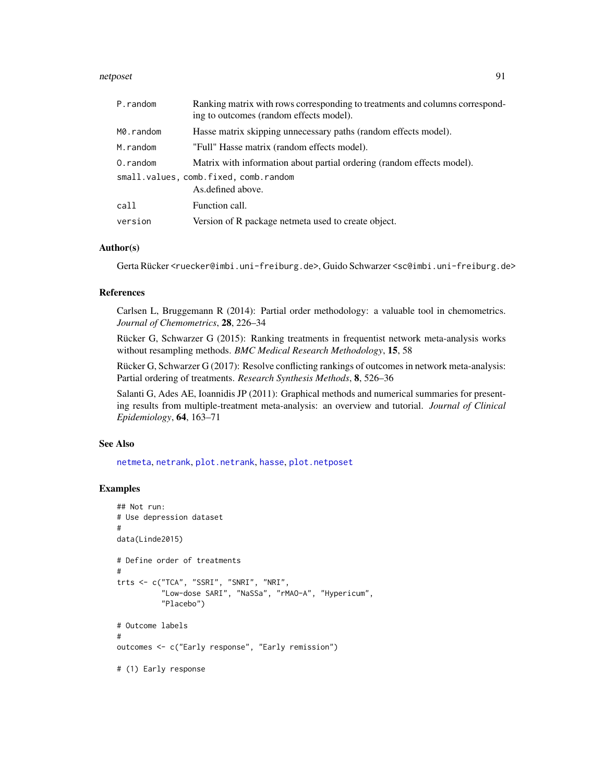#### netposet 91

| P.random                              | Ranking matrix with rows corresponding to treatments and columns correspond-<br>ing to outcomes (random effects model). |  |
|---------------------------------------|-------------------------------------------------------------------------------------------------------------------------|--|
| M0.random                             | Hasse matrix skipping unnecessary paths (random effects model).                                                         |  |
| M.random                              | "Full" Hasse matrix (random effects model).                                                                             |  |
| O.random                              | Matrix with information about partial ordering (random effects model).                                                  |  |
| small.values, comb.fixed, comb.random |                                                                                                                         |  |
|                                       | As defined above.                                                                                                       |  |
| call                                  | Function call.                                                                                                          |  |
| version                               | Version of R package netmeta used to create object.                                                                     |  |

## Author(s)

Gerta Rücker <ruecker@imbi.uni-freiburg.de>, Guido Schwarzer <sc@imbi.uni-freiburg.de>

## References

Carlsen L, Bruggemann R (2014): Partial order methodology: a valuable tool in chemometrics. *Journal of Chemometrics*, 28, 226–34

Rücker G, Schwarzer G (2015): Ranking treatments in frequentist network meta-analysis works without resampling methods. *BMC Medical Research Methodology*, 15, 58

Rücker G, Schwarzer G (2017): Resolve conflicting rankings of outcomes in network meta-analysis: Partial ordering of treatments. *Research Synthesis Methods*, 8, 526–36

Salanti G, Ades AE, Ioannidis JP (2011): Graphical methods and numerical summaries for presenting results from multiple-treatment meta-analysis: an overview and tutorial. *Journal of Clinical Epidemiology*, 64, 163–71

## See Also

[netmeta](#page-72-0), [netrank](#page-93-0), [plot.netrank](#page-111-0), [hasse](#page-34-0), [plot.netposet](#page-107-0)

```
## Not run:
# Use depression dataset
#
data(Linde2015)
# Define order of treatments
#
trts <- c("TCA", "SSRI", "SNRI", "NRI",
          "Low-dose SARI", "NaSSa", "rMAO-A", "Hypericum",
          "Placebo")
# Outcome labels
#
outcomes <- c("Early response", "Early remission")
# (1) Early response
```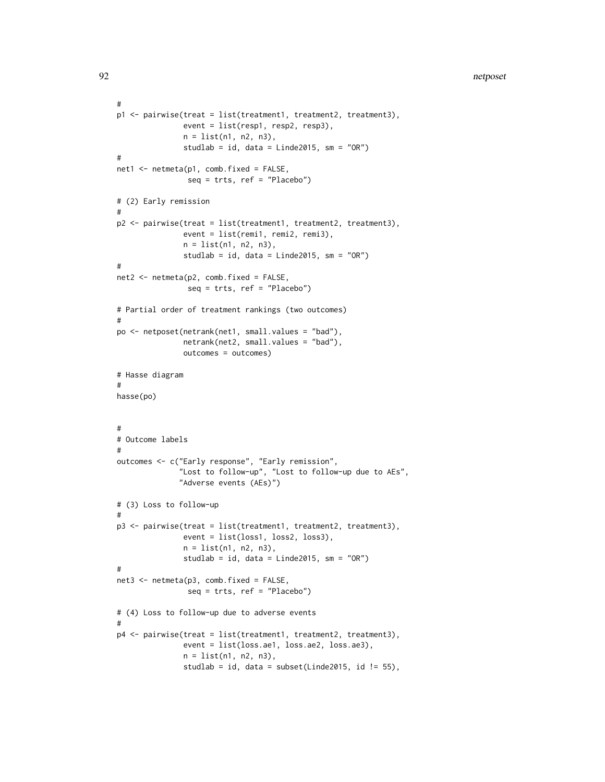```
#
p1 <- pairwise(treat = list(treatment1, treatment2, treatment3),
               event = list(resp1, resp2, resp3),
               n = list(n1, n2, n3),
               studlab = id, data = Linde2015, sm = "OR")
#
net1 <- netmeta(p1, comb.fixed = FALSE,
                seq = trts, ref = "Placebo")
# (2) Early remission
#
p2 <- pairwise(treat = list(treatment1, treatment2, treatment3),
               event = list(remi1, remi2, remi3),
               n = list(n1, n2, n3),
               studlab = id, data = Linde2015, sm = "OR")
#
net2 <- netmeta(p2, comb.fixed = FALSE,
                seq = trts, ref = "Placebo")# Partial order of treatment rankings (two outcomes)
#
po <- netposet(netrank(net1, small.values = "bad"),
               netrank(net2, small.values = "bad"),
               outcomes = outcomes)
# Hasse diagram
#
hasse(po)
#
# Outcome labels
#
outcomes <- c("Early response", "Early remission",
              "Lost to follow-up", "Lost to follow-up due to AEs",
              "Adverse events (AEs)")
# (3) Loss to follow-up
#
p3 <- pairwise(treat = list(treatment1, treatment2, treatment3),
               event = list(loss1, loss2, loss3),
               n = list(n1, n2, n3),
               studlab = id, data = Linde2015, sm = "OR")
#
net3 <- netmeta(p3, comb.fixed = FALSE,
                seq = trts, ref = "Placebo")
# (4) Loss to follow-up due to adverse events
#
p4 <- pairwise(treat = list(treatment1, treatment2, treatment3),
               event = list(loss.ae1, loss.ae2, loss.ae3),
               n = list(n1, n2, n3),studlab = id, data = subset(Linde2015, id != 55),
```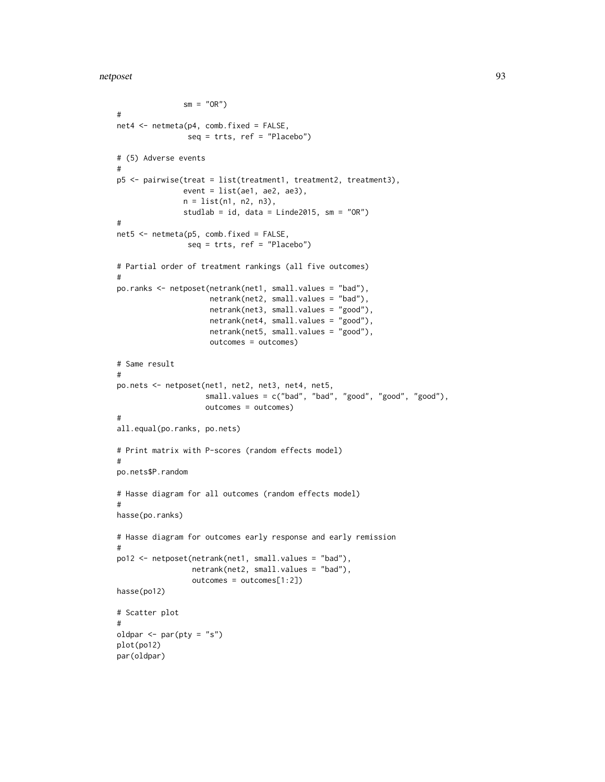```
sm = "OR")#
net4 <- netmeta(p4, comb.fixed = FALSE,
                seq = trts, ref = "Placebo")
# (5) Adverse events
#
p5 <- pairwise(treat = list(treatment1, treatment2, treatment3),
               event = list(ae1, ae2, ae3),
               n = list(n1, n2, n3),studlab = id, data = Linde2015, sm = "OR")
#
net5 <- netmeta(p5, comb.fixed = FALSE,
                seq = trts, ref = "Placebo")
# Partial order of treatment rankings (all five outcomes)
#
po.ranks <- netposet(netrank(net1, small.values = "bad"),
                     netrank(net2, small.values = "bad"),
                     netrank(net3, small.values = "good"),
                     netrank(net4, small.values = "good"),
                     netrank(net5, small.values = "good"),
                     outcomes = outcomes)
# Same result
#
po.nets <- netposet(net1, net2, net3, net4, net5,
                    small.values = c("bad", "bad", "good", "good", "good"),
                    outcomes = outcomes)
#
all.equal(po.ranks, po.nets)
# Print matrix with P-scores (random effects model)
#
po.nets$P.random
# Hasse diagram for all outcomes (random effects model)
#
hasse(po.ranks)
# Hasse diagram for outcomes early response and early remission
#
po12 <- netposet(netrank(net1, small.values = "bad"),
                 netrank(net2, small.values = "bad"),
                 outcomes = outcomes[1:2])
hasse(po12)
# Scatter plot
#
oldpar \leq par(pty = "s")
plot(po12)
par(oldpar)
```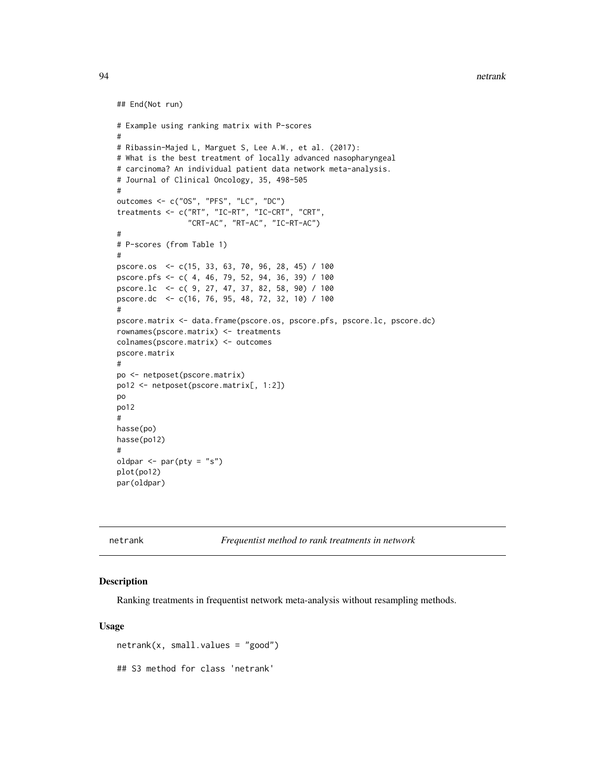94 netrank

```
## End(Not run)
# Example using ranking matrix with P-scores
#
# Ribassin-Majed L, Marguet S, Lee A.W., et al. (2017):
# What is the best treatment of locally advanced nasopharyngeal
# carcinoma? An individual patient data network meta-analysis.
# Journal of Clinical Oncology, 35, 498-505
#
outcomes <- c("OS", "PFS", "LC", "DC")
treatments <- c("RT", "IC-RT", "IC-CRT", "CRT",
                "CRT-AC", "RT-AC", "IC-RT-AC")
#
# P-scores (from Table 1)
#
pscore.os <- c(15, 33, 63, 70, 96, 28, 45) / 100
pscore.pfs <- c( 4, 46, 79, 52, 94, 36, 39) / 100
pscore.lc <- c( 9, 27, 47, 37, 82, 58, 90) / 100
pscore.dc <- c(16, 76, 95, 48, 72, 32, 10) / 100
#
pscore.matrix <- data.frame(pscore.os, pscore.pfs, pscore.lc, pscore.dc)
rownames(pscore.matrix) <- treatments
colnames(pscore.matrix) <- outcomes
pscore.matrix
#
po <- netposet(pscore.matrix)
po12 <- netposet(pscore.matrix[, 1:2])
po
po12
#
hasse(po)
hasse(po12)
#
oldpar <- par(pty = "s")
plot(po12)
par(oldpar)
```
<span id="page-93-0"></span>netrank *Frequentist method to rank treatments in network*

## Description

Ranking treatments in frequentist network meta-analysis without resampling methods.

#### Usage

 $network(x, small.values = "good")$ ## S3 method for class 'netrank'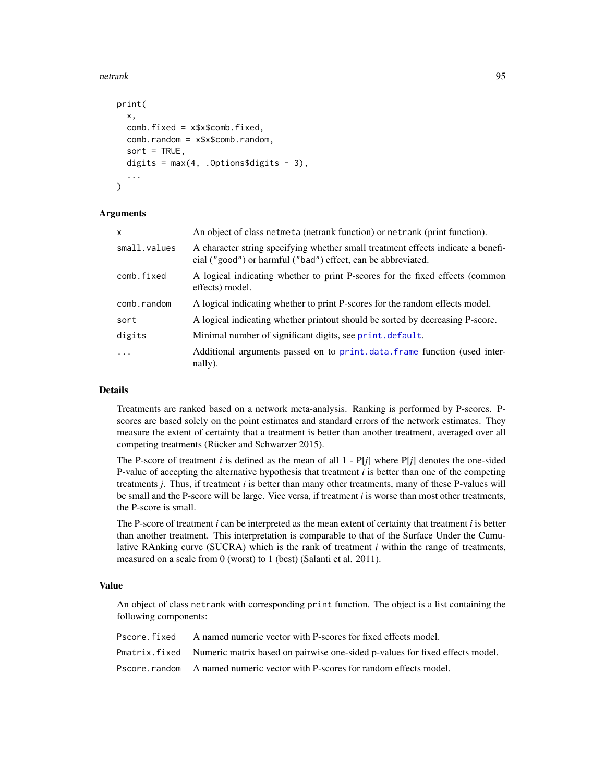#### netrank 95

```
print(
  x,
  comb.fixed = x$x$comb.fixed,
  comb.random = x$x$comb.random,
  sort = TRUE,digits = max(4, .0ptions$digits - 3),...
)
```
#### Arguments

| X            | An object of class netmeta (netrank function) or netrank (print function).                                                                       |
|--------------|--------------------------------------------------------------------------------------------------------------------------------------------------|
| small.values | A character string specifying whether small treatment effects indicate a benefi-<br>cial ("good") or harmful ("bad") effect, can be abbreviated. |
| comb.fixed   | A logical indicating whether to print P-scores for the fixed effects (common<br>effects) model.                                                  |
| comb.random  | A logical indicating whether to print P-scores for the random effects model.                                                                     |
| sort         | A logical indicating whether printout should be sorted by decreasing P-score.                                                                    |
| digits       | Minimal number of significant digits, see print. default.                                                                                        |
| $\ddotsc$    | Additional arguments passed on to print.data.frame function (used inter-<br>nally).                                                              |

#### Details

Treatments are ranked based on a network meta-analysis. Ranking is performed by P-scores. Pscores are based solely on the point estimates and standard errors of the network estimates. They measure the extent of certainty that a treatment is better than another treatment, averaged over all competing treatments (Rücker and Schwarzer 2015).

The P-score of treatment *i* is defined as the mean of all  $1 - P[j]$  where  $P[j]$  denotes the one-sided P-value of accepting the alternative hypothesis that treatment *i* is better than one of the competing treatments *j*. Thus, if treatment *i* is better than many other treatments, many of these P-values will be small and the P-score will be large. Vice versa, if treatment *i* is worse than most other treatments, the P-score is small.

The P-score of treatment *i* can be interpreted as the mean extent of certainty that treatment *i* is better than another treatment. This interpretation is comparable to that of the Surface Under the Cumulative RAnking curve (SUCRA) which is the rank of treatment *i* within the range of treatments, measured on a scale from 0 (worst) to 1 (best) (Salanti et al. 2011).

## Value

An object of class netrank with corresponding print function. The object is a list containing the following components:

| Pscore fixed A named numeric vector with P-scores for fixed effects model.                  |
|---------------------------------------------------------------------------------------------|
| Pmatrix. fixed Numeric matrix based on pairwise one-sided p-values for fixed effects model. |
| Pscore, random A named numeric vector with P-scores for random effects model.               |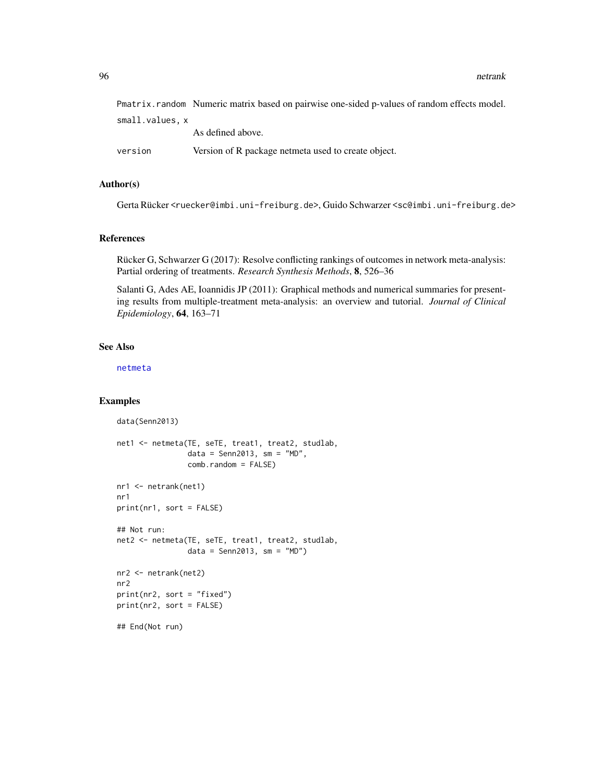96 netrank

|                 | Pmatrix.random Numeric matrix based on pairwise one-sided p-values of random effects model. |
|-----------------|---------------------------------------------------------------------------------------------|
| small.values, x |                                                                                             |
|                 | As defined above.                                                                           |
| version         | Version of R package netmeta used to create object.                                         |

## Author(s)

Gerta Rücker <ruecker@imbi.uni-freiburg.de>, Guido Schwarzer <sc@imbi.uni-freiburg.de>

## References

Rücker G, Schwarzer G (2017): Resolve conflicting rankings of outcomes in network meta-analysis: Partial ordering of treatments. *Research Synthesis Methods*, 8, 526–36

Salanti G, Ades AE, Ioannidis JP (2011): Graphical methods and numerical summaries for presenting results from multiple-treatment meta-analysis: an overview and tutorial. *Journal of Clinical Epidemiology*, 64, 163–71

#### See Also

[netmeta](#page-72-0)

```
data(Senn2013)
net1 <- netmeta(TE, seTE, treat1, treat2, studlab,
                data = Senn2013, sm = "MD",comb.random = FALSE)
nr1 <- netrank(net1)
nr1
print(nr1, sort = FALSE)
## Not run:
net2 <- netmeta(TE, seTE, treat1, treat2, studlab,
               data = Senn2013, sm = "MD")nr2 <- netrank(net2)
nr2
print(nr2, sort = "fixed")
print(nr2, sort = FALSE)
## End(Not run)
```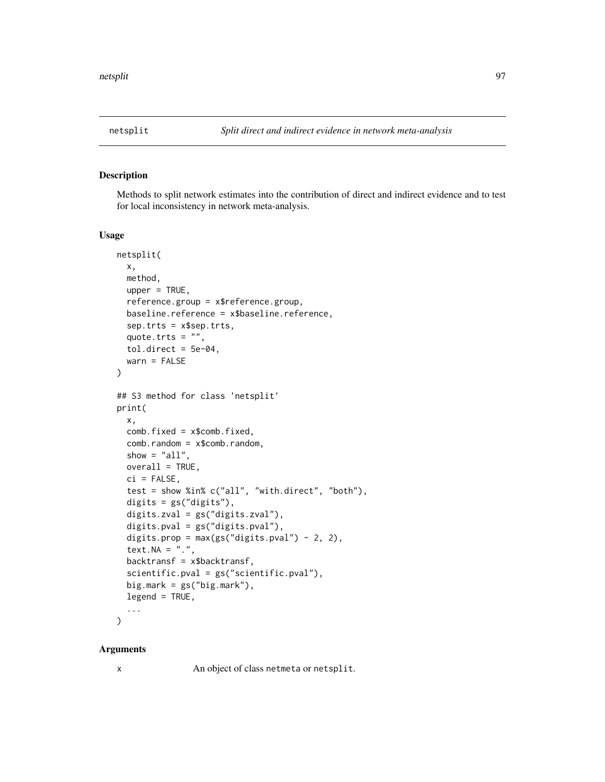## Description

Methods to split network estimates into the contribution of direct and indirect evidence and to test for local inconsistency in network meta-analysis.

#### Usage

```
netsplit(
 x,
 method,
 upper = TRUE,reference.group = x$reference.group,
 baseline.reference = x$baseline.reference,
 sep.trts = x$sep.trts,
 quote.trts = ",
 tol.direct = 5e-04.
 wan = FALSE)
## S3 method for class 'netsplit'
print(
 x,
 comb.fixed = x$comb.fixed,
 comb.random = x$comb.random,
 show = "all",overall = TRUE,
 ci = FALSE,test = show %in% c("all", "with.direct", "both"),
 digits = gs("digits"),
 digits.zval = gs("digits.zval"),
 digits.pval = gs("digits.pval"),
 digits.prop = max(gs("digits.pval") - 2, 2),text. NA = "."backtransf = x$backtransf,
  scientific.pval = gs("scientific.pval"),
 big.mark = gs("big.mark"),
  legend = TRUE,...
```
)

## Arguments

x An object of class netmeta or netsplit.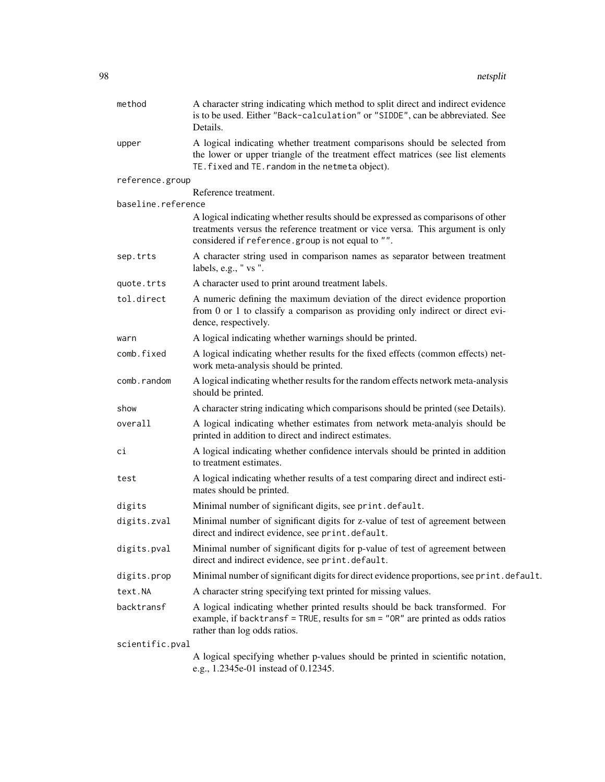| method             | A character string indicating which method to split direct and indirect evidence<br>is to be used. Either "Back-calculation" or "SIDDE", can be abbreviated. See<br>Details.                                            |  |
|--------------------|-------------------------------------------------------------------------------------------------------------------------------------------------------------------------------------------------------------------------|--|
| upper              | A logical indicating whether treatment comparisons should be selected from<br>the lower or upper triangle of the treatment effect matrices (see list elements<br>TE. fixed and TE. random in the netmeta object).       |  |
| reference.group    |                                                                                                                                                                                                                         |  |
| baseline.reference | Reference treatment.                                                                                                                                                                                                    |  |
|                    | A logical indicating whether results should be expressed as comparisons of other<br>treatments versus the reference treatment or vice versa. This argument is only<br>considered if reference.group is not equal to "". |  |
| sep.trts           | A character string used in comparison names as separator between treatment<br>labels, e.g., " vs ".                                                                                                                     |  |
| quote.trts         | A character used to print around treatment labels.                                                                                                                                                                      |  |
| tol.direct         | A numeric defining the maximum deviation of the direct evidence proportion<br>from 0 or 1 to classify a comparison as providing only indirect or direct evi-<br>dence, respectively.                                    |  |
| warn               | A logical indicating whether warnings should be printed.                                                                                                                                                                |  |
| comb.fixed         | A logical indicating whether results for the fixed effects (common effects) net-<br>work meta-analysis should be printed.                                                                                               |  |
| comb.random        | A logical indicating whether results for the random effects network meta-analysis<br>should be printed.                                                                                                                 |  |
| show               | A character string indicating which comparisons should be printed (see Details).                                                                                                                                        |  |
| overall            | A logical indicating whether estimates from network meta-analyis should be<br>printed in addition to direct and indirect estimates.                                                                                     |  |
| сi                 | A logical indicating whether confidence intervals should be printed in addition<br>to treatment estimates.                                                                                                              |  |
| test               | A logical indicating whether results of a test comparing direct and indirect esti-<br>mates should be printed.                                                                                                          |  |
| digits             | Minimal number of significant digits, see print.default.                                                                                                                                                                |  |
| digits.zval        | Minimal number of significant digits for z-value of test of agreement between<br>direct and indirect evidence, see print.default.                                                                                       |  |
| digits.pval        | Minimal number of significant digits for p-value of test of agreement between<br>direct and indirect evidence, see print.default.                                                                                       |  |
| digits.prop        | Minimal number of significant digits for direct evidence proportions, see print. default.                                                                                                                               |  |
| text.NA            | A character string specifying text printed for missing values.                                                                                                                                                          |  |
| backtransf         | A logical indicating whether printed results should be back transformed. For<br>example, if backtransf = TRUE, results for $sm = "OR"$ are printed as odds ratios<br>rather than log odds ratios.                       |  |
| scientific.pval    |                                                                                                                                                                                                                         |  |
|                    | A logical specifying whether p-values should be printed in scientific notation,<br>e.g., 1.2345e-01 instead of 0.12345.                                                                                                 |  |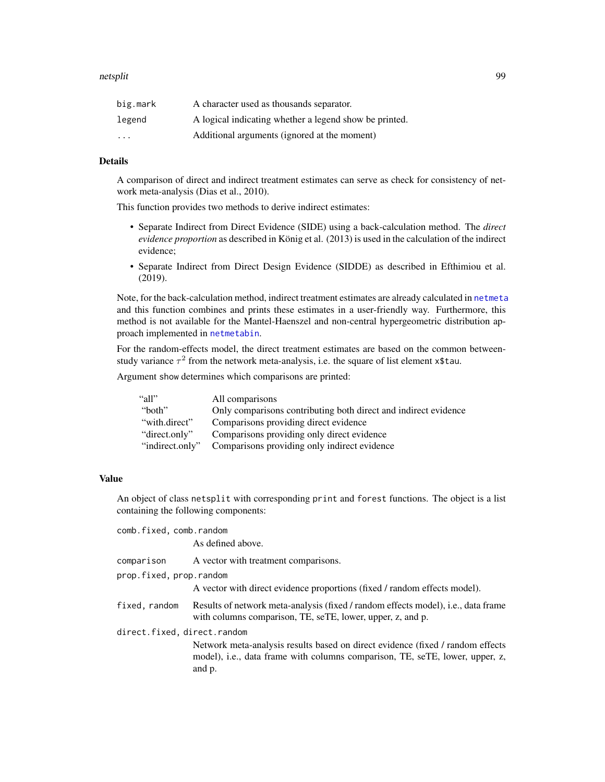| big.mark | A character used as thousands separator.               |
|----------|--------------------------------------------------------|
| legend   | A logical indicating whether a legend show be printed. |
| $\cdot$  | Additional arguments (ignored at the moment)           |

### Details

A comparison of direct and indirect treatment estimates can serve as check for consistency of network meta-analysis (Dias et al., 2010).

This function provides two methods to derive indirect estimates:

- Separate Indirect from Direct Evidence (SIDE) using a back-calculation method. The *direct evidence proportion* as described in König et al. (2013) is used in the calculation of the indirect evidence;
- Separate Indirect from Direct Design Evidence (SIDDE) as described in Efthimiou et al. (2019).

Note, for the back-calculation method, indirect treatment estimates are already calculated in [netmeta](#page-72-0) and this function combines and prints these estimates in a user-friendly way. Furthermore, this method is not available for the Mantel-Haenszel and non-central hypergeometric distribution approach implemented in [netmetabin](#page-81-0).

For the random-effects model, the direct treatment estimates are based on the common betweenstudy variance  $\tau^2$  from the network meta-analysis, i.e. the square of list element x\$tau.

Argument show determines which comparisons are printed:

| "all"           | All comparisons                                                 |
|-----------------|-----------------------------------------------------------------|
| "both"          | Only comparisons contributing both direct and indirect evidence |
| "with.direct"   | Comparisons providing direct evidence                           |
| "direct.only"   | Comparisons providing only direct evidence                      |
| "indirect.only" | Comparisons providing only indirect evidence                    |

## Value

An object of class netsplit with corresponding print and forest functions. The object is a list containing the following components:

| comb.fixed, comb.random     | As defined above.                                                                                                                                                         |
|-----------------------------|---------------------------------------------------------------------------------------------------------------------------------------------------------------------------|
| comparison                  | A vector with treatment comparisons.                                                                                                                                      |
| prop.fixed, prop.random     | A vector with direct evidence proportions (fixed / random effects model).                                                                                                 |
| fixed, random               | Results of network meta-analysis (fixed / random effects model), i.e., data frame<br>with columns comparison, TE, seTE, lower, upper, z, and p.                           |
| direct.fixed, direct.random | Network meta-analysis results based on direct evidence (fixed / random effects)<br>model), i.e., data frame with columns comparison, TE, seTE, lower, upper, z,<br>and p. |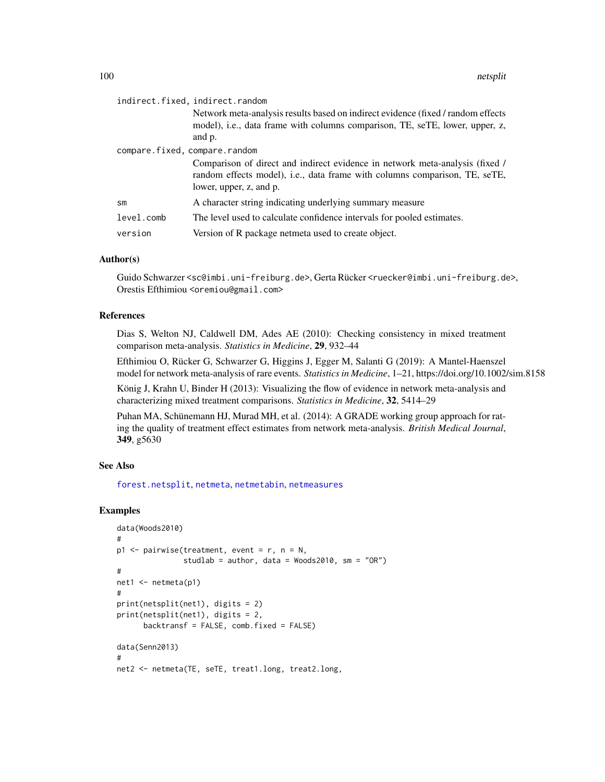|               | indirect.fixed, indirect.random<br>Network meta-analysis results based on indirect evidence (fixed / random effects<br>model), i.e., data frame with columns comparison, TE, seTE, lower, upper, z,<br>and p.          |  |
|---------------|------------------------------------------------------------------------------------------------------------------------------------------------------------------------------------------------------------------------|--|
|               | compare.fixed, compare.random<br>Comparison of direct and indirect evidence in network meta-analysis (fixed /<br>random effects model), i.e., data frame with columns comparison, TE, seTE,<br>lower, upper, z, and p. |  |
| $\mathsf{sm}$ | A character string indicating underlying summary measure                                                                                                                                                               |  |
| level.comb    | The level used to calculate confidence intervals for pooled estimates.                                                                                                                                                 |  |
| version       | Version of R package netmeta used to create object.                                                                                                                                                                    |  |

#### Author(s)

Guido Schwarzer <sc@imbi.uni-freiburg.de>, Gerta Rücker <ruecker@imbi.uni-freiburg.de>, Orestis Efthimiou <oremiou@gmail.com>

## References

Dias S, Welton NJ, Caldwell DM, Ades AE (2010): Checking consistency in mixed treatment comparison meta-analysis. *Statistics in Medicine*, 29, 932–44

Efthimiou O, Rücker G, Schwarzer G, Higgins J, Egger M, Salanti G (2019): A Mantel-Haenszel model for network meta-analysis of rare events. *Statistics in Medicine*, 1–21, https://doi.org/10.1002/sim.8158

König J, Krahn U, Binder H (2013): Visualizing the flow of evidence in network meta-analysis and characterizing mixed treatment comparisons. *Statistics in Medicine*, 32, 5414–29

Puhan MA, Schünemann HJ, Murad MH, et al. (2014): A GRADE working group approach for rating the quality of treatment effect estimates from network meta-analysis. *British Medical Journal*, 349, g5630

### See Also

[forest.netsplit](#page-26-0), [netmeta](#page-72-0), [netmetabin](#page-81-0), [netmeasures](#page-70-0)

```
data(Woods2010)
#
p1 \leq - pairwise(treatment, event = r, n = N,
               studlab = author, data = Woods2010, sm = "OR")
#
net1 <- netmeta(p1)
#
print(netsplit(net1), digits = 2)
print(netsplit(net1), digits = 2,
      backtransf = FALSE, comb.fixed = FALSE)
data(Senn2013)
#
net2 <- netmeta(TE, seTE, treat1.long, treat2.long,
```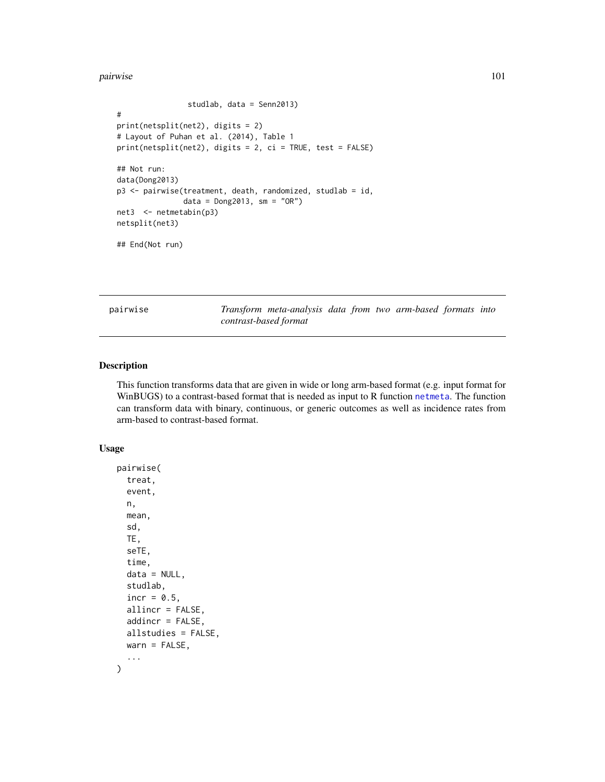#### pairwise the contract of the contract of the contract of the contract of the contract of the contract of the contract of the contract of the contract of the contract of the contract of the contract of the contract of the c

```
studlab, data = Senn2013)
#
print(netsplit(net2), digits = 2)
# Layout of Puhan et al. (2014), Table 1
print(netsplit(net2), digits = 2, ci = TRUE, test = FALSE)
## Not run:
data(Dong2013)
p3 <- pairwise(treatment, death, randomized, studlab = id,
               data = Dong2013, sm = "OR")
net3 <- netmetabin(p3)
netsplit(net3)
## End(Not run)
```
<span id="page-100-0"></span>pairwise *Transform meta-analysis data from two arm-based formats into contrast-based format*

## Description

This function transforms data that are given in wide or long arm-based format (e.g. input format for WinBUGS) to a contrast-based format that is needed as input to R function [netmeta](#page-72-0). The function can transform data with binary, continuous, or generic outcomes as well as incidence rates from arm-based to contrast-based format.

#### Usage

```
pairwise(
  treat,
  event,
  n,
 mean,
  sd,
  TE,
  seTE,
  time,
  data = NULL,
  studlab,
  incr = 0.5,
  allincr = FALSE,
  addincr = FALSE,
  allstudies = FALSE,
 warn = FALSE,
  ...
)
```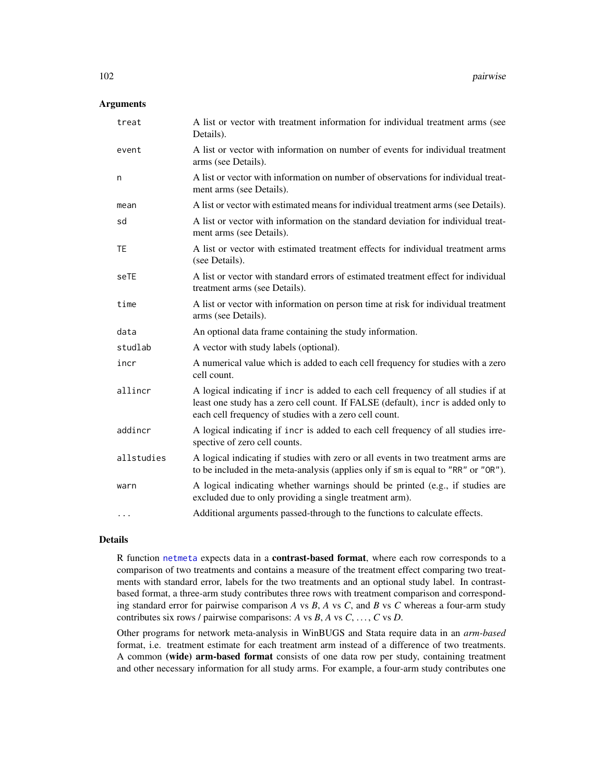## Arguments

| treat      | A list or vector with treatment information for individual treatment arms (see<br>Details).                                                                                                                                     |
|------------|---------------------------------------------------------------------------------------------------------------------------------------------------------------------------------------------------------------------------------|
| event      | A list or vector with information on number of events for individual treatment<br>arms (see Details).                                                                                                                           |
| n          | A list or vector with information on number of observations for individual treat-<br>ment arms (see Details).                                                                                                                   |
| mean       | A list or vector with estimated means for individual treatment arms (see Details).                                                                                                                                              |
| sd         | A list or vector with information on the standard deviation for individual treat-<br>ment arms (see Details).                                                                                                                   |
| <b>TE</b>  | A list or vector with estimated treatment effects for individual treatment arms<br>(see Details).                                                                                                                               |
| seTE       | A list or vector with standard errors of estimated treatment effect for individual<br>treatment arms (see Details).                                                                                                             |
| time       | A list or vector with information on person time at risk for individual treatment<br>arms (see Details).                                                                                                                        |
| data       | An optional data frame containing the study information.                                                                                                                                                                        |
| studlab    | A vector with study labels (optional).                                                                                                                                                                                          |
| incr       | A numerical value which is added to each cell frequency for studies with a zero<br>cell count.                                                                                                                                  |
| allincr    | A logical indicating if incr is added to each cell frequency of all studies if at<br>least one study has a zero cell count. If FALSE (default), incr is added only to<br>each cell frequency of studies with a zero cell count. |
| addincr    | A logical indicating if incr is added to each cell frequency of all studies irre-<br>spective of zero cell counts.                                                                                                              |
| allstudies | A logical indicating if studies with zero or all events in two treatment arms are<br>to be included in the meta-analysis (applies only if sm is equal to "RR" or "OR").                                                         |
| warn       | A logical indicating whether warnings should be printed (e.g., if studies are<br>excluded due to only providing a single treatment arm).                                                                                        |
| $\cdots$   | Additional arguments passed-through to the functions to calculate effects.                                                                                                                                                      |

## Details

R function [netmeta](#page-72-0) expects data in a contrast-based format, where each row corresponds to a comparison of two treatments and contains a measure of the treatment effect comparing two treatments with standard error, labels for the two treatments and an optional study label. In contrastbased format, a three-arm study contributes three rows with treatment comparison and corresponding standard error for pairwise comparison *A* vs *B*, *A* vs *C*, and *B* vs *C* whereas a four-arm study contributes six rows / pairwise comparisons: *A* vs *B*, *A* vs *C*, . . . , *C* vs *D*.

Other programs for network meta-analysis in WinBUGS and Stata require data in an *arm-based* format, i.e. treatment estimate for each treatment arm instead of a difference of two treatments. A common (wide) arm-based format consists of one data row per study, containing treatment and other necessary information for all study arms. For example, a four-arm study contributes one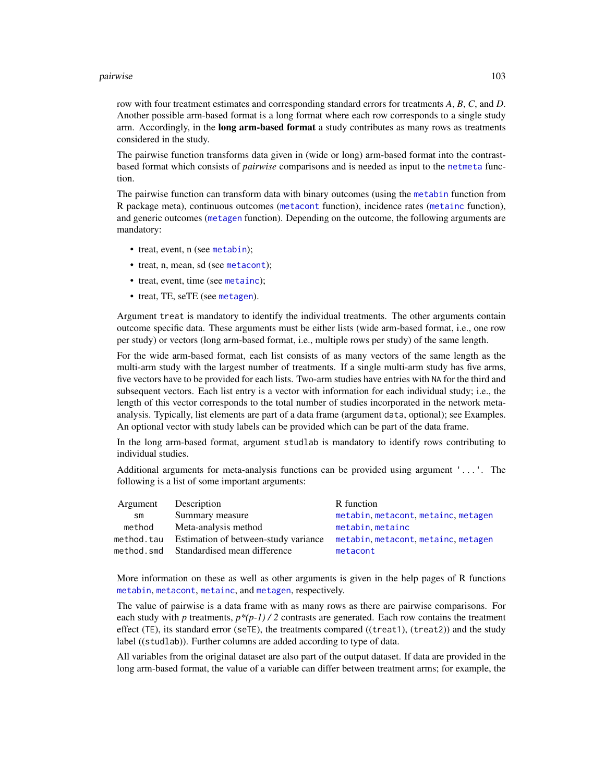#### pairwise the contract of the contract of the contract of the contract of the contract of the contract of the contract of the contract of the contract of the contract of the contract of the contract of the contract of the c

row with four treatment estimates and corresponding standard errors for treatments *A*, *B*, *C*, and *D*. Another possible arm-based format is a long format where each row corresponds to a single study arm. Accordingly, in the **long arm-based format** a study contributes as many rows as treatments considered in the study.

The pairwise function transforms data given in (wide or long) arm-based format into the contrastbased format which consists of *pairwise* comparisons and is needed as input to the [netmeta](#page-72-0) function.

The pairwise function can transform data with binary outcomes (using the [metabin](#page-0-0) function from R package meta), continuous outcomes ([metacont](#page-0-0) function), incidence rates ([metainc](#page-0-0) function), and generic outcomes ([metagen](#page-0-0) function). Depending on the outcome, the following arguments are mandatory:

- treat, event, n (see [metabin](#page-0-0));
- treat, n, mean, sd (see [metacont](#page-0-0));
- treat, event, time (see [metainc](#page-0-0));
- treat, TE, seTE (see [metagen](#page-0-0)).

Argument treat is mandatory to identify the individual treatments. The other arguments contain outcome specific data. These arguments must be either lists (wide arm-based format, i.e., one row per study) or vectors (long arm-based format, i.e., multiple rows per study) of the same length.

For the wide arm-based format, each list consists of as many vectors of the same length as the multi-arm study with the largest number of treatments. If a single multi-arm study has five arms, five vectors have to be provided for each lists. Two-arm studies have entries with NA for the third and subsequent vectors. Each list entry is a vector with information for each individual study; i.e., the length of this vector corresponds to the total number of studies incorporated in the network metaanalysis. Typically, list elements are part of a data frame (argument data, optional); see Examples. An optional vector with study labels can be provided which can be part of the data frame.

In the long arm-based format, argument studlab is mandatory to identify rows contributing to individual studies.

Additional arguments for meta-analysis functions can be provided using argument '...'. The following is a list of some important arguments:

| Description                          | R function                              |
|--------------------------------------|-----------------------------------------|
| Summary measure                      | metabin, metacont, metainc, metagen     |
| Meta-analysis method                 | metabin, metainc                        |
| Estimation of between-study variance | metabin, metacont, metainc, metagen     |
|                                      | metacont                                |
|                                      | method.smd Standardised mean difference |

More information on these as well as other arguments is given in the help pages of R functions [metabin](#page-0-0), [metacont](#page-0-0), [metainc](#page-0-0), and [metagen](#page-0-0), respectively.

The value of pairwise is a data frame with as many rows as there are pairwise comparisons. For each study with *p* treatments,  $p^*(p-1)/2$  contrasts are generated. Each row contains the treatment effect (TE), its standard error (seTE), the treatments compared ((treat1), (treat2)) and the study label ((studlab)). Further columns are added according to type of data.

All variables from the original dataset are also part of the output dataset. If data are provided in the long arm-based format, the value of a variable can differ between treatment arms; for example, the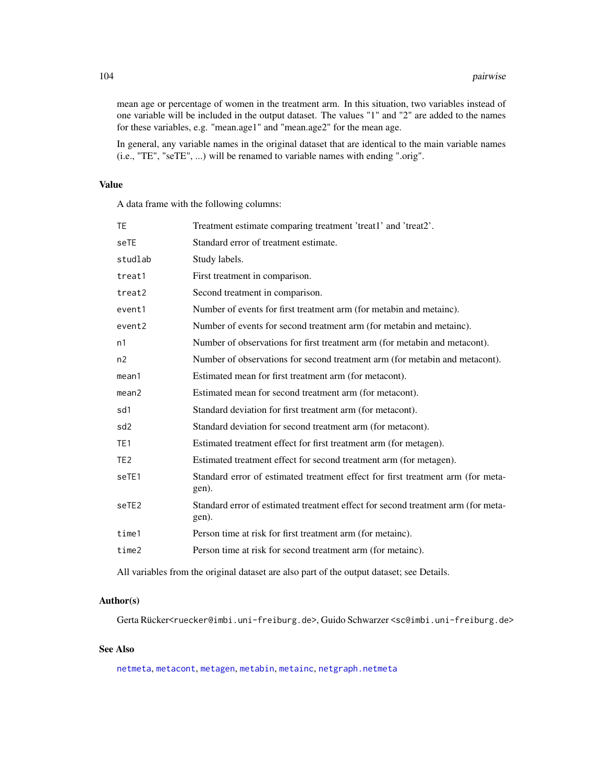mean age or percentage of women in the treatment arm. In this situation, two variables instead of one variable will be included in the output dataset. The values "1" and "2" are added to the names for these variables, e.g. "mean.age1" and "mean.age2" for the mean age.

In general, any variable names in the original dataset that are identical to the main variable names (i.e., "TE", "seTE", ...) will be renamed to variable names with ending ".orig".

## Value

A data frame with the following columns:

| TΕ              | Treatment estimate comparing treatment 'treat1' and 'treat2'.                             |
|-----------------|-------------------------------------------------------------------------------------------|
| seTE            | Standard error of treatment estimate.                                                     |
| studlab         | Study labels.                                                                             |
| treat1          | First treatment in comparison.                                                            |
| treat2          | Second treatment in comparison.                                                           |
| event1          | Number of events for first treatment arm (for metabin and metainc).                       |
| event2          | Number of events for second treatment arm (for metabin and metainc).                      |
| n1              | Number of observations for first treatment arm (for metabin and metacont).                |
| n2              | Number of observations for second treatment arm (for metabin and metacont).               |
| mean1           | Estimated mean for first treatment arm (for metacont).                                    |
| mean2           | Estimated mean for second treatment arm (for metacont).                                   |
| sd1             | Standard deviation for first treatment arm (for metacont).                                |
| sd2             | Standard deviation for second treatment arm (for metacont).                               |
| TE <sub>1</sub> | Estimated treatment effect for first treatment arm (for metagen).                         |
| TE <sub>2</sub> | Estimated treatment effect for second treatment arm (for metagen).                        |
| seTE1           | Standard error of estimated treatment effect for first treatment arm (for meta-<br>gen).  |
| seTE2           | Standard error of estimated treatment effect for second treatment arm (for meta-<br>gen). |
| time1           | Person time at risk for first treatment arm (for metainc).                                |
| time2           | Person time at risk for second treatment arm (for metainc).                               |
|                 |                                                                                           |

All variables from the original dataset are also part of the output dataset; see Details.

### Author(s)

Gerta Rücker<ruecker@imbi.uni-freiburg.de>, Guido Schwarzer <sc@imbi.uni-freiburg.de>

### See Also

[netmeta](#page-72-0), [metacont](#page-0-0), [metagen](#page-0-0), [metabin](#page-0-0), [metainc](#page-0-0), [netgraph.netmeta](#page-53-0)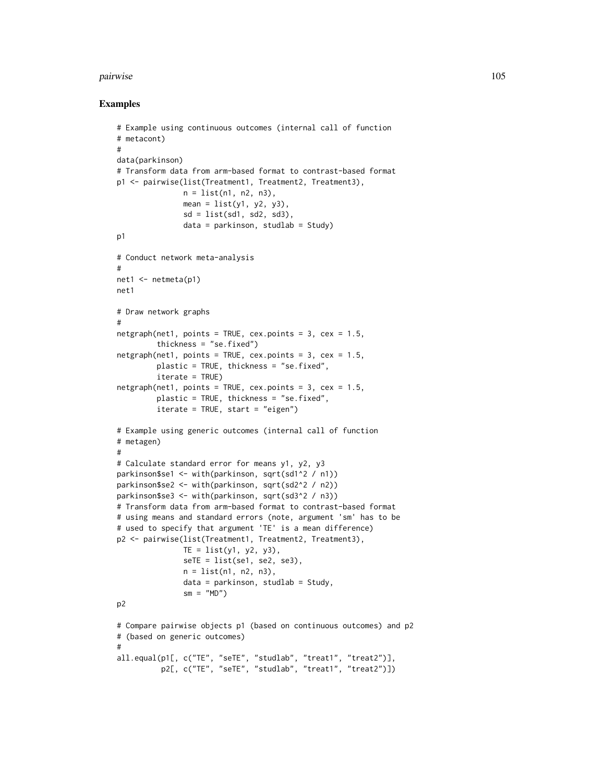#### pairwise the contract of the contract of the contract of the contract of the contract of the contract of the contract of the contract of the contract of the contract of the contract of the contract of the contract of the c

```
# Example using continuous outcomes (internal call of function
# metacont)
#
data(parkinson)
# Transform data from arm-based format to contrast-based format
p1 <- pairwise(list(Treatment1, Treatment2, Treatment3),
               n = list(n1, n2, n3),
               mean = list(y1, y2, y3),sd = list(sd1, sd2, sd3),
               data = parkinson, studlab = Study)p1
# Conduct network meta-analysis
#
net1 <- netmeta(p1)
net1
# Draw network graphs
#
netgraph(net1, points = TRUE, cex.points = 3, cex = 1.5,
         thickness = "se.fixed")
netgraph(net1, points = TRUE, cex.points = 3, cex = 1.5,plastic = TRUE, thickness = "se.fixed",
         iterate = TRUE)
netgraph(net1, points = TRUE, cex.points = 3, cex = 1.5,
        plastic = TRUE, thickness = "se.fixed",
        iterate = TRUE, start = "eigen")
# Example using generic outcomes (internal call of function
# metagen)
#
# Calculate standard error for means y1, y2, y3
parkinson$se1 <- with(parkinson, sqrt(sd1^2 / n1))
parkinson$se2 <- with(parkinson, sqrt(sd2^2 / n2))
parkinson$se3 <- with(parkinson, sqrt(sd3^2 / n3))
# Transform data from arm-based format to contrast-based format
# using means and standard errors (note, argument 'sm' has to be
# used to specify that argument 'TE' is a mean difference)
p2 <- pairwise(list(Treatment1, Treatment2, Treatment3),
               TE = list(y1, y2, y3),self = list(self, se2, se3),n = list(n1, n2, n3),
               data = parkinson, studlab = Study,sm = "MD")p2
# Compare pairwise objects p1 (based on continuous outcomes) and p2
# (based on generic outcomes)
#
all.equal(p1[, c("TE", "seTE", "studlab", "treat1", "treat2")],
          p2[, c("TE", "seTE", "studlab", "treat1", "treat2")])
```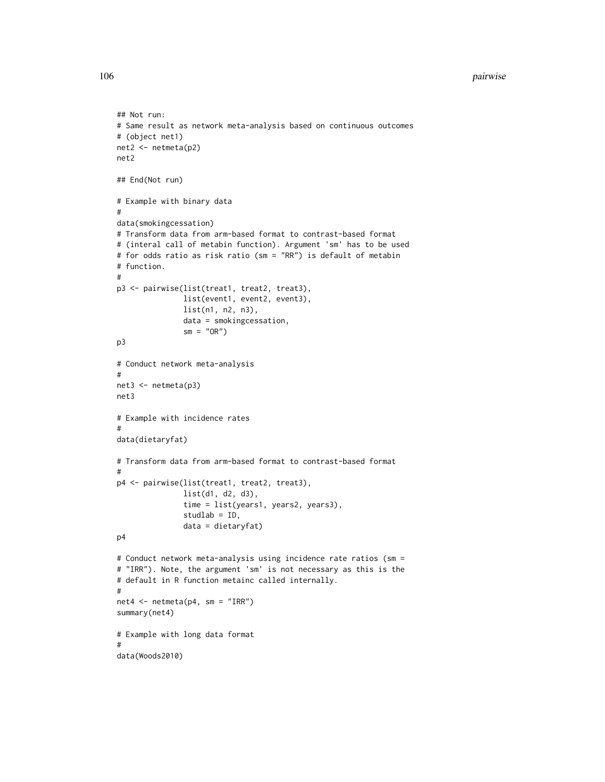```
## Not run:
# Same result as network meta-analysis based on continuous outcomes
# (object net1)
net2 <- netmeta(p2)
net2
## End(Not run)
# Example with binary data
#
data(smokingcessation)
# Transform data from arm-based format to contrast-based format
# (interal call of metabin function). Argument 'sm' has to be used
# for odds ratio as risk ratio (sm = "RR") is default of metabin
# function.
#
p3 <- pairwise(list(treat1, treat2, treat3),
               list(event1, event2, event3),
               list(n1, n2, n3),
               data = smokingcessation,
               sm = "OR")p3
# Conduct network meta-analysis
#
net3 <- netmeta(p3)
net3
# Example with incidence rates
#
data(dietaryfat)
# Transform data from arm-based format to contrast-based format
#
p4 <- pairwise(list(treat1, treat2, treat3),
               list(d1, d2, d3),
               time = list(years1, years2, years3),
               studlab = ID,
               data = dietaryfat)
p4
# Conduct network meta-analysis using incidence rate ratios (sm =
# "IRR"). Note, the argument 'sm' is not necessary as this is the
# default in R function metainc called internally.
#
net4 \leftarrow netmeta(p4, sm = "IRR")summary(net4)
# Example with long data format
#
data(Woods2010)
```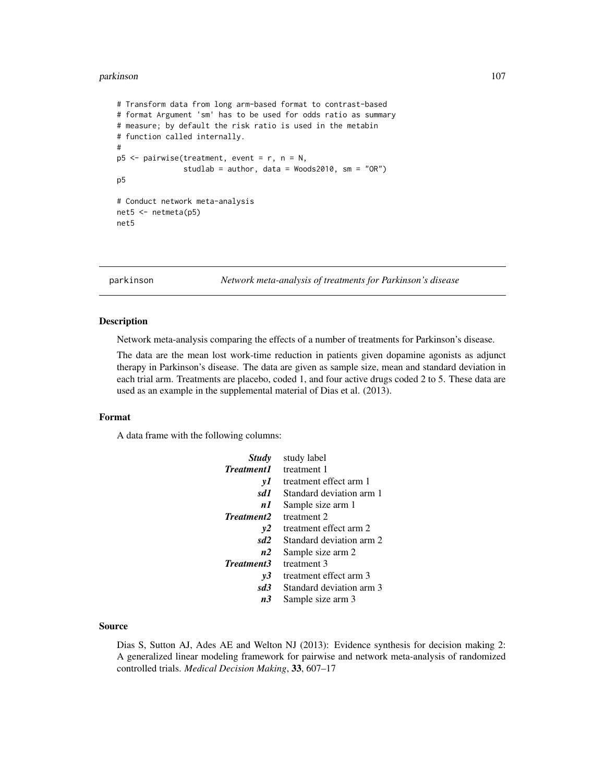#### parkinson 107

```
# Transform data from long arm-based format to contrast-based
# format Argument 'sm' has to be used for odds ratio as summary
# measure; by default the risk ratio is used in the metabin
# function called internally.
#
p5 <- pairwise(treatment, event = r, n = N,
               studlab = author, data = Woods2010, sm = "OR")
p5
# Conduct network meta-analysis
net5 <- netmeta(p5)
net5
```
parkinson *Network meta-analysis of treatments for Parkinson's disease*

# Description

Network meta-analysis comparing the effects of a number of treatments for Parkinson's disease.

The data are the mean lost work-time reduction in patients given dopamine agonists as adjunct therapy in Parkinson's disease. The data are given as sample size, mean and standard deviation in each trial arm. Treatments are placebo, coded 1, and four active drugs coded 2 to 5. These data are used as an example in the supplemental material of Dias et al. (2013).

## Format

A data frame with the following columns:

| <b>Study</b>      | study label              |
|-------------------|--------------------------|
| <b>Treatment1</b> | treatment 1              |
| νI                | treatment effect arm 1   |
| sd1               | Standard deviation arm 1 |
| n 1               | Sample size arm 1        |
| Treatment2        | treatment 2              |
| v2                | treatment effect arm 2   |
| sd <sub>2</sub>   | Standard deviation arm 2 |
| n2                | Sample size arm 2        |
| <b>Treatment3</b> | treatment 3              |
| v3                | treatment effect arm 3   |
| sd3               | Standard deviation arm 3 |
| п3                | Sample size arm 3        |

## Source

Dias S, Sutton AJ, Ades AE and Welton NJ (2013): Evidence synthesis for decision making 2: A generalized linear modeling framework for pairwise and network meta-analysis of randomized controlled trials. *Medical Decision Making*, 33, 607–17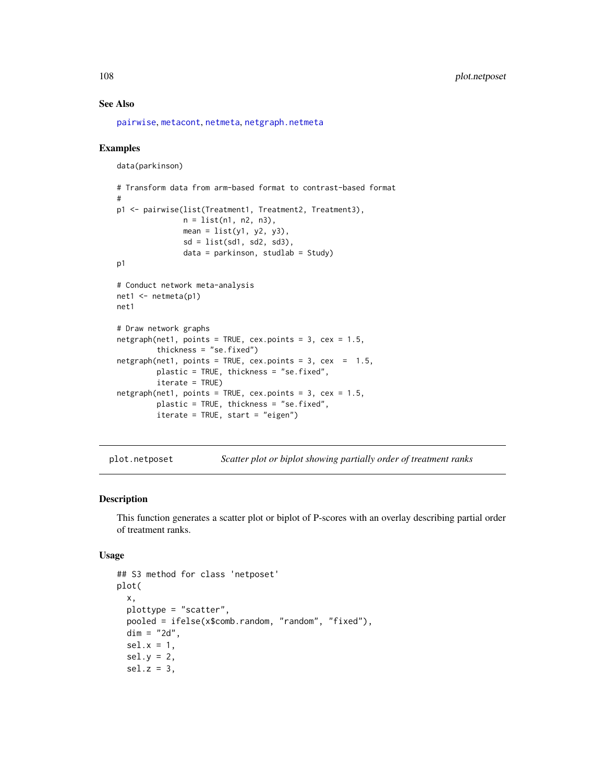## See Also

[pairwise](#page-100-0), [metacont](#page-0-0), [netmeta](#page-72-0), [netgraph.netmeta](#page-53-0)

#### Examples

```
data(parkinson)
# Transform data from arm-based format to contrast-based format
#
p1 <- pairwise(list(Treatment1, Treatment2, Treatment3),
               n = list(n1, n2, n3),
               mean = list(y1, y2, y3),
               sd = list(sd1, sd2, sd3),
               data = parkinson, studlab = Study)p1
# Conduct network meta-analysis
net1 <- netmeta(p1)
net1
# Draw network graphs
netgraph(net1, points = TRUE, cex.points = 3, cex = 1.5,thickness = "se.fixed")
netgraph(net1, points = TRUE, cex.points = 3, cex = 1.5,plastic = TRUE, thickness = "se.fixed",
        iterate = TRUE)
netgraph(net1, points = TRUE, cex.points = 3, cex = 1.5,
        plastic = TRUE, thickness = "se.fixed",
         iterate = TRUE, start = "eigen")
```
<span id="page-107-0"></span>plot.netposet *Scatter plot or biplot showing partially order of treatment ranks*

#### Description

This function generates a scatter plot or biplot of P-scores with an overlay describing partial order of treatment ranks.

## Usage

```
## S3 method for class 'netposet'
plot(
  x,
 plottype = "scatter",
 pooled = ifelse(x$comb.random, "random", "fixed"),
 dim = "2d".sel.x = 1,sel.y = 2,sel.z = 3,
```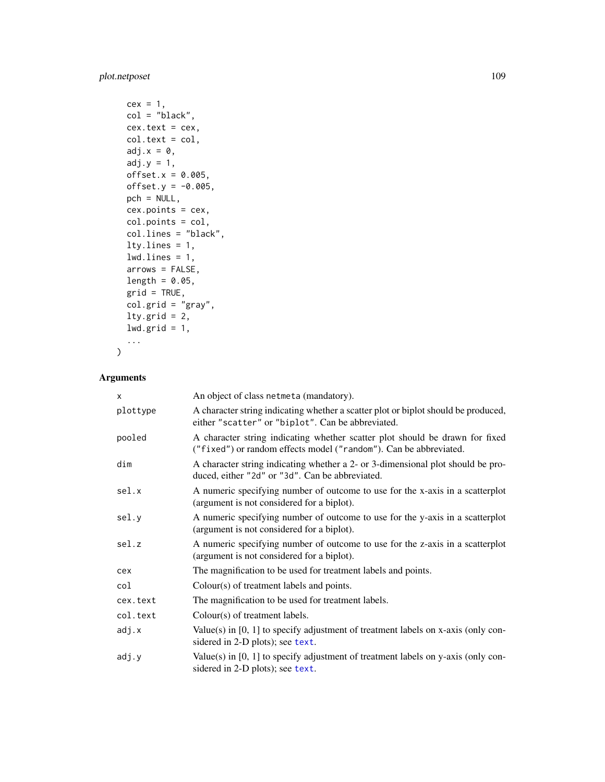# <span id="page-108-0"></span>plot.netposet 109

```
cex = 1,
col = "black",cex.text = cex,col.text = col,
adj.x = 0,adj.y = 1,offset.x = 0.005,offset.y = -0.005,pch = NULL,
cex.points = cex,
col.points = col,
col.lines = "black",
lty.lines = 1,
lwd.lines = 1,
arrows = FALSE,
length = 0.05,grid = TRUE,col.grid = "gray",lty.grid = 2,
1wd.grid = 1,
...
```
# Arguments

 $\mathcal{L}$ 

| X        | An object of class netmeta (mandatory).                                                                                                           |
|----------|---------------------------------------------------------------------------------------------------------------------------------------------------|
| plottype | A character string indicating whether a scatter plot or biplot should be produced,<br>either "scatter" or "biplot". Can be abbreviated.           |
| pooled   | A character string indicating whether scatter plot should be drawn for fixed<br>("fixed") or random effects model ("random"). Can be abbreviated. |
| dim      | A character string indicating whether a 2- or 3-dimensional plot should be pro-<br>duced, either "2d" or "3d". Can be abbreviated.                |
| sel.x    | A numeric specifying number of outcome to use for the x-axis in a scatterplot<br>(argument is not considered for a biplot).                       |
| sel.y    | A numeric specifying number of outcome to use for the y-axis in a scatterplot<br>(argument is not considered for a biplot).                       |
| sel.z    | A numeric specifying number of outcome to use for the z-axis in a scatterplot<br>(argument is not considered for a biplot).                       |
| cex      | The magnification to be used for treatment labels and points.                                                                                     |
| col      | Colour(s) of treatment labels and points.                                                                                                         |
| cex.text | The magnification to be used for treatment labels.                                                                                                |
| col.text | Colour(s) of treatment labels.                                                                                                                    |
| adj.x    | Value(s) in $[0, 1]$ to specify adjustment of treatment labels on x-axis (only con-<br>sidered in 2-D plots); see text.                           |
| adj.y    | Value(s) in $[0, 1]$ to specify adjustment of treatment labels on y-axis (only con-<br>sidered in 2-D plots); see text.                           |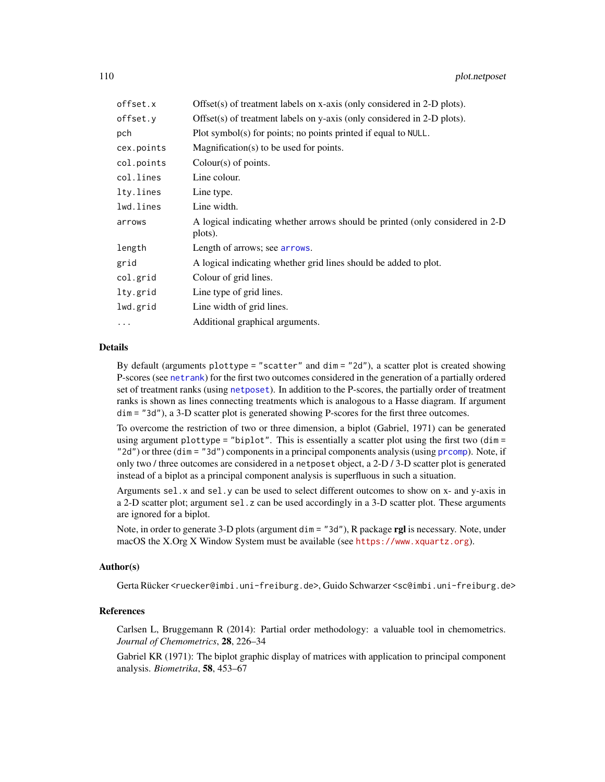<span id="page-109-0"></span>

| Offset(s) of treatment labels on x-axis (only considered in 2-D plots).                   |
|-------------------------------------------------------------------------------------------|
| Offset(s) of treatment labels on y-axis (only considered in 2-D plots).                   |
| Plot symbol(s) for points; no points printed if equal to NULL.                            |
| $Magnification(s)$ to be used for points.                                                 |
| Colour(s) of points.                                                                      |
| Line colour.                                                                              |
| Line type.                                                                                |
| Line width.                                                                               |
| A logical indicating whether arrows should be printed (only considered in 2-D)<br>plots). |
| Length of arrows; see <b>arrows</b> .                                                     |
| A logical indicating whether grid lines should be added to plot.                          |
| Colour of grid lines.                                                                     |
| Line type of grid lines.                                                                  |
| Line width of grid lines.                                                                 |
| Additional graphical arguments.                                                           |
|                                                                                           |

# Details

By default (arguments plottype = "scatter" and dim = "2d"), a scatter plot is created showing P-scores (see [netrank](#page-93-0)) for the first two outcomes considered in the generation of a partially ordered set of treatment ranks (using [netposet](#page-88-0)). In addition to the P-scores, the partially order of treatment ranks is shown as lines connecting treatments which is analogous to a Hasse diagram. If argument dim = "3d"), a 3-D scatter plot is generated showing P-scores for the first three outcomes.

To overcome the restriction of two or three dimension, a biplot (Gabriel, 1971) can be generated using argument plottype = "biplot". This is essentially a scatter plot using the first two (dim = "2d") or three (dim = "3d") components in a principal components analysis (using [prcomp](#page-0-0)). Note, if only two / three outcomes are considered in a netposet object, a 2-D / 3-D scatter plot is generated instead of a biplot as a principal component analysis is superfluous in such a situation.

Arguments sel.x and sel.y can be used to select different outcomes to show on x- and y-axis in a 2-D scatter plot; argument sel.z can be used accordingly in a 3-D scatter plot. These arguments are ignored for a biplot.

Note, in order to generate 3-D plots (argument dim = "3d"), R package rgl is necessary. Note, under macOS the X.Org X Window System must be available (see <https://www.xquartz.org>).

# Author(s)

Gerta Rücker <ruecker@imbi.uni-freiburg.de>, Guido Schwarzer <sc@imbi.uni-freiburg.de>

#### References

Carlsen L, Bruggemann R (2014): Partial order methodology: a valuable tool in chemometrics. *Journal of Chemometrics*, 28, 226–34

Gabriel KR (1971): The biplot graphic display of matrices with application to principal component analysis. *Biometrika*, 58, 453–67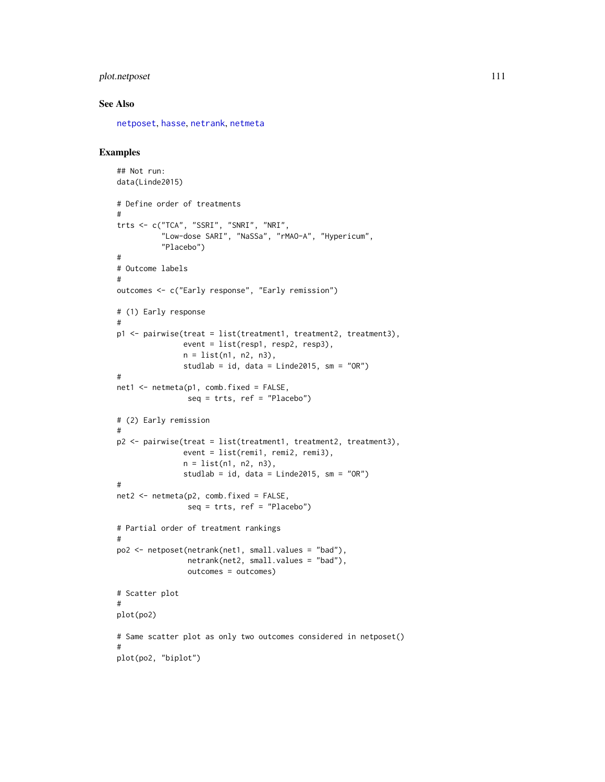# <span id="page-110-0"></span>plot.netposet 111

#### See Also

[netposet](#page-88-0), [hasse](#page-34-0), [netrank](#page-93-0), [netmeta](#page-72-0)

```
## Not run:
data(Linde2015)
# Define order of treatments
#
trts <- c("TCA", "SSRI", "SNRI", "NRI",
          "Low-dose SARI", "NaSSa", "rMAO-A", "Hypericum",
          "Placebo")
#
# Outcome labels
#
outcomes <- c("Early response", "Early remission")
# (1) Early response
#
p1 <- pairwise(treat = list(treatment1, treatment2, treatment3),
               event = list(resp1, resp2, resp3),
               n = list(n1, n2, n3),
               studlab = id, data = Linde2015, sm = "OR")#
net1 < - netmeta(p1, comb.fixed = FALSE,
                seq = trts, ref = "Placebo")
# (2) Early remission
#
p2 <- pairwise(treat = list(treatment1, treatment2, treatment3),
               event = list(remi1, remi2, remi3),
               n = list(n1, n2, n3),
               studlab = id, data = Linde2015, sm = "OR")
#
net2 \le -netmeta(p2, comb.fixed = FALSE,seq = trts, ref = "Placebo")
# Partial order of treatment rankings
#
po2 <- netposet(netrank(net1, small.values = "bad"),
                netrank(net2, small.values = "bad"),
                outcomes = outcomes)
# Scatter plot
#
plot(po2)
# Same scatter plot as only two outcomes considered in netposet()
#
plot(po2, "biplot")
```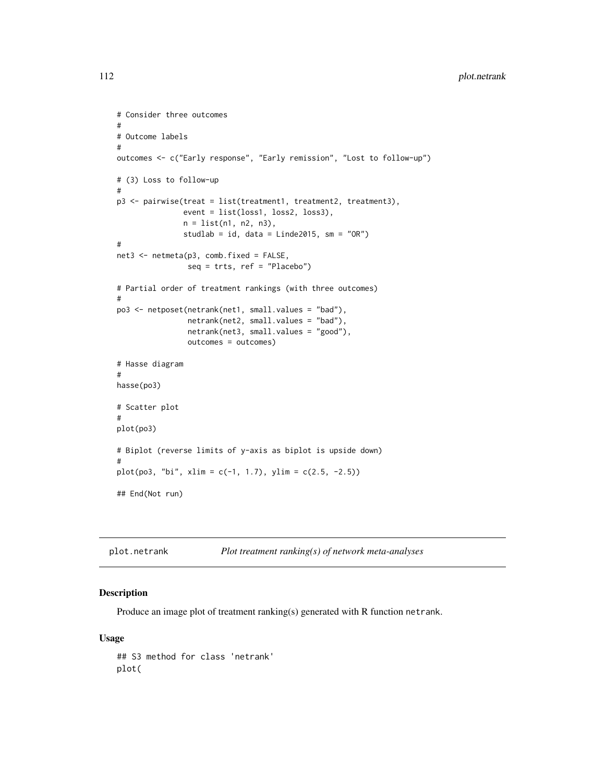```
# Consider three outcomes
#
# Outcome labels
#
outcomes <- c("Early response", "Early remission", "Lost to follow-up")
# (3) Loss to follow-up
#
p3 <- pairwise(treat = list(treatment1, treatment2, treatment3),
               event = list(loss1, loss2, loss3),
               n = list(n1, n2, n3),
               studlab = id, data = Linde2015, sm = "OR")#
net3 <- netmeta(p3, comb.fixed = FALSE,
                seq = trts, ref = "Placebo")
# Partial order of treatment rankings (with three outcomes)
#
po3 <- netposet(netrank(net1, small.values = "bad"),
                netrank(net2, small.values = "bad"),
                netrank(net3, small.values = "good"),
                outcomes = outcomes)
# Hasse diagram
#
hasse(po3)
# Scatter plot
#
plot(po3)
# Biplot (reverse limits of y-axis as biplot is upside down)
#
plot(po3, "bi", xlim = c(-1, 1.7), ylim = c(2.5, -2.5))
## End(Not run)
```

| plot.netrank |  | Plot treatment ranking(s) of network meta-analyses |  |
|--------------|--|----------------------------------------------------|--|
|--------------|--|----------------------------------------------------|--|

# Description

Produce an image plot of treatment ranking(s) generated with R function netrank.

#### Usage

## S3 method for class 'netrank' plot(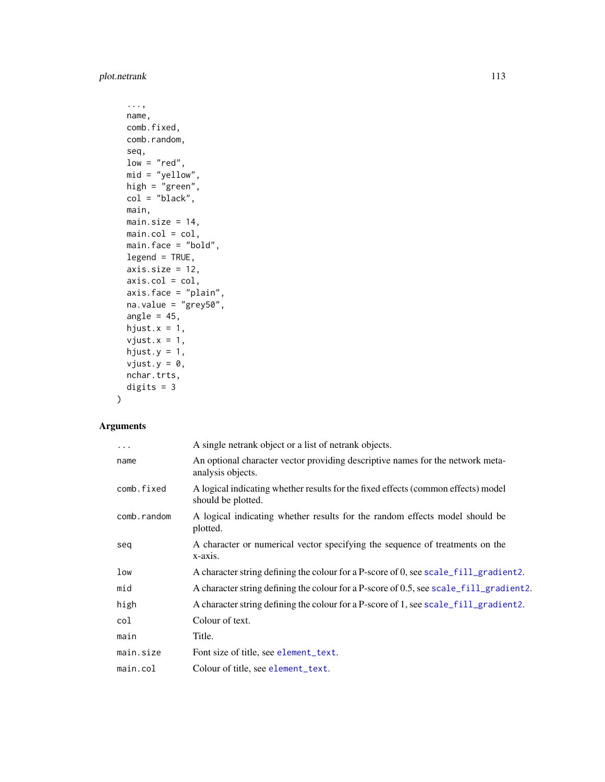<span id="page-112-0"></span>plot.netrank 113

```
...,
name,
comb.fixed,
comb.random,
seq,
low = "red",mid = "yellow",
high = "green",
col = "black",main,
main.size = 14,
main,col = col,main.face = "bold",
legend = TRUE,axis.size = 12,
axis.col = col,
axis.face = "plain",
na.value = "grey50",
angle = 45,
hjust.x = 1,
vjust.x = 1,hjust.y = 1,
vjust.y = \theta,
nchar.trts,
digits = 3
```
# Arguments

)

| $\ddots$ .  | A single netrank object or a list of netrank objects.                                                   |
|-------------|---------------------------------------------------------------------------------------------------------|
| name        | An optional character vector providing descriptive names for the network meta-<br>analysis objects.     |
| comb.fixed  | A logical indicating whether results for the fixed effects (common effects) model<br>should be plotted. |
| comb.random | A logical indicating whether results for the random effects model should be<br>plotted.                 |
| seq         | A character or numerical vector specifying the sequence of treatments on the<br>x-axis.                 |
| low         | A character string defining the colour for a P-score of 0, see scale_fill_gradient2.                    |
| mid         | A character string defining the colour for a P-score of 0.5, see scale_fill_gradient2.                  |
| high        | A character string defining the colour for a P-score of 1, see scale_fill_gradient2.                    |
| col         | Colour of text.                                                                                         |
| main        | Title.                                                                                                  |
| main.size   | Font size of title, see element_text.                                                                   |
| main.col    | Colour of title, see element_text.                                                                      |
|             |                                                                                                         |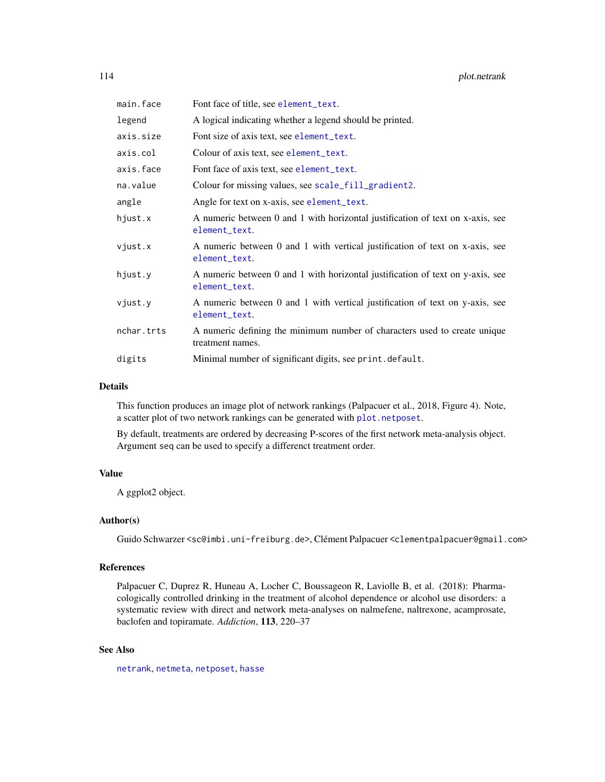<span id="page-113-0"></span>

| Font face of title, see element_text.                                                           |
|-------------------------------------------------------------------------------------------------|
| A logical indicating whether a legend should be printed.                                        |
| Font size of axis text, see element_text.                                                       |
| Colour of axis text, see element_text.                                                          |
| Font face of axis text, see element_text.                                                       |
| Colour for missing values, see scale_fill_gradient2.                                            |
| Angle for text on x-axis, see element_text.                                                     |
| A numeric between 0 and 1 with horizontal justification of text on x-axis, see<br>element_text. |
| A numeric between 0 and 1 with vertical justification of text on x-axis, see<br>element_text.   |
| A numeric between 0 and 1 with horizontal justification of text on y-axis, see<br>element_text. |
| A numeric between 0 and 1 with vertical justification of text on y-axis, see<br>element_text.   |
| A numeric defining the minimum number of characters used to create unique<br>treatment names.   |
| Minimal number of significant digits, see print.default.                                        |
|                                                                                                 |

#### Details

This function produces an image plot of network rankings (Palpacuer et al., 2018, Figure 4). Note, a scatter plot of two network rankings can be generated with [plot.netposet](#page-107-0).

By default, treatments are ordered by decreasing P-scores of the first network meta-analysis object. Argument seq can be used to specify a differenct treatment order.

#### Value

A ggplot2 object.

# Author(s)

Guido Schwarzer <sc@imbi.uni-freiburg.de>, Clément Palpacuer <clementpalpacuer@gmail.com>

## References

Palpacuer C, Duprez R, Huneau A, Locher C, Boussageon R, Laviolle B, et al. (2018): Pharmacologically controlled drinking in the treatment of alcohol dependence or alcohol use disorders: a systematic review with direct and network meta-analyses on nalmefene, naltrexone, acamprosate, baclofen and topiramate. *Addiction*, 113, 220–37

# See Also

[netrank](#page-93-0), [netmeta](#page-72-0), [netposet](#page-88-0), [hasse](#page-34-0)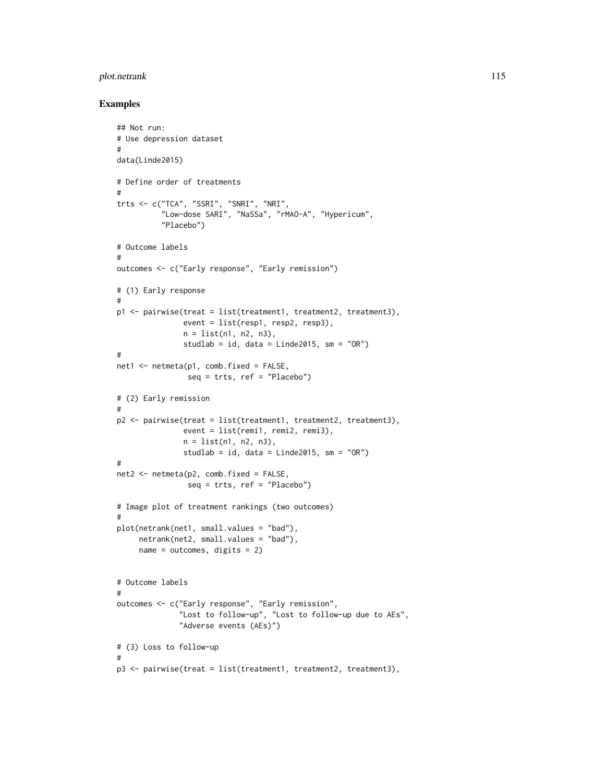# plot.netrank 115

```
## Not run:
# Use depression dataset
#
data(Linde2015)
# Define order of treatments
#
trts <- c("TCA", "SSRI", "SNRI", "NRI",
          "Low-dose SARI", "NaSSa", "rMAO-A", "Hypericum",
          "Placebo")
# Outcome labels
#
outcomes <- c("Early response", "Early remission")
# (1) Early response
#
p1 <- pairwise(treat = list(treatment1, treatment2, treatment3),
               event = list(resp1, resp2, resp3),
               n = list(n1, n2, n3),
               studlab = id, data = Linde2015, sm = "OR")#
net1 < - netmeta(p1, comb.fixed = FALSE,
                seq = trts, ref = "Placebo")
# (2) Early remission
#
p2 \leq pairwise(treat = list(treatment1, treatment2, treatment3),
               event = list(remi1, remi2, remi3),
               n = list(n1, n2, n3),studlab = id, data = Linde2015, sm = "OR")
#
net2 <- netmeta(p2, comb.fixed = FALSE,
                seq = trts, ref = "Placebo")
# Image plot of treatment rankings (two outcomes)
#
plot(netrank(net1, small.values = "bad"),
     netrank(net2, small.values = "bad"),
     name = outcomes, digits = 2)
# Outcome labels
#
outcomes <- c("Early response", "Early remission",
              "Lost to follow-up", "Lost to follow-up due to AEs",
              "Adverse events (AEs)")
# (3) Loss to follow-up
#
p3 <- pairwise(treat = list(treatment1, treatment2, treatment3),
```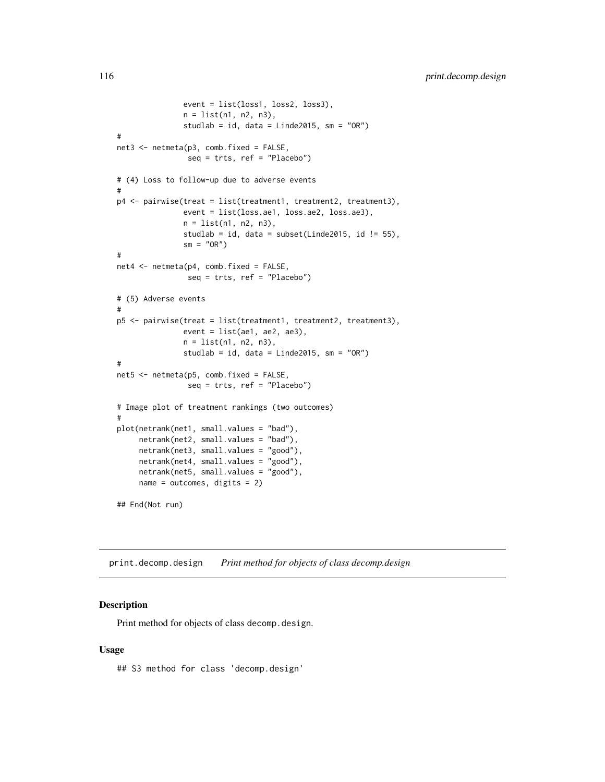```
event = list(loss1, loss2, loss3),
               n = list(n1, n2, n3),
               studlab = id, data = Linde2015, sm = "OR")#
net3 <- netmeta(p3, comb.fixed = FALSE,
                seq = trts, ref = "Placebo")
# (4) Loss to follow-up due to adverse events
#
p4 <- pairwise(treat = list(treatment1, treatment2, treatment3),
               event = list(loss.ae1, loss.ae2, loss.ae3),
               n = list(n1, n2, n3),
               studlab = id, data = subset(Linde2015, id != 55),
               sm = "OR")#
net4 <- netmeta(p4, comb.fixed = FALSE,
                seq = trts, ref = "Placebo")
# (5) Adverse events
#
p5 <- pairwise(treat = list(treatment1, treatment2, treatment3),
               event = list(ae1, ae2, ae3),
               n = list(n1, n2, n3),
               studlab = id, data = Linde2015, sm = "OR")#
net5 <- netmeta(p5, comb.fixed = FALSE,
                seq = trts, ref = "Placebo")
# Image plot of treatment rankings (two outcomes)
#
plot(netrank(net1, small.values = "bad"),
     netrank(net2, small.values = "bad"),
     netrank(net3, small.values = "good"),
     netrank(net4, small.values = "good"),
     netrank(net5, small.values = "good"),
     name = outcomes, digits = 2)
## End(Not run)
```
print.decomp.design *Print method for objects of class decomp.design*

#### Description

Print method for objects of class decomp.design.

#### Usage

## S3 method for class 'decomp.design'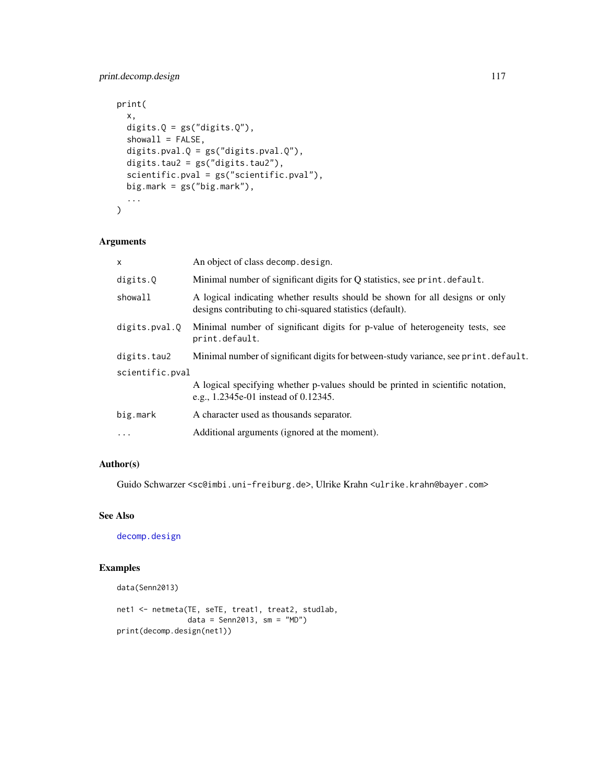# <span id="page-116-0"></span>print.decomp.design 117

```
print(
  x,
  digits.Q = gs("digits.Q"),showall = FALSE,digits.pval.Q = gs("digits.pval.Q"),
  digits.tau2 = gs("digits.tau2"),
  scientific.pval = gs("scientific.pval"),
 big.mark = gs("big.mark"),
  ...
\mathcal{L}
```
# Arguments

| x               | An object of class decomp. design.                                                                                                        |  |
|-----------------|-------------------------------------------------------------------------------------------------------------------------------------------|--|
| digits.Q        | Minimal number of significant digits for Q statistics, see print. default.                                                                |  |
| showall         | A logical indicating whether results should be shown for all designs or only<br>designs contributing to chi-squared statistics (default). |  |
| digits.pval.O   | Minimal number of significant digits for p-value of heterogeneity tests, see<br>print.default.                                            |  |
| digits.tau2     | Minimal number of significant digits for between-study variance, see print. default.                                                      |  |
| scientific.pval |                                                                                                                                           |  |
|                 | A logical specifying whether p-values should be printed in scientific notation,<br>e.g., 1.2345e-01 instead of 0.12345.                   |  |
| big.mark        | A character used as thousands separator.                                                                                                  |  |
| $\cdots$        | Additional arguments (ignored at the moment).                                                                                             |  |
|                 |                                                                                                                                           |  |

# Author(s)

Guido Schwarzer <sc@imbi.uni-freiburg.de>, Ulrike Krahn <ulrike.krahn@bayer.com>

# See Also

[decomp.design](#page-5-0)

```
data(Senn2013)
```

```
net1 <- netmeta(TE, seTE, treat1, treat2, studlab,
               data = Senn2013, sm = "MD")
print(decomp.design(net1))
```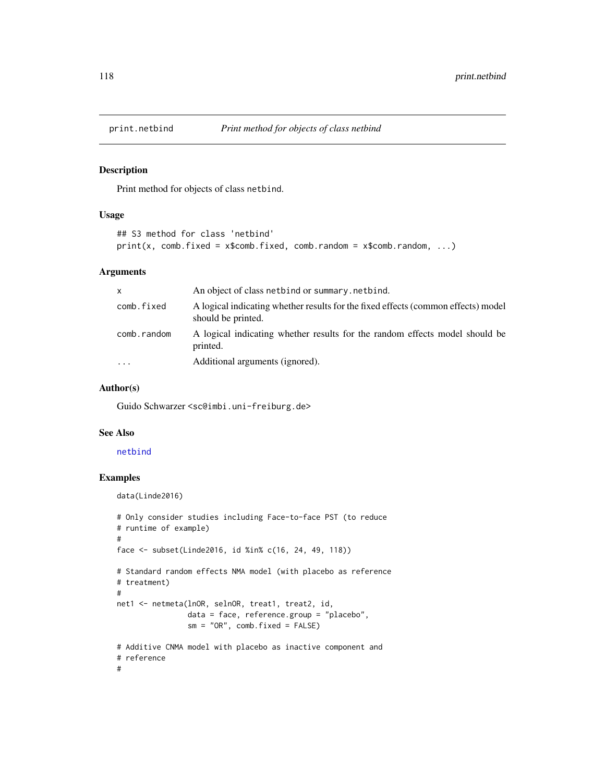<span id="page-117-0"></span>

## Description

Print method for objects of class netbind.

#### Usage

```
## S3 method for class 'netbind'
print(x, comb.fixed = x$comb.fixed, comb.random = x$comb.random, ...)
```
### Arguments

| X                       | An object of class netbind or summary, netbind.                                                         |
|-------------------------|---------------------------------------------------------------------------------------------------------|
| comb.fixed              | A logical indicating whether results for the fixed effects (common effects) model<br>should be printed. |
| comb.random             | A logical indicating whether results for the random effects model should be<br>printed.                 |
| $\cdot$ $\cdot$ $\cdot$ | Additional arguments (ignored).                                                                         |

#### Author(s)

Guido Schwarzer <sc@imbi.uni-freiburg.de>

#### See Also

[netbind](#page-38-0)

# Examples

data(Linde2016)

```
# Only consider studies including Face-to-face PST (to reduce
# runtime of example)
#
face <- subset(Linde2016, id %in% c(16, 24, 49, 118))
# Standard random effects NMA model (with placebo as reference
# treatment)
#
net1 <- netmeta(lnOR, selnOR, treat1, treat2, id,
                data = face, reference.group = "placebo",
                sm = "OR", comb.fixed = FALSE)# Additive CNMA model with placebo as inactive component and
# reference
#
```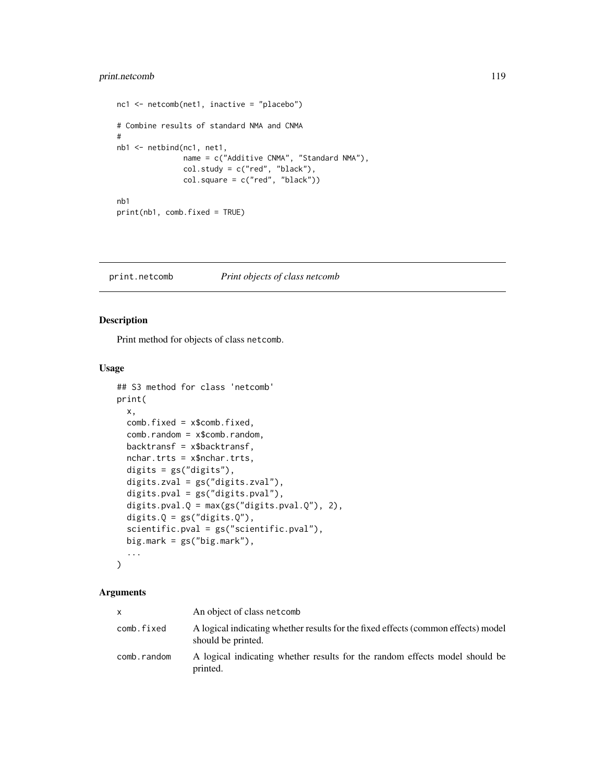# <span id="page-118-0"></span>print.netcomb 119

```
nc1 <- netcomb(net1, inactive = "placebo")
# Combine results of standard NMA and CNMA
#
nb1 <- netbind(nc1, net1,
               name = c("Additive CNMA", "Standard NMA"),
               col. study = c("red", "black"),col.square = c("red", "black"))
nb1
print(nb1, comb.fixed = TRUE)
```
print.netcomb *Print objects of class netcomb*

# Description

Print method for objects of class netcomb.

#### Usage

```
## S3 method for class 'netcomb'
print(
  x,
  comb.fixed = x$comb.fixed,
  comb.random = x$comb.random,
 backtransf = x$backtransf,
  nchar.trts = x$nchar.trts,
  digits = gs("digits"),
  digits.zval = gs("digits.zval"),
  digits.pval = gs("digits.pval"),
  digits.pval.Q = max(gs("digits.pval.Q"), 2),
  digits.Q = gs("digits.Q"),scientific.pval = gs("scientific.pval"),
 big.mark = gs("big.mark"),
  ...
\mathcal{L}
```
#### Arguments

|             | An object of class net comb                                                                             |
|-------------|---------------------------------------------------------------------------------------------------------|
| comb.fixed  | A logical indicating whether results for the fixed effects (common effects) model<br>should be printed. |
| comb.random | A logical indicating whether results for the random effects model should be<br>printed.                 |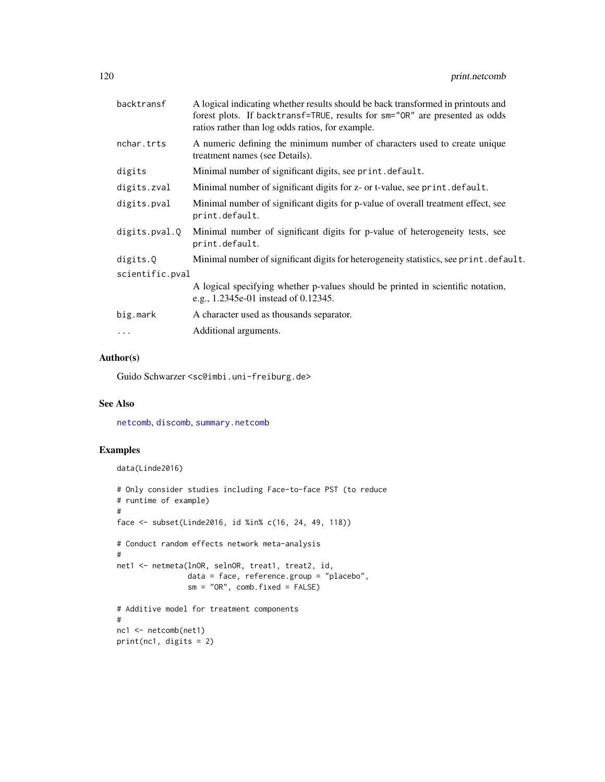<span id="page-119-0"></span>

| backtransf      | A logical indicating whether results should be back transformed in printouts and<br>forest plots. If backtransf=TRUE, results for sm="OR" are presented as odds<br>ratios rather than log odds ratios, for example. |
|-----------------|---------------------------------------------------------------------------------------------------------------------------------------------------------------------------------------------------------------------|
| nchar.trts      | A numeric defining the minimum number of characters used to create unique<br>treatment names (see Details).                                                                                                         |
| digits          | Minimal number of significant digits, see print. default.                                                                                                                                                           |
| digits.zval     | Minimal number of significant digits for z- or t-value, see print.default.                                                                                                                                          |
| digits.pval     | Minimal number of significant digits for p-value of overall treatment effect, see<br>print.default.                                                                                                                 |
| digits.pval.Q   | Minimal number of significant digits for p-value of heterogeneity tests, see<br>print.default.                                                                                                                      |
| digits.Q        | Minimal number of significant digits for heterogeneity statistics, see print. default.                                                                                                                              |
| scientific.pval |                                                                                                                                                                                                                     |
|                 | A logical specifying whether p-values should be printed in scientific notation,<br>e.g., 1.2345e-01 instead of 0.12345.                                                                                             |
| big.mark        | A character used as thousands separator.                                                                                                                                                                            |
| $\ddots$        | Additional arguments.                                                                                                                                                                                               |
|                 |                                                                                                                                                                                                                     |

# Author(s)

Guido Schwarzer <sc@imbi.uni-freiburg.de>

# See Also

[netcomb](#page-41-0), [discomb](#page-9-0), [summary.netcomb](#page-126-0)

```
data(Linde2016)
# Only consider studies including Face-to-face PST (to reduce
# runtime of example)
#
face <- subset(Linde2016, id %in% c(16, 24, 49, 118))
# Conduct random effects network meta-analysis
#
net1 <- netmeta(lnOR, selnOR, treat1, treat2, id,
                data = face, reference.group = "placebo",
                sm = "OR", comb.fixed = FALSE)
# Additive model for treatment components
#
nc1 <- netcomb(net1)
print(nc1, digits = 2)
```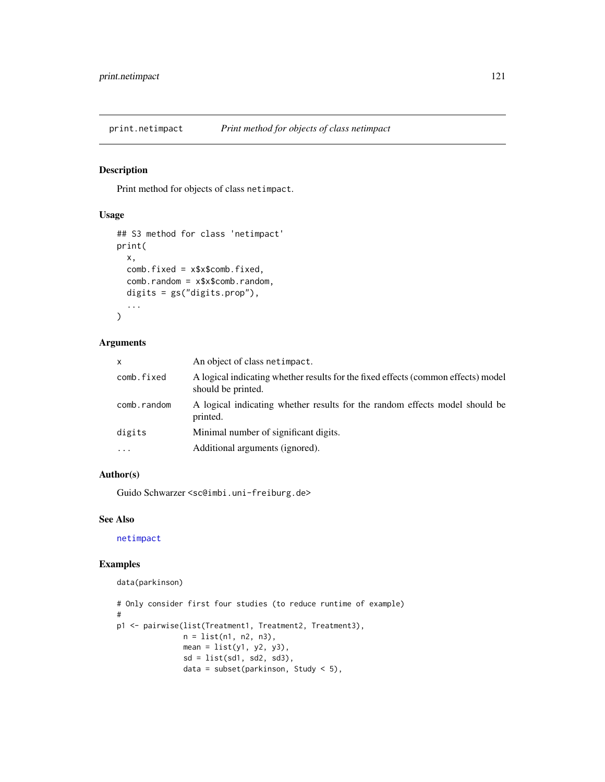<span id="page-120-0"></span>

# Description

Print method for objects of class netimpact.

# Usage

```
## S3 method for class 'netimpact'
print(
 x,
 comb.fixed = x$x$comb.fixed,
  comb.random = x$x$comb.random,
 digits = gs("digits.prop"),
  ...
)
```
# Arguments

| x           | An object of class netimpact.                                                                           |
|-------------|---------------------------------------------------------------------------------------------------------|
| comb.fixed  | A logical indicating whether results for the fixed effects (common effects) model<br>should be printed. |
| comb.random | A logical indicating whether results for the random effects model should be<br>printed.                 |
| digits      | Minimal number of significant digits.                                                                   |
| $\ddotsc$   | Additional arguments (ignored).                                                                         |
|             |                                                                                                         |

#### Author(s)

Guido Schwarzer <sc@imbi.uni-freiburg.de>

# See Also

[netimpact](#page-62-0)

```
data(parkinson)
```

```
# Only consider first four studies (to reduce runtime of example)
#
p1 <- pairwise(list(Treatment1, Treatment2, Treatment3),
               n = list(n1, n2, n3),
               mean = list(y1, y2, y3),
               sd = list(sd1, sd2, sd3),
               data = subset(parkinson, Study < 5),
```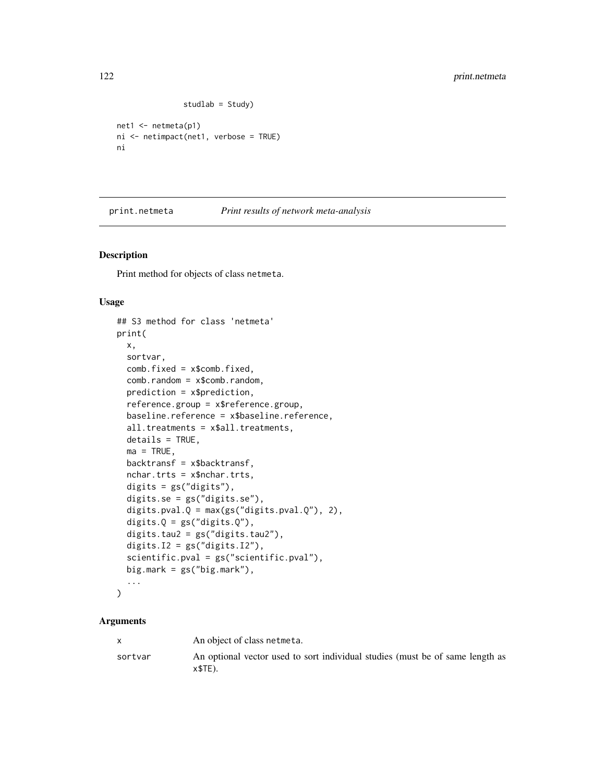```
studlab = Study)
```

```
net1 <- netmeta(p1)
ni <- netimpact(net1, verbose = TRUE)
ni
```
<span id="page-121-0"></span>print.netmeta *Print results of network meta-analysis*

# Description

Print method for objects of class netmeta.

# Usage

```
## S3 method for class 'netmeta'
print(
 x,
  sortvar,
 comb.fixed = x$comb.fixed,
  comb.random = x$comb.random,prediction = x$prediction,
  reference.group = x$reference.group,
 baseline.reference = x$baseline.reference,
  all.treatments = x$all.treatments,
 details = TRUE,ma = TRUE,backtransf = x$backtransf,
 nchar.trts = x$nchar.trts,
  digits = gs("digits"),
  digits.se = gs("digits.se"),
  digits.pval.Q = max(gs("digits.pval.Q"), 2),
  digits.Q = gs("digits.Q"),digits.tau2 = gs("digits.tau2"),
 digits.I2 = gs("digits.I2"),
  scientific.pval = gs("scientific.pval"),
 big.mark = gs("big.mark"),
  ...
```

```
)
```
# Arguments

|         | An object of class netmeta.                                                                |
|---------|--------------------------------------------------------------------------------------------|
| sortvar | An optional vector used to sort individual studies (must be of same length as<br>$x$TE$ ). |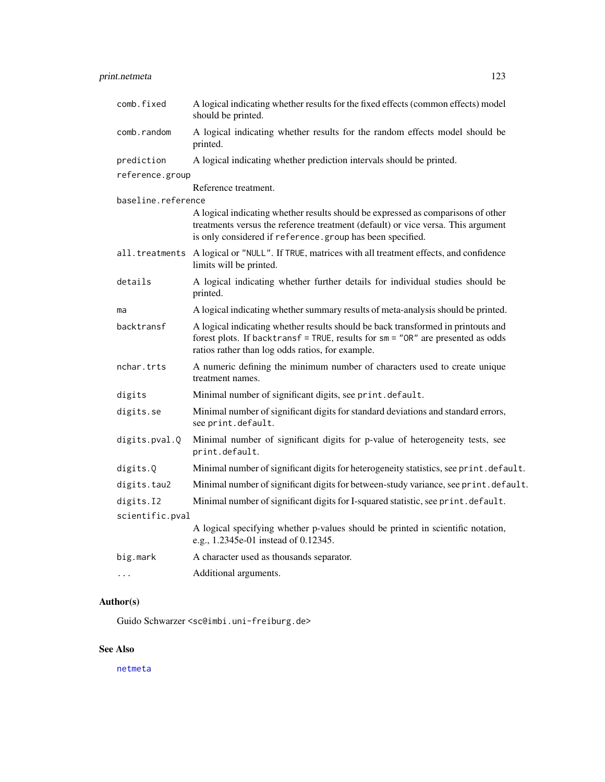# <span id="page-122-0"></span>print.netmeta 123

| comb.fixed         | A logical indicating whether results for the fixed effects (common effects) model<br>should be printed.                                                                                                                           |
|--------------------|-----------------------------------------------------------------------------------------------------------------------------------------------------------------------------------------------------------------------------------|
| comb.random        | A logical indicating whether results for the random effects model should be<br>printed.                                                                                                                                           |
| prediction         | A logical indicating whether prediction intervals should be printed.                                                                                                                                                              |
| reference.group    |                                                                                                                                                                                                                                   |
|                    | Reference treatment.                                                                                                                                                                                                              |
| baseline.reference |                                                                                                                                                                                                                                   |
|                    | A logical indicating whether results should be expressed as comparisons of other<br>treatments versus the reference treatment (default) or vice versa. This argument<br>is only considered if reference.group has been specified. |
|                    | all.treatments A logical or "NULL". If TRUE, matrices with all treatment effects, and confidence<br>limits will be printed.                                                                                                       |
| details            | A logical indicating whether further details for individual studies should be<br>printed.                                                                                                                                         |
| ma                 | A logical indicating whether summary results of meta-analysis should be printed.                                                                                                                                                  |
| backtransf         | A logical indicating whether results should be back transformed in printouts and<br>forest plots. If backtransf = TRUE, results for sm = "OR" are presented as odds<br>ratios rather than log odds ratios, for example.           |
| nchar.trts         | A numeric defining the minimum number of characters used to create unique<br>treatment names.                                                                                                                                     |
| digits             | Minimal number of significant digits, see print.default.                                                                                                                                                                          |
| digits.se          | Minimal number of significant digits for standard deviations and standard errors,<br>see print.default.                                                                                                                           |
| digits.pval.Q      | Minimal number of significant digits for p-value of heterogeneity tests, see<br>print.default.                                                                                                                                    |
| digits.Q           | Minimal number of significant digits for heterogeneity statistics, see print.default.                                                                                                                                             |
| digits.tau2        | Minimal number of significant digits for between-study variance, see print.default.                                                                                                                                               |
| digits.I2          | Minimal number of significant digits for I-squared statistic, see print.default.                                                                                                                                                  |
| scientific.pval    |                                                                                                                                                                                                                                   |
|                    | A logical specifying whether p-values should be printed in scientific notation,<br>e.g., 1.2345e-01 instead of 0.12345.                                                                                                           |
| big.mark           | A character used as thousands separator.                                                                                                                                                                                          |
| $\cdots$           | Additional arguments.                                                                                                                                                                                                             |

# Author(s)

Guido Schwarzer <sc@imbi.uni-freiburg.de>

# See Also

[netmeta](#page-72-0)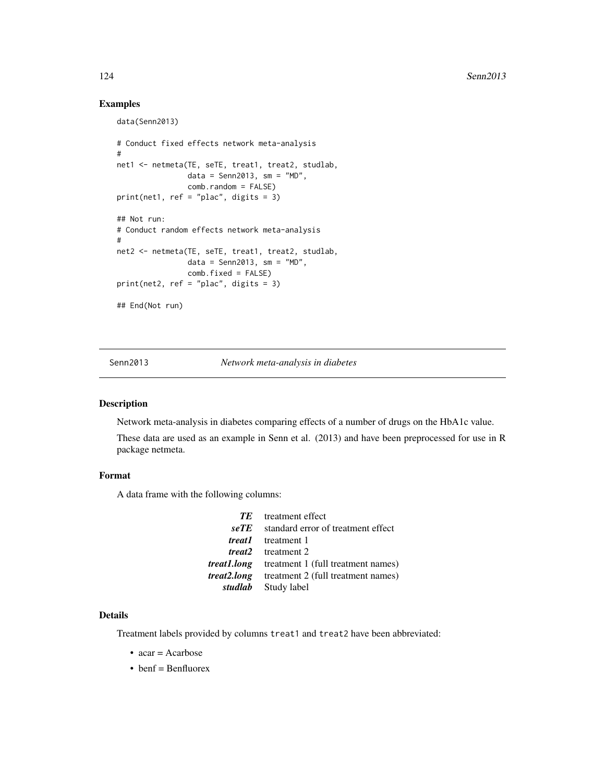### Examples

data(Senn2013)

```
# Conduct fixed effects network meta-analysis
#
net1 <- netmeta(TE, seTE, treat1, treat2, studlab,
                data = Senn2013, sm = "MD",comb.random = FALSE)
print(net1, ref = "place", digits = 3)## Not run:
# Conduct random effects network meta-analysis
#
net2 <- netmeta(TE, seTE, treat1, treat2, studlab,
                data = Senn2013, sm = "MD",comb.fixed = FALSE)
print(net2, ref = "plac", digits = 3)
## End(Not run)
```
Senn2013 *Network meta-analysis in diabetes*

#### Description

Network meta-analysis in diabetes comparing effects of a number of drugs on the HbA1c value.

These data are used as an example in Senn et al. (2013) and have been preprocessed for use in R package netmeta.

#### Format

A data frame with the following columns:

| TE 1 | treatment effect                                      |
|------|-------------------------------------------------------|
| seTE | standard error of treatment effect                    |
|      | <i>treat1</i> treatment 1                             |
|      | <i>treat2</i> treatment 2                             |
|      | <i>treat1.long</i> treatment 1 (full treatment names) |
|      | <i>treat2.long</i> treatment 2 (full treatment names) |
|      | studlab Study label                                   |

#### Details

Treatment labels provided by columns treat1 and treat2 have been abbreviated:

- $\bullet$  acar = Acarbose
- benf = Benfluorex

<span id="page-123-0"></span>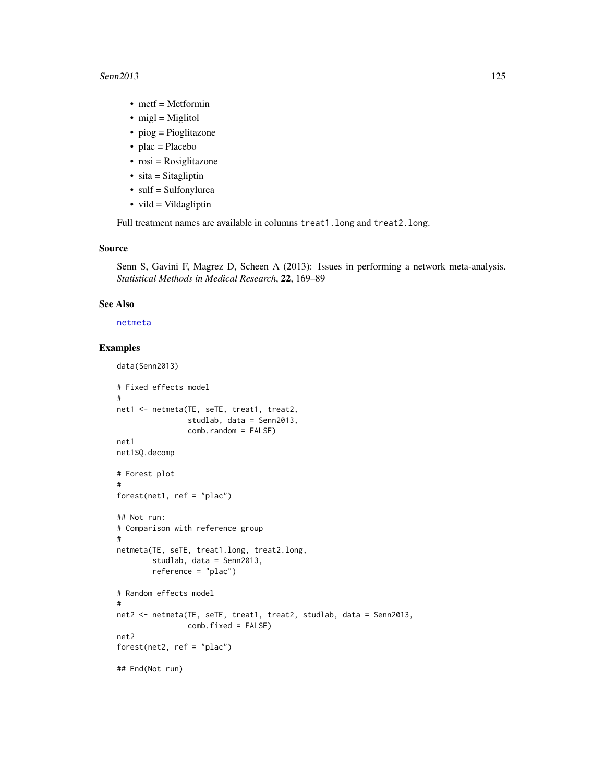#### <span id="page-124-0"></span>Senn2013 125

- metf = Metformin
- $\bullet$  migl = Miglitol
- piog = Pioglitazone
- $\bullet$  plac = Placebo
- $\bullet$  rosi = Rosiglitazone
- $sita = Stagliptin$
- sulf = Sulfonylurea
- $\bullet$  vild = Vildagliptin

Full treatment names are available in columns treat1.long and treat2.long.

# Source

Senn S, Gavini F, Magrez D, Scheen A (2013): Issues in performing a network meta-analysis. *Statistical Methods in Medical Research*, 22, 169–89

#### See Also

[netmeta](#page-72-0)

```
data(Senn2013)
# Fixed effects model
#
net1 <- netmeta(TE, seTE, treat1, treat2,
                studlab, data = Senn2013,
                comb.random = FALSE)
net1
net1$Q.decomp
# Forest plot
#
forest(net1, ref = "plac")
## Not run:
# Comparison with reference group
#
netmeta(TE, seTE, treat1.long, treat2.long,
        studlab, data = Senn2013,
        reference = "plac")
# Random effects model
#
net2 <- netmeta(TE, seTE, treat1, treat2, studlab, data = Senn2013,
                comb.fixed = FALSE)
net2
forest(net2, ref = "plac")
## End(Not run)
```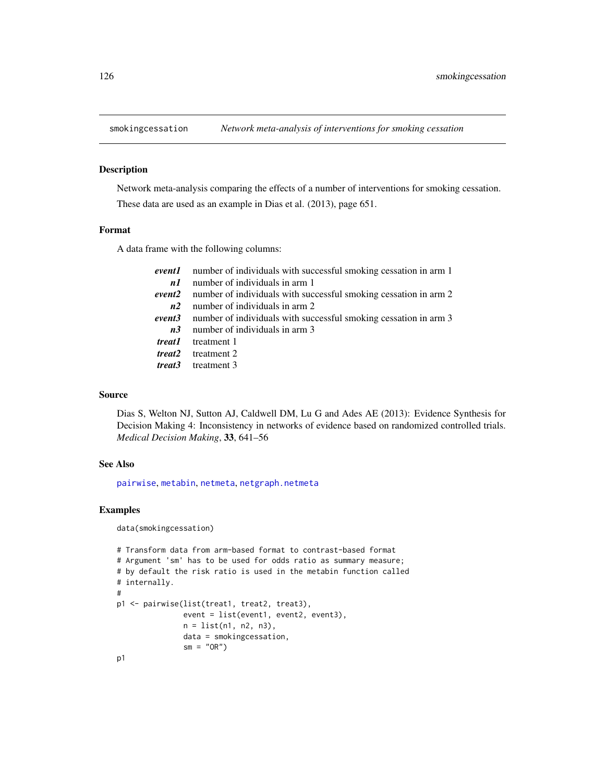<span id="page-125-0"></span>

#### Description

Network meta-analysis comparing the effects of a number of interventions for smoking cessation. These data are used as an example in Dias et al. (2013), page 651.

#### Format

A data frame with the following columns:

|             | <b>event1</b> number of individuals with successful smoking cessation in arm 1 |
|-------------|--------------------------------------------------------------------------------|
| nI          | number of individuals in arm 1                                                 |
| event2      | number of individuals with successful smoking cessation in arm 2               |
| n2          | number of individuals in arm 2                                                 |
| event3      | number of individuals with successful smoking cessation in arm 3               |
| <i>n</i> .3 | number of individuals in arm 3                                                 |
|             | <i>treat1</i> treatment 1                                                      |
|             | <i>treat2</i> treatment 2                                                      |
| treat3      | treatment 3                                                                    |

#### Source

Dias S, Welton NJ, Sutton AJ, Caldwell DM, Lu G and Ades AE (2013): Evidence Synthesis for Decision Making 4: Inconsistency in networks of evidence based on randomized controlled trials. *Medical Decision Making*, 33, 641–56

#### See Also

[pairwise](#page-100-0), [metabin](#page-0-0), [netmeta](#page-72-0), [netgraph.netmeta](#page-53-0)

```
data(smokingcessation)
```

```
# Transform data from arm-based format to contrast-based format
# Argument 'sm' has to be used for odds ratio as summary measure;
# by default the risk ratio is used in the metabin function called
# internally.
#
p1 <- pairwise(list(treat1, treat2, treat3),
               event = list(event1, event2, event3),
               n = list(n1, n2, n3),
               data = smokingcessation,
               sm = "OR")p1
```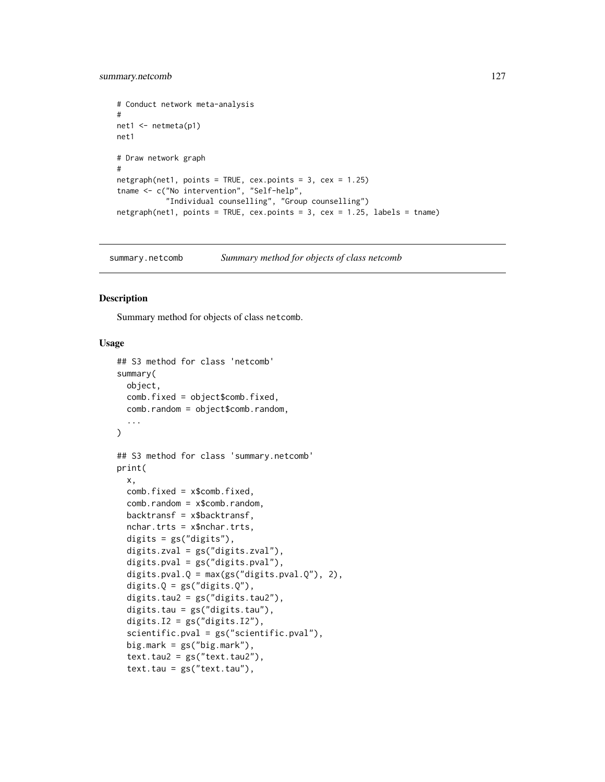# <span id="page-126-1"></span>summary.netcomb 127

```
# Conduct network meta-analysis
#
net1 <- netmeta(p1)
net1
# Draw network graph
#
netgraph(net1, points = TRUE, cex.points = 3, cex = 1.25)
tname <- c("No intervention", "Self-help",
           "Individual counselling", "Group counselling")
netgraph(net1, points = TRUE, cex.points = 3, cex = 1.25, labels = tname)
```
<span id="page-126-0"></span>summary.netcomb *Summary method for objects of class netcomb*

# Description

Summary method for objects of class netcomb.

# Usage

```
## S3 method for class 'netcomb'
summary(
 object,
 comb.fixed = object$comb.fixed,
 comb.random = object$comb.random,
  ...
\lambda## S3 method for class 'summary.netcomb'
print(
  x,
  comb.fixed = x$comb.fixed,
  comb.random = x$comb.random,
  backtransf = x$backtransf,
  nchar.trts = x$nchar.trts,
  digits = gs("digits"),
  digits.zval = gs("digits.zval"),
  digits.pval = gs("digits.pval"),
  digits.pval.Q = max(gs("digits.pval.Q"), 2),
  digits.Q = gs("digits.Q"),digits.tau2 = gs("digits.tau2"),
  digits.tau = gs("digits.tau"),
  digits.I2 = gs("digits.I2"),
  scientific.pval = gs("scientific.pval"),
  big.mark = gs("big.mark"),
  text.tau2 = gs("text.tau2"),text.tau = gs("text.tau"),
```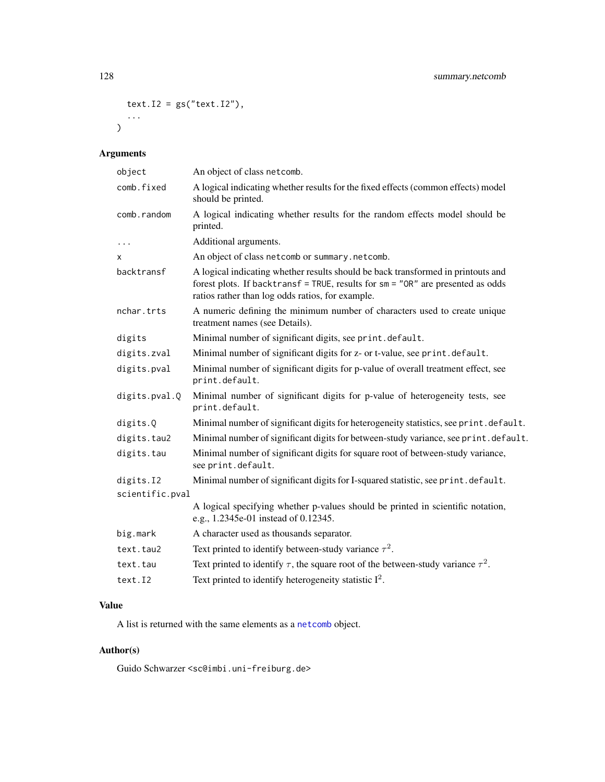```
text.I2 = gs("text.I2"),...
\overline{)}
```
# Arguments

| object          | An object of class netcomb.                                                                                                                                                                                             |
|-----------------|-------------------------------------------------------------------------------------------------------------------------------------------------------------------------------------------------------------------------|
| comb.fixed      | A logical indicating whether results for the fixed effects (common effects) model<br>should be printed.                                                                                                                 |
| comb.random     | A logical indicating whether results for the random effects model should be<br>printed.                                                                                                                                 |
| $\ddots$        | Additional arguments.                                                                                                                                                                                                   |
| x               | An object of class netcomb or summary.netcomb.                                                                                                                                                                          |
| backtransf      | A logical indicating whether results should be back transformed in printouts and<br>forest plots. If backtransf = TRUE, results for sm = "OR" are presented as odds<br>ratios rather than log odds ratios, for example. |
| nchar.trts      | A numeric defining the minimum number of characters used to create unique<br>treatment names (see Details).                                                                                                             |
| digits          | Minimal number of significant digits, see print.default.                                                                                                                                                                |
| digits.zval     | Minimal number of significant digits for z- or t-value, see print.default.                                                                                                                                              |
| digits.pval     | Minimal number of significant digits for p-value of overall treatment effect, see<br>print.default.                                                                                                                     |
| digits.pval.Q   | Minimal number of significant digits for p-value of heterogeneity tests, see<br>print.default.                                                                                                                          |
| digits.Q        | Minimal number of significant digits for heterogeneity statistics, see print.default.                                                                                                                                   |
| digits.tau2     | Minimal number of significant digits for between-study variance, see print.default.                                                                                                                                     |
| digits.tau      | Minimal number of significant digits for square root of between-study variance,<br>see print.default.                                                                                                                   |
| digits.I2       | Minimal number of significant digits for I-squared statistic, see print.default.                                                                                                                                        |
| scientific.pval |                                                                                                                                                                                                                         |
|                 | A logical specifying whether p-values should be printed in scientific notation,<br>e.g., 1.2345e-01 instead of 0.12345.                                                                                                 |
| big.mark        | A character used as thousands separator.                                                                                                                                                                                |
| text.tau2       | Text printed to identify between-study variance $\tau^2$ .                                                                                                                                                              |
| text.tau        | Text printed to identify $\tau$ , the square root of the between-study variance $\tau^2$ .                                                                                                                              |
| text.I2         | Text printed to identify heterogeneity statistic $I^2$ .                                                                                                                                                                |

# Value

A list is returned with the same elements as a [netcomb](#page-41-0) object.

# Author(s)

Guido Schwarzer <sc@imbi.uni-freiburg.de>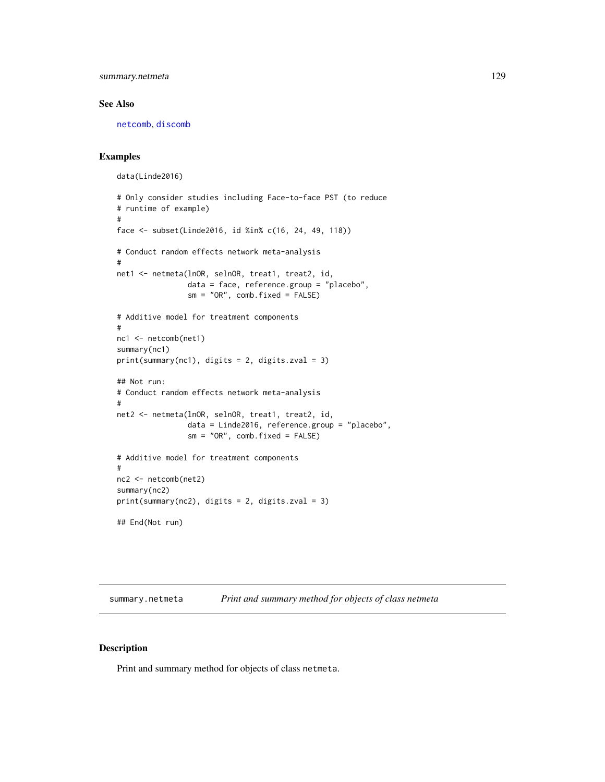<span id="page-128-1"></span>summary.netmeta 129

#### See Also

[netcomb](#page-41-0), [discomb](#page-9-0)

#### Examples

```
data(Linde2016)
# Only consider studies including Face-to-face PST (to reduce
# runtime of example)
#
face <- subset(Linde2016, id %in% c(16, 24, 49, 118))
# Conduct random effects network meta-analysis
#
net1 <- netmeta(lnOR, selnOR, treat1, treat2, id,
                data = face, reference.group = "placebo",
                sm = "OR", comb.fixed = FALSE)
# Additive model for treatment components
#
nc1 <- netcomb(net1)
summary(nc1)
print(summary(nc1), digits = 2, digits.zval = 3)
## Not run:
# Conduct random effects network meta-analysis
#
net2 <- netmeta(lnOR, selnOR, treat1, treat2, id,
                data = Linde2016, reference.group = "placebo",
                sm = "OR", comb.fixed = FALSE)# Additive model for treatment components
#
nc2 <- netcomb(net2)
summary(nc2)
print(summary(nc2), digits = 2, digits.zval = 3)
## End(Not run)
```
summary.netmeta *Print and summary method for objects of class netmeta*

#### <span id="page-128-0"></span>Description

Print and summary method for objects of class netmeta.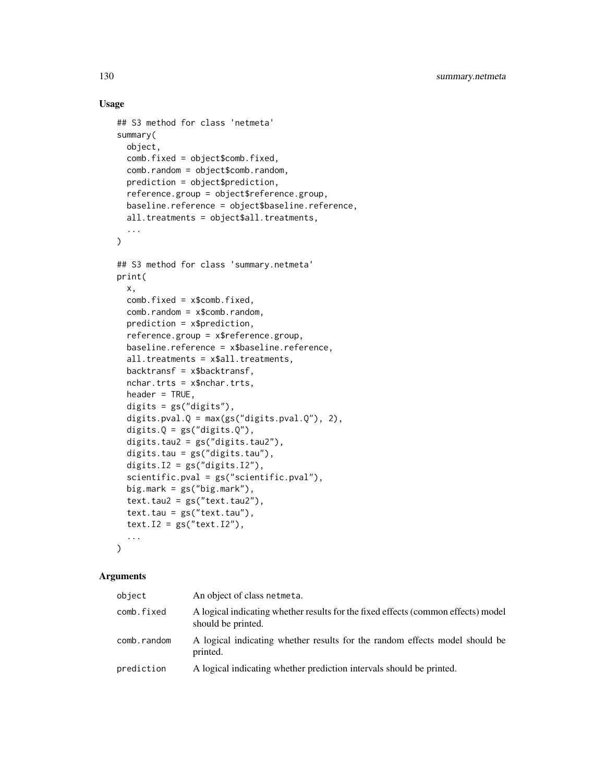# Usage

```
## S3 method for class 'netmeta'
summary(
 object,
  comb.fixed = object$comb.fixed,
 comb.random = object$comb.random,
 prediction = object$prediction,
  reference.group = object$reference.group,
 baseline.reference = object$baseline.reference,
 all.treatments = object$all.treatments,
  ...
\mathcal{L}## S3 method for class 'summary.netmeta'
print(
 x,
 comb.fixed = x$comb.fixed,
 comb.random = x$comb.random,prediction = x$prediction,
  reference.group = x$reference.group,
 baseline.reference = x$baseline.reference,
  all.treatments = x$all.treatments,
 backtransf = x$backtransf,
 nchar.trts = x$nchar.trts,
 header = TRUE,
  digits = gs("digits"),
  digits.pval.Q = max(gs("digits.pval.Q"), 2),
  digits.Q = gs("digits.Q"),digits.tau2 = gs("digits.tau2"),
  digits.tau = gs("digits.tau"),
  digits.I2 = gs("digits.I2"),scientific.pval = gs("scientific.pval"),
 big.mark = gs("big.mark"),
  text.tau2 = gs("text.tau2"),text.tau = gs("text.tau"),text.I2 = gs("text.I2"),...
\lambda
```
#### Arguments

| object      | An object of class netmeta.                                                                             |
|-------------|---------------------------------------------------------------------------------------------------------|
| comb.fixed  | A logical indicating whether results for the fixed effects (common effects) model<br>should be printed. |
| comb.random | A logical indicating whether results for the random effects model should be<br>printed.                 |
| prediction  | A logical indicating whether prediction intervals should be printed.                                    |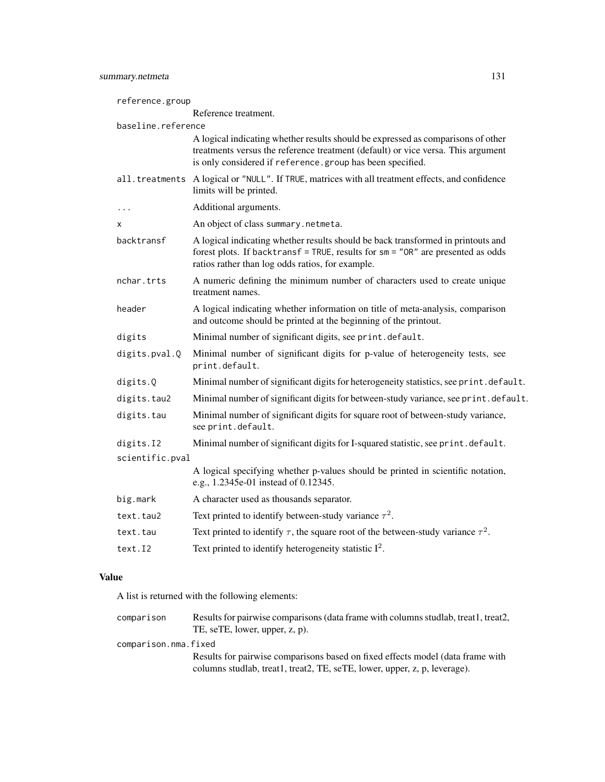| reference.group    |                                                                                                                                                                                                                                   |
|--------------------|-----------------------------------------------------------------------------------------------------------------------------------------------------------------------------------------------------------------------------------|
|                    | Reference treatment.                                                                                                                                                                                                              |
| baseline.reference |                                                                                                                                                                                                                                   |
|                    | A logical indicating whether results should be expressed as comparisons of other<br>treatments versus the reference treatment (default) or vice versa. This argument<br>is only considered if reference.group has been specified. |
|                    | all. treatments A logical or "NULL". If TRUE, matrices with all treatment effects, and confidence<br>limits will be printed.                                                                                                      |
| .                  | Additional arguments.                                                                                                                                                                                                             |
| x                  | An object of class summary.netmeta.                                                                                                                                                                                               |
| backtransf         | A logical indicating whether results should be back transformed in printouts and<br>forest plots. If backtransf = TRUE, results for sm = "OR" are presented as odds<br>ratios rather than log odds ratios, for example.           |
| nchar.trts         | A numeric defining the minimum number of characters used to create unique<br>treatment names.                                                                                                                                     |
| header             | A logical indicating whether information on title of meta-analysis, comparison<br>and outcome should be printed at the beginning of the printout.                                                                                 |
| digits             | Minimal number of significant digits, see print.default.                                                                                                                                                                          |
| digits.pval.Q      | Minimal number of significant digits for p-value of heterogeneity tests, see<br>print.default.                                                                                                                                    |
| digits.Q           | Minimal number of significant digits for heterogeneity statistics, see print. default.                                                                                                                                            |
| digits.tau2        | Minimal number of significant digits for between-study variance, see print.default.                                                                                                                                               |
| digits.tau         | Minimal number of significant digits for square root of between-study variance,<br>see print.default.                                                                                                                             |
| digits.I2          | Minimal number of significant digits for I-squared statistic, see print.default.                                                                                                                                                  |
| scientific.pval    |                                                                                                                                                                                                                                   |
|                    | A logical specifying whether p-values should be printed in scientific notation,<br>e.g., 1.2345e-01 instead of 0.12345.                                                                                                           |
| big.mark           | A character used as thousands separator.                                                                                                                                                                                          |
| text.tau2          | Text printed to identify between-study variance $\tau^2$ .                                                                                                                                                                        |
| text.tau           | Text printed to identify $\tau$ , the square root of the between-study variance $\tau^2$ .                                                                                                                                        |
| text.I2            | Text printed to identify heterogeneity statistic $I^2$ .                                                                                                                                                                          |

# Value

A list is returned with the following elements:

| comparison           | Results for pairwise comparisons (data frame with columns studiab, treat1, treat2,<br>TE, seTE, lower, upper, z, p).                                        |
|----------------------|-------------------------------------------------------------------------------------------------------------------------------------------------------------|
| comparison.nma.fixed |                                                                                                                                                             |
|                      | Results for pairwise comparisons based on fixed effects model (data frame with<br>columns studiab, treat1, treat2, TE, seTE, lower, upper, z, p, leverage). |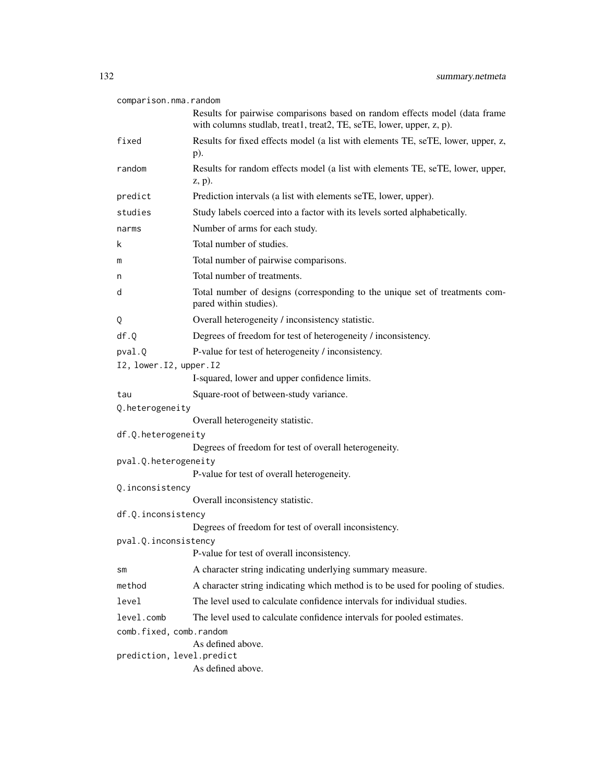| comparison.nma.random                          |                                                                                                                                                    |
|------------------------------------------------|----------------------------------------------------------------------------------------------------------------------------------------------------|
|                                                | Results for pairwise comparisons based on random effects model (data frame<br>with columns studlab, treat1, treat2, TE, seTE, lower, upper, z, p). |
| fixed                                          | Results for fixed effects model (a list with elements TE, seTE, lower, upper, z,<br>$p$ ).                                                         |
| random                                         | Results for random effects model (a list with elements TE, seTE, lower, upper,<br>$(z, p)$ .                                                       |
| predict                                        | Prediction intervals (a list with elements seTE, lower, upper).                                                                                    |
| studies                                        | Study labels coerced into a factor with its levels sorted alphabetically.                                                                          |
| narms                                          | Number of arms for each study.                                                                                                                     |
| k                                              | Total number of studies.                                                                                                                           |
| m                                              | Total number of pairwise comparisons.                                                                                                              |
| n                                              | Total number of treatments.                                                                                                                        |
| d                                              | Total number of designs (corresponding to the unique set of treatments com-<br>pared within studies).                                              |
| Q                                              | Overall heterogeneity / inconsistency statistic.                                                                                                   |
| df.Q                                           | Degrees of freedom for test of heterogeneity / inconsistency.                                                                                      |
| pval.Q                                         | P-value for test of heterogeneity / inconsistency.                                                                                                 |
| I2, lower. I2, upper. I2                       |                                                                                                                                                    |
|                                                | I-squared, lower and upper confidence limits.                                                                                                      |
| tau                                            | Square-root of between-study variance.                                                                                                             |
| Q.heterogeneity                                |                                                                                                                                                    |
|                                                | Overall heterogeneity statistic.                                                                                                                   |
| df.Q.heterogeneity                             | Degrees of freedom for test of overall heterogeneity.                                                                                              |
| pval.Q.heterogeneity                           |                                                                                                                                                    |
|                                                | P-value for test of overall heterogeneity.                                                                                                         |
| Q.inconsistency                                |                                                                                                                                                    |
|                                                | Overall inconsistency statistic.                                                                                                                   |
| df.Q.inconsistency                             |                                                                                                                                                    |
|                                                | Degrees of freedom for test of overall inconsistency.                                                                                              |
| pval.Q.inconsistency                           | P-value for test of overall inconsistency.                                                                                                         |
| SM                                             | A character string indicating underlying summary measure.                                                                                          |
| method                                         | A character string indicating which method is to be used for pooling of studies.                                                                   |
| level                                          | The level used to calculate confidence intervals for individual studies.                                                                           |
| level.comb                                     | The level used to calculate confidence intervals for pooled estimates.                                                                             |
| comb.fixed, comb.random                        |                                                                                                                                                    |
| As defined above.<br>prediction, level.predict |                                                                                                                                                    |
|                                                | As defined above.                                                                                                                                  |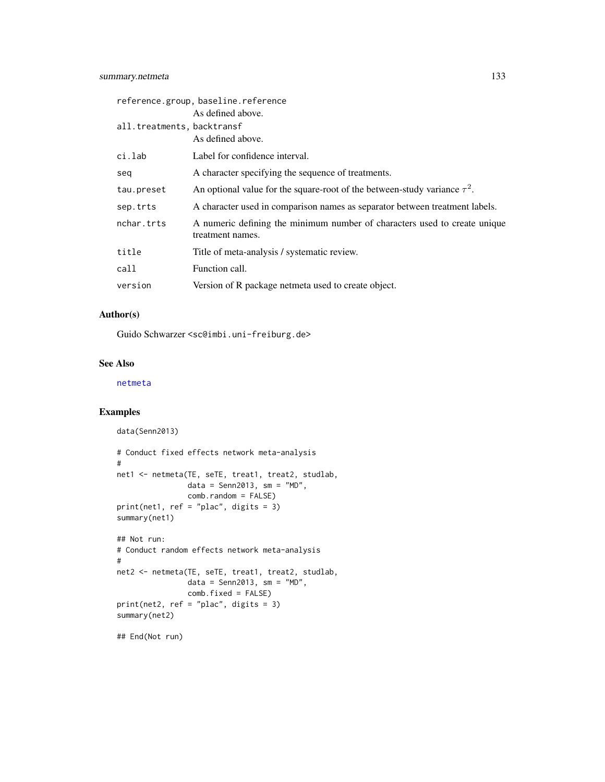<span id="page-132-0"></span>

|                            | reference.group, baseline.reference                                                           |
|----------------------------|-----------------------------------------------------------------------------------------------|
|                            | As defined above.                                                                             |
| all.treatments, backtransf |                                                                                               |
|                            | As defined above.                                                                             |
| ci.lab                     | Label for confidence interval.                                                                |
| seq                        | A character specifying the sequence of treatments.                                            |
| tau.preset                 | An optional value for the square-root of the between-study variance $\tau^2$ .                |
| sep.trts                   | A character used in comparison names as separator between treatment labels.                   |
| nchar.trts                 | A numeric defining the minimum number of characters used to create unique<br>treatment names. |
| title                      | Title of meta-analysis / systematic review.                                                   |
| call                       | Function call.                                                                                |
| version                    | Version of R package netmeta used to create object.                                           |

# Author(s)

Guido Schwarzer <sc@imbi.uni-freiburg.de>

# See Also

[netmeta](#page-72-0)

# Examples

```
data(Senn2013)
# Conduct fixed effects network meta-analysis
#
net1 <- netmeta(TE, seTE, treat1, treat2, studlab,
               data = Senn2013, sm = "MD",comb.random = FALSE)
print(net1, ref = "plac", digits = 3)
summary(net1)
## Not run:
# Conduct random effects network meta-analysis
#
net2 <- netmeta(TE, seTE, treat1, treat2, studlab,
               data = Senn2013, sm = "MD",comb.fixed = FALSE)
print(net2, ref = "plac", digits = 3)
summary(net2)
```
## End(Not run)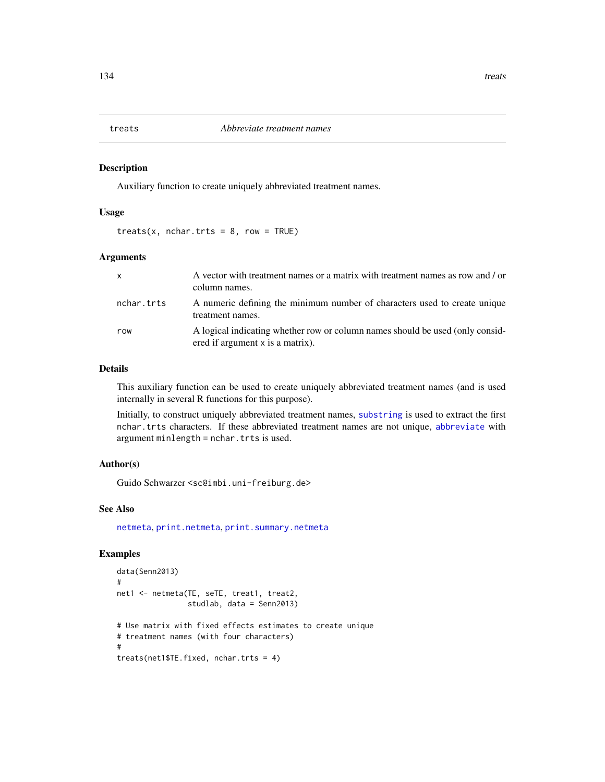<span id="page-133-0"></span>

# Description

Auxiliary function to create uniquely abbreviated treatment names.

# Usage

 $treats(x, nchar.trts = 8, row = TRUE)$ 

#### Arguments

| $\mathsf{x}$ | A vector with treatment names or a matrix with treatment names as row and / or<br>column names.                   |
|--------------|-------------------------------------------------------------------------------------------------------------------|
| nchar.trts   | A numeric defining the minimum number of characters used to create unique<br>treatment names.                     |
| row          | A logical indicating whether row or column names should be used (only consid-<br>ered if argument x is a matrix). |

#### Details

This auxiliary function can be used to create uniquely abbreviated treatment names (and is used internally in several R functions for this purpose).

Initially, to construct uniquely abbreviated treatment names, [substring](#page-0-0) is used to extract the first nchar.trts characters. If these abbreviated treatment names are not unique, [abbreviate](#page-0-0) with argument minlength = nchar.trts is used.

#### Author(s)

Guido Schwarzer <sc@imbi.uni-freiburg.de>

# See Also

[netmeta](#page-72-0), [print.netmeta](#page-121-0), [print.summary.netmeta](#page-128-0)

```
data(Senn2013)
#
net1 <- netmeta(TE, seTE, treat1, treat2,
                studlab, data = Senn2013)
# Use matrix with fixed effects estimates to create unique
# treatment names (with four characters)
#
treats(net1$TE.fixed, nchar.trts = 4)
```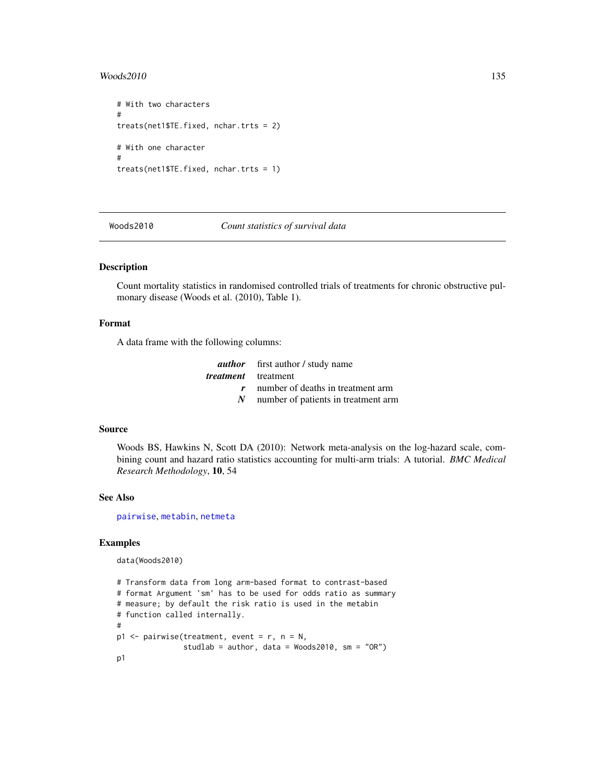#### <span id="page-134-0"></span> $\text{Woods2010}$  135

```
# With two characters
#
treats(net1$TE.fixed, nchar.trts = 2)
# With one character
#
treats(net1$TE.fixed, nchar.trts = 1)
```
Woods2010 *Count statistics of survival data*

# Description

Count mortality statistics in randomised controlled trials of treatments for chronic obstructive pulmonary disease (Woods et al. (2010), Table 1).

#### Format

A data frame with the following columns:

|                 | <b><i>author</i></b> first author / study name |
|-----------------|------------------------------------------------|
|                 | <i>treatment</i> treatment                     |
|                 | number of deaths in treatment arm              |
| $N_{\parallel}$ | number of patients in treatment arm            |

#### Source

Woods BS, Hawkins N, Scott DA (2010): Network meta-analysis on the log-hazard scale, combining count and hazard ratio statistics accounting for multi-arm trials: A tutorial. *BMC Medical Research Methodology*, 10, 54

#### See Also

[pairwise](#page-100-0), [metabin](#page-0-0), [netmeta](#page-72-0)

# Examples

data(Woods2010)

```
# Transform data from long arm-based format to contrast-based
# format Argument 'sm' has to be used for odds ratio as summary
# measure; by default the risk ratio is used in the metabin
# function called internally.
#
p1 <- pairwise(treatment, event = r, n = N,
               studlab = author, data = Woods2010, sm = "OR")
p1
```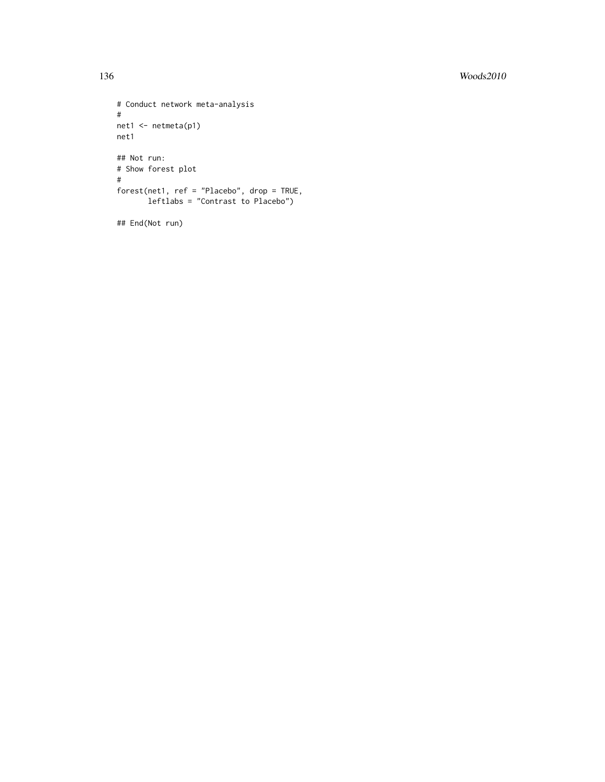```
# Conduct network meta-analysis
#
net1 <- netmeta(p1)
net1
## Not run:
# Show forest plot
#
forest(net1, ref = "Placebo", drop = TRUE,
      leftlabs = "Contrast to Placebo")
```
## End(Not run)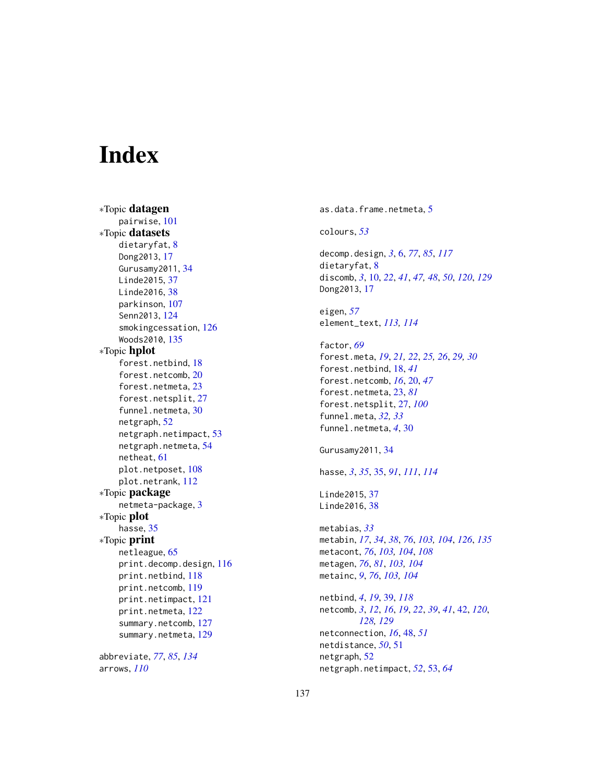# **Index**

∗Topic datagen pairwise, [101](#page-100-1) ∗Topic datasets dietaryfat, [8](#page-7-0) Dong2013, [17](#page-16-0) Gurusamy2011, [34](#page-33-0) Linde2015, [37](#page-36-0) Linde2016, [38](#page-37-0) parkinson, [107](#page-106-0) Senn2013, [124](#page-123-0) smokingcessation, [126](#page-125-0) Woods2010, [135](#page-134-0) ∗Topic hplot forest.netbind, [18](#page-17-0) forest.netcomb, [20](#page-19-0) forest.netmeta, [23](#page-22-0) forest.netsplit, [27](#page-26-0) funnel.netmeta, [30](#page-29-0) netgraph, [52](#page-51-0) netgraph.netimpact, [53](#page-52-0) netgraph.netmeta, [54](#page-53-1) netheat, [61](#page-60-0) plot.netposet, [108](#page-107-1) plot.netrank, [112](#page-111-0) ∗Topic package netmeta-package, [3](#page-2-0) ∗Topic plot hasse, [35](#page-34-1) ∗Topic print netleague, [65](#page-64-0) print.decomp.design, [116](#page-115-0) print.netbind, [118](#page-117-0) print.netcomb, [119](#page-118-0) print.netimpact, [121](#page-120-0) print.netmeta, [122](#page-121-1) summary.netcomb, [127](#page-126-1) summary.netmeta, [129](#page-128-1) abbreviate, *[77](#page-76-0)*, *[85](#page-84-0)*, *[134](#page-133-0)*

arrows, *[110](#page-109-0)*

as.data.frame.netmeta, [5](#page-4-0) colours, *[53](#page-52-0)* decomp.design, *[3](#page-2-0)*, [6,](#page-5-1) *[77](#page-76-0)*, *[85](#page-84-0)*, *[117](#page-116-0)* dietaryfat, [8](#page-7-0) discomb, *[3](#page-2-0)*, [10,](#page-9-1) *[22](#page-21-0)*, *[41](#page-40-0)*, *[47,](#page-46-0) [48](#page-47-0)*, *[50](#page-49-0)*, *[120](#page-119-0)*, *[129](#page-128-1)* Dong2013, [17](#page-16-0) eigen, *[57](#page-56-0)* element\_text, *[113,](#page-112-0) [114](#page-113-0)* factor, *[69](#page-68-0)* forest.meta, *[19](#page-18-0)*, *[21,](#page-20-0) [22](#page-21-0)*, *[25,](#page-24-0) [26](#page-25-0)*, *[29,](#page-28-0) [30](#page-29-0)* forest.netbind, [18,](#page-17-0) *[41](#page-40-0)* forest.netcomb, *[16](#page-15-0)*, [20,](#page-19-0) *[47](#page-46-0)* forest.netmeta, [23,](#page-22-0) *[81](#page-80-0)* forest.netsplit, [27,](#page-26-0) *[100](#page-99-0)* funnel.meta, *[32,](#page-31-0) [33](#page-32-0)* funnel.netmeta, *[4](#page-3-0)*, [30](#page-29-0) Gurusamy2011, [34](#page-33-0) hasse, *[3](#page-2-0)*, *[35](#page-34-1)*, [35,](#page-34-1) *[91](#page-90-0)*, *[111](#page-110-0)*, *[114](#page-113-0)* Linde2015, [37](#page-36-0) Linde2016, [38](#page-37-0) metabias, *[33](#page-32-0)* metabin, *[17](#page-16-0)*, *[34](#page-33-0)*, *[38](#page-37-0)*, *[76](#page-75-0)*, *[103,](#page-102-0) [104](#page-103-0)*, *[126](#page-125-0)*, *[135](#page-134-0)* metacont, *[76](#page-75-0)*, *[103,](#page-102-0) [104](#page-103-0)*, *[108](#page-107-1)* metagen, *[76](#page-75-0)*, *[81](#page-80-0)*, *[103,](#page-102-0) [104](#page-103-0)* metainc, *[9](#page-8-0)*, *[76](#page-75-0)*, *[103,](#page-102-0) [104](#page-103-0)* netbind, *[4](#page-3-0)*, *[19](#page-18-0)*, [39,](#page-38-1) *[118](#page-117-0)* netcomb, *[3](#page-2-0)*, *[12](#page-11-0)*, *[16](#page-15-0)*, *[19](#page-18-0)*, *[22](#page-21-0)*, *[39](#page-38-1)*, *[41](#page-40-0)*, [42,](#page-41-1) *[120](#page-119-0)*, *[128,](#page-127-0) [129](#page-128-1)* netconnection, *[16](#page-15-0)*, [48,](#page-47-0) *[51](#page-50-0)* netdistance, *[50](#page-49-0)*, [51](#page-50-0) netgraph, [52](#page-51-0) netgraph.netimpact, *[52](#page-51-0)*, [53,](#page-52-0) *[64](#page-63-0)*